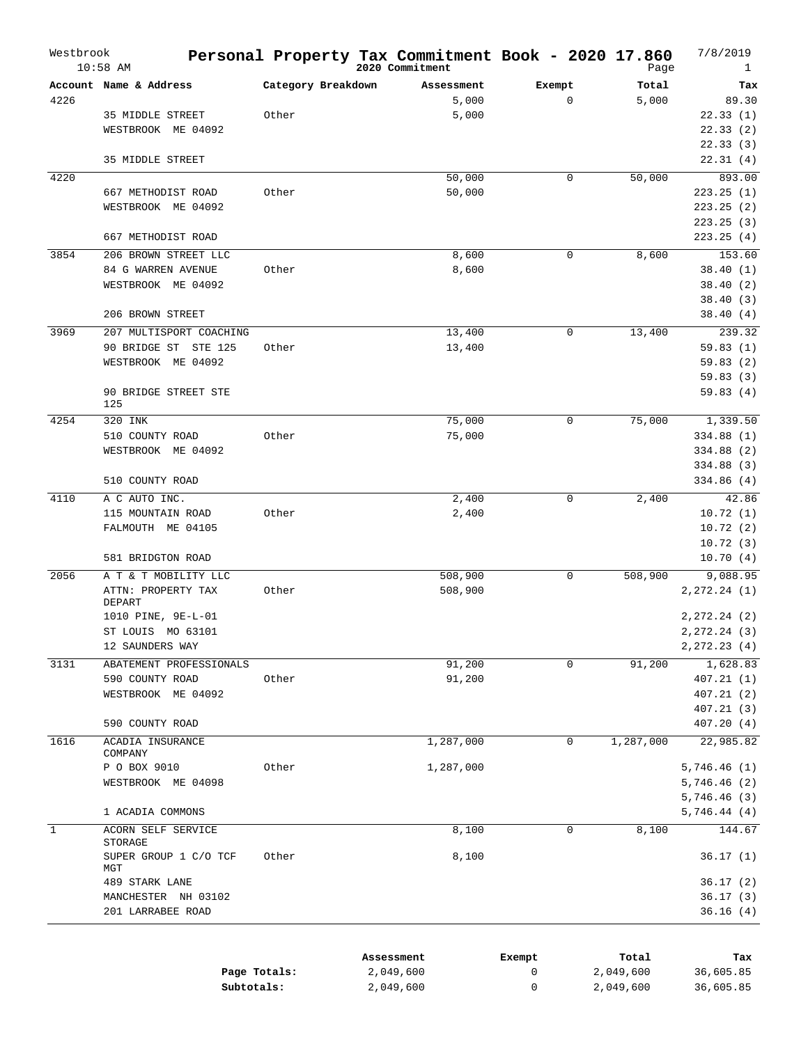| Westbrook    | $10:58$ AM                    |                    | Personal Property Tax Commitment Book - 2020 17.860<br>2020 Commitment |             | Page      | 7/8/2019<br>1  |
|--------------|-------------------------------|--------------------|------------------------------------------------------------------------|-------------|-----------|----------------|
|              | Account Name & Address        | Category Breakdown | Assessment                                                             | Exempt      | Total     | Tax            |
| 4226         |                               |                    | 5,000                                                                  | $\mathbf 0$ | 5,000     | 89.30          |
|              | 35 MIDDLE STREET              | Other              | 5,000                                                                  |             |           | 22.33(1)       |
|              | WESTBROOK ME 04092            |                    |                                                                        |             |           | 22.33(2)       |
|              |                               |                    |                                                                        |             |           | 22.33(3)       |
|              | 35 MIDDLE STREET              |                    |                                                                        |             |           | 22.31(4)       |
| 4220         |                               |                    | 50,000                                                                 | 0           | 50,000    | 893.00         |
|              | 667 METHODIST ROAD            | Other              | 50,000                                                                 |             |           | 223.25(1)      |
|              | WESTBROOK ME 04092            |                    |                                                                        |             |           | 223.25(2)      |
|              |                               |                    |                                                                        |             |           | 223.25 (3)     |
|              | 667 METHODIST ROAD            |                    |                                                                        |             |           | 223.25(4)      |
| 3854         | 206 BROWN STREET LLC          |                    | 8,600                                                                  | 0           | 8,600     | 153.60         |
|              | 84 G WARREN AVENUE            | Other              | 8,600                                                                  |             |           | 38.40(1)       |
|              | WESTBROOK ME 04092            |                    |                                                                        |             |           | 38.40(2)       |
|              |                               |                    |                                                                        |             |           | 38.40(3)       |
|              | 206 BROWN STREET              |                    |                                                                        |             |           | 38.40(4)       |
| 3969         | 207 MULTISPORT COACHING       |                    | 13,400                                                                 | 0           | 13,400    | 239.32         |
|              | 90 BRIDGE ST STE 125          | Other              | 13,400                                                                 |             |           | 59.83(1)       |
|              | WESTBROOK ME 04092            |                    |                                                                        |             |           | 59.83(2)       |
|              |                               |                    |                                                                        |             |           | 59.83(3)       |
|              | 90 BRIDGE STREET STE          |                    |                                                                        |             |           | 59.83(4)       |
|              | 125                           |                    |                                                                        |             |           |                |
| 4254         | 320 INK                       |                    | 75,000                                                                 | 0           | 75,000    | 1,339.50       |
|              | 510 COUNTY ROAD               | Other              | 75,000                                                                 |             |           | 334.88 (1)     |
|              | WESTBROOK ME 04092            |                    |                                                                        |             |           | 334.88 (2)     |
|              |                               |                    |                                                                        |             |           | 334.88 (3)     |
|              | 510 COUNTY ROAD               |                    |                                                                        |             |           | 334.86 (4)     |
| 4110         | A C AUTO INC.                 |                    | 2,400                                                                  | 0           | 2,400     | 42.86          |
|              | 115 MOUNTAIN ROAD             | Other              | 2,400                                                                  |             |           | 10.72(1)       |
|              | FALMOUTH ME 04105             |                    |                                                                        |             |           | 10.72(2)       |
|              |                               |                    |                                                                        |             |           | 10.72(3)       |
|              | 581 BRIDGTON ROAD             |                    |                                                                        |             |           | 10.70(4)       |
| 2056         | A T & T MOBILITY LLC          |                    | 508,900                                                                | 0           | 508,900   | 9,088.95       |
|              | ATTN: PROPERTY TAX            | Other              | 508,900                                                                |             |           | 2, 272. 24 (1) |
|              | DEPART                        |                    |                                                                        |             |           |                |
|              | 1010 PINE, 9E-L-01            |                    |                                                                        |             |           | 2, 272. 24 (2) |
|              | ST LOUIS MO 63101             |                    |                                                                        |             |           | 2,272.24 (3)   |
|              | 12 SAUNDERS WAY               |                    |                                                                        |             |           | 2, 272.23(4)   |
| 3131         | ABATEMENT PROFESSIONALS       |                    | 91,200                                                                 | 0           | 91,200    | 1,628.83       |
|              | 590 COUNTY ROAD               | Other              | 91,200                                                                 |             |           | 407.21 (1)     |
|              | WESTBROOK ME 04092            |                    |                                                                        |             |           | 407.21 (2)     |
|              |                               |                    |                                                                        |             |           | 407.21 (3)     |
|              | 590 COUNTY ROAD               |                    |                                                                        |             |           | 407.20 (4)     |
| 1616         | ACADIA INSURANCE<br>COMPANY   |                    | 1,287,000                                                              | 0           | 1,287,000 | 22,985.82      |
|              | P O BOX 9010                  | Other              | 1,287,000                                                              |             |           | 5,746.46(1)    |
|              | WESTBROOK ME 04098            |                    |                                                                        |             |           | 5,746.46(2)    |
|              |                               |                    |                                                                        |             |           | 5,746.46(3)    |
|              | 1 ACADIA COMMONS              |                    |                                                                        |             |           | 5,746.44(4)    |
| $\mathbf{1}$ | ACORN SELF SERVICE<br>STORAGE |                    | 8,100                                                                  | 0           | 8,100     | 144.67         |
|              | SUPER GROUP 1 C/O TCF<br>MGT  | Other              | 8,100                                                                  |             |           | 36.17(1)       |
|              | 489 STARK LANE                |                    |                                                                        |             |           | 36.17(2)       |
|              | MANCHESTER NH 03102           |                    |                                                                        |             |           | 36.17(3)       |
|              | 201 LARRABEE ROAD             |                    |                                                                        |             |           | 36.16(4)       |
|              |                               |                    |                                                                        |             |           |                |

|              | Assessment | Exempt | Total     | Tax       |
|--------------|------------|--------|-----------|-----------|
| Page Totals: | 2,049,600  |        | 2,049,600 | 36,605.85 |
| Subtotals:   | 2,049,600  |        | 2,049,600 | 36,605.85 |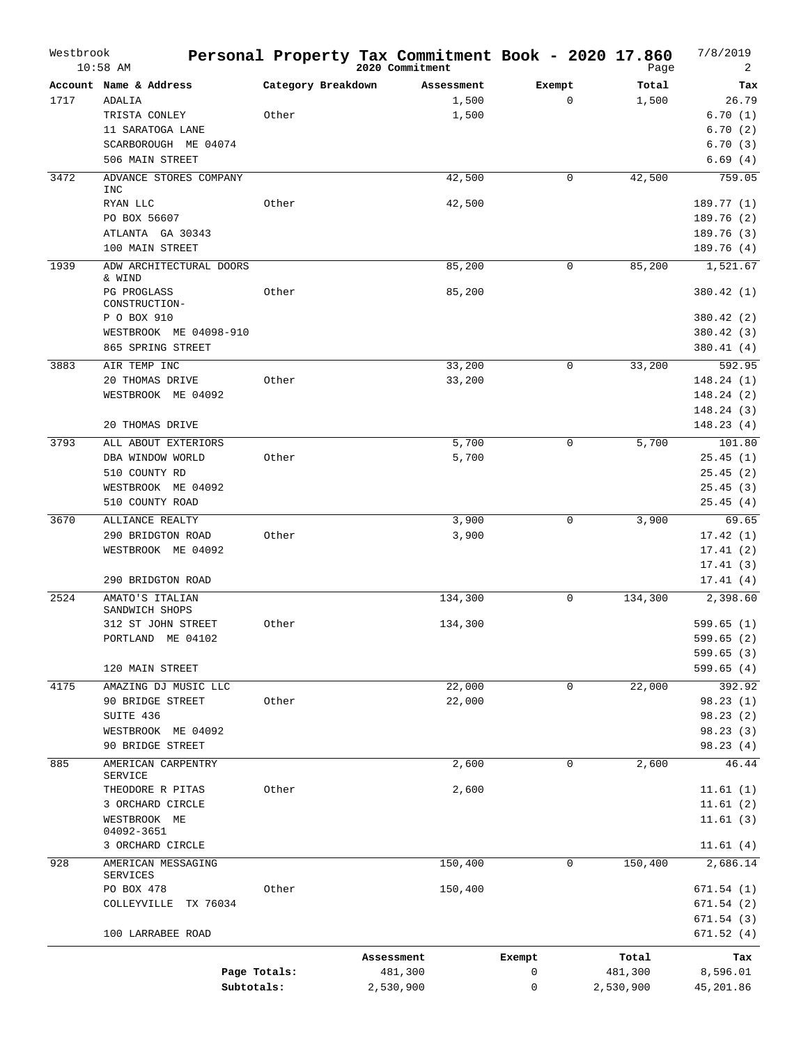| Westbrook | $10:58$ AM                           |                    | Personal Property Tax Commitment Book - 2020 17.860<br>2020 Commitment |             | Page      | 7/8/2019<br>2          |
|-----------|--------------------------------------|--------------------|------------------------------------------------------------------------|-------------|-----------|------------------------|
|           | Account Name & Address               | Category Breakdown | Assessment                                                             | Exempt      | Total     | Tax                    |
| 1717      | ADALIA                               |                    | 1,500                                                                  | $\mathbf 0$ | 1,500     | 26.79                  |
|           | TRISTA CONLEY                        | Other              | 1,500                                                                  |             |           | 6.70(1)                |
|           | 11 SARATOGA LANE                     |                    |                                                                        |             |           | 6.70(2)                |
|           | SCARBOROUGH ME 04074                 |                    |                                                                        |             |           | 6.70(3)                |
|           | 506 MAIN STREET                      |                    |                                                                        |             |           | 6.69(4)                |
| 3472      | ADVANCE STORES COMPANY               |                    | 42,500                                                                 | $\mathbf 0$ | 42,500    | 759.05                 |
|           | <b>INC</b>                           |                    |                                                                        |             |           |                        |
|           | RYAN LLC                             | Other              | 42,500                                                                 |             |           | 189.77 (1)             |
|           | PO BOX 56607                         |                    |                                                                        |             |           | 189.76(2)              |
|           | ATLANTA GA 30343                     |                    |                                                                        |             |           | 189.76(3)              |
|           | 100 MAIN STREET                      |                    |                                                                        |             |           | 189.76(4)              |
| 1939      | ADW ARCHITECTURAL DOORS<br>& WIND    |                    | 85,200                                                                 | 0           | 85,200    | 1,521.67               |
|           | PG PROGLASS                          | Other              | 85,200                                                                 |             |           | 380.42 (1)             |
|           | CONSTRUCTION-                        |                    |                                                                        |             |           |                        |
|           | P O BOX 910                          |                    |                                                                        |             |           | 380.42 (2)             |
|           | WESTBROOK ME 04098-910               |                    |                                                                        |             |           | 380.42(3)              |
|           | 865 SPRING STREET                    |                    |                                                                        |             |           | 380.41(4)              |
| 3883      | AIR TEMP INC                         |                    | 33,200                                                                 | 0           | 33,200    | 592.95                 |
|           | 20 THOMAS DRIVE                      | Other              | 33,200                                                                 |             |           | 148.24(1)              |
|           | WESTBROOK ME 04092                   |                    |                                                                        |             |           | 148.24 (2)             |
|           |                                      |                    |                                                                        |             |           | 148.24(3)              |
|           | 20 THOMAS DRIVE                      |                    |                                                                        |             |           | 148.23(4)              |
| 3793      | ALL ABOUT EXTERIORS                  |                    | 5,700                                                                  | $\mathbf 0$ | 5,700     | 101.80                 |
|           | DBA WINDOW WORLD                     | Other              | 5,700                                                                  |             |           | 25.45(1)               |
|           | 510 COUNTY RD                        |                    |                                                                        |             |           | 25.45(2)               |
|           | WESTBROOK ME 04092                   |                    |                                                                        |             |           | 25.45(3)               |
|           | 510 COUNTY ROAD                      |                    |                                                                        |             |           | 25.45(4)               |
| 3670      | ALLIANCE REALTY                      |                    | 3,900                                                                  | 0           | 3,900     | 69.65                  |
|           | 290 BRIDGTON ROAD                    | Other              | 3,900                                                                  |             |           | 17.42(1)               |
|           | WESTBROOK ME 04092                   |                    |                                                                        |             |           | 17.41(2)               |
|           |                                      |                    |                                                                        |             |           | 17.41(3)               |
|           | 290 BRIDGTON ROAD                    |                    |                                                                        |             |           | 17.41(4)               |
| 2524      | AMATO'S ITALIAN                      |                    | 134,300                                                                | 0           | 134,300   | 2,398.60               |
|           | SANDWICH SHOPS                       |                    |                                                                        |             |           |                        |
|           | 312 ST JOHN STREET                   | Other              | 134,300                                                                |             |           | 599.65(1)              |
|           | PORTLAND ME 04102                    |                    |                                                                        |             |           | 599.65 (2)             |
|           | 120 MAIN STREET                      |                    |                                                                        |             |           | 599.65(3)<br>599.65(4) |
|           |                                      |                    |                                                                        |             |           |                        |
| 4175      | AMAZING DJ MUSIC LLC                 |                    | 22,000                                                                 | 0           | 22,000    | 392.92                 |
|           | 90 BRIDGE STREET                     | Other              | 22,000                                                                 |             |           | 98.23 (1)              |
|           | SUITE 436                            |                    |                                                                        |             |           | 98.23(2)               |
|           | WESTBROOK ME 04092                   |                    |                                                                        |             |           | 98.23 (3)              |
|           | 90 BRIDGE STREET                     |                    |                                                                        |             |           | 98.23 (4)              |
| 885       | AMERICAN CARPENTRY<br><b>SERVICE</b> |                    | 2,600                                                                  | 0           | 2,600     | 46.44                  |
|           | THEODORE R PITAS                     | Other              | 2,600                                                                  |             |           | 11.61(1)               |
|           | 3 ORCHARD CIRCLE                     |                    |                                                                        |             |           | 11.61(2)               |
|           | WESTBROOK ME                         |                    |                                                                        |             |           | 11.61(3)               |
|           | 04092-3651                           |                    |                                                                        |             |           |                        |
|           | 3 ORCHARD CIRCLE                     |                    |                                                                        |             |           | 11.61(4)               |
| 928       | AMERICAN MESSAGING<br>SERVICES       |                    | 150,400                                                                | 0           | 150,400   | 2,686.14               |
|           | PO BOX 478                           | Other              | 150,400                                                                |             |           | 671.54 (1)             |
|           | COLLEYVILLE TX 76034                 |                    |                                                                        |             |           | 671.54(2)              |
|           |                                      |                    |                                                                        |             |           | 671.54 (3)             |
|           | 100 LARRABEE ROAD                    |                    |                                                                        |             |           | 671.52(4)              |
|           |                                      |                    | Assessment                                                             | Exempt      | Total     | Tax                    |
|           | Page Totals:                         |                    | 481,300                                                                | 0           | 481,300   | 8,596.01               |
|           | Subtotals:                           |                    | 2,530,900                                                              | 0           | 2,530,900 | 45,201.86              |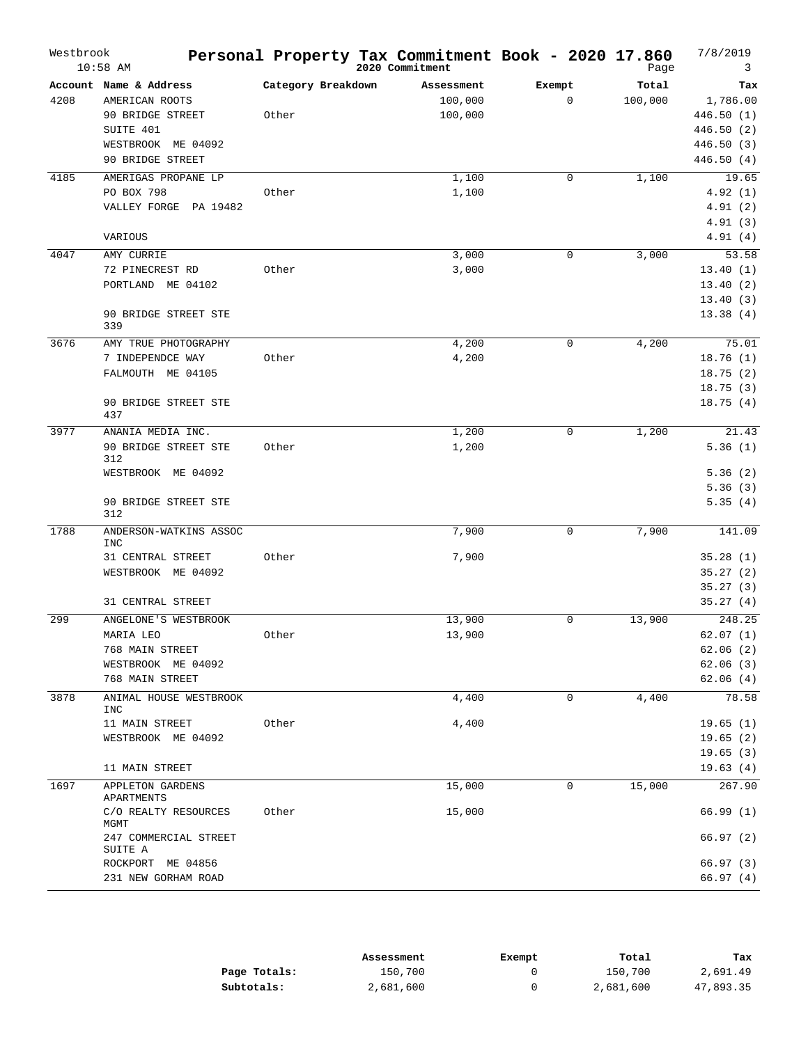| Westbrook | $10:58$ AM                       |                    | Personal Property Tax Commitment Book - 2020 17.860<br>2020 Commitment |             | Page    | 7/8/2019<br>3 |
|-----------|----------------------------------|--------------------|------------------------------------------------------------------------|-------------|---------|---------------|
|           | Account Name & Address           | Category Breakdown | Assessment                                                             | Exempt      | Total   | Tax           |
| 4208      | AMERICAN ROOTS                   |                    | 100,000                                                                | $\mathbf 0$ | 100,000 | 1,786.00      |
|           | 90 BRIDGE STREET                 | Other              | 100,000                                                                |             |         | 446.50(1)     |
|           | SUITE 401                        |                    |                                                                        |             |         | 446.50 (2)    |
|           | WESTBROOK ME 04092               |                    |                                                                        |             |         | 446.50 (3)    |
|           | 90 BRIDGE STREET                 |                    |                                                                        |             |         | 446.50 (4)    |
| 4185      | AMERIGAS PROPANE LP              |                    | 1,100                                                                  | 0           | 1,100   | 19.65         |
|           | PO BOX 798                       | Other              | 1,100                                                                  |             |         | 4.92(1)       |
|           | VALLEY FORGE PA 19482            |                    |                                                                        |             |         | 4.91(2)       |
|           |                                  |                    |                                                                        |             |         | 4.91(3)       |
|           | VARIOUS                          |                    |                                                                        |             |         | 4.91(4)       |
| 4047      | AMY CURRIE                       |                    | 3,000                                                                  | 0           | 3,000   | 53.58         |
|           | 72 PINECREST RD                  | Other              | 3,000                                                                  |             |         | 13.40(1)      |
|           | PORTLAND<br>ME 04102             |                    |                                                                        |             |         | 13.40(2)      |
|           |                                  |                    |                                                                        |             |         | 13.40(3)      |
|           | 90 BRIDGE STREET STE<br>339      |                    |                                                                        |             |         | 13.38(4)      |
| 3676      | AMY TRUE PHOTOGRAPHY             |                    | 4,200                                                                  | 0           | 4,200   | 75.01         |
|           | 7 INDEPENDCE WAY                 | Other              | 4,200                                                                  |             |         | 18.76(1)      |
|           | FALMOUTH ME 04105                |                    |                                                                        |             |         | 18.75(2)      |
|           |                                  |                    |                                                                        |             |         | 18.75(3)      |
|           | 90 BRIDGE STREET STE             |                    |                                                                        |             |         | 18.75(4)      |
|           | 437                              |                    |                                                                        |             |         |               |
| 3977      | ANANIA MEDIA INC.                |                    | 1,200                                                                  | $\mathbf 0$ | 1,200   | 21.43         |
|           | 90 BRIDGE STREET STE<br>312      | Other              | 1,200                                                                  |             |         | 5.36(1)       |
|           | WESTBROOK ME 04092               |                    |                                                                        |             |         | 5.36(2)       |
|           |                                  |                    |                                                                        |             |         | 5.36(3)       |
|           | 90 BRIDGE STREET STE<br>312      |                    |                                                                        |             |         | 5.35(4)       |
| 1788      | ANDERSON-WATKINS ASSOC<br>INC    |                    | 7,900                                                                  | $\mathbf 0$ | 7,900   | 141.09        |
|           | 31 CENTRAL STREET                | Other              | 7,900                                                                  |             |         | 35.28(1)      |
|           | WESTBROOK ME 04092               |                    |                                                                        |             |         | 35.27(2)      |
|           |                                  |                    |                                                                        |             |         | 35.27(3)      |
|           | 31 CENTRAL STREET                |                    |                                                                        |             |         | 35.27(4)      |
| 299       | ANGELONE'S WESTBROOK             |                    | 13,900                                                                 | 0           | 13,900  | 248.25        |
|           | MARIA LEO                        | Other              | 13,900                                                                 |             |         | 62.07(1)      |
|           | 768 MAIN STREET                  |                    |                                                                        |             |         | 62.06(2)      |
|           | WESTBROOK ME 04092               |                    |                                                                        |             |         | 62.06(3)      |
|           | 768 MAIN STREET                  |                    |                                                                        |             |         | 62.06(4)      |
| 3878      | ANIMAL HOUSE WESTBROOK<br>INC    |                    | 4,400                                                                  | $\Omega$    | 4,400   | 78.58         |
|           | 11 MAIN STREET                   | Other              | 4,400                                                                  |             |         | 19.65(1)      |
|           | WESTBROOK ME 04092               |                    |                                                                        |             |         | 19.65(2)      |
|           |                                  |                    |                                                                        |             |         | 19.65(3)      |
|           | 11 MAIN STREET                   |                    |                                                                        |             |         | 19.63(4)      |
| 1697      | APPLETON GARDENS<br>APARTMENTS   |                    | 15,000                                                                 | 0           | 15,000  | 267.90        |
|           | C/O REALTY RESOURCES<br>MGMT     | Other              | 15,000                                                                 |             |         | 66.99(1)      |
|           | 247 COMMERCIAL STREET<br>SUITE A |                    |                                                                        |             |         | 66.97(2)      |
|           | ROCKPORT ME 04856                |                    |                                                                        |             |         | 66.97(3)      |
|           | 231 NEW GORHAM ROAD              |                    |                                                                        |             |         | 66.97 (4)     |

|              | Assessment | Exempt | Total     | Tax       |
|--------------|------------|--------|-----------|-----------|
| Page Totals: | 150,700    |        | 150,700   | 2,691.49  |
| Subtotals:   | 2,681,600  |        | 2,681,600 | 47,893.35 |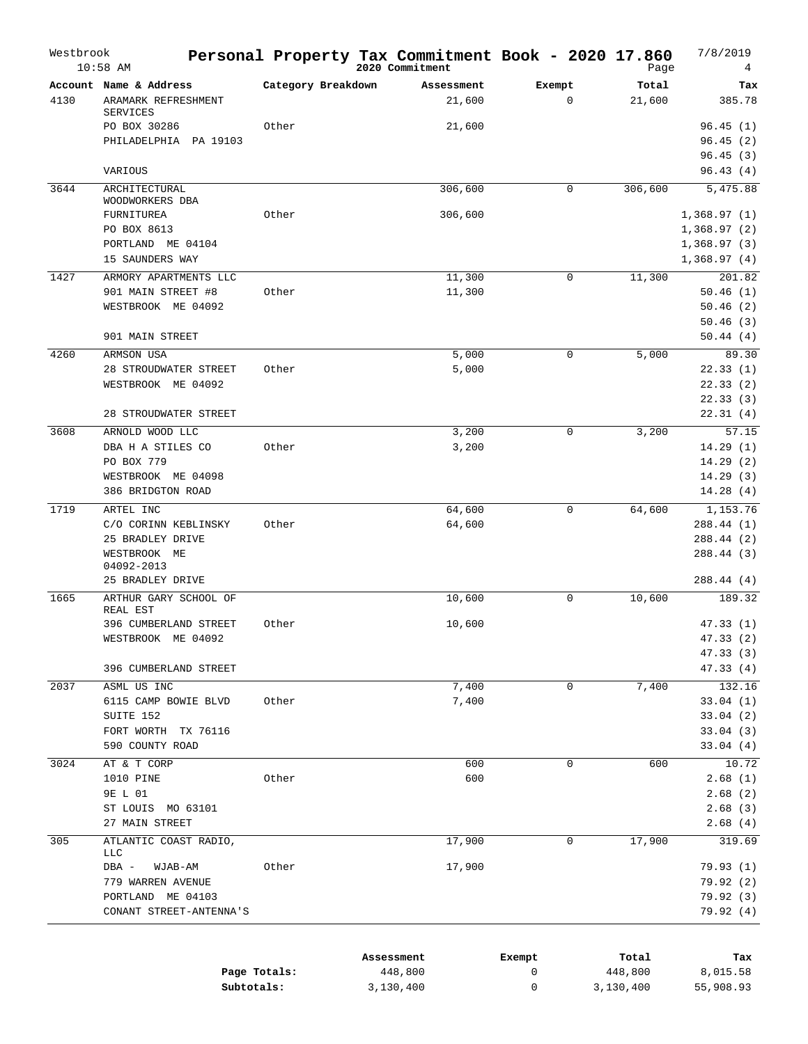| Westbrook | $10:58$ AM                             |                    | 2020 Commitment | Personal Property Tax Commitment Book - 2020 17.860 | Page    | 7/8/2019<br>4        |
|-----------|----------------------------------------|--------------------|-----------------|-----------------------------------------------------|---------|----------------------|
|           | Account Name & Address                 | Category Breakdown | Assessment      | Exempt                                              | Total   | Tax                  |
| 4130      | ARAMARK REFRESHMENT<br><b>SERVICES</b> |                    | 21,600          | $\mathbf 0$                                         | 21,600  | 385.78               |
|           | PO BOX 30286                           | Other              | 21,600          |                                                     |         | 96.45(1)             |
|           | PHILADELPHIA PA 19103                  |                    |                 |                                                     |         | 96.45(2)             |
|           |                                        |                    |                 |                                                     |         | 96.45(3)             |
|           | VARIOUS                                |                    |                 |                                                     |         | 96.43(4)             |
| 3644      | ARCHITECTURAL                          |                    | 306,600         | $\mathbf 0$                                         | 306,600 | 5,475.88             |
|           | WOODWORKERS DBA                        |                    |                 |                                                     |         |                      |
|           | FURNITUREA                             | Other              | 306,600         |                                                     |         | 1,368.97(1)          |
|           | PO BOX 8613                            |                    |                 |                                                     |         | 1,368.97(2)          |
|           | PORTLAND ME 04104                      |                    |                 |                                                     |         | 1,368.97(3)          |
|           | 15 SAUNDERS WAY                        |                    |                 |                                                     |         | 1,368.97(4)          |
| 1427      | ARMORY APARTMENTS LLC                  |                    | 11,300          | $\mathbf 0$                                         | 11,300  | 201.82               |
|           | 901 MAIN STREET #8                     | Other              | 11,300          |                                                     |         | 50.46(1)             |
|           | WESTBROOK ME 04092                     |                    |                 |                                                     |         | 50.46(2)             |
|           |                                        |                    |                 |                                                     |         | 50.46(3)             |
|           | 901 MAIN STREET                        |                    |                 |                                                     |         | 50.44(4)             |
| 4260      | ARMSON USA                             |                    | 5,000           | $\mathbf 0$                                         | 5,000   | 89.30                |
|           | 28 STROUDWATER STREET                  | Other              | 5,000           |                                                     |         | 22.33(1)             |
|           | WESTBROOK ME 04092                     |                    |                 |                                                     |         | 22.33(2)             |
|           |                                        |                    |                 |                                                     |         | 22.33(3)             |
|           | 28 STROUDWATER STREET                  |                    |                 |                                                     |         | 22.31(4)             |
| 3608      | ARNOLD WOOD LLC                        |                    | 3,200           | 0                                                   | 3,200   | 57.15                |
|           | DBA H A STILES CO                      | Other              | 3,200           |                                                     |         | 14.29(1)             |
|           | PO BOX 779                             |                    |                 |                                                     |         | 14.29(2)             |
|           | WESTBROOK ME 04098                     |                    |                 |                                                     |         | 14.29(3)             |
|           | 386 BRIDGTON ROAD                      |                    |                 |                                                     |         | 14.28(4)             |
| 1719      | ARTEL INC                              |                    | 64,600          | 0                                                   | 64,600  | 1,153.76             |
|           | C/O CORINN KEBLINSKY                   | Other              | 64,600          |                                                     |         | 288.44(1)            |
|           | 25 BRADLEY DRIVE                       |                    |                 |                                                     |         | 288.44(2)            |
|           | WESTBROOK ME                           |                    |                 |                                                     |         | 288.44(3)            |
|           | 04092-2013                             |                    |                 |                                                     |         |                      |
|           | 25 BRADLEY DRIVE                       |                    |                 |                                                     |         | 288.44(4)            |
| 1665      | ARTHUR GARY SCHOOL OF                  |                    | 10,600          | 0                                                   | 10,600  | 189.32               |
|           | REAL EST<br>396 CUMBERLAND STREET      | Other              | 10,600          |                                                     |         | 47.33 (1)            |
|           | WESTBROOK ME 04092                     |                    |                 |                                                     |         | 47.33(2)             |
|           |                                        |                    |                 |                                                     |         | 47.33 (3)            |
|           | 396 CUMBERLAND STREET                  |                    |                 |                                                     |         | 47.33 (4)            |
|           |                                        |                    |                 |                                                     |         |                      |
| 2037      | ASML US INC                            |                    | 7,400           | 0                                                   | 7,400   | 132.16               |
|           | 6115 CAMP BOWIE BLVD<br>SUITE 152      | Other              | 7,400           |                                                     |         | 33.04(1)             |
|           | FORT WORTH TX 76116                    |                    |                 |                                                     |         | 33.04(2)<br>33.04(3) |
|           | 590 COUNTY ROAD                        |                    |                 |                                                     |         | 33.04(4)             |
|           |                                        |                    |                 |                                                     |         |                      |
| 3024      | AT & T CORP                            |                    | 600             | 0                                                   | 600     | 10.72                |
|           | 1010 PINE<br>9E L 01                   | Other              | 600             |                                                     |         | 2.68(1)<br>2.68(2)   |
|           | ST LOUIS MO 63101                      |                    |                 |                                                     |         | 2.68(3)              |
|           | 27 MAIN STREET                         |                    |                 |                                                     |         | 2.68(4)              |
|           |                                        |                    |                 |                                                     |         |                      |
| 305       | ATLANTIC COAST RADIO,<br><b>LLC</b>    |                    | 17,900          | $\mathbf 0$                                         | 17,900  | 319.69               |
|           | DBA -<br>WJAB-AM                       | Other              | 17,900          |                                                     |         | 79.93 (1)            |
|           | 779 WARREN AVENUE                      |                    |                 |                                                     |         | 79.92 (2)            |
|           | PORTLAND ME 04103                      |                    |                 |                                                     |         | 79.92(3)             |
|           | CONANT STREET-ANTENNA'S                |                    |                 |                                                     |         | 79.92 (4)            |
|           |                                        |                    |                 |                                                     |         |                      |
|           |                                        |                    | Assessment      | Exempt                                              | Total   | Tax                  |
|           |                                        | Page Totals:       | 448,800         | 0                                                   | 448,800 | 8,015.58             |

**Subtotals:** 3,130,400

0 3,130,400 55,908.93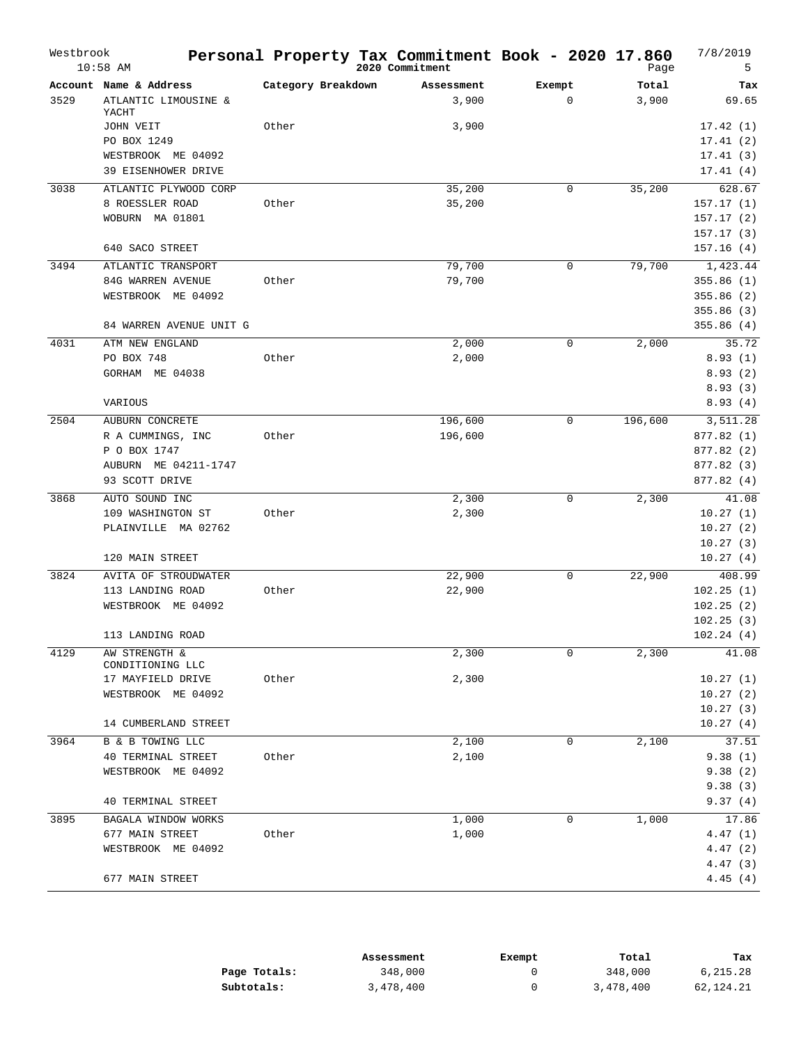|      | Account Name & Address            |                    |            |             |         |            |
|------|-----------------------------------|--------------------|------------|-------------|---------|------------|
|      |                                   | Category Breakdown | Assessment | Exempt      | Total   | Tax        |
| 3529 | ATLANTIC LIMOUSINE &<br>YACHT     |                    | 3,900      | $\mathbf 0$ | 3,900   | 69.65      |
|      | JOHN VEIT                         | Other              | 3,900      |             |         | 17.42(1)   |
|      | PO BOX 1249                       |                    |            |             |         | 17.41(2)   |
|      | WESTBROOK ME 04092                |                    |            |             |         | 17.41(3)   |
|      | 39 EISENHOWER DRIVE               |                    |            |             |         | 17.41(4)   |
| 3038 | ATLANTIC PLYWOOD CORP             |                    | 35,200     | 0           | 35,200  | 628.67     |
|      | 8 ROESSLER ROAD                   | Other              | 35,200     |             |         | 157.17(1)  |
|      | WOBURN MA 01801                   |                    |            |             |         | 157.17(2)  |
|      |                                   |                    |            |             |         | 157.17(3)  |
|      | 640 SACO STREET                   |                    |            |             |         | 157.16(4)  |
| 3494 | ATLANTIC TRANSPORT                |                    | 79,700     | 0           | 79,700  | 1,423.44   |
|      | 84G WARREN AVENUE                 | Other              | 79,700     |             |         | 355.86(1)  |
|      | WESTBROOK ME 04092                |                    |            |             |         | 355.86(2)  |
|      |                                   |                    |            |             |         | 355.86(3)  |
|      | 84 WARREN AVENUE UNIT G           |                    |            |             |         | 355.86(4)  |
| 4031 | ATM NEW ENGLAND                   |                    | 2,000      | 0           | 2,000   | 35.72      |
|      | PO BOX 748                        | Other              | 2,000      |             |         | 8.93(1)    |
|      | GORHAM ME 04038                   |                    |            |             |         | 8.93(2)    |
|      |                                   |                    |            |             |         | 8.93(3)    |
|      | VARIOUS                           |                    |            |             |         | 8.93(4)    |
| 2504 | AUBURN CONCRETE                   |                    | 196,600    | $\mathbf 0$ | 196,600 | 3,511.28   |
|      | R A CUMMINGS, INC                 | Other              | 196,600    |             |         | 877.82 (1) |
|      | P O BOX 1747                      |                    |            |             |         | 877.82 (2) |
|      | AUBURN ME 04211-1747              |                    |            |             |         | 877.82 (3) |
|      | 93 SCOTT DRIVE                    |                    |            |             |         | 877.82 (4) |
| 3868 | AUTO SOUND INC                    |                    | 2,300      | 0           | 2,300   | 41.08      |
|      | 109 WASHINGTON ST                 | Other              | 2,300      |             |         | 10.27(1)   |
|      | PLAINVILLE MA 02762               |                    |            |             |         | 10.27(2)   |
|      |                                   |                    |            |             |         | 10.27(3)   |
|      | 120 MAIN STREET                   |                    |            |             |         | 10.27(4)   |
| 3824 | AVITA OF STROUDWATER              |                    | 22,900     | 0           | 22,900  | 408.99     |
|      | 113 LANDING ROAD                  | Other              | 22,900     |             |         | 102.25(1)  |
|      | WESTBROOK ME 04092                |                    |            |             |         | 102.25(2)  |
|      |                                   |                    |            |             |         | 102.25(3)  |
|      | 113 LANDING ROAD                  |                    |            |             |         | 102.24(4)  |
| 4129 | AW STRENGTH &<br>CONDITIONING LLC |                    | 2,300      | 0           | 2,300   | 41.08      |
|      | 17 MAYFIELD DRIVE                 | Other              | 2,300      |             |         | 10.27(1)   |
|      | WESTBROOK ME 04092                |                    |            |             |         | 10.27(2)   |
|      |                                   |                    |            |             |         | 10.27(3)   |
|      | 14 CUMBERLAND STREET              |                    |            |             |         | 10.27(4)   |
| 3964 | B & B TOWING LLC                  |                    | 2,100      | 0           | 2,100   | 37.51      |
|      | 40 TERMINAL STREET                | Other              | 2,100      |             |         | 9.38(1)    |
|      | WESTBROOK ME 04092                |                    |            |             |         | 9.38(2)    |
|      |                                   |                    |            |             |         | 9.38(3)    |
|      | 40 TERMINAL STREET                |                    |            |             |         | 9.37(4)    |
| 3895 | BAGALA WINDOW WORKS               |                    | 1,000      | 0           | 1,000   | 17.86      |
|      | 677 MAIN STREET                   | Other              | 1,000      |             |         | 4.47(1)    |
|      | WESTBROOK ME 04092                |                    |            |             |         | 4.47(2)    |
|      |                                   |                    |            |             |         | 4.47(3)    |
|      | 677 MAIN STREET                   |                    |            |             |         | 4.45(4)    |

|              | Assessment | Exempt | Total     | Tax       |
|--------------|------------|--------|-----------|-----------|
| Page Totals: | 348,000    |        | 348,000   | 6,215.28  |
| Subtotals:   | 3,478,400  |        | 3,478,400 | 62,124.21 |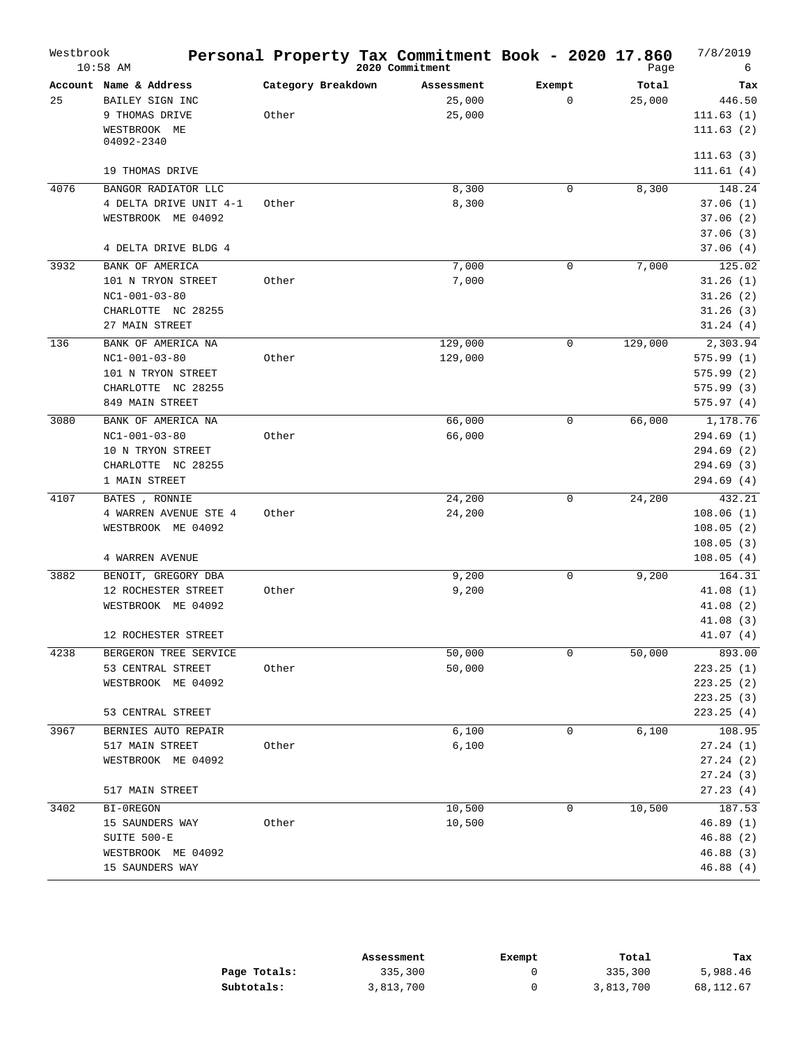| Westbrook | $10:58$ AM                                                                                           |                             | Personal Property Tax Commitment Book - 2020 17.860<br>2020 Commitment |                       | Page            | 7/8/2019<br>6                                                      |
|-----------|------------------------------------------------------------------------------------------------------|-----------------------------|------------------------------------------------------------------------|-----------------------|-----------------|--------------------------------------------------------------------|
| 25        | Account Name & Address<br>BAILEY SIGN INC<br>9 THOMAS DRIVE<br>WESTBROOK ME<br>04092-2340            | Category Breakdown<br>Other | Assessment<br>25,000<br>25,000                                         | Exempt<br>$\mathbf 0$ | Total<br>25,000 | Tax<br>446.50<br>111.63(1)<br>111.63(2)                            |
|           | 19 THOMAS DRIVE                                                                                      |                             |                                                                        |                       |                 | 111.63(3)<br>111.61(4)                                             |
| 4076      | BANGOR RADIATOR LLC<br>4 DELTA DRIVE UNIT 4-1<br>WESTBROOK ME 04092<br>4 DELTA DRIVE BLDG 4          | Other                       | 8,300<br>8,300                                                         | 0                     | 8,300           | 148.24<br>37.06(1)<br>37.06(2)<br>37.06(3)                         |
| 3932      | BANK OF AMERICA<br>101 N TRYON STREET<br>$NC1-001-03-80$<br>CHARLOTTE NC 28255<br>27 MAIN STREET     | Other                       | 7,000<br>7,000                                                         | 0                     | 7,000           | 37.06(4)<br>125.02<br>31.26(1)<br>31.26(2)<br>31.26(3)<br>31.24(4) |
| 136       | BANK OF AMERICA NA<br>$NC1-001-03-80$<br>101 N TRYON STREET<br>CHARLOTTE NC 28255<br>849 MAIN STREET | Other                       | 129,000<br>129,000                                                     | 0                     | 129,000         | 2,303.94<br>575.99(1)<br>575.99(2)<br>575.99(3)<br>575.97(4)       |
| 3080      | BANK OF AMERICA NA<br>$NC1-001-03-80$<br>10 N TRYON STREET<br>CHARLOTTE NC 28255<br>1 MAIN STREET    | Other                       | 66,000<br>66,000                                                       | $\mathbf 0$           | 66,000          | 1,178.76<br>294.69(1)<br>294.69(2)<br>294.69(3)<br>294.69 (4)      |
| 4107      | BATES , RONNIE<br>4 WARREN AVENUE STE 4<br>WESTBROOK ME 04092<br>4 WARREN AVENUE                     | Other                       | 24,200<br>24,200                                                       | 0                     | 24,200          | 432.21<br>108.06(1)<br>108.05(2)<br>108.05(3)<br>108.05(4)         |
| 3882      | BENOIT, GREGORY DBA<br>12 ROCHESTER STREET<br>WESTBROOK ME 04092<br>12 ROCHESTER STREET              | Other                       | 9,200<br>9,200                                                         | $\mathbf 0$           | 9,200           | 164.31<br>41.08(1)<br>41.08(2)<br>41.08(3)<br>41.07(4)             |
| 4238      | BERGERON TREE SERVICE<br>53 CENTRAL STREET<br>WESTBROOK ME 04092<br>53 CENTRAL STREET                | Other                       | 50,000<br>50,000                                                       | 0                     | 50,000          | 893.00<br>223.25(1)<br>223.25(2)<br>223.25 (3)<br>223.25(4)        |
| 3967      | BERNIES AUTO REPAIR<br>517 MAIN STREET<br>WESTBROOK ME 04092<br>517 MAIN STREET                      | Other                       | 6,100<br>6,100                                                         | 0                     | 6,100           | 108.95<br>27.24(1)<br>27.24(2)<br>27.24 (3)<br>27.23(4)            |
| 3402      | BI-OREGON<br>15 SAUNDERS WAY<br>SUITE 500-E<br>WESTBROOK ME 04092<br>15 SAUNDERS WAY                 | Other                       | 10,500<br>10,500                                                       | 0                     | 10,500          | 187.53<br>46.89(1)<br>46.88(2)<br>46.88(3)<br>46.88(4)             |

|              | Assessment | Exempt | Total     | Tax       |
|--------------|------------|--------|-----------|-----------|
| Page Totals: | 335,300    |        | 335,300   | 5,988.46  |
| Subtotals:   | 3,813,700  |        | 3,813,700 | 68,112.67 |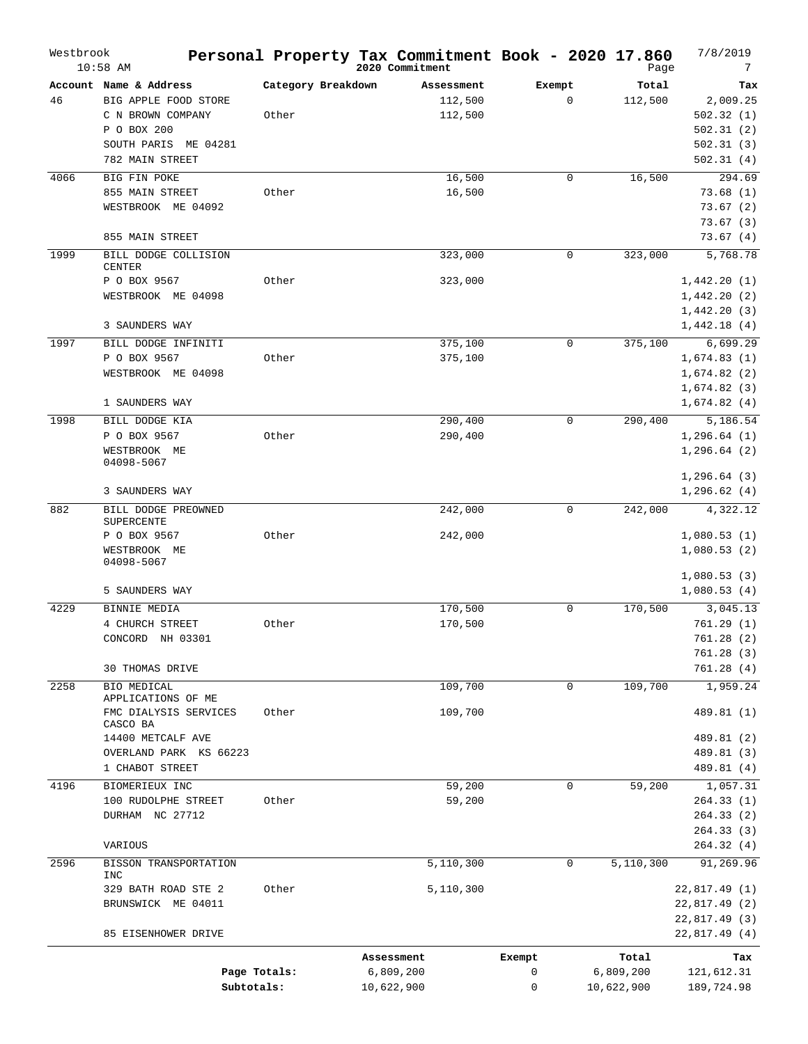| Westbrook | $10:58$ AM                                |                    | Personal Property Tax Commitment Book - 2020 17.860<br>2020 Commitment |             | Page       | 7/8/2019<br>7 |
|-----------|-------------------------------------------|--------------------|------------------------------------------------------------------------|-------------|------------|---------------|
|           | Account Name & Address                    | Category Breakdown | Assessment                                                             | Exempt      | Total      | Tax           |
| 46        | BIG APPLE FOOD STORE                      |                    | 112,500                                                                | $\mathbf 0$ | 112,500    | 2,009.25      |
|           | C N BROWN COMPANY                         | Other              | 112,500                                                                |             |            | 502.32(1)     |
|           | P O BOX 200                               |                    |                                                                        |             |            | 502.31(2)     |
|           | SOUTH PARIS<br>ME 04281                   |                    |                                                                        |             |            | 502.31(3)     |
|           | 782 MAIN STREET                           |                    |                                                                        |             |            | 502.31(4)     |
| 4066      | BIG FIN POKE                              |                    | 16,500                                                                 | 0           | 16,500     | 294.69        |
|           | 855 MAIN STREET                           | Other              | 16,500                                                                 |             |            | 73.68(1)      |
|           | WESTBROOK ME 04092                        |                    |                                                                        |             |            | 73.67(2)      |
|           |                                           |                    |                                                                        |             |            | 73.67(3)      |
|           | 855 MAIN STREET                           |                    |                                                                        |             |            | 73.67(4)      |
| 1999      | BILL DODGE COLLISION                      |                    | 323,000                                                                | 0           | 323,000    | 5,768.78      |
|           | CENTER                                    |                    |                                                                        |             |            |               |
|           | P O BOX 9567                              | Other              | 323,000                                                                |             |            | 1,442.20(1)   |
|           | WESTBROOK ME 04098                        |                    |                                                                        |             |            | 1,442.20(2)   |
|           |                                           |                    |                                                                        |             |            | 1,442.20(3)   |
|           | 3 SAUNDERS WAY                            |                    |                                                                        |             |            | 1,442.18(4)   |
| 1997      | BILL DODGE INFINITI                       |                    | 375,100                                                                | $\mathbf 0$ | 375,100    | 6,699.29      |
|           | P O BOX 9567                              | Other              | 375,100                                                                |             |            | 1,674.83(1)   |
|           | WESTBROOK ME 04098                        |                    |                                                                        |             |            | 1,674.82(2)   |
|           |                                           |                    |                                                                        |             |            | 1,674.82(3)   |
|           | 1 SAUNDERS WAY                            |                    |                                                                        |             |            | 1,674.82(4)   |
| 1998      | BILL DODGE KIA                            |                    | 290,400                                                                | $\mathbf 0$ | 290,400    | 5,186.54      |
|           | P O BOX 9567                              | Other              | 290,400                                                                |             |            | 1,296.64(1)   |
|           | WESTBROOK ME                              |                    |                                                                        |             |            | 1, 296.64(2)  |
|           | 04098-5067                                |                    |                                                                        |             |            |               |
|           | 3 SAUNDERS WAY                            |                    |                                                                        |             |            | 1, 296.64(3)  |
|           |                                           |                    |                                                                        |             |            | 1,296.62(4)   |
| 882       | BILL DODGE PREOWNED<br>SUPERCENTE         |                    | 242,000                                                                | $\mathbf 0$ | 242,000    | 4,322.12      |
|           | P O BOX 9567                              | Other              | 242,000                                                                |             |            | 1,080.53(1)   |
|           | WESTBROOK ME                              |                    |                                                                        |             |            | 1,080.53(2)   |
|           | 04098-5067                                |                    |                                                                        |             |            |               |
|           |                                           |                    |                                                                        |             |            | 1,080.53(3)   |
|           | 5 SAUNDERS WAY                            |                    |                                                                        |             |            | 1,080.53(4)   |
| 4229      | BINNIE MEDIA                              |                    | 170,500                                                                | $\mathbf 0$ | 170,500    | 3,045.13      |
|           | 4 CHURCH STREET                           | Other              | 170,500                                                                |             |            | 761.29 (1)    |
|           | CONCORD NH 03301                          |                    |                                                                        |             |            | 761.28 (2)    |
|           |                                           |                    |                                                                        |             |            | 761.28 (3)    |
|           | <b>30 THOMAS DRIVE</b>                    |                    |                                                                        |             |            | 761.28(4)     |
| 2258      | BIO MEDICAL                               |                    | 109,700                                                                | $\mathbf 0$ | 109,700    | 1,959.24      |
|           | APPLICATIONS OF ME                        |                    |                                                                        |             |            |               |
|           | FMC DIALYSIS SERVICES                     | Other              | 109,700                                                                |             |            | 489.81 (1)    |
|           | CASCO BA                                  |                    |                                                                        |             |            |               |
|           | 14400 METCALF AVE                         |                    |                                                                        |             |            | 489.81 (2)    |
|           | OVERLAND PARK KS 66223<br>1 CHABOT STREET |                    |                                                                        |             |            | 489.81 (3)    |
|           |                                           |                    |                                                                        |             |            | 489.81 (4)    |
| 4196      | BIOMERIEUX INC                            |                    | 59,200                                                                 | 0           | 59,200     | 1,057.31      |
|           | 100 RUDOLPHE STREET                       | Other              | 59,200                                                                 |             |            | 264.33(1)     |
|           | DURHAM NC 27712                           |                    |                                                                        |             |            | 264.33(2)     |
|           |                                           |                    |                                                                        |             |            | 264.33 (3)    |
|           | VARIOUS                                   |                    |                                                                        |             |            | 264.32 (4)    |
| 2596      | BISSON TRANSPORTATION<br>INC              |                    | 5,110,300                                                              | 0           | 5,110,300  | 91,269.96     |
|           | 329 BATH ROAD STE 2                       | Other              | 5,110,300                                                              |             |            | 22,817.49 (1) |
|           | BRUNSWICK ME 04011                        |                    |                                                                        |             |            | 22,817.49 (2) |
|           |                                           |                    |                                                                        |             |            | 22,817.49 (3) |
|           | 85 EISENHOWER DRIVE                       |                    |                                                                        |             |            | 22,817.49 (4) |
|           |                                           |                    |                                                                        |             |            |               |
|           |                                           |                    | Assessment                                                             | Exempt      | Total      | Tax           |
|           | Page Totals:                              |                    | 6,809,200                                                              | 0           | 6,809,200  | 121,612.31    |
|           | Subtotals:                                |                    | 10,622,900                                                             | 0           | 10,622,900 | 189,724.98    |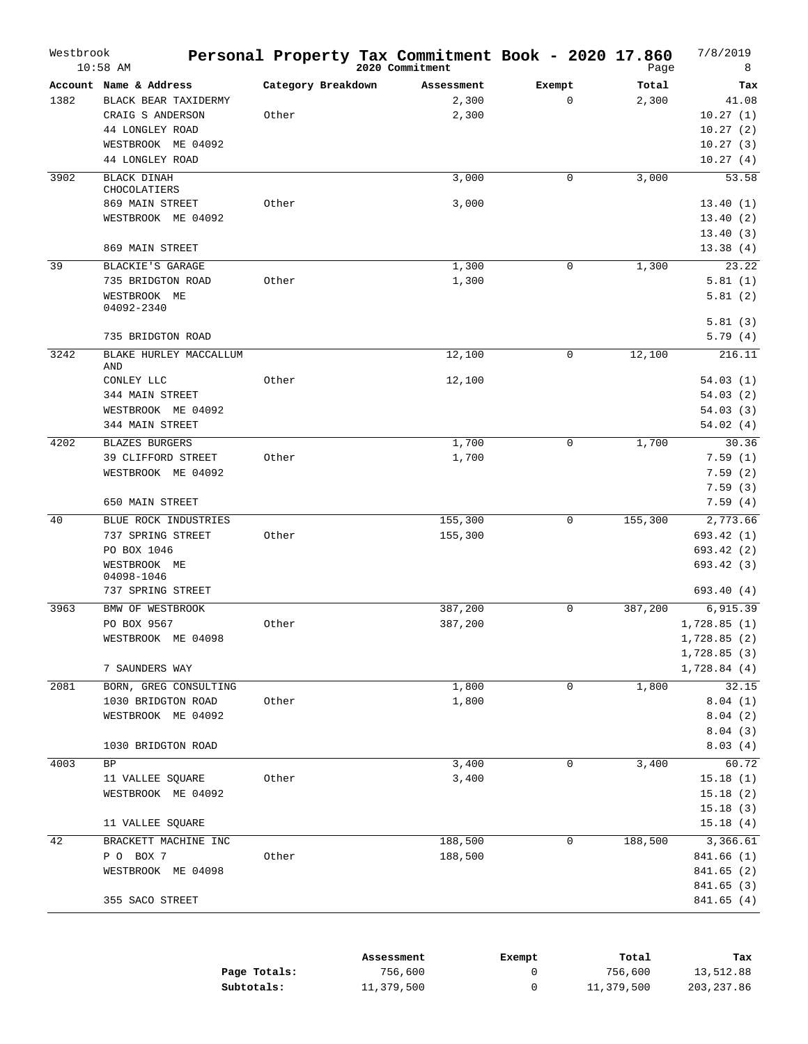| Westbrook | $10:58$ AM                        |                    | Personal Property Tax Commitment Book - 2020 17.860<br>2020 Commitment |              | Page    | 7/8/2019<br>8          |
|-----------|-----------------------------------|--------------------|------------------------------------------------------------------------|--------------|---------|------------------------|
|           | Account Name & Address            | Category Breakdown | Assessment                                                             | Exempt       | Total   | Tax                    |
| 1382      | BLACK BEAR TAXIDERMY              |                    | 2,300                                                                  | $\mathbf{0}$ | 2,300   | 41.08                  |
|           | CRAIG S ANDERSON                  | Other              | 2,300                                                                  |              |         | 10.27(1)               |
|           | 44 LONGLEY ROAD                   |                    |                                                                        |              |         | 10.27(2)               |
|           | WESTBROOK ME 04092                |                    |                                                                        |              |         | 10.27(3)               |
|           | 44 LONGLEY ROAD                   |                    |                                                                        |              |         | 10.27(4)               |
| 3902      | <b>BLACK DINAH</b>                |                    | 3,000                                                                  | $\mathbf 0$  | 3,000   | 53.58                  |
|           | CHOCOLATIERS                      |                    |                                                                        |              |         |                        |
|           | 869 MAIN STREET                   | Other              | 3,000                                                                  |              |         | 13.40(1)               |
|           | WESTBROOK ME 04092                |                    |                                                                        |              |         | 13.40(2)               |
|           |                                   |                    |                                                                        |              |         | 13.40(3)               |
|           | 869 MAIN STREET                   |                    |                                                                        |              |         | 13.38(4)               |
| 39        | BLACKIE'S GARAGE                  |                    | 1,300                                                                  | 0            | 1,300   | 23.22                  |
|           | 735 BRIDGTON ROAD                 | Other              | 1,300                                                                  |              |         | 5.81(1)                |
|           | WESTBROOK ME<br>04092-2340        |                    |                                                                        |              |         | 5.81(2)                |
|           |                                   |                    |                                                                        |              |         | 5.81(3)                |
|           | 735 BRIDGTON ROAD                 |                    |                                                                        |              |         | 5.79(4)                |
| 3242      | BLAKE HURLEY MACCALLUM<br>AND     |                    | 12,100                                                                 | $\mathbf 0$  | 12,100  | 216.11                 |
|           | CONLEY LLC                        | Other              | 12,100                                                                 |              |         | 54.03(1)               |
|           | 344 MAIN STREET                   |                    |                                                                        |              |         | 54.03(2)               |
|           | WESTBROOK ME 04092                |                    |                                                                        |              |         | 54.03(3)               |
|           | 344 MAIN STREET                   |                    |                                                                        |              |         | 54.02(4)               |
| 4202      | <b>BLAZES BURGERS</b>             |                    | 1,700                                                                  | $\mathbf 0$  | 1,700   | 30.36                  |
|           | 39 CLIFFORD STREET                | Other              | 1,700                                                                  |              |         | 7.59(1)                |
|           | WESTBROOK ME 04092                |                    |                                                                        |              |         | 7.59(2)                |
|           |                                   |                    |                                                                        |              |         | 7.59(3)                |
|           | 650 MAIN STREET                   |                    |                                                                        |              |         | 7.59(4)                |
| 40        | BLUE ROCK INDUSTRIES              |                    | 155,300                                                                | 0            | 155,300 | 2,773.66               |
|           | 737 SPRING STREET                 | Other              | 155,300                                                                |              |         | 693.42 (1)             |
|           | PO BOX 1046                       |                    |                                                                        |              |         | 693.42 (2)             |
|           | WESTBROOK ME                      |                    |                                                                        |              |         | 693.42 (3)             |
|           | 04098-1046                        |                    |                                                                        |              |         |                        |
|           | 737 SPRING STREET                 |                    |                                                                        |              |         | 693.40 (4)             |
| 3963      | BMW OF WESTBROOK                  |                    | 387,200                                                                | $\mathbf 0$  | 387,200 | 6,915.39               |
|           | PO BOX 9567                       | Other              | 387,200                                                                |              |         | 1,728.85(1)            |
|           | WESTBROOK ME 04098                |                    |                                                                        |              |         | 1,728.85 (2)           |
|           |                                   |                    |                                                                        |              |         | 1,728.85(3)            |
|           | 7 SAUNDERS WAY                    |                    |                                                                        |              |         | 1,728.84(4)            |
| 2081      | BORN, GREG CONSULTING             |                    | 1,800                                                                  | 0            | 1,800   | 32.15                  |
|           | 1030 BRIDGTON ROAD                | Other              | 1,800                                                                  |              |         | 8.04(1)                |
|           | WESTBROOK ME 04092                |                    |                                                                        |              |         | 8.04(2)                |
|           |                                   |                    |                                                                        |              |         | 8.04(3)                |
|           | 1030 BRIDGTON ROAD                |                    |                                                                        |              |         | 8.03(4)                |
| 4003      | BP                                |                    | 3,400                                                                  | 0            | 3,400   | 60.72                  |
|           | 11 VALLEE SQUARE                  | Other              | 3,400                                                                  |              |         | 15.18(1)               |
|           | WESTBROOK ME 04092                |                    |                                                                        |              |         | 15.18(2)               |
|           | 11 VALLEE SQUARE                  |                    |                                                                        |              |         | 15.18(3)<br>15.18(4)   |
| 42        |                                   |                    |                                                                        |              |         |                        |
|           | BRACKETT MACHINE INC<br>P O BOX 7 | Other              | 188,500<br>188,500                                                     | 0            | 188,500 | 3,366.61<br>841.66 (1) |
|           | WESTBROOK ME 04098                |                    |                                                                        |              |         | 841.65 (2)             |
|           |                                   |                    |                                                                        |              |         | 841.65 (3)             |
|           | 355 SACO STREET                   |                    |                                                                        |              |         | 841.65 (4)             |
|           |                                   |                    |                                                                        |              |         |                        |

|              | Assessment | Exempt | Total      | Tax        |
|--------------|------------|--------|------------|------------|
| Page Totals: | 756,600    |        | 756,600    | 13,512.88  |
| Subtotals:   | 11,379,500 |        | 11,379,500 | 203,237.86 |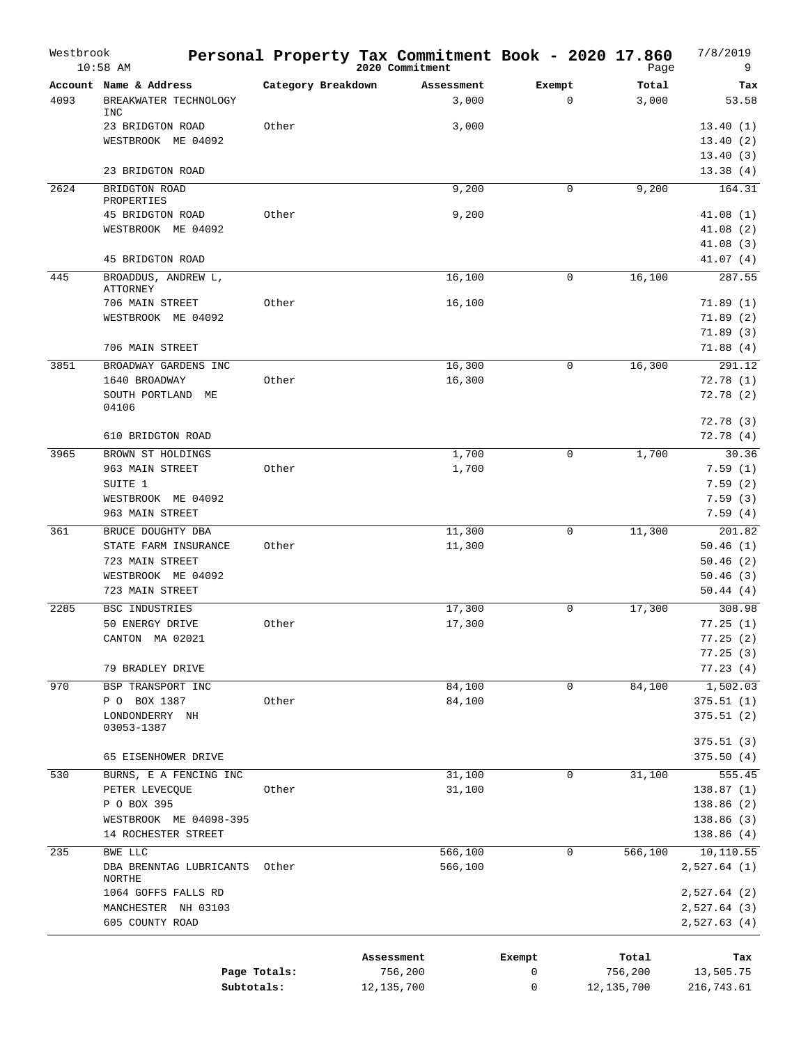| Westbrook | $10:58$ AM                                                    |                    | Personal Property Tax Commitment Book - 2020 17.860<br>2020 Commitment |             | Page           | 7/8/2019<br>9           |
|-----------|---------------------------------------------------------------|--------------------|------------------------------------------------------------------------|-------------|----------------|-------------------------|
| 4093      | Account Name & Address<br>BREAKWATER TECHNOLOGY<br><b>INC</b> | Category Breakdown | Assessment<br>3,000                                                    | Exempt<br>0 | Total<br>3,000 | Tax<br>53.58            |
|           | 23 BRIDGTON ROAD                                              | Other              | 3,000                                                                  |             |                | 13.40(1)                |
|           | WESTBROOK ME 04092                                            |                    |                                                                        |             |                | 13.40(2)                |
|           |                                                               |                    |                                                                        |             |                | 13.40(3)                |
|           | 23 BRIDGTON ROAD                                              |                    |                                                                        |             |                | 13.38(4)                |
| 2624      | BRIDGTON ROAD<br>PROPERTIES                                   |                    | 9,200                                                                  | 0           | 9,200          | 164.31                  |
|           | 45 BRIDGTON ROAD                                              | Other              | 9,200                                                                  |             |                | 41.08(1)                |
|           | WESTBROOK ME 04092                                            |                    |                                                                        |             |                | 41.08(2)                |
|           |                                                               |                    |                                                                        |             |                | 41.08(3)                |
|           | 45 BRIDGTON ROAD                                              |                    |                                                                        |             |                | 41.07(4)                |
| 445       | BROADDUS, ANDREW L,<br><b>ATTORNEY</b>                        |                    | 16,100                                                                 | 0           | 16,100         | 287.55                  |
|           | 706 MAIN STREET                                               | Other              | 16,100                                                                 |             |                | 71.89(1)                |
|           | WESTBROOK ME 04092                                            |                    |                                                                        |             |                | 71.89(2)                |
|           |                                                               |                    |                                                                        |             |                | 71.89(3)                |
|           | 706 MAIN STREET                                               |                    |                                                                        |             |                | 71.88(4)                |
| 3851      | BROADWAY GARDENS INC                                          |                    | 16,300                                                                 | 0           | 16,300         | 291.12                  |
|           | 1640 BROADWAY<br>SOUTH PORTLAND<br>ME                         | Other              | 16,300                                                                 |             |                | 72.78(1)<br>72.78(2)    |
|           | 04106                                                         |                    |                                                                        |             |                |                         |
|           |                                                               |                    |                                                                        |             |                | 72.78(3)                |
|           | 610 BRIDGTON ROAD                                             |                    |                                                                        |             |                | 72.78(4)                |
| 3965      | BROWN ST HOLDINGS                                             |                    | 1,700                                                                  | 0           | 1,700          | 30.36                   |
|           | 963 MAIN STREET<br>SUITE 1                                    | Other              | 1,700                                                                  |             |                | 7.59(1)<br>7.59(2)      |
|           | WESTBROOK ME 04092                                            |                    |                                                                        |             |                | 7.59(3)                 |
|           | 963 MAIN STREET                                               |                    |                                                                        |             |                | 7.59(4)                 |
| 361       | BRUCE DOUGHTY DBA                                             |                    | 11,300                                                                 | 0           | 11,300         | 201.82                  |
|           | STATE FARM INSURANCE                                          | Other              | 11,300                                                                 |             |                | 50.46(1)                |
|           | 723 MAIN STREET                                               |                    |                                                                        |             |                | 50.46(2)                |
|           | WESTBROOK ME 04092                                            |                    |                                                                        |             |                | 50.46(3)                |
|           | 723 MAIN STREET                                               |                    |                                                                        |             |                | 50.44(4)<br>308.98      |
| 2285      | BSC INDUSTRIES<br>50 ENERGY DRIVE                             | Other              | 17,300<br>17,300                                                       | 0           | 17,300         | 77.25(1)                |
|           | CANTON MA 02021                                               |                    |                                                                        |             |                | 77.25(2)                |
|           |                                                               |                    |                                                                        |             |                | 77.25(3)                |
|           | 79 BRADLEY DRIVE                                              |                    |                                                                        |             |                | 77.23(4)                |
| 970       | BSP TRANSPORT INC                                             |                    | 84,100                                                                 | 0           | 84,100         | 1,502.03                |
|           | P O BOX 1387                                                  | Other              | 84,100                                                                 |             |                | 375.51(1)               |
|           | LONDONDERRY NH<br>03053-1387                                  |                    |                                                                        |             |                | 375.51(2)               |
|           |                                                               |                    |                                                                        |             |                | 375.51(3)               |
|           | 65 EISENHOWER DRIVE                                           |                    |                                                                        |             |                | 375.50(4)               |
| 530       | BURNS, E A FENCING INC                                        |                    | 31,100                                                                 | $\mathbf 0$ | 31,100         | 555.45                  |
|           | PETER LEVECQUE                                                | Other              | 31,100                                                                 |             |                | 138.87(1)               |
|           | P O BOX 395<br>WESTBROOK ME 04098-395                         |                    |                                                                        |             |                | 138.86(2)<br>138.86 (3) |
|           | 14 ROCHESTER STREET                                           |                    |                                                                        |             |                | 138.86(4)               |
| 235       | BWE LLC                                                       |                    | 566,100                                                                | $\mathbf 0$ | 566,100        | 10,110.55               |
|           | DBA BRENNTAG LUBRICANTS<br>NORTHE                             | Other              | 566,100                                                                |             |                | 2,527.64(1)             |
|           | 1064 GOFFS FALLS RD                                           |                    |                                                                        |             |                | 2,527.64(2)             |
|           | MANCHESTER NH 03103                                           |                    |                                                                        |             |                | 2,527.64(3)             |
|           | 605 COUNTY ROAD                                               |                    |                                                                        |             |                | 2,527.63(4)             |
|           |                                                               |                    | Assessment                                                             | Exempt      | Total          | Tax                     |
|           |                                                               | Page Totals:       | 756,200                                                                | 0           | 756,200        | 13,505.75               |
|           | Subtotals:                                                    |                    | 12, 135, 700                                                           | 0           | 12, 135, 700   | 216,743.61              |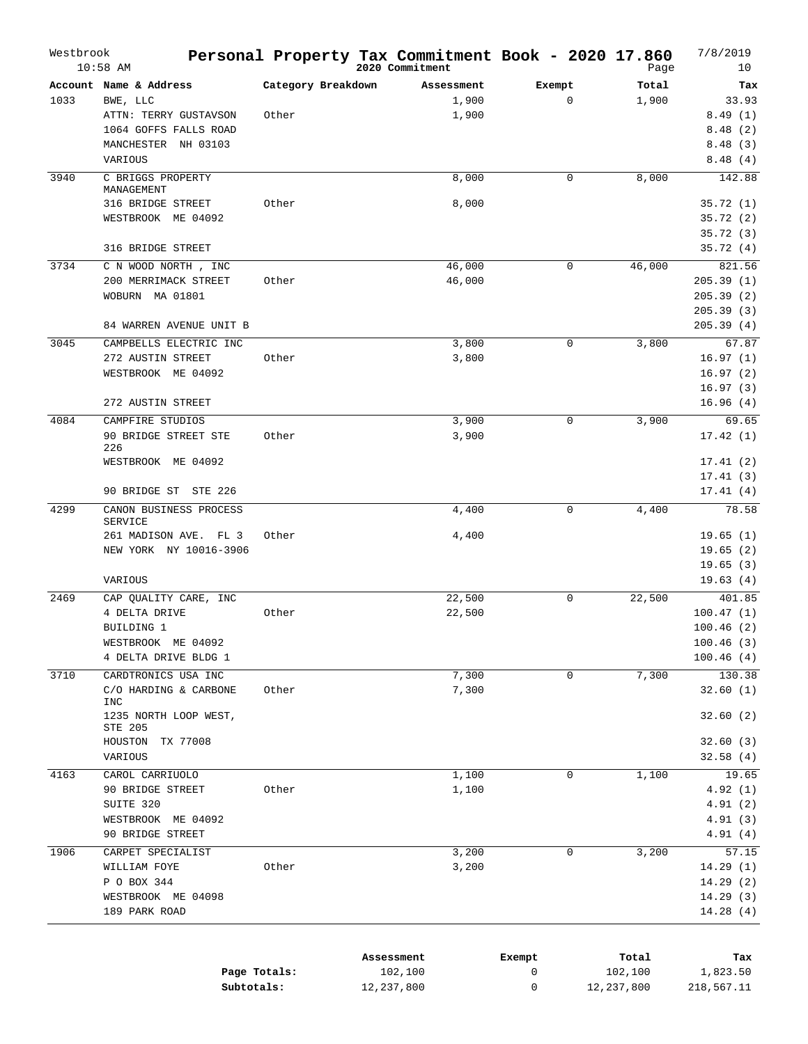| Westbrook | $10:58$ AM                                   |                    | Personal Property Tax Commitment Book - 2020 17.860<br>2020 Commitment |             | Page   | 7/8/2019<br>10         |
|-----------|----------------------------------------------|--------------------|------------------------------------------------------------------------|-------------|--------|------------------------|
|           | Account Name & Address                       | Category Breakdown | Assessment                                                             | Exempt      | Total  | Tax                    |
| 1033      | BWE, LLC                                     |                    | 1,900                                                                  | $\mathbf 0$ | 1,900  | 33.93                  |
|           | ATTN: TERRY GUSTAVSON                        | Other              | 1,900                                                                  |             |        | 8.49(1)                |
|           | 1064 GOFFS FALLS ROAD                        |                    |                                                                        |             |        | 8.48(2)                |
|           | MANCHESTER NH 03103                          |                    |                                                                        |             |        | 8.48(3)                |
|           | VARIOUS                                      |                    |                                                                        |             |        | 8.48(4)                |
| 3940      | C BRIGGS PROPERTY<br>MANAGEMENT              |                    | 8,000                                                                  | $\mathbf 0$ | 8,000  | 142.88                 |
|           | 316 BRIDGE STREET                            | Other              | 8,000                                                                  |             |        | 35.72(1)               |
|           | WESTBROOK ME 04092                           |                    |                                                                        |             |        | 35.72(2)               |
|           |                                              |                    |                                                                        |             |        | 35.72(3)               |
|           | 316 BRIDGE STREET                            |                    |                                                                        |             |        | 35.72(4)               |
| 3734      | C N WOOD NORTH, INC                          |                    | 46,000                                                                 | 0           | 46,000 | 821.56                 |
|           | 200 MERRIMACK STREET                         | Other              | 46,000                                                                 |             |        | 205.39(1)              |
|           | WOBURN MA 01801                              |                    |                                                                        |             |        | 205.39(2)              |
|           | 84 WARREN AVENUE UNIT B                      |                    |                                                                        |             |        | 205.39(3)<br>205.39(4) |
|           | CAMPBELLS ELECTRIC INC                       |                    |                                                                        |             | 3,800  |                        |
| 3045      | 272 AUSTIN STREET                            | Other              | 3,800<br>3,800                                                         | $\mathbf 0$ |        | 67.87<br>16.97(1)      |
|           | WESTBROOK ME 04092                           |                    |                                                                        |             |        | 16.97(2)               |
|           |                                              |                    |                                                                        |             |        | 16.97(3)               |
|           | 272 AUSTIN STREET                            |                    |                                                                        |             |        | 16.96(4)               |
| 4084      | CAMPFIRE STUDIOS                             |                    | 3,900                                                                  | 0           | 3,900  | 69.65                  |
|           | 90 BRIDGE STREET STE<br>226                  | Other              | 3,900                                                                  |             |        | 17.42(1)               |
|           | WESTBROOK ME 04092                           |                    |                                                                        |             |        | 17.41(2)               |
|           |                                              |                    |                                                                        |             |        | 17.41(3)               |
|           | 90 BRIDGE ST STE 226                         |                    |                                                                        |             |        | 17.41(4)               |
| 4299      | CANON BUSINESS PROCESS<br><b>SERVICE</b>     |                    | 4,400                                                                  | $\mathbf 0$ | 4,400  | 78.58                  |
|           | 261 MADISON AVE. FL 3                        | Other              | 4,400                                                                  |             |        | 19.65(1)               |
|           | NEW YORK NY 10016-3906                       |                    |                                                                        |             |        | 19.65(2)               |
|           |                                              |                    |                                                                        |             |        | 19.65(3)               |
|           | VARIOUS                                      |                    |                                                                        |             |        | 19.63(4)               |
| 2469      | CAP QUALITY CARE, INC                        |                    | 22,500                                                                 | 0           | 22,500 | 401.85                 |
|           | 4 DELTA DRIVE                                | Other              | 22,500                                                                 |             |        | 100.47(1)              |
|           | BUILDING 1                                   |                    |                                                                        |             |        | 100.46(2)              |
|           | WESTBROOK ME 04092<br>4 DELTA DRIVE BLDG 1   |                    |                                                                        |             |        | 100.46(3)              |
|           |                                              |                    |                                                                        |             |        | 100.46(4)              |
| 3710      | CARDTRONICS USA INC<br>C/O HARDING & CARBONE | Other              | 7,300<br>7,300                                                         | 0           | 7,300  | 130.38<br>32.60(1)     |
|           | INC<br>1235 NORTH LOOP WEST,                 |                    |                                                                        |             |        | 32.60(2)               |
|           | STE 205<br>HOUSTON TX 77008                  |                    |                                                                        |             |        | 32.60(3)               |
|           | VARIOUS                                      |                    |                                                                        |             |        | 32.58(4)               |
| 4163      | CAROL CARRIUOLO                              |                    | 1,100                                                                  | $\mathbf 0$ | 1,100  | 19.65                  |
|           | 90 BRIDGE STREET                             | Other              | 1,100                                                                  |             |        | 4.92(1)                |
|           | SUITE 320                                    |                    |                                                                        |             |        | 4.91(2)                |
|           | WESTBROOK ME 04092                           |                    |                                                                        |             |        | 4.91(3)                |
|           | 90 BRIDGE STREET                             |                    |                                                                        |             |        | 4.91(4)                |
| 1906      | CARPET SPECIALIST                            |                    | 3,200                                                                  | 0           | 3,200  | 57.15                  |
|           | WILLIAM FOYE                                 | Other              | 3,200                                                                  |             |        | 14.29(1)               |
|           | P O BOX 344                                  |                    |                                                                        |             |        | 14.29 (2)              |
|           | WESTBROOK ME 04098                           |                    |                                                                        |             |        | 14.29(3)               |
|           |                                              |                    |                                                                        |             |        |                        |

|              | Assessment | Exempt | Total      | Tax        |
|--------------|------------|--------|------------|------------|
| Page Totals: | 102,100    |        | 102,100    | 1,823.50   |
| Subtotals:   | 12,237,800 |        | 12,237,800 | 218,567.11 |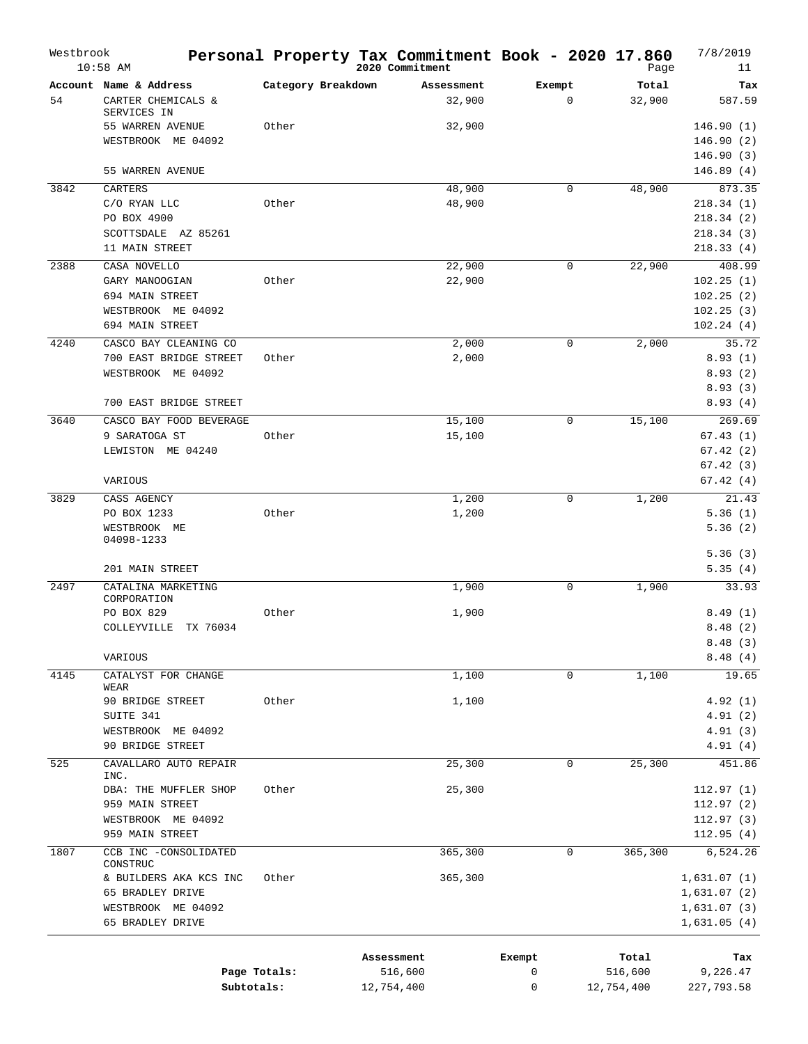| Westbrook | $10:58$ AM                                                  | Personal Property Tax Commitment Book - 2020 17.860 | 2020 Commitment       |                      |             |             | Page             | 7/8/2019<br>11          |
|-----------|-------------------------------------------------------------|-----------------------------------------------------|-----------------------|----------------------|-------------|-------------|------------------|-------------------------|
| 54        | Account Name & Address<br>CARTER CHEMICALS &<br>SERVICES IN | Category Breakdown                                  |                       | Assessment<br>32,900 | Exempt      | $\mathbf 0$ | Total<br>32,900  | Tax<br>587.59           |
|           | 55 WARREN AVENUE                                            | Other                                               |                       | 32,900               |             |             |                  | 146.90(1)               |
|           | WESTBROOK ME 04092                                          |                                                     |                       |                      |             |             |                  | 146.90(2)               |
|           |                                                             |                                                     |                       |                      |             |             |                  | 146.90(3)               |
|           | 55 WARREN AVENUE                                            |                                                     |                       |                      |             |             |                  | 146.89(4)               |
| 3842      | CARTERS                                                     |                                                     |                       | 48,900               |             | $\mathbf 0$ | 48,900           | 873.35                  |
|           | C/O RYAN LLC                                                | Other                                               |                       | 48,900               |             |             |                  | 218.34(1)               |
|           | PO BOX 4900<br>SCOTTSDALE AZ 85261                          |                                                     |                       |                      |             |             |                  | 218.34(2)<br>218.34 (3) |
|           | 11 MAIN STREET                                              |                                                     |                       |                      |             |             |                  | 218.33(4)               |
| 2388      | CASA NOVELLO                                                |                                                     |                       | 22,900               |             | 0           | 22,900           | 408.99                  |
|           | GARY MANOOGIAN                                              | Other                                               |                       | 22,900               |             |             |                  | 102.25(1)               |
|           | 694 MAIN STREET                                             |                                                     |                       |                      |             |             |                  | 102.25(2)               |
|           | WESTBROOK ME 04092                                          |                                                     |                       |                      |             |             |                  | 102.25(3)               |
|           | 694 MAIN STREET                                             |                                                     |                       |                      |             |             |                  | 102.24(4)               |
| 4240      | CASCO BAY CLEANING CO<br>700 EAST BRIDGE STREET             | Other                                               |                       | 2,000<br>2,000       |             | 0           | 2,000            | 35.72<br>8.93(1)        |
|           | WESTBROOK ME 04092                                          |                                                     |                       |                      |             |             |                  | 8.93(2)                 |
|           |                                                             |                                                     |                       |                      |             |             |                  | 8.93(3)                 |
|           | 700 EAST BRIDGE STREET                                      |                                                     |                       |                      |             |             |                  | 8.93(4)                 |
| 3640      | CASCO BAY FOOD BEVERAGE                                     |                                                     |                       | 15,100               |             | $\mathbf 0$ | 15,100           | 269.69                  |
|           | 9 SARATOGA ST                                               | Other                                               |                       | 15,100               |             |             |                  | 67.43(1)                |
|           | LEWISTON ME 04240                                           |                                                     |                       |                      |             |             |                  | 67.42(2)                |
|           |                                                             |                                                     |                       |                      |             |             |                  | 67.42(3)                |
|           | VARIOUS                                                     |                                                     |                       |                      |             |             |                  | 67.42(4)                |
| 3829      | CASS AGENCY<br>PO BOX 1233                                  | Other                                               |                       | 1,200<br>1,200       |             | 0           | 1,200            | 21.43<br>5.36(1)        |
|           | WESTBROOK ME                                                |                                                     |                       |                      |             |             |                  | 5.36(2)                 |
|           | 04098-1233                                                  |                                                     |                       |                      |             |             |                  |                         |
|           |                                                             |                                                     |                       |                      |             |             |                  | 5.36(3)                 |
|           | 201 MAIN STREET                                             |                                                     |                       |                      |             |             |                  | 5.35(4)                 |
| 2497      | CATALINA MARKETING<br>CORPORATION                           |                                                     |                       | 1,900                |             | 0           | 1,900            | 33.93                   |
|           | PO BOX 829                                                  | Other                                               |                       | 1,900                |             |             |                  | 8.49(1)                 |
|           | COLLEYVILLE TX 76034                                        |                                                     |                       |                      |             |             |                  | 8.48(2)                 |
|           |                                                             |                                                     |                       |                      |             |             |                  | 8.48(3)                 |
|           | VARIOUS                                                     |                                                     |                       |                      |             |             |                  | 8.48(4)                 |
| 4145      | CATALYST FOR CHANGE<br>WEAR                                 |                                                     |                       | 1,100                |             | 0           | 1,100            | 19.65                   |
|           | 90 BRIDGE STREET                                            | Other                                               |                       | 1,100                |             |             |                  | 4.92(1)                 |
|           | SUITE 341                                                   |                                                     |                       |                      |             |             |                  | 4.91(2)                 |
|           | WESTBROOK ME 04092                                          |                                                     |                       |                      |             |             |                  | 4.91(3)                 |
|           | 90 BRIDGE STREET                                            |                                                     |                       |                      |             |             |                  | 4.91(4)                 |
| 525       | CAVALLARO AUTO REPAIR<br>INC.                               |                                                     |                       | 25,300               |             | 0           | 25,300           | 451.86                  |
|           | DBA: THE MUFFLER SHOP                                       | Other                                               |                       | 25,300               |             |             |                  | 112.97(1)               |
|           | 959 MAIN STREET                                             |                                                     |                       |                      |             |             |                  | 112.97(2)               |
|           | WESTBROOK ME 04092                                          |                                                     |                       |                      |             |             |                  | 112.97(3)               |
|           | 959 MAIN STREET                                             |                                                     |                       |                      |             |             |                  | 112.95(4)               |
| 1807      | CCB INC -CONSOLIDATED<br>CONSTRUC                           |                                                     |                       | 365,300              |             | 0           | 365,300          | 6,524.26                |
|           | & BUILDERS AKA KCS INC                                      | Other                                               |                       | 365,300              |             |             |                  | 1,631.07(1)             |
|           | 65 BRADLEY DRIVE                                            |                                                     |                       |                      |             |             |                  | 1,631.07(2)             |
|           | WESTBROOK ME 04092                                          |                                                     |                       |                      |             |             |                  | 1,631.07(3)             |
|           | 65 BRADLEY DRIVE                                            |                                                     |                       |                      |             |             |                  | 1,631.05(4)             |
|           |                                                             |                                                     |                       |                      |             |             |                  |                         |
|           |                                                             | Page Totals:                                        | Assessment<br>516,600 |                      | Exempt<br>0 |             | Total<br>516,600 | Tax<br>9,226.47         |
|           | Subtotals:                                                  |                                                     | 12,754,400            |                      | 0           |             | 12,754,400       | 227,793.58              |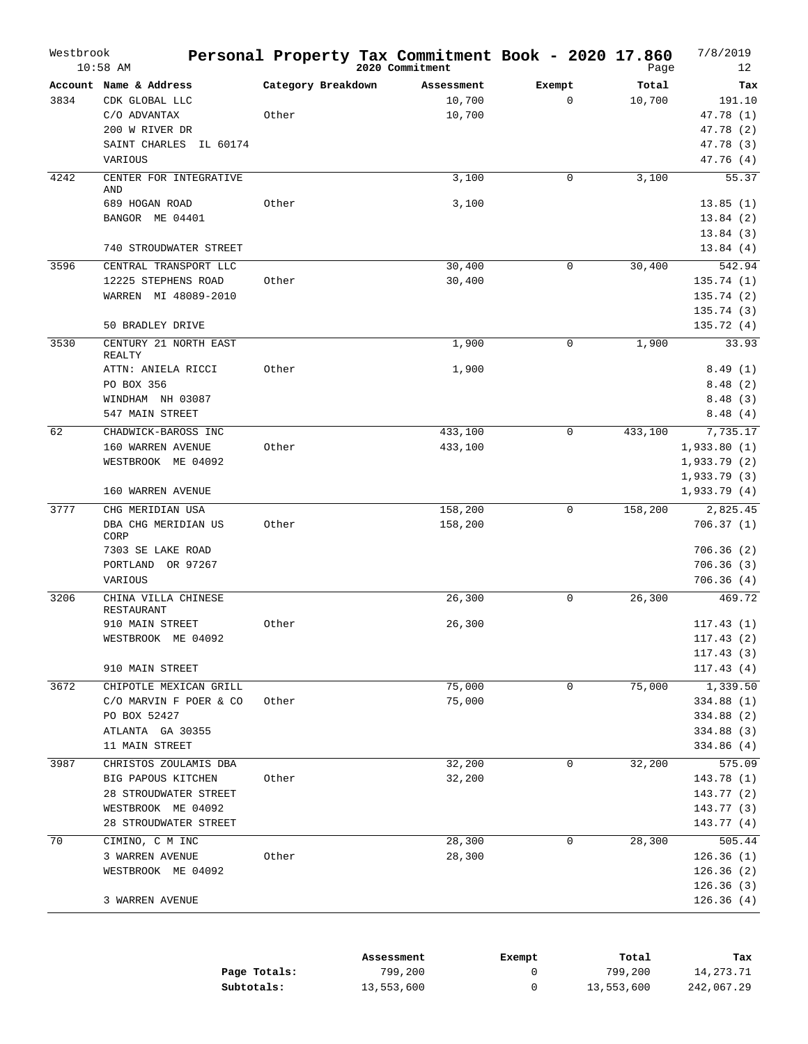| Westbrook | $10:58$ AM                      |                    | Personal Property Tax Commitment Book - 2020 17.860<br>2020 Commitment |             | Page    | 7/8/2019<br>12         |
|-----------|---------------------------------|--------------------|------------------------------------------------------------------------|-------------|---------|------------------------|
|           | Account Name & Address          | Category Breakdown | Assessment                                                             | Exempt      | Total   | Tax                    |
| 3834      | CDK GLOBAL LLC                  |                    | 10,700                                                                 | $\mathbf 0$ | 10,700  | 191.10                 |
|           | C/O ADVANTAX                    | Other              | 10,700                                                                 |             |         | 47.78 (1)              |
|           | 200 W RIVER DR                  |                    |                                                                        |             |         | 47.78 (2)              |
|           | SAINT CHARLES<br>IL 60174       |                    |                                                                        |             |         | 47.78 (3)              |
|           | VARIOUS                         |                    |                                                                        |             |         | 47.76 (4)              |
| 4242      | CENTER FOR INTEGRATIVE          |                    | 3,100                                                                  | $\mathbf 0$ | 3,100   | 55.37                  |
|           | AND                             |                    |                                                                        |             |         |                        |
|           | 689 HOGAN ROAD                  | Other              | 3,100                                                                  |             |         | 13.85(1)               |
|           | BANGOR ME 04401                 |                    |                                                                        |             |         | 13.84(2)               |
|           |                                 |                    |                                                                        |             |         | 13.84(3)               |
|           | 740 STROUDWATER STREET          |                    |                                                                        |             |         | 13.84(4)               |
| 3596      | CENTRAL TRANSPORT LLC           |                    | 30,400                                                                 | 0           | 30,400  | 542.94                 |
|           | 12225 STEPHENS ROAD             | Other              | 30,400                                                                 |             |         | 135.74(1)              |
|           | WARREN MI 48089-2010            |                    |                                                                        |             |         | 135.74(2)              |
|           |                                 |                    |                                                                        |             |         | 135.74(3)              |
|           | 50 BRADLEY DRIVE                |                    |                                                                        |             |         | 135.72(4)              |
| 3530      | CENTURY 21 NORTH EAST<br>REALTY |                    | 1,900                                                                  | $\mathbf 0$ | 1,900   | 33.93                  |
|           | ATTN: ANIELA RICCI              | Other              | 1,900                                                                  |             |         | 8.49(1)                |
|           | PO BOX 356                      |                    |                                                                        |             |         | 8.48(2)                |
|           | WINDHAM NH 03087                |                    |                                                                        |             |         | 8.48(3)                |
|           | 547 MAIN STREET                 |                    |                                                                        |             |         | 8.48(4)                |
| 62        | CHADWICK-BAROSS INC             |                    | 433,100                                                                | $\mathbf 0$ | 433,100 | 7,735.17               |
|           | 160 WARREN AVENUE               | Other              | 433,100                                                                |             |         | 1,933.80(1)            |
|           | WESTBROOK ME 04092              |                    |                                                                        |             |         | 1,933.79(2)            |
|           |                                 |                    |                                                                        |             |         | 1,933.79(3)            |
|           | 160 WARREN AVENUE               |                    |                                                                        |             |         | 1,933.79(4)            |
| 3777      | CHG MERIDIAN USA                |                    | 158,200                                                                | $\mathbf 0$ | 158,200 | 2,825.45               |
|           | DBA CHG MERIDIAN US             | Other              | 158,200                                                                |             |         | 706.37(1)              |
|           | CORP<br>7303 SE LAKE ROAD       |                    |                                                                        |             |         | 706.36(2)              |
|           | PORTLAND<br>OR 97267            |                    |                                                                        |             |         | 706.36(3)              |
|           | VARIOUS                         |                    |                                                                        |             |         | 706.36(4)              |
| 3206      | CHINA VILLA CHINESE             |                    | 26,300                                                                 | 0           | 26,300  | 469.72                 |
|           | RESTAURANT                      |                    |                                                                        |             |         |                        |
|           | 910 MAIN STREET                 | Other              | 26,300                                                                 |             |         | 117.43(1)              |
|           | WESTBROOK ME 04092              |                    |                                                                        |             |         | 117.43(2)              |
|           |                                 |                    |                                                                        |             |         | 117.43(3)              |
|           | 910 MAIN STREET                 |                    |                                                                        |             |         | 117.43(4)              |
| 3672      | CHIPOTLE MEXICAN GRILL          |                    | 75,000                                                                 | 0           | 75,000  | 1,339.50               |
|           | C/O MARVIN F POER & CO          | Other              | 75,000                                                                 |             |         | 334.88 (1)             |
|           | PO BOX 52427                    |                    |                                                                        |             |         | 334.88 (2)             |
|           | ATLANTA GA 30355                |                    |                                                                        |             |         | 334.88 (3)             |
|           | 11 MAIN STREET                  |                    |                                                                        |             |         | 334.86 (4)             |
| 3987      | CHRISTOS ZOULAMIS DBA           |                    | 32,200                                                                 | 0           | 32,200  | 575.09                 |
|           | BIG PAPOUS KITCHEN              | Other              | 32,200                                                                 |             |         | 143.78(1)              |
|           | 28 STROUDWATER STREET           |                    |                                                                        |             |         | 143.77 (2)             |
|           | WESTBROOK ME 04092              |                    |                                                                        |             |         | 143.77 (3)             |
|           | 28 STROUDWATER STREET           |                    |                                                                        |             |         | 143.77 (4)             |
| 70        | CIMINO, C M INC                 |                    | 28,300                                                                 | 0           | 28,300  | 505.44                 |
|           | 3 WARREN AVENUE                 | Other              | 28,300                                                                 |             |         | 126.36(1)              |
|           | WESTBROOK ME 04092              |                    |                                                                        |             |         | 126.36(2)              |
|           |                                 |                    |                                                                        |             |         | 126.36(3)<br>126.36(4) |
|           | 3 WARREN AVENUE                 |                    |                                                                        |             |         |                        |

|              | Assessment | Exempt | Total      | тах        |
|--------------|------------|--------|------------|------------|
| Page Totals: | 799,200    |        | 799,200    | 14,273.71  |
| Subtotals:   | 13,553,600 |        | 13,553,600 | 242,067.29 |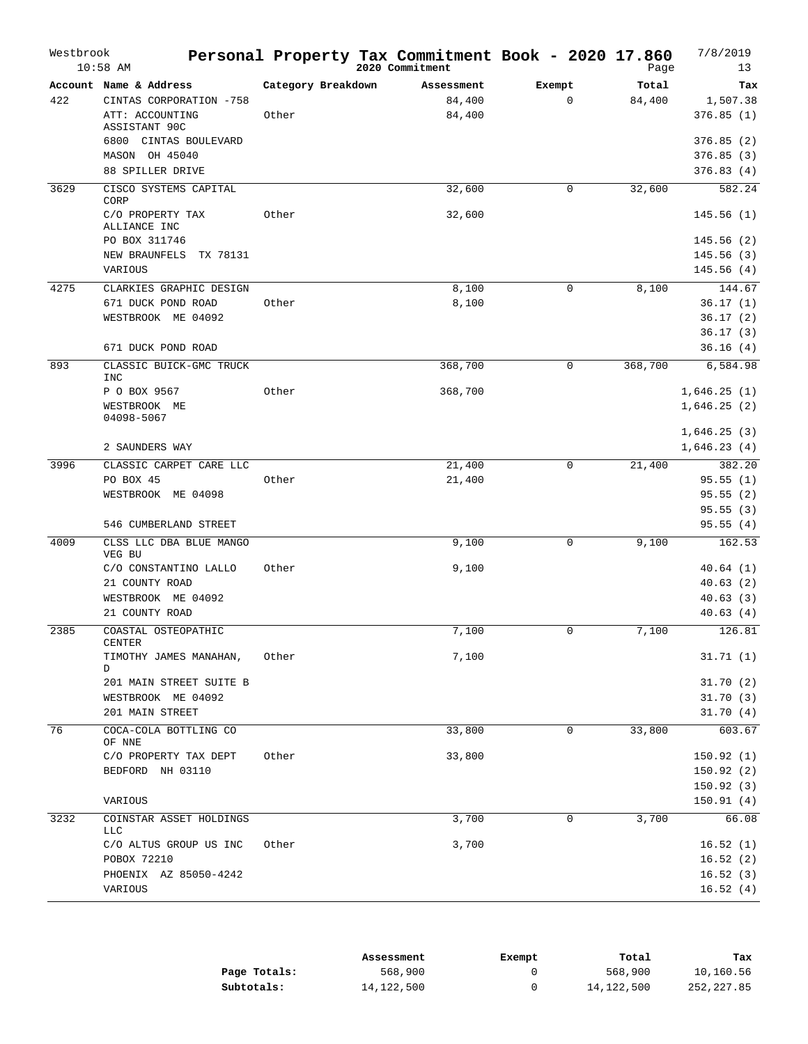| Account Name & Address<br>Category Breakdown<br>Total<br>Exempt<br>Tax<br>Assessment<br>84,400<br>$\mathbf{0}$<br>422<br>CINTAS CORPORATION -758<br>84,400<br>1,507.38<br>ATT: ACCOUNTING<br>Other<br>84,400<br>376.85(1)<br>ASSISTANT 90C<br>6800 CINTAS BOULEVARD<br>376.85(2)<br>MASON OH 45040<br>376.85(3)<br>88 SPILLER DRIVE<br>376.83(4)<br>582.24<br>3629<br>CISCO SYSTEMS CAPITAL<br>32,600<br>32,600<br>$\mathbf 0$<br>CORP<br>32,600<br>C/O PROPERTY TAX<br>Other<br>145.56(1)<br>ALLIANCE INC<br>PO BOX 311746<br>145.56 (2)<br>NEW BRAUNFELS<br>TX 78131<br>145.56(3)<br>145.56(4)<br>VARIOUS<br>4275<br>144.67<br>CLARKIES GRAPHIC DESIGN<br>8,100<br>$\mathbf 0$<br>8,100<br>8,100<br>671 DUCK POND ROAD<br>Other<br>36.17(1)<br>WESTBROOK ME 04092<br>36.17(2)<br>36.17(3)<br>671 DUCK POND ROAD<br>36.16(4)<br>893<br>368,700<br>368,700<br>6,584.98<br>CLASSIC BUICK-GMC TRUCK<br>0<br>INC<br>P O BOX 9567<br>Other<br>368,700<br>1,646.25(1)<br>1,646.25(2)<br>WESTBROOK ME<br>04098-5067<br>1,646.25(3)<br>1,646.23(4)<br>2 SAUNDERS WAY<br>3996<br>21,400<br>382.20<br>CLASSIC CARPET CARE LLC<br>$\mathbf 0$<br>21,400<br>PO BOX 45<br>Other<br>21,400<br>95.55(1)<br>WESTBROOK ME 04098<br>95.55(2)<br>95.55(3)<br>95.55(4)<br>546 CUMBERLAND STREET<br>4009<br>9,100<br>$\mathbf 0$<br>9,100<br>162.53<br>CLSS LLC DBA BLUE MANGO<br>VEG BU<br>C/O CONSTANTINO LALLO<br>Other<br>9,100<br>40.64(1)<br>21 COUNTY ROAD<br>40.63(2)<br>WESTBROOK ME 04092<br>40.63(3)<br>40.63(4)<br>21 COUNTY ROAD<br>7,100<br>126.81<br>2385<br>COASTAL OSTEOPATHIC<br>7,100<br>$\Omega$<br><b>CENTER</b><br>7,100<br>TIMOTHY JAMES MANAHAN,<br>Other<br>31.71(1)<br>D<br>201 MAIN STREET SUITE B<br>31.70(2)<br>WESTBROOK ME 04092<br>31.70(3)<br>201 MAIN STREET<br>31.70(4)<br>76<br>COCA-COLA BOTTLING CO<br>33,800<br>$\mathbf 0$<br>33,800<br>603.67<br>OF NNE<br>C/O PROPERTY TAX DEPT<br>Other<br>33,800<br>150.92(1)<br>BEDFORD NH 03110<br>150.92(2)<br>150.92(3)<br>VARIOUS<br>150.91(4)<br>3232<br>3,700<br>0<br>3,700<br>COINSTAR ASSET HOLDINGS<br>66.08<br><b>LLC</b><br>C/O ALTUS GROUP US INC<br>Other<br>3,700<br>16.52(1)<br>POBOX 72210<br>16.52(2)<br>PHOENIX AZ 85050-4242<br>16.52(3)<br>16.52(4)<br>VARIOUS | Westbrook | $10:58$ AM | Personal Property Tax Commitment Book - 2020 17.860<br>2020 Commitment | Page | 7/8/2019<br>13 |
|---------------------------------------------------------------------------------------------------------------------------------------------------------------------------------------------------------------------------------------------------------------------------------------------------------------------------------------------------------------------------------------------------------------------------------------------------------------------------------------------------------------------------------------------------------------------------------------------------------------------------------------------------------------------------------------------------------------------------------------------------------------------------------------------------------------------------------------------------------------------------------------------------------------------------------------------------------------------------------------------------------------------------------------------------------------------------------------------------------------------------------------------------------------------------------------------------------------------------------------------------------------------------------------------------------------------------------------------------------------------------------------------------------------------------------------------------------------------------------------------------------------------------------------------------------------------------------------------------------------------------------------------------------------------------------------------------------------------------------------------------------------------------------------------------------------------------------------------------------------------------------------------------------------------------------------------------------------------------------------------------------------------------------------------------------------------------------------------------------------------------------------------------------------------------------------------------------------------------------------------|-----------|------------|------------------------------------------------------------------------|------|----------------|
|                                                                                                                                                                                                                                                                                                                                                                                                                                                                                                                                                                                                                                                                                                                                                                                                                                                                                                                                                                                                                                                                                                                                                                                                                                                                                                                                                                                                                                                                                                                                                                                                                                                                                                                                                                                                                                                                                                                                                                                                                                                                                                                                                                                                                                             |           |            |                                                                        |      |                |
|                                                                                                                                                                                                                                                                                                                                                                                                                                                                                                                                                                                                                                                                                                                                                                                                                                                                                                                                                                                                                                                                                                                                                                                                                                                                                                                                                                                                                                                                                                                                                                                                                                                                                                                                                                                                                                                                                                                                                                                                                                                                                                                                                                                                                                             |           |            |                                                                        |      |                |
|                                                                                                                                                                                                                                                                                                                                                                                                                                                                                                                                                                                                                                                                                                                                                                                                                                                                                                                                                                                                                                                                                                                                                                                                                                                                                                                                                                                                                                                                                                                                                                                                                                                                                                                                                                                                                                                                                                                                                                                                                                                                                                                                                                                                                                             |           |            |                                                                        |      |                |
|                                                                                                                                                                                                                                                                                                                                                                                                                                                                                                                                                                                                                                                                                                                                                                                                                                                                                                                                                                                                                                                                                                                                                                                                                                                                                                                                                                                                                                                                                                                                                                                                                                                                                                                                                                                                                                                                                                                                                                                                                                                                                                                                                                                                                                             |           |            |                                                                        |      |                |
|                                                                                                                                                                                                                                                                                                                                                                                                                                                                                                                                                                                                                                                                                                                                                                                                                                                                                                                                                                                                                                                                                                                                                                                                                                                                                                                                                                                                                                                                                                                                                                                                                                                                                                                                                                                                                                                                                                                                                                                                                                                                                                                                                                                                                                             |           |            |                                                                        |      |                |
|                                                                                                                                                                                                                                                                                                                                                                                                                                                                                                                                                                                                                                                                                                                                                                                                                                                                                                                                                                                                                                                                                                                                                                                                                                                                                                                                                                                                                                                                                                                                                                                                                                                                                                                                                                                                                                                                                                                                                                                                                                                                                                                                                                                                                                             |           |            |                                                                        |      |                |
|                                                                                                                                                                                                                                                                                                                                                                                                                                                                                                                                                                                                                                                                                                                                                                                                                                                                                                                                                                                                                                                                                                                                                                                                                                                                                                                                                                                                                                                                                                                                                                                                                                                                                                                                                                                                                                                                                                                                                                                                                                                                                                                                                                                                                                             |           |            |                                                                        |      |                |
|                                                                                                                                                                                                                                                                                                                                                                                                                                                                                                                                                                                                                                                                                                                                                                                                                                                                                                                                                                                                                                                                                                                                                                                                                                                                                                                                                                                                                                                                                                                                                                                                                                                                                                                                                                                                                                                                                                                                                                                                                                                                                                                                                                                                                                             |           |            |                                                                        |      |                |
|                                                                                                                                                                                                                                                                                                                                                                                                                                                                                                                                                                                                                                                                                                                                                                                                                                                                                                                                                                                                                                                                                                                                                                                                                                                                                                                                                                                                                                                                                                                                                                                                                                                                                                                                                                                                                                                                                                                                                                                                                                                                                                                                                                                                                                             |           |            |                                                                        |      |                |
|                                                                                                                                                                                                                                                                                                                                                                                                                                                                                                                                                                                                                                                                                                                                                                                                                                                                                                                                                                                                                                                                                                                                                                                                                                                                                                                                                                                                                                                                                                                                                                                                                                                                                                                                                                                                                                                                                                                                                                                                                                                                                                                                                                                                                                             |           |            |                                                                        |      |                |
|                                                                                                                                                                                                                                                                                                                                                                                                                                                                                                                                                                                                                                                                                                                                                                                                                                                                                                                                                                                                                                                                                                                                                                                                                                                                                                                                                                                                                                                                                                                                                                                                                                                                                                                                                                                                                                                                                                                                                                                                                                                                                                                                                                                                                                             |           |            |                                                                        |      |                |
|                                                                                                                                                                                                                                                                                                                                                                                                                                                                                                                                                                                                                                                                                                                                                                                                                                                                                                                                                                                                                                                                                                                                                                                                                                                                                                                                                                                                                                                                                                                                                                                                                                                                                                                                                                                                                                                                                                                                                                                                                                                                                                                                                                                                                                             |           |            |                                                                        |      |                |
|                                                                                                                                                                                                                                                                                                                                                                                                                                                                                                                                                                                                                                                                                                                                                                                                                                                                                                                                                                                                                                                                                                                                                                                                                                                                                                                                                                                                                                                                                                                                                                                                                                                                                                                                                                                                                                                                                                                                                                                                                                                                                                                                                                                                                                             |           |            |                                                                        |      |                |
|                                                                                                                                                                                                                                                                                                                                                                                                                                                                                                                                                                                                                                                                                                                                                                                                                                                                                                                                                                                                                                                                                                                                                                                                                                                                                                                                                                                                                                                                                                                                                                                                                                                                                                                                                                                                                                                                                                                                                                                                                                                                                                                                                                                                                                             |           |            |                                                                        |      |                |
|                                                                                                                                                                                                                                                                                                                                                                                                                                                                                                                                                                                                                                                                                                                                                                                                                                                                                                                                                                                                                                                                                                                                                                                                                                                                                                                                                                                                                                                                                                                                                                                                                                                                                                                                                                                                                                                                                                                                                                                                                                                                                                                                                                                                                                             |           |            |                                                                        |      |                |
|                                                                                                                                                                                                                                                                                                                                                                                                                                                                                                                                                                                                                                                                                                                                                                                                                                                                                                                                                                                                                                                                                                                                                                                                                                                                                                                                                                                                                                                                                                                                                                                                                                                                                                                                                                                                                                                                                                                                                                                                                                                                                                                                                                                                                                             |           |            |                                                                        |      |                |
|                                                                                                                                                                                                                                                                                                                                                                                                                                                                                                                                                                                                                                                                                                                                                                                                                                                                                                                                                                                                                                                                                                                                                                                                                                                                                                                                                                                                                                                                                                                                                                                                                                                                                                                                                                                                                                                                                                                                                                                                                                                                                                                                                                                                                                             |           |            |                                                                        |      |                |
|                                                                                                                                                                                                                                                                                                                                                                                                                                                                                                                                                                                                                                                                                                                                                                                                                                                                                                                                                                                                                                                                                                                                                                                                                                                                                                                                                                                                                                                                                                                                                                                                                                                                                                                                                                                                                                                                                                                                                                                                                                                                                                                                                                                                                                             |           |            |                                                                        |      |                |
|                                                                                                                                                                                                                                                                                                                                                                                                                                                                                                                                                                                                                                                                                                                                                                                                                                                                                                                                                                                                                                                                                                                                                                                                                                                                                                                                                                                                                                                                                                                                                                                                                                                                                                                                                                                                                                                                                                                                                                                                                                                                                                                                                                                                                                             |           |            |                                                                        |      |                |
|                                                                                                                                                                                                                                                                                                                                                                                                                                                                                                                                                                                                                                                                                                                                                                                                                                                                                                                                                                                                                                                                                                                                                                                                                                                                                                                                                                                                                                                                                                                                                                                                                                                                                                                                                                                                                                                                                                                                                                                                                                                                                                                                                                                                                                             |           |            |                                                                        |      |                |
|                                                                                                                                                                                                                                                                                                                                                                                                                                                                                                                                                                                                                                                                                                                                                                                                                                                                                                                                                                                                                                                                                                                                                                                                                                                                                                                                                                                                                                                                                                                                                                                                                                                                                                                                                                                                                                                                                                                                                                                                                                                                                                                                                                                                                                             |           |            |                                                                        |      |                |
|                                                                                                                                                                                                                                                                                                                                                                                                                                                                                                                                                                                                                                                                                                                                                                                                                                                                                                                                                                                                                                                                                                                                                                                                                                                                                                                                                                                                                                                                                                                                                                                                                                                                                                                                                                                                                                                                                                                                                                                                                                                                                                                                                                                                                                             |           |            |                                                                        |      |                |
|                                                                                                                                                                                                                                                                                                                                                                                                                                                                                                                                                                                                                                                                                                                                                                                                                                                                                                                                                                                                                                                                                                                                                                                                                                                                                                                                                                                                                                                                                                                                                                                                                                                                                                                                                                                                                                                                                                                                                                                                                                                                                                                                                                                                                                             |           |            |                                                                        |      |                |
|                                                                                                                                                                                                                                                                                                                                                                                                                                                                                                                                                                                                                                                                                                                                                                                                                                                                                                                                                                                                                                                                                                                                                                                                                                                                                                                                                                                                                                                                                                                                                                                                                                                                                                                                                                                                                                                                                                                                                                                                                                                                                                                                                                                                                                             |           |            |                                                                        |      |                |
|                                                                                                                                                                                                                                                                                                                                                                                                                                                                                                                                                                                                                                                                                                                                                                                                                                                                                                                                                                                                                                                                                                                                                                                                                                                                                                                                                                                                                                                                                                                                                                                                                                                                                                                                                                                                                                                                                                                                                                                                                                                                                                                                                                                                                                             |           |            |                                                                        |      |                |
|                                                                                                                                                                                                                                                                                                                                                                                                                                                                                                                                                                                                                                                                                                                                                                                                                                                                                                                                                                                                                                                                                                                                                                                                                                                                                                                                                                                                                                                                                                                                                                                                                                                                                                                                                                                                                                                                                                                                                                                                                                                                                                                                                                                                                                             |           |            |                                                                        |      |                |
|                                                                                                                                                                                                                                                                                                                                                                                                                                                                                                                                                                                                                                                                                                                                                                                                                                                                                                                                                                                                                                                                                                                                                                                                                                                                                                                                                                                                                                                                                                                                                                                                                                                                                                                                                                                                                                                                                                                                                                                                                                                                                                                                                                                                                                             |           |            |                                                                        |      |                |
|                                                                                                                                                                                                                                                                                                                                                                                                                                                                                                                                                                                                                                                                                                                                                                                                                                                                                                                                                                                                                                                                                                                                                                                                                                                                                                                                                                                                                                                                                                                                                                                                                                                                                                                                                                                                                                                                                                                                                                                                                                                                                                                                                                                                                                             |           |            |                                                                        |      |                |
|                                                                                                                                                                                                                                                                                                                                                                                                                                                                                                                                                                                                                                                                                                                                                                                                                                                                                                                                                                                                                                                                                                                                                                                                                                                                                                                                                                                                                                                                                                                                                                                                                                                                                                                                                                                                                                                                                                                                                                                                                                                                                                                                                                                                                                             |           |            |                                                                        |      |                |
|                                                                                                                                                                                                                                                                                                                                                                                                                                                                                                                                                                                                                                                                                                                                                                                                                                                                                                                                                                                                                                                                                                                                                                                                                                                                                                                                                                                                                                                                                                                                                                                                                                                                                                                                                                                                                                                                                                                                                                                                                                                                                                                                                                                                                                             |           |            |                                                                        |      |                |
|                                                                                                                                                                                                                                                                                                                                                                                                                                                                                                                                                                                                                                                                                                                                                                                                                                                                                                                                                                                                                                                                                                                                                                                                                                                                                                                                                                                                                                                                                                                                                                                                                                                                                                                                                                                                                                                                                                                                                                                                                                                                                                                                                                                                                                             |           |            |                                                                        |      |                |
|                                                                                                                                                                                                                                                                                                                                                                                                                                                                                                                                                                                                                                                                                                                                                                                                                                                                                                                                                                                                                                                                                                                                                                                                                                                                                                                                                                                                                                                                                                                                                                                                                                                                                                                                                                                                                                                                                                                                                                                                                                                                                                                                                                                                                                             |           |            |                                                                        |      |                |
|                                                                                                                                                                                                                                                                                                                                                                                                                                                                                                                                                                                                                                                                                                                                                                                                                                                                                                                                                                                                                                                                                                                                                                                                                                                                                                                                                                                                                                                                                                                                                                                                                                                                                                                                                                                                                                                                                                                                                                                                                                                                                                                                                                                                                                             |           |            |                                                                        |      |                |
|                                                                                                                                                                                                                                                                                                                                                                                                                                                                                                                                                                                                                                                                                                                                                                                                                                                                                                                                                                                                                                                                                                                                                                                                                                                                                                                                                                                                                                                                                                                                                                                                                                                                                                                                                                                                                                                                                                                                                                                                                                                                                                                                                                                                                                             |           |            |                                                                        |      |                |
|                                                                                                                                                                                                                                                                                                                                                                                                                                                                                                                                                                                                                                                                                                                                                                                                                                                                                                                                                                                                                                                                                                                                                                                                                                                                                                                                                                                                                                                                                                                                                                                                                                                                                                                                                                                                                                                                                                                                                                                                                                                                                                                                                                                                                                             |           |            |                                                                        |      |                |
|                                                                                                                                                                                                                                                                                                                                                                                                                                                                                                                                                                                                                                                                                                                                                                                                                                                                                                                                                                                                                                                                                                                                                                                                                                                                                                                                                                                                                                                                                                                                                                                                                                                                                                                                                                                                                                                                                                                                                                                                                                                                                                                                                                                                                                             |           |            |                                                                        |      |                |

|              | Assessment | Exempt | Total      | Tax        |
|--------------|------------|--------|------------|------------|
| Page Totals: | 568,900    |        | 568,900    | 10,160.56  |
| Subtotals:   | 14,122,500 |        | 14,122,500 | 252,227.85 |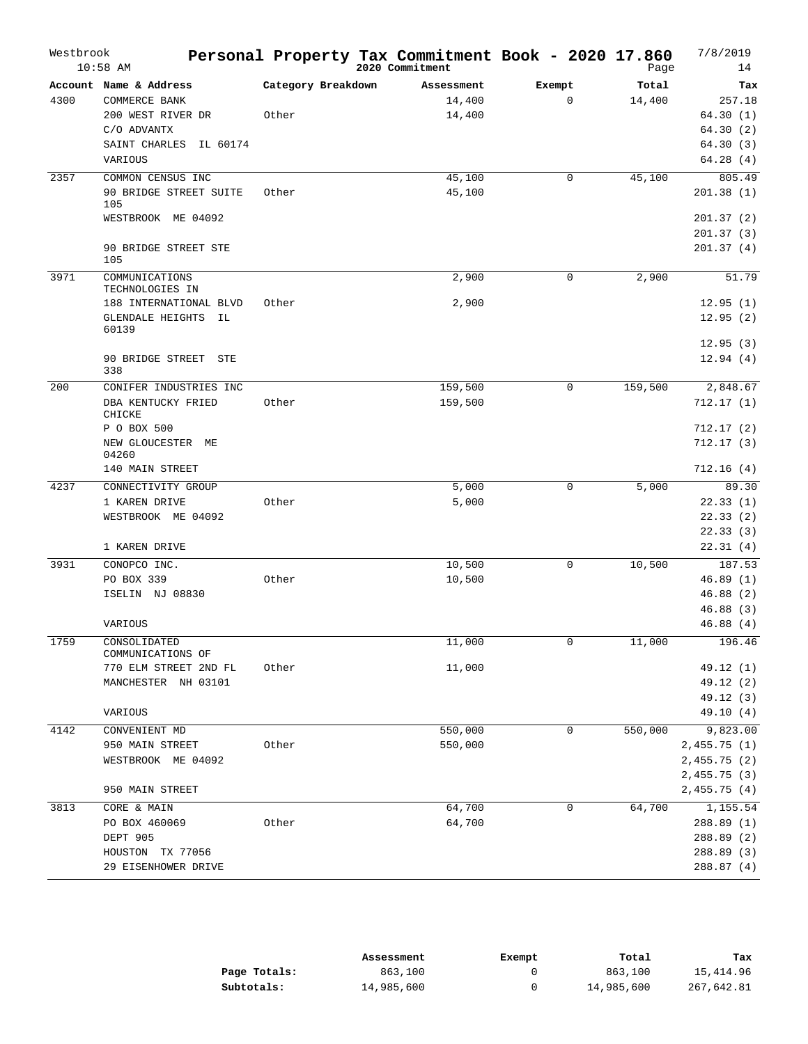| Westbrook | $10:58$ AM                             |                    | Personal Property Tax Commitment Book - 2020 17.860<br>2020 Commitment |        |             | Page    | 7/8/2019<br>14       |
|-----------|----------------------------------------|--------------------|------------------------------------------------------------------------|--------|-------------|---------|----------------------|
|           | Account Name & Address                 | Category Breakdown | Assessment                                                             | Exempt |             | Total   | Tax                  |
| 4300      | COMMERCE BANK                          |                    | 14,400                                                                 |        | $\mathbf 0$ | 14,400  | 257.18               |
|           | 200 WEST RIVER DR                      | Other              | 14,400                                                                 |        |             |         | 64.30(1)             |
|           | C/O ADVANTX                            |                    |                                                                        |        |             |         | 64.30(2)             |
|           | SAINT CHARLES<br>IL 60174              |                    |                                                                        |        |             |         | 64.30(3)             |
|           | VARIOUS                                |                    |                                                                        |        |             |         | 64.28(4)             |
| 2357      | COMMON CENSUS INC                      |                    | 45,100                                                                 |        | $\Omega$    | 45,100  | 805.49               |
|           | 90 BRIDGE STREET SUITE<br>105          | Other              | 45,100                                                                 |        |             |         | 201.38(1)            |
|           | WESTBROOK ME 04092                     |                    |                                                                        |        |             |         | 201.37(2)            |
|           |                                        |                    |                                                                        |        |             |         | 201.37 (3)           |
|           | 90 BRIDGE STREET STE<br>105            |                    |                                                                        |        |             |         | 201.37(4)            |
| 3971      | COMMUNICATIONS<br>TECHNOLOGIES IN      |                    | 2,900                                                                  |        | $\mathbf 0$ | 2,900   | 51.79                |
|           | 188 INTERNATIONAL BLVD                 | Other              | 2,900                                                                  |        |             |         | 12.95(1)             |
|           | <b>GLENDALE HEIGHTS</b><br>IL<br>60139 |                    |                                                                        |        |             |         | 12.95(2)             |
|           |                                        |                    |                                                                        |        |             |         | 12.95(3)             |
|           | 90 BRIDGE STREET<br>STE<br>338         |                    |                                                                        |        |             |         | 12.94(4)             |
| 200       | CONIFER INDUSTRIES INC                 |                    | 159,500                                                                |        | 0           | 159,500 | 2,848.67             |
|           | DBA KENTUCKY FRIED<br>CHICKE           | Other              | 159,500                                                                |        |             |         | 712.17 (1)           |
|           | P O BOX 500                            |                    |                                                                        |        |             |         | 712.17(2)            |
|           | NEW GLOUCESTER ME<br>04260             |                    |                                                                        |        |             |         | 712.17(3)            |
|           | 140 MAIN STREET                        |                    |                                                                        |        |             |         | 712.16(4)            |
| 4237      | CONNECTIVITY GROUP                     |                    | 5,000                                                                  |        | 0           | 5,000   | 89.30                |
|           | 1 KAREN DRIVE                          | Other              | 5,000                                                                  |        |             |         | 22.33(1)             |
|           | WESTBROOK ME 04092                     |                    |                                                                        |        |             |         | 22.33(2)             |
|           |                                        |                    |                                                                        |        |             |         | 22.33(3)             |
|           | 1 KAREN DRIVE                          |                    |                                                                        |        |             |         | 22.31(4)             |
| 3931      | CONOPCO INC.                           |                    | 10,500                                                                 |        | 0           | 10,500  | 187.53               |
|           | PO BOX 339                             | Other              | 10,500                                                                 |        |             |         | 46.89(1)             |
|           | ISELIN NJ 08830                        |                    |                                                                        |        |             |         | 46.88(2)             |
|           | VARIOUS                                |                    |                                                                        |        |             |         | 46.88(3)<br>46.88(4) |
|           |                                        |                    |                                                                        |        |             |         |                      |
| 1759      | CONSOLIDATED<br>COMMUNICATIONS OF      |                    | 11,000                                                                 |        | 0           | 11,000  | 196.46               |
|           | 770 ELM STREET 2ND FL                  | Other              | 11,000                                                                 |        |             |         | 49.12 (1)            |
|           | MANCHESTER NH 03101                    |                    |                                                                        |        |             |         | 49.12 (2)            |
|           |                                        |                    |                                                                        |        |             |         | 49.12 (3)            |
|           | VARIOUS                                |                    |                                                                        |        |             |         | 49.10 (4)            |
| 4142      | CONVENIENT MD                          |                    | 550,000                                                                |        | 0           | 550,000 | 9,823.00             |
|           | 950 MAIN STREET                        | Other              | 550,000                                                                |        |             |         | 2,455.75(1)          |
|           | WESTBROOK ME 04092                     |                    |                                                                        |        |             |         | 2,455.75 (2)         |
|           |                                        |                    |                                                                        |        |             |         | 2,455.75 (3)         |
|           | 950 MAIN STREET                        |                    |                                                                        |        |             |         | 2,455.75 (4)         |
| 3813      | CORE & MAIN                            |                    | 64,700                                                                 |        | 0           | 64,700  | 1,155.54             |
|           | PO BOX 460069                          | Other              | 64,700                                                                 |        |             |         | 288.89 (1)           |
|           | DEPT 905                               |                    |                                                                        |        |             |         | 288.89 (2)           |
|           | HOUSTON TX 77056                       |                    |                                                                        |        |             |         | 288.89 (3)           |
|           | 29 EISENHOWER DRIVE                    |                    |                                                                        |        |             |         | 288.87 (4)           |

|              | Assessment | Exempt | Total      | Tax        |
|--------------|------------|--------|------------|------------|
| Page Totals: | 863,100    |        | 863,100    | 15,414.96  |
| Subtotals:   | 14,985,600 |        | 14,985,600 | 267,642.81 |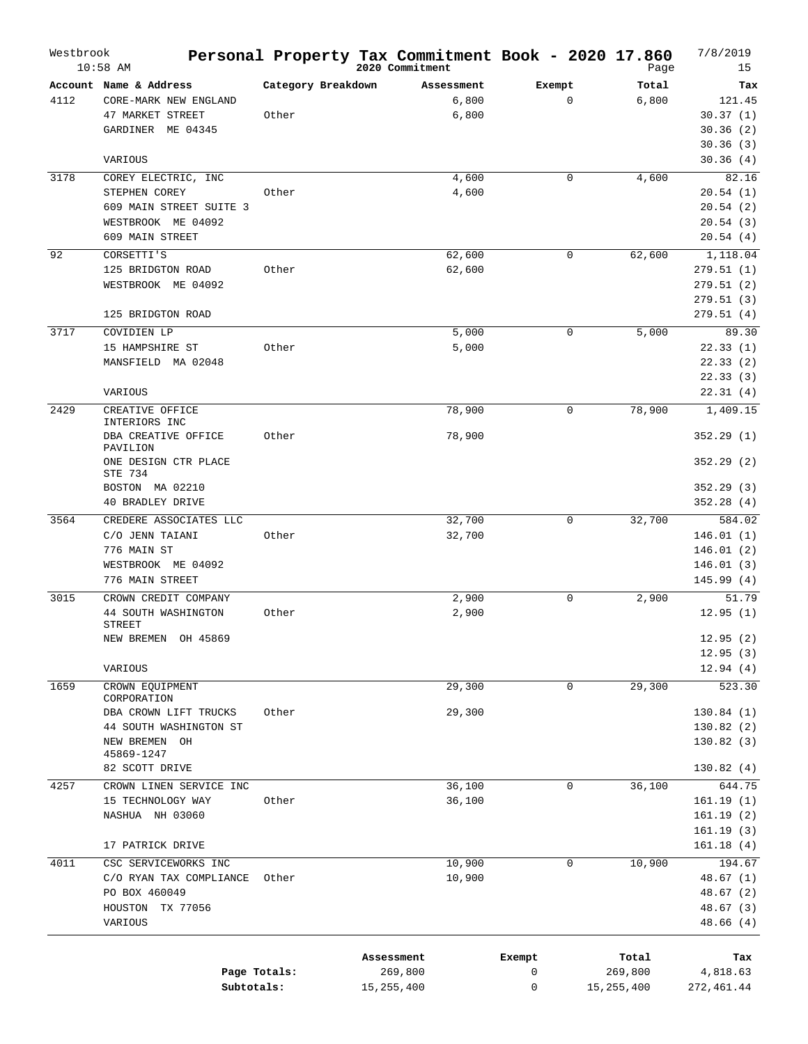| Westbrook | $10:58$ AM                       |                    | Personal Property Tax Commitment Book - 2020 17.860<br>2020 Commitment |             | Page         | 7/8/2019<br>15 |
|-----------|----------------------------------|--------------------|------------------------------------------------------------------------|-------------|--------------|----------------|
|           | Account Name & Address           | Category Breakdown | Assessment                                                             | Exempt      | Total        | Tax            |
| 4112      | CORE-MARK NEW ENGLAND            |                    | 6,800                                                                  | $\mathbf 0$ | 6,800        | 121.45         |
|           | 47 MARKET STREET                 | Other              | 6,800                                                                  |             |              | 30.37(1)       |
|           | GARDINER ME 04345                |                    |                                                                        |             |              | 30.36(2)       |
|           |                                  |                    |                                                                        |             |              | 30.36(3)       |
|           | VARIOUS                          |                    |                                                                        |             |              | 30.36(4)       |
| 3178      | COREY ELECTRIC, INC              |                    | 4,600                                                                  | $\mathbf 0$ | 4,600        | 82.16          |
|           | STEPHEN COREY                    | Other              | 4,600                                                                  |             |              | 20.54(1)       |
|           | 609 MAIN STREET SUITE 3          |                    |                                                                        |             |              | 20.54(2)       |
|           | WESTBROOK ME 04092               |                    |                                                                        |             |              | 20.54(3)       |
|           | 609 MAIN STREET                  |                    |                                                                        |             |              | 20.54(4)       |
|           |                                  |                    |                                                                        |             |              |                |
| 92        | CORSETTI'S                       |                    | 62,600                                                                 | $\mathbf 0$ | 62,600       | 1,118.04       |
|           | 125 BRIDGTON ROAD                | Other              | 62,600                                                                 |             |              | 279.51(1)      |
|           | WESTBROOK ME 04092               |                    |                                                                        |             |              | 279.51(2)      |
|           |                                  |                    |                                                                        |             |              | 279.51(3)      |
|           | 125 BRIDGTON ROAD                |                    |                                                                        |             |              | 279.51(4)      |
| 3717      | COVIDIEN LP                      |                    | 5,000                                                                  | 0           | 5,000        | 89.30          |
|           | 15 HAMPSHIRE ST                  | Other              | 5,000                                                                  |             |              | 22.33(1)       |
|           | MANSFIELD MA 02048               |                    |                                                                        |             |              | 22.33(2)       |
|           |                                  |                    |                                                                        |             |              | 22.33(3)       |
|           | VARIOUS                          |                    |                                                                        |             |              | 22.31(4)       |
| 2429      | CREATIVE OFFICE                  |                    | 78,900                                                                 | 0           | 78,900       | 1,409.15       |
|           | INTERIORS INC                    |                    |                                                                        |             |              |                |
|           | DBA CREATIVE OFFICE              | Other              | 78,900                                                                 |             |              | 352.29(1)      |
|           | PAVILION<br>ONE DESIGN CTR PLACE |                    |                                                                        |             |              | 352.29(2)      |
|           | STE 734                          |                    |                                                                        |             |              |                |
|           | BOSTON MA 02210                  |                    |                                                                        |             |              | 352.29(3)      |
|           | 40 BRADLEY DRIVE                 |                    |                                                                        |             |              | 352.28(4)      |
| 3564      | CREDERE ASSOCIATES LLC           |                    | 32,700                                                                 | 0           | 32,700       | 584.02         |
|           | C/O JENN TAIANI                  | Other              | 32,700                                                                 |             |              | 146.01(1)      |
|           | 776 MAIN ST                      |                    |                                                                        |             |              | 146.01(2)      |
|           | WESTBROOK ME 04092               |                    |                                                                        |             |              | 146.01(3)      |
|           | 776 MAIN STREET                  |                    |                                                                        |             |              | 145.99 (4)     |
|           |                                  |                    |                                                                        |             |              |                |
| 3015      | CROWN CREDIT COMPANY             |                    | 2,900                                                                  | 0           | 2,900        | 51.79          |
|           | 44 SOUTH WASHINGTON<br>STREET    | Other              | 2,900                                                                  |             |              | 12.95(1)       |
|           | NEW BREMEN OH 45869              |                    |                                                                        |             |              | 12.95(2)       |
|           |                                  |                    |                                                                        |             |              | 12.95(3)       |
|           | VARIOUS                          |                    |                                                                        |             |              | 12.94(4)       |
| 1659      |                                  |                    |                                                                        |             |              |                |
|           | CROWN EQUIPMENT<br>CORPORATION   |                    | 29,300                                                                 | 0           | 29,300       | 523.30         |
|           | DBA CROWN LIFT TRUCKS            | Other              | 29,300                                                                 |             |              | 130.84 (1)     |
|           | 44 SOUTH WASHINGTON ST           |                    |                                                                        |             |              | 130.82(2)      |
|           | NEW BREMEN OH                    |                    |                                                                        |             |              | 130.82(3)      |
|           | 45869-1247                       |                    |                                                                        |             |              |                |
|           | 82 SCOTT DRIVE                   |                    |                                                                        |             |              | 130.82(4)      |
| 4257      | CROWN LINEN SERVICE INC          |                    | 36,100                                                                 | $\mathbf 0$ | 36,100       | 644.75         |
|           | 15 TECHNOLOGY WAY                | Other              | 36,100                                                                 |             |              | 161.19(1)      |
|           | NASHUA NH 03060                  |                    |                                                                        |             |              | 161.19(2)      |
|           |                                  |                    |                                                                        |             |              | 161.19(3)      |
|           | 17 PATRICK DRIVE                 |                    |                                                                        |             |              | 161.18(4)      |
| 4011      | CSC SERVICEWORKS INC             |                    | 10,900                                                                 | $\mathbf 0$ | 10,900       | 194.67         |
|           | C/O RYAN TAX COMPLIANCE          | Other              | 10,900                                                                 |             |              | 48.67 (1)      |
|           | PO BOX 460049                    |                    |                                                                        |             |              | 48.67 (2)      |
|           | HOUSTON TX 77056                 |                    |                                                                        |             |              | 48.67 (3)      |
|           | VARIOUS                          |                    |                                                                        |             |              | 48.66 (4)      |
|           |                                  |                    |                                                                        |             |              |                |
|           |                                  |                    |                                                                        |             |              |                |
|           |                                  |                    | Assessment                                                             | Exempt      | Total        | Tax            |
|           |                                  | Page Totals:       | 269,800                                                                | 0           | 269,800      | 4,818.63       |
|           |                                  | Subtotals:         | 15, 255, 400                                                           | 0           | 15, 255, 400 | 272,461.44     |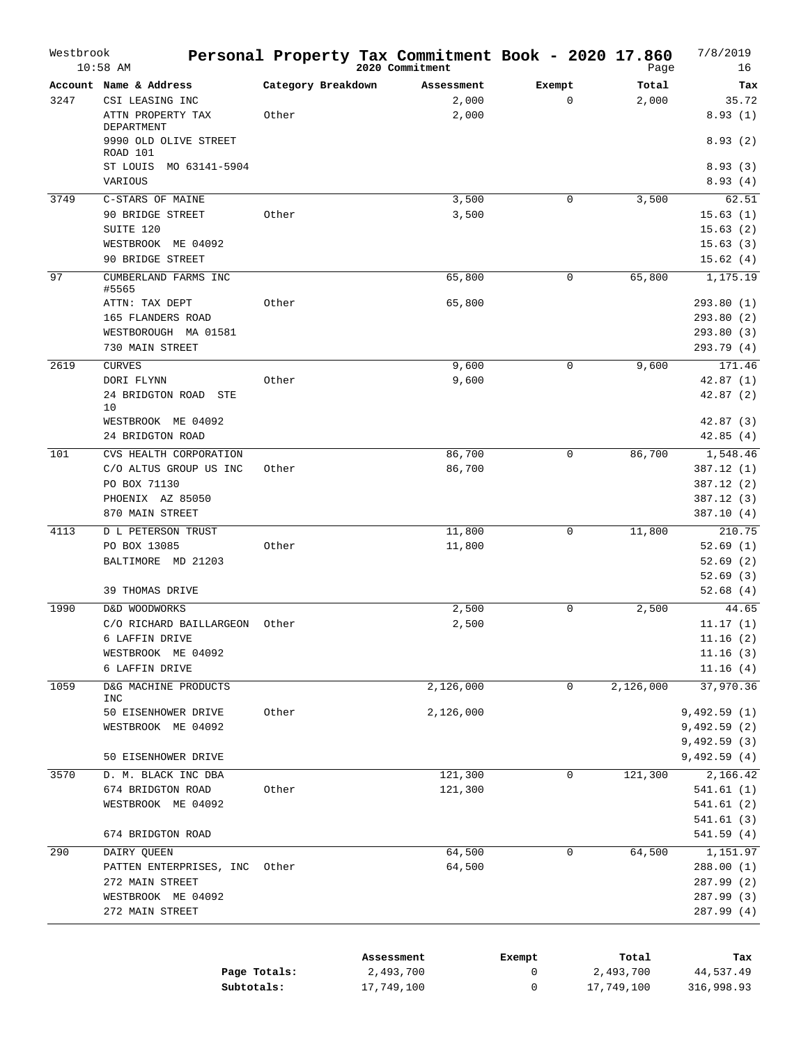| Westbrook | $10:58$ AM                                                                                                      |                             | Personal Property Tax Commitment Book - 2020 17.860<br>2020 Commitment |        |                       | Page           | 7/8/2019<br>16                                                        |
|-----------|-----------------------------------------------------------------------------------------------------------------|-----------------------------|------------------------------------------------------------------------|--------|-----------------------|----------------|-----------------------------------------------------------------------|
| 3247      | Account Name & Address<br>CSI LEASING INC<br>ATTN PROPERTY TAX<br>DEPARTMENT                                    | Category Breakdown<br>Other | Assessment<br>2,000<br>2,000                                           |        | Exempt<br>$\mathbf 0$ | Total<br>2,000 | Tax<br>35.72<br>8.93(1)                                               |
|           | 9990 OLD OLIVE STREET<br>ROAD 101<br>ST LOUIS<br>MO 63141-5904<br>VARIOUS                                       |                             |                                                                        |        |                       |                | 8.93(2)<br>8.93(3)<br>8.93(4)                                         |
| 3749      | C-STARS OF MAINE<br>90 BRIDGE STREET<br>SUITE 120<br>WESTBROOK ME 04092<br>90 BRIDGE STREET                     | Other                       | 3,500<br>3,500                                                         |        | $\mathbf 0$           | 3,500          | 62.51<br>15.63(1)<br>15.63(2)<br>15.63(3)<br>15.62(4)                 |
| 97        | CUMBERLAND FARMS INC<br>#5565<br>ATTN: TAX DEPT<br>165 FLANDERS ROAD<br>WESTBOROUGH MA 01581<br>730 MAIN STREET | Other                       | 65,800<br>65,800                                                       |        | $\mathbf 0$           | 65,800         | 1,175.19<br>293.80(1)<br>293.80 (2)<br>293.80 (3)<br>293.79 (4)       |
| 2619      | <b>CURVES</b><br>DORI FLYNN<br>24 BRIDGTON ROAD STE<br>10<br>WESTBROOK ME 04092<br>24 BRIDGTON ROAD             | Other                       | 9,600<br>9,600                                                         |        | $\mathbf 0$           | 9,600          | 171.46<br>42.87(1)<br>42.87(2)<br>42.87(3)<br>42.85(4)                |
| 101       | CVS HEALTH CORPORATION<br>C/O ALTUS GROUP US INC<br>PO BOX 71130<br>PHOENIX AZ 85050<br>870 MAIN STREET         | Other                       | 86,700<br>86,700                                                       |        | $\mathbf 0$           | 86,700         | 1,548.46<br>387.12 (1)<br>387.12 (2)<br>387.12(3)<br>387.10(4)        |
| 4113      | <b>D L PETERSON TRUST</b><br>PO BOX 13085<br>BALTIMORE MD 21203<br>39 THOMAS DRIVE                              | Other                       | 11,800<br>11,800                                                       |        | $\mathsf 0$           | 11,800         | 210.75<br>52.69(1)<br>52.69(2)<br>52.69(3)<br>52.68(4)                |
| 1990      | D&D WOODWORKS<br>C/O RICHARD BAILLARGEON<br>6 LAFFIN DRIVE<br>WESTBROOK ME 04092<br>6 LAFFIN DRIVE              | Other                       | 2,500<br>2,500                                                         |        | 0                     | 2,500          | 44.65<br>11.17(1)<br>11.16(2)<br>11.16(3)<br>11.16(4)                 |
| 1059      | D&G MACHINE PRODUCTS<br><b>INC</b><br>50 EISENHOWER DRIVE<br>WESTBROOK ME 04092<br>50 EISENHOWER DRIVE          | Other                       | 2,126,000<br>2,126,000                                                 |        | 0                     | 2,126,000      | 37,970.36<br>9,492.59(1)<br>9,492.59(2)<br>9,492.59(3)<br>9,492.59(4) |
| 3570      | D. M. BLACK INC DBA<br>674 BRIDGTON ROAD<br>WESTBROOK ME 04092<br>674 BRIDGTON ROAD                             | Other                       | 121,300<br>121,300                                                     |        | $\mathbf 0$           | 121,300        | 2,166.42<br>541.61(1)<br>541.61 (2)<br>541.61(3)<br>541.59 (4)        |
| 290       | DAIRY QUEEN<br>PATTEN ENTERPRISES, INC<br>272 MAIN STREET<br>WESTBROOK ME 04092<br>272 MAIN STREET              | Other                       | 64,500<br>64,500                                                       |        | $\mathbf 0$           | 64,500         | 1,151.97<br>288.00 (1)<br>287.99 (2)<br>287.99 (3)<br>287.99 (4)      |
|           |                                                                                                                 |                             | Assessment                                                             | Exempt |                       | Total          | Tax                                                                   |

|              | ADDEDDIEIIL | LACIINU | TOLAT      | 1 an       |
|--------------|-------------|---------|------------|------------|
| Page Totals: | 2,493,700   |         | 2,493,700  | 44,537.49  |
| Subtotals:   | 17,749,100  |         | 17,749,100 | 316,998.93 |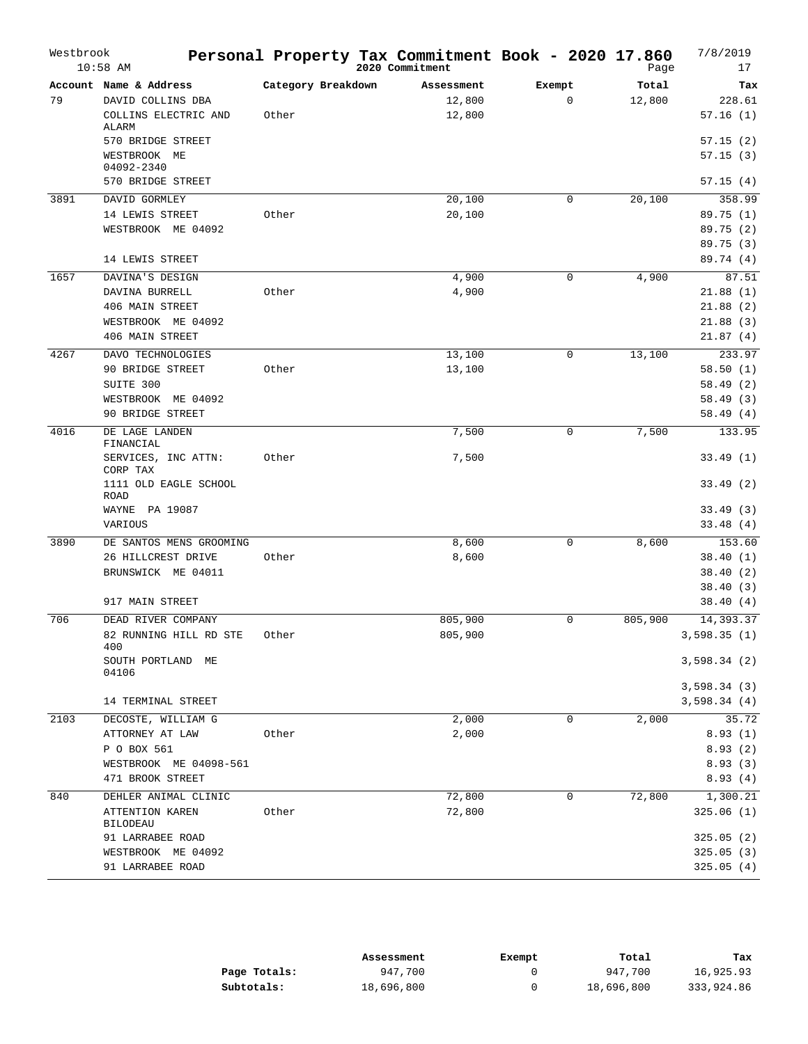| Westbrook | $10:58$ AM                                                          |                             | Personal Property Tax Commitment Book - 2020 17.860<br>2020 Commitment |                       | Page            | 7/8/2019<br>17             |
|-----------|---------------------------------------------------------------------|-----------------------------|------------------------------------------------------------------------|-----------------------|-----------------|----------------------------|
| 79        | Account Name & Address<br>DAVID COLLINS DBA<br>COLLINS ELECTRIC AND | Category Breakdown<br>Other | Assessment<br>12,800<br>12,800                                         | Exempt<br>$\mathbf 0$ | Total<br>12,800 | Tax<br>228.61<br>57.16(1)  |
|           | <b>ALARM</b><br>570 BRIDGE STREET<br>WESTBROOK ME<br>04092-2340     |                             |                                                                        |                       |                 | 57.15(2)<br>57.15(3)       |
|           | 570 BRIDGE STREET                                                   |                             |                                                                        |                       |                 | 57.15(4)                   |
| 3891      | DAVID GORMLEY                                                       |                             | 20,100                                                                 | $\mathbf 0$           | 20,100          | 358.99                     |
|           | 14 LEWIS STREET                                                     | Other                       | 20,100                                                                 |                       |                 | 89.75 (1)                  |
|           | WESTBROOK ME 04092                                                  |                             |                                                                        |                       |                 | 89.75(2)                   |
|           |                                                                     |                             |                                                                        |                       |                 | 89.75(3)                   |
|           | 14 LEWIS STREET                                                     |                             |                                                                        |                       |                 | 89.74 (4)                  |
| 1657      | DAVINA'S DESIGN                                                     |                             | 4,900                                                                  | $\mathbf 0$           | 4,900           | 87.51                      |
|           | DAVINA BURRELL                                                      | Other                       | 4,900                                                                  |                       |                 | 21.88(1)                   |
|           | 406 MAIN STREET                                                     |                             |                                                                        |                       |                 | 21.88(2)                   |
|           | WESTBROOK ME 04092                                                  |                             |                                                                        |                       |                 | 21.88(3)                   |
|           | 406 MAIN STREET                                                     |                             |                                                                        |                       |                 | 21.87(4)                   |
| 4267      | DAVO TECHNOLOGIES                                                   |                             | 13,100                                                                 | $\mathbf 0$           | 13,100          | 233.97                     |
|           | 90 BRIDGE STREET                                                    | Other                       | 13,100                                                                 |                       |                 | 58.50(1)                   |
|           | SUITE 300                                                           |                             |                                                                        |                       |                 | 58.49(2)                   |
|           | WESTBROOK ME 04092<br>90 BRIDGE STREET                              |                             |                                                                        |                       |                 | 58.49(3)<br>58.49(4)       |
| 4016      | DE LAGE LANDEN                                                      |                             | 7,500                                                                  | $\mathbf 0$           | 7,500           | 133.95                     |
|           | FINANCIAL<br>SERVICES, INC ATTN:                                    | Other                       | 7,500                                                                  |                       |                 | 33.49(1)                   |
|           | CORP TAX<br>1111 OLD EAGLE SCHOOL<br><b>ROAD</b>                    |                             |                                                                        |                       |                 | 33.49(2)                   |
|           | WAYNE PA 19087                                                      |                             |                                                                        |                       |                 | 33.49(3)                   |
|           | VARIOUS                                                             |                             |                                                                        |                       |                 | 33.48(4)                   |
| 3890      | DE SANTOS MENS GROOMING                                             |                             | 8,600                                                                  | $\mathbf 0$           | 8,600           | 153.60                     |
|           | 26 HILLCREST DRIVE                                                  | Other                       | 8,600                                                                  |                       |                 | 38.40(1)                   |
|           | BRUNSWICK ME 04011                                                  |                             |                                                                        |                       |                 | 38.40(2)                   |
|           |                                                                     |                             |                                                                        |                       |                 | 38.40(3)                   |
|           | 917 MAIN STREET                                                     |                             |                                                                        |                       |                 | 38.40 (4)                  |
| 706       | DEAD RIVER COMPANY                                                  |                             | 805,900                                                                | 0                     | 805,900         | 14,393.37                  |
|           | 82 RUNNING HILL RD STE<br>400                                       | Other                       | 805,900                                                                |                       |                 | 3,598.35(1)                |
|           | SOUTH PORTLAND ME<br>04106                                          |                             |                                                                        |                       |                 | 3,598.34(2)                |
|           | 14 TERMINAL STREET                                                  |                             |                                                                        |                       |                 | 3,598.34(3)<br>3,598.34(4) |
| 2103      | DECOSTE, WILLIAM G                                                  |                             | 2,000                                                                  | $\mathbf 0$           | 2,000           | 35.72                      |
|           | ATTORNEY AT LAW                                                     | Other                       | 2,000                                                                  |                       |                 | 8.93(1)                    |
|           | P O BOX 561                                                         |                             |                                                                        |                       |                 | 8.93(2)                    |
|           | WESTBROOK ME 04098-561<br>471 BROOK STREET                          |                             |                                                                        |                       |                 | 8.93(3)<br>8.93(4)         |
| 840       | DEHLER ANIMAL CLINIC                                                |                             | 72,800                                                                 | 0                     | 72,800          | 1,300.21                   |
|           | ATTENTION KAREN<br><b>BILODEAU</b>                                  | Other                       | 72,800                                                                 |                       |                 | 325.06(1)                  |
|           | 91 LARRABEE ROAD                                                    |                             |                                                                        |                       |                 | 325.05 (2)                 |
|           | WESTBROOK ME 04092                                                  |                             |                                                                        |                       |                 | 325.05(3)                  |
|           | 91 LARRABEE ROAD                                                    |                             |                                                                        |                       |                 | 325.05(4)                  |

|              | Assessment | Exempt | Total      | Tax        |
|--------------|------------|--------|------------|------------|
| Page Totals: | 947,700    |        | 947,700    | 16,925.93  |
| Subtotals:   | 18,696,800 |        | 18,696,800 | 333,924.86 |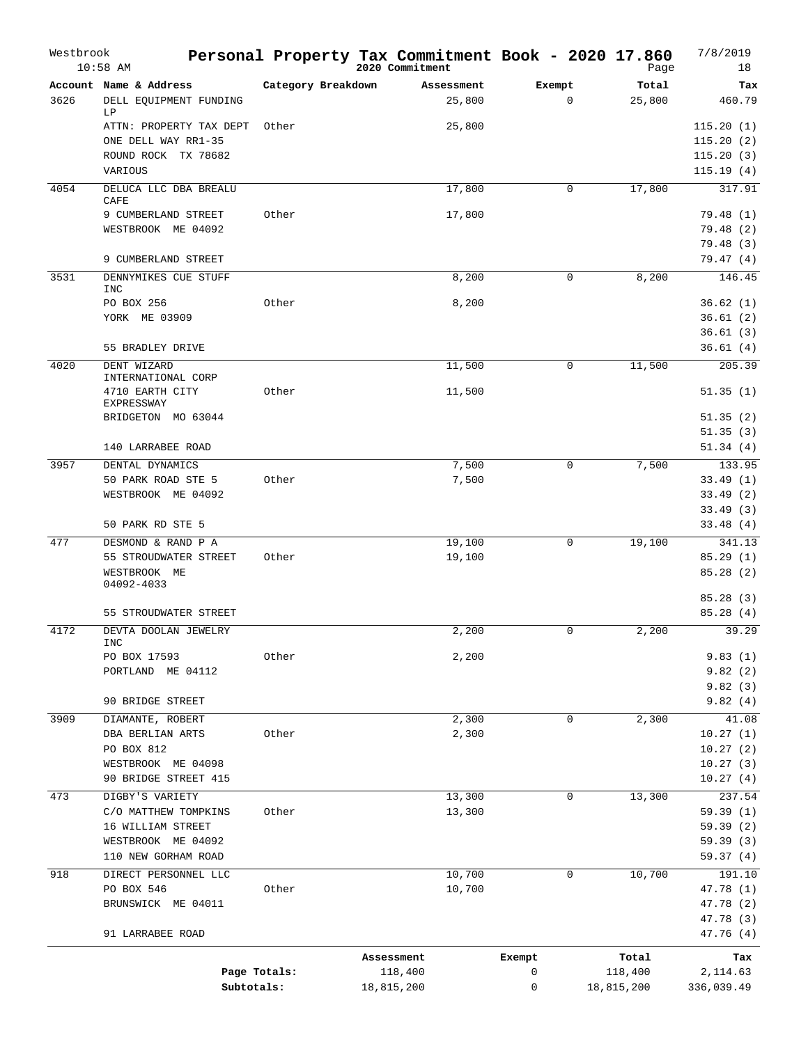| Westbrook | $10:58$ AM                            |                    | Personal Property Tax Commitment Book - 2020 17.860<br>2020 Commitment |             | Page             | 7/8/2019<br>18       |
|-----------|---------------------------------------|--------------------|------------------------------------------------------------------------|-------------|------------------|----------------------|
|           | Account Name & Address                | Category Breakdown | Assessment                                                             | Exempt      | Total            | Tax                  |
| 3626      | DELL EQUIPMENT FUNDING<br>LP          |                    | 25,800                                                                 | 0           | 25,800           | 460.79               |
|           | ATTN: PROPERTY TAX DEPT               | Other              | 25,800                                                                 |             |                  | 115.20(1)            |
|           | ONE DELL WAY RR1-35                   |                    |                                                                        |             |                  | 115.20(2)            |
|           | ROUND ROCK TX 78682                   |                    |                                                                        |             |                  | 115.20(3)            |
|           | VARIOUS                               |                    |                                                                        |             |                  | 115.19(4)            |
| 4054      | DELUCA LLC DBA BREALU<br>CAFE         |                    | 17,800                                                                 | 0           | 17,800           | 317.91               |
|           | 9 CUMBERLAND STREET                   | Other              | 17,800                                                                 |             |                  | 79.48(1)             |
|           | WESTBROOK ME 04092                    |                    |                                                                        |             |                  | 79.48(2)             |
|           |                                       |                    |                                                                        |             |                  | 79.48(3)             |
|           | 9 CUMBERLAND STREET                   |                    |                                                                        |             |                  | 79.47 (4)            |
| 3531      | DENNYMIKES CUE STUFF<br><b>INC</b>    |                    | 8,200                                                                  | $\mathbf 0$ | 8,200            | 146.45               |
|           | PO BOX 256                            | Other              | 8,200                                                                  |             |                  | 36.62(1)             |
|           | YORK ME 03909                         |                    |                                                                        |             |                  | 36.61(2)             |
|           |                                       |                    |                                                                        |             |                  | 36.61(3)             |
|           | 55 BRADLEY DRIVE                      |                    |                                                                        |             |                  | 36.61(4)             |
| 4020      | DENT WIZARD<br>INTERNATIONAL CORP     |                    | 11,500                                                                 | 0           | 11,500           | 205.39               |
|           | 4710 EARTH CITY<br>EXPRESSWAY         | Other              | 11,500                                                                 |             |                  | 51.35(1)             |
|           | BRIDGETON MO 63044                    |                    |                                                                        |             |                  | 51.35(2)             |
|           |                                       |                    |                                                                        |             |                  | 51.35(3)             |
|           | 140 LARRABEE ROAD                     |                    |                                                                        |             |                  | 51.34(4)             |
| 3957      | DENTAL DYNAMICS                       |                    | 7,500                                                                  | 0           | 7,500            | 133.95               |
|           | 50 PARK ROAD STE 5                    | Other              | 7,500                                                                  |             |                  | 33.49(1)             |
|           | WESTBROOK ME 04092                    |                    |                                                                        |             |                  | 33.49(2)             |
|           | 50 PARK RD STE 5                      |                    |                                                                        |             |                  | 33.49(3)<br>33.48(4) |
|           |                                       |                    |                                                                        |             |                  |                      |
| 477       | DESMOND & RAND P A                    |                    | 19,100                                                                 | 0           | 19,100           | 341.13               |
|           | 55 STROUDWATER STREET<br>WESTBROOK ME | Other              | 19,100                                                                 |             |                  | 85.29(1)<br>85.28(2) |
|           | 04092-4033                            |                    |                                                                        |             |                  | 85.28(3)             |
|           | 55 STROUDWATER STREET                 |                    |                                                                        |             |                  | 85.28(4)             |
| 4172      | DEVTA DOOLAN JEWELRY                  |                    | 2,200                                                                  | 0           | 2,200            | 39.29                |
|           | <b>INC</b>                            |                    |                                                                        |             |                  |                      |
|           | PO BOX 17593                          | Other              | 2,200                                                                  |             |                  | 9.83(1)              |
|           | PORTLAND ME 04112                     |                    |                                                                        |             |                  | 9.82(2)              |
|           |                                       |                    |                                                                        |             |                  | 9.82(3)              |
|           | 90 BRIDGE STREET                      |                    |                                                                        |             |                  | 9.82(4)              |
| 3909      | DIAMANTE, ROBERT                      |                    | 2,300                                                                  | 0           | 2,300            | 41.08                |
|           | DBA BERLIAN ARTS                      | Other              | 2,300                                                                  |             |                  | 10.27(1)             |
|           | PO BOX 812                            |                    |                                                                        |             |                  | 10.27(2)             |
|           | WESTBROOK ME 04098                    |                    |                                                                        |             |                  | 10.27(3)             |
|           | 90 BRIDGE STREET 415                  |                    |                                                                        |             |                  | 10.27(4)             |
| 473       | DIGBY'S VARIETY                       |                    | 13,300                                                                 | 0           | 13,300           | 237.54               |
|           | C/O MATTHEW TOMPKINS                  | Other              | 13,300                                                                 |             |                  | 59.39(1)             |
|           | 16 WILLIAM STREET                     |                    |                                                                        |             |                  | 59.39(2)             |
|           | WESTBROOK ME 04092                    |                    |                                                                        |             |                  | 59.39(3)             |
|           | 110 NEW GORHAM ROAD                   |                    |                                                                        |             |                  | 59.37(4)             |
| 918       | DIRECT PERSONNEL LLC                  |                    | 10,700                                                                 | 0           | 10,700           | 191.10               |
|           | PO BOX 546                            | Other              | 10,700                                                                 |             |                  | 47.78 (1)            |
|           | BRUNSWICK ME 04011                    |                    |                                                                        |             |                  | 47.78 (2)            |
|           |                                       |                    |                                                                        |             |                  | 47.78 (3)            |
|           | 91 LARRABEE ROAD                      |                    |                                                                        |             |                  | 47.76 (4)            |
|           |                                       | Page Totals:       | Assessment<br>118,400                                                  | Exempt<br>0 | Total<br>118,400 | Tax<br>2,114.63      |
|           | Subtotals:                            |                    | 18,815,200                                                             | 0           | 18,815,200       | 336,039.49           |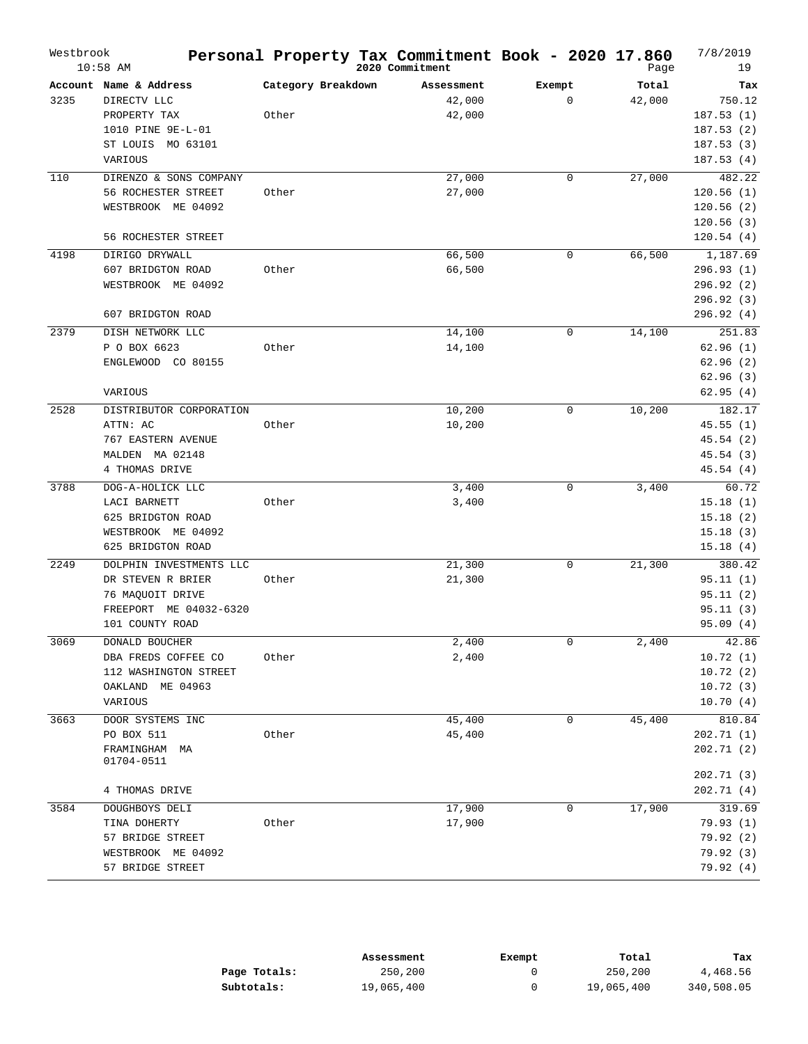| Account Name & Address<br>Category Breakdown<br>Total<br>Exempt<br>Tax<br>Assessment<br>42,000<br>$\mathbf 0$<br>3235<br>DIRECTV LLC<br>42,000<br>750.12<br>Other<br>42,000<br>187.53(1)<br>PROPERTY TAX<br>1010 PINE 9E-L-01<br>187.53(2)<br>ST LOUIS<br>MO 63101<br>187.53(3)<br>187.53(4)<br>VARIOUS<br>110<br>DIRENZO & SONS COMPANY<br>27,000<br>$\mathbf 0$<br>27,000<br>482.22<br>56 ROCHESTER STREET<br>Other<br>27,000<br>120.56(1)<br>WESTBROOK ME 04092<br>120.56(2)<br>120.56(3)<br>56 ROCHESTER STREET<br>120.54(4)<br>4198<br>66,500<br>1,187.69<br>DIRIGO DRYWALL<br>$\mathbf 0$<br>66,500<br>296.93(1)<br>607 BRIDGTON ROAD<br>Other<br>66,500<br>WESTBROOK ME 04092<br>296.92 (2)<br>296.92 (3)<br>607 BRIDGTON ROAD<br>296.92 (4)<br>2379<br>DISH NETWORK LLC<br>14,100<br>$\mathbf 0$<br>251.83<br>14,100<br>P O BOX 6623<br>Other<br>14,100<br>62.96(1)<br>ENGLEWOOD CO 80155<br>62.96(2)<br>62.96(3)<br>62.95(4)<br>VARIOUS<br>2528<br>10,200<br>10,200<br>182.17<br>DISTRIBUTOR CORPORATION<br>0<br>ATTN: AC<br>Other<br>10,200<br>45.55(1)<br>767 EASTERN AVENUE<br>45.54 (2)<br>MALDEN MA 02148<br>45.54 (3)<br>4 THOMAS DRIVE<br>45.54(4)<br>3788<br>3,400<br>3,400<br>60.72<br>DOG-A-HOLICK LLC<br>0<br>LACI BARNETT<br>Other<br>3,400<br>15.18(1)<br>625 BRIDGTON ROAD<br>15.18(2)<br>WESTBROOK ME 04092<br>15.18(3)<br>625 BRIDGTON ROAD<br>15.18(4)<br>2249<br>21,300<br>$\mathsf 0$<br>21,300<br>380.42<br>DOLPHIN INVESTMENTS LLC<br>DR STEVEN R BRIER<br>Other<br>21,300<br>95.11(1)<br>95.11(2)<br>76 MAQUOIT DRIVE<br>FREEPORT ME 04032-6320<br>95.11(3)<br>101 COUNTY ROAD<br>95.09(4)<br>2,400<br>0<br>2,400<br>42.86<br>3069<br>DONALD BOUCHER<br>2,400<br>DBA FREDS COFFEE CO<br>10.72(1)<br>Other<br>112 WASHINGTON STREET<br>10.72(2)<br>OAKLAND<br>ME 04963<br>10.72(3)<br>VARIOUS<br>10.70(4)<br>3663<br>45,400<br>810.84<br>DOOR SYSTEMS INC<br>0<br>45,400<br>PO BOX 511<br>Other<br>45,400<br>202.71 (1)<br>FRAMINGHAM MA<br>202.71 (2)<br>01704-0511<br>202.71 (3)<br>4 THOMAS DRIVE<br>202.71(4)<br>3584<br>319.69<br>DOUGHBOYS DELI<br>17,900<br>0<br>17,900<br>TINA DOHERTY<br>Other<br>17,900<br>79.93(1)<br>57 BRIDGE STREET<br>79.92(2)<br>WESTBROOK ME 04092<br>79.92(3)<br>79.92(4)<br>57 BRIDGE STREET | Westbrook | $10:58$ AM |  | Personal Property Tax Commitment Book - 2020 17.860<br>2020 Commitment |  | Page | 7/8/2019<br>19 |
|---------------------------------------------------------------------------------------------------------------------------------------------------------------------------------------------------------------------------------------------------------------------------------------------------------------------------------------------------------------------------------------------------------------------------------------------------------------------------------------------------------------------------------------------------------------------------------------------------------------------------------------------------------------------------------------------------------------------------------------------------------------------------------------------------------------------------------------------------------------------------------------------------------------------------------------------------------------------------------------------------------------------------------------------------------------------------------------------------------------------------------------------------------------------------------------------------------------------------------------------------------------------------------------------------------------------------------------------------------------------------------------------------------------------------------------------------------------------------------------------------------------------------------------------------------------------------------------------------------------------------------------------------------------------------------------------------------------------------------------------------------------------------------------------------------------------------------------------------------------------------------------------------------------------------------------------------------------------------------------------------------------------------------------------------------------------------------------------------------------------------------------------------------------------------------------------------------------------------------------------------------------|-----------|------------|--|------------------------------------------------------------------------|--|------|----------------|
|                                                                                                                                                                                                                                                                                                                                                                                                                                                                                                                                                                                                                                                                                                                                                                                                                                                                                                                                                                                                                                                                                                                                                                                                                                                                                                                                                                                                                                                                                                                                                                                                                                                                                                                                                                                                                                                                                                                                                                                                                                                                                                                                                                                                                                                               |           |            |  |                                                                        |  |      |                |
|                                                                                                                                                                                                                                                                                                                                                                                                                                                                                                                                                                                                                                                                                                                                                                                                                                                                                                                                                                                                                                                                                                                                                                                                                                                                                                                                                                                                                                                                                                                                                                                                                                                                                                                                                                                                                                                                                                                                                                                                                                                                                                                                                                                                                                                               |           |            |  |                                                                        |  |      |                |
|                                                                                                                                                                                                                                                                                                                                                                                                                                                                                                                                                                                                                                                                                                                                                                                                                                                                                                                                                                                                                                                                                                                                                                                                                                                                                                                                                                                                                                                                                                                                                                                                                                                                                                                                                                                                                                                                                                                                                                                                                                                                                                                                                                                                                                                               |           |            |  |                                                                        |  |      |                |
|                                                                                                                                                                                                                                                                                                                                                                                                                                                                                                                                                                                                                                                                                                                                                                                                                                                                                                                                                                                                                                                                                                                                                                                                                                                                                                                                                                                                                                                                                                                                                                                                                                                                                                                                                                                                                                                                                                                                                                                                                                                                                                                                                                                                                                                               |           |            |  |                                                                        |  |      |                |
|                                                                                                                                                                                                                                                                                                                                                                                                                                                                                                                                                                                                                                                                                                                                                                                                                                                                                                                                                                                                                                                                                                                                                                                                                                                                                                                                                                                                                                                                                                                                                                                                                                                                                                                                                                                                                                                                                                                                                                                                                                                                                                                                                                                                                                                               |           |            |  |                                                                        |  |      |                |
|                                                                                                                                                                                                                                                                                                                                                                                                                                                                                                                                                                                                                                                                                                                                                                                                                                                                                                                                                                                                                                                                                                                                                                                                                                                                                                                                                                                                                                                                                                                                                                                                                                                                                                                                                                                                                                                                                                                                                                                                                                                                                                                                                                                                                                                               |           |            |  |                                                                        |  |      |                |
|                                                                                                                                                                                                                                                                                                                                                                                                                                                                                                                                                                                                                                                                                                                                                                                                                                                                                                                                                                                                                                                                                                                                                                                                                                                                                                                                                                                                                                                                                                                                                                                                                                                                                                                                                                                                                                                                                                                                                                                                                                                                                                                                                                                                                                                               |           |            |  |                                                                        |  |      |                |
|                                                                                                                                                                                                                                                                                                                                                                                                                                                                                                                                                                                                                                                                                                                                                                                                                                                                                                                                                                                                                                                                                                                                                                                                                                                                                                                                                                                                                                                                                                                                                                                                                                                                                                                                                                                                                                                                                                                                                                                                                                                                                                                                                                                                                                                               |           |            |  |                                                                        |  |      |                |
|                                                                                                                                                                                                                                                                                                                                                                                                                                                                                                                                                                                                                                                                                                                                                                                                                                                                                                                                                                                                                                                                                                                                                                                                                                                                                                                                                                                                                                                                                                                                                                                                                                                                                                                                                                                                                                                                                                                                                                                                                                                                                                                                                                                                                                                               |           |            |  |                                                                        |  |      |                |
|                                                                                                                                                                                                                                                                                                                                                                                                                                                                                                                                                                                                                                                                                                                                                                                                                                                                                                                                                                                                                                                                                                                                                                                                                                                                                                                                                                                                                                                                                                                                                                                                                                                                                                                                                                                                                                                                                                                                                                                                                                                                                                                                                                                                                                                               |           |            |  |                                                                        |  |      |                |
|                                                                                                                                                                                                                                                                                                                                                                                                                                                                                                                                                                                                                                                                                                                                                                                                                                                                                                                                                                                                                                                                                                                                                                                                                                                                                                                                                                                                                                                                                                                                                                                                                                                                                                                                                                                                                                                                                                                                                                                                                                                                                                                                                                                                                                                               |           |            |  |                                                                        |  |      |                |
|                                                                                                                                                                                                                                                                                                                                                                                                                                                                                                                                                                                                                                                                                                                                                                                                                                                                                                                                                                                                                                                                                                                                                                                                                                                                                                                                                                                                                                                                                                                                                                                                                                                                                                                                                                                                                                                                                                                                                                                                                                                                                                                                                                                                                                                               |           |            |  |                                                                        |  |      |                |
|                                                                                                                                                                                                                                                                                                                                                                                                                                                                                                                                                                                                                                                                                                                                                                                                                                                                                                                                                                                                                                                                                                                                                                                                                                                                                                                                                                                                                                                                                                                                                                                                                                                                                                                                                                                                                                                                                                                                                                                                                                                                                                                                                                                                                                                               |           |            |  |                                                                        |  |      |                |
|                                                                                                                                                                                                                                                                                                                                                                                                                                                                                                                                                                                                                                                                                                                                                                                                                                                                                                                                                                                                                                                                                                                                                                                                                                                                                                                                                                                                                                                                                                                                                                                                                                                                                                                                                                                                                                                                                                                                                                                                                                                                                                                                                                                                                                                               |           |            |  |                                                                        |  |      |                |
|                                                                                                                                                                                                                                                                                                                                                                                                                                                                                                                                                                                                                                                                                                                                                                                                                                                                                                                                                                                                                                                                                                                                                                                                                                                                                                                                                                                                                                                                                                                                                                                                                                                                                                                                                                                                                                                                                                                                                                                                                                                                                                                                                                                                                                                               |           |            |  |                                                                        |  |      |                |
|                                                                                                                                                                                                                                                                                                                                                                                                                                                                                                                                                                                                                                                                                                                                                                                                                                                                                                                                                                                                                                                                                                                                                                                                                                                                                                                                                                                                                                                                                                                                                                                                                                                                                                                                                                                                                                                                                                                                                                                                                                                                                                                                                                                                                                                               |           |            |  |                                                                        |  |      |                |
|                                                                                                                                                                                                                                                                                                                                                                                                                                                                                                                                                                                                                                                                                                                                                                                                                                                                                                                                                                                                                                                                                                                                                                                                                                                                                                                                                                                                                                                                                                                                                                                                                                                                                                                                                                                                                                                                                                                                                                                                                                                                                                                                                                                                                                                               |           |            |  |                                                                        |  |      |                |
|                                                                                                                                                                                                                                                                                                                                                                                                                                                                                                                                                                                                                                                                                                                                                                                                                                                                                                                                                                                                                                                                                                                                                                                                                                                                                                                                                                                                                                                                                                                                                                                                                                                                                                                                                                                                                                                                                                                                                                                                                                                                                                                                                                                                                                                               |           |            |  |                                                                        |  |      |                |
|                                                                                                                                                                                                                                                                                                                                                                                                                                                                                                                                                                                                                                                                                                                                                                                                                                                                                                                                                                                                                                                                                                                                                                                                                                                                                                                                                                                                                                                                                                                                                                                                                                                                                                                                                                                                                                                                                                                                                                                                                                                                                                                                                                                                                                                               |           |            |  |                                                                        |  |      |                |
|                                                                                                                                                                                                                                                                                                                                                                                                                                                                                                                                                                                                                                                                                                                                                                                                                                                                                                                                                                                                                                                                                                                                                                                                                                                                                                                                                                                                                                                                                                                                                                                                                                                                                                                                                                                                                                                                                                                                                                                                                                                                                                                                                                                                                                                               |           |            |  |                                                                        |  |      |                |
|                                                                                                                                                                                                                                                                                                                                                                                                                                                                                                                                                                                                                                                                                                                                                                                                                                                                                                                                                                                                                                                                                                                                                                                                                                                                                                                                                                                                                                                                                                                                                                                                                                                                                                                                                                                                                                                                                                                                                                                                                                                                                                                                                                                                                                                               |           |            |  |                                                                        |  |      |                |
|                                                                                                                                                                                                                                                                                                                                                                                                                                                                                                                                                                                                                                                                                                                                                                                                                                                                                                                                                                                                                                                                                                                                                                                                                                                                                                                                                                                                                                                                                                                                                                                                                                                                                                                                                                                                                                                                                                                                                                                                                                                                                                                                                                                                                                                               |           |            |  |                                                                        |  |      |                |
|                                                                                                                                                                                                                                                                                                                                                                                                                                                                                                                                                                                                                                                                                                                                                                                                                                                                                                                                                                                                                                                                                                                                                                                                                                                                                                                                                                                                                                                                                                                                                                                                                                                                                                                                                                                                                                                                                                                                                                                                                                                                                                                                                                                                                                                               |           |            |  |                                                                        |  |      |                |
|                                                                                                                                                                                                                                                                                                                                                                                                                                                                                                                                                                                                                                                                                                                                                                                                                                                                                                                                                                                                                                                                                                                                                                                                                                                                                                                                                                                                                                                                                                                                                                                                                                                                                                                                                                                                                                                                                                                                                                                                                                                                                                                                                                                                                                                               |           |            |  |                                                                        |  |      |                |
|                                                                                                                                                                                                                                                                                                                                                                                                                                                                                                                                                                                                                                                                                                                                                                                                                                                                                                                                                                                                                                                                                                                                                                                                                                                                                                                                                                                                                                                                                                                                                                                                                                                                                                                                                                                                                                                                                                                                                                                                                                                                                                                                                                                                                                                               |           |            |  |                                                                        |  |      |                |
|                                                                                                                                                                                                                                                                                                                                                                                                                                                                                                                                                                                                                                                                                                                                                                                                                                                                                                                                                                                                                                                                                                                                                                                                                                                                                                                                                                                                                                                                                                                                                                                                                                                                                                                                                                                                                                                                                                                                                                                                                                                                                                                                                                                                                                                               |           |            |  |                                                                        |  |      |                |
|                                                                                                                                                                                                                                                                                                                                                                                                                                                                                                                                                                                                                                                                                                                                                                                                                                                                                                                                                                                                                                                                                                                                                                                                                                                                                                                                                                                                                                                                                                                                                                                                                                                                                                                                                                                                                                                                                                                                                                                                                                                                                                                                                                                                                                                               |           |            |  |                                                                        |  |      |                |
|                                                                                                                                                                                                                                                                                                                                                                                                                                                                                                                                                                                                                                                                                                                                                                                                                                                                                                                                                                                                                                                                                                                                                                                                                                                                                                                                                                                                                                                                                                                                                                                                                                                                                                                                                                                                                                                                                                                                                                                                                                                                                                                                                                                                                                                               |           |            |  |                                                                        |  |      |                |
|                                                                                                                                                                                                                                                                                                                                                                                                                                                                                                                                                                                                                                                                                                                                                                                                                                                                                                                                                                                                                                                                                                                                                                                                                                                                                                                                                                                                                                                                                                                                                                                                                                                                                                                                                                                                                                                                                                                                                                                                                                                                                                                                                                                                                                                               |           |            |  |                                                                        |  |      |                |
|                                                                                                                                                                                                                                                                                                                                                                                                                                                                                                                                                                                                                                                                                                                                                                                                                                                                                                                                                                                                                                                                                                                                                                                                                                                                                                                                                                                                                                                                                                                                                                                                                                                                                                                                                                                                                                                                                                                                                                                                                                                                                                                                                                                                                                                               |           |            |  |                                                                        |  |      |                |
|                                                                                                                                                                                                                                                                                                                                                                                                                                                                                                                                                                                                                                                                                                                                                                                                                                                                                                                                                                                                                                                                                                                                                                                                                                                                                                                                                                                                                                                                                                                                                                                                                                                                                                                                                                                                                                                                                                                                                                                                                                                                                                                                                                                                                                                               |           |            |  |                                                                        |  |      |                |
|                                                                                                                                                                                                                                                                                                                                                                                                                                                                                                                                                                                                                                                                                                                                                                                                                                                                                                                                                                                                                                                                                                                                                                                                                                                                                                                                                                                                                                                                                                                                                                                                                                                                                                                                                                                                                                                                                                                                                                                                                                                                                                                                                                                                                                                               |           |            |  |                                                                        |  |      |                |
|                                                                                                                                                                                                                                                                                                                                                                                                                                                                                                                                                                                                                                                                                                                                                                                                                                                                                                                                                                                                                                                                                                                                                                                                                                                                                                                                                                                                                                                                                                                                                                                                                                                                                                                                                                                                                                                                                                                                                                                                                                                                                                                                                                                                                                                               |           |            |  |                                                                        |  |      |                |
|                                                                                                                                                                                                                                                                                                                                                                                                                                                                                                                                                                                                                                                                                                                                                                                                                                                                                                                                                                                                                                                                                                                                                                                                                                                                                                                                                                                                                                                                                                                                                                                                                                                                                                                                                                                                                                                                                                                                                                                                                                                                                                                                                                                                                                                               |           |            |  |                                                                        |  |      |                |
|                                                                                                                                                                                                                                                                                                                                                                                                                                                                                                                                                                                                                                                                                                                                                                                                                                                                                                                                                                                                                                                                                                                                                                                                                                                                                                                                                                                                                                                                                                                                                                                                                                                                                                                                                                                                                                                                                                                                                                                                                                                                                                                                                                                                                                                               |           |            |  |                                                                        |  |      |                |
|                                                                                                                                                                                                                                                                                                                                                                                                                                                                                                                                                                                                                                                                                                                                                                                                                                                                                                                                                                                                                                                                                                                                                                                                                                                                                                                                                                                                                                                                                                                                                                                                                                                                                                                                                                                                                                                                                                                                                                                                                                                                                                                                                                                                                                                               |           |            |  |                                                                        |  |      |                |
|                                                                                                                                                                                                                                                                                                                                                                                                                                                                                                                                                                                                                                                                                                                                                                                                                                                                                                                                                                                                                                                                                                                                                                                                                                                                                                                                                                                                                                                                                                                                                                                                                                                                                                                                                                                                                                                                                                                                                                                                                                                                                                                                                                                                                                                               |           |            |  |                                                                        |  |      |                |
|                                                                                                                                                                                                                                                                                                                                                                                                                                                                                                                                                                                                                                                                                                                                                                                                                                                                                                                                                                                                                                                                                                                                                                                                                                                                                                                                                                                                                                                                                                                                                                                                                                                                                                                                                                                                                                                                                                                                                                                                                                                                                                                                                                                                                                                               |           |            |  |                                                                        |  |      |                |
|                                                                                                                                                                                                                                                                                                                                                                                                                                                                                                                                                                                                                                                                                                                                                                                                                                                                                                                                                                                                                                                                                                                                                                                                                                                                                                                                                                                                                                                                                                                                                                                                                                                                                                                                                                                                                                                                                                                                                                                                                                                                                                                                                                                                                                                               |           |            |  |                                                                        |  |      |                |
|                                                                                                                                                                                                                                                                                                                                                                                                                                                                                                                                                                                                                                                                                                                                                                                                                                                                                                                                                                                                                                                                                                                                                                                                                                                                                                                                                                                                                                                                                                                                                                                                                                                                                                                                                                                                                                                                                                                                                                                                                                                                                                                                                                                                                                                               |           |            |  |                                                                        |  |      |                |
|                                                                                                                                                                                                                                                                                                                                                                                                                                                                                                                                                                                                                                                                                                                                                                                                                                                                                                                                                                                                                                                                                                                                                                                                                                                                                                                                                                                                                                                                                                                                                                                                                                                                                                                                                                                                                                                                                                                                                                                                                                                                                                                                                                                                                                                               |           |            |  |                                                                        |  |      |                |
|                                                                                                                                                                                                                                                                                                                                                                                                                                                                                                                                                                                                                                                                                                                                                                                                                                                                                                                                                                                                                                                                                                                                                                                                                                                                                                                                                                                                                                                                                                                                                                                                                                                                                                                                                                                                                                                                                                                                                                                                                                                                                                                                                                                                                                                               |           |            |  |                                                                        |  |      |                |
|                                                                                                                                                                                                                                                                                                                                                                                                                                                                                                                                                                                                                                                                                                                                                                                                                                                                                                                                                                                                                                                                                                                                                                                                                                                                                                                                                                                                                                                                                                                                                                                                                                                                                                                                                                                                                                                                                                                                                                                                                                                                                                                                                                                                                                                               |           |            |  |                                                                        |  |      |                |
|                                                                                                                                                                                                                                                                                                                                                                                                                                                                                                                                                                                                                                                                                                                                                                                                                                                                                                                                                                                                                                                                                                                                                                                                                                                                                                                                                                                                                                                                                                                                                                                                                                                                                                                                                                                                                                                                                                                                                                                                                                                                                                                                                                                                                                                               |           |            |  |                                                                        |  |      |                |
|                                                                                                                                                                                                                                                                                                                                                                                                                                                                                                                                                                                                                                                                                                                                                                                                                                                                                                                                                                                                                                                                                                                                                                                                                                                                                                                                                                                                                                                                                                                                                                                                                                                                                                                                                                                                                                                                                                                                                                                                                                                                                                                                                                                                                                                               |           |            |  |                                                                        |  |      |                |
|                                                                                                                                                                                                                                                                                                                                                                                                                                                                                                                                                                                                                                                                                                                                                                                                                                                                                                                                                                                                                                                                                                                                                                                                                                                                                                                                                                                                                                                                                                                                                                                                                                                                                                                                                                                                                                                                                                                                                                                                                                                                                                                                                                                                                                                               |           |            |  |                                                                        |  |      |                |
|                                                                                                                                                                                                                                                                                                                                                                                                                                                                                                                                                                                                                                                                                                                                                                                                                                                                                                                                                                                                                                                                                                                                                                                                                                                                                                                                                                                                                                                                                                                                                                                                                                                                                                                                                                                                                                                                                                                                                                                                                                                                                                                                                                                                                                                               |           |            |  |                                                                        |  |      |                |
|                                                                                                                                                                                                                                                                                                                                                                                                                                                                                                                                                                                                                                                                                                                                                                                                                                                                                                                                                                                                                                                                                                                                                                                                                                                                                                                                                                                                                                                                                                                                                                                                                                                                                                                                                                                                                                                                                                                                                                                                                                                                                                                                                                                                                                                               |           |            |  |                                                                        |  |      |                |
|                                                                                                                                                                                                                                                                                                                                                                                                                                                                                                                                                                                                                                                                                                                                                                                                                                                                                                                                                                                                                                                                                                                                                                                                                                                                                                                                                                                                                                                                                                                                                                                                                                                                                                                                                                                                                                                                                                                                                                                                                                                                                                                                                                                                                                                               |           |            |  |                                                                        |  |      |                |
|                                                                                                                                                                                                                                                                                                                                                                                                                                                                                                                                                                                                                                                                                                                                                                                                                                                                                                                                                                                                                                                                                                                                                                                                                                                                                                                                                                                                                                                                                                                                                                                                                                                                                                                                                                                                                                                                                                                                                                                                                                                                                                                                                                                                                                                               |           |            |  |                                                                        |  |      |                |
|                                                                                                                                                                                                                                                                                                                                                                                                                                                                                                                                                                                                                                                                                                                                                                                                                                                                                                                                                                                                                                                                                                                                                                                                                                                                                                                                                                                                                                                                                                                                                                                                                                                                                                                                                                                                                                                                                                                                                                                                                                                                                                                                                                                                                                                               |           |            |  |                                                                        |  |      |                |

|              | Assessment | Exempt | Total      | тах        |
|--------------|------------|--------|------------|------------|
| Page Totals: | 250,200    |        | 250,200    | 4,468.56   |
| Subtotals:   | 19,065,400 |        | 19,065,400 | 340,508.05 |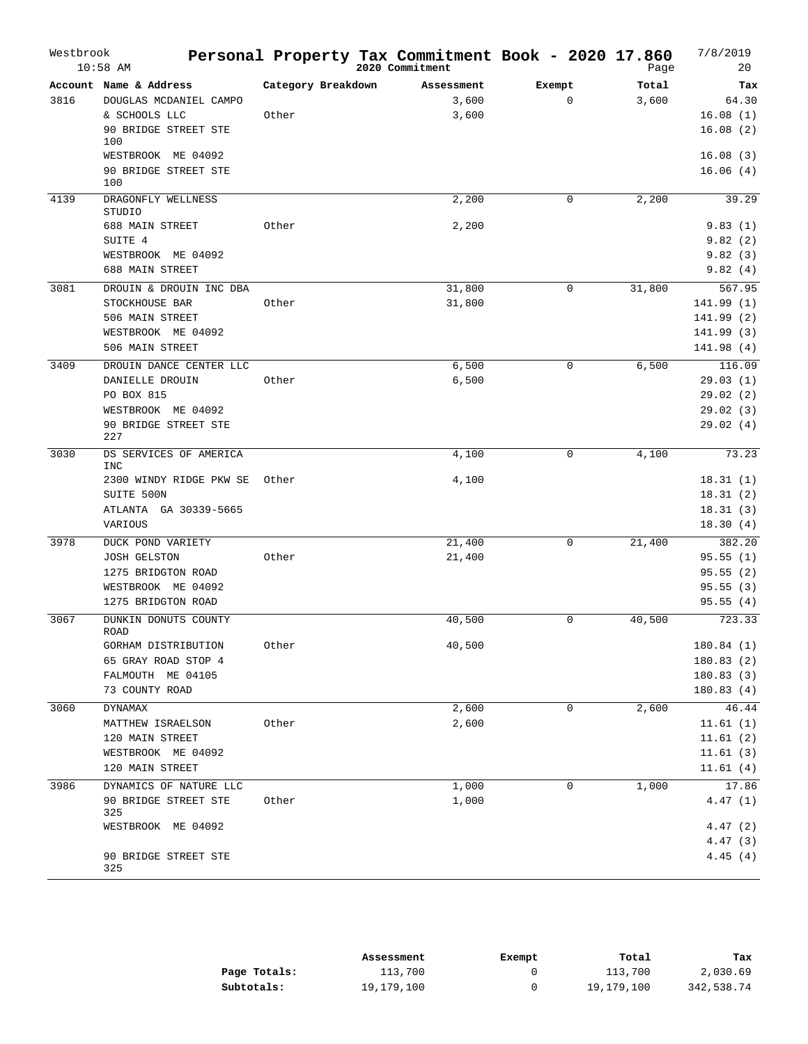| Westbrook | $10:58$ AM                           |                    | Personal Property Tax Commitment Book - 2020 17.860<br>2020 Commitment |             | Page   | 7/8/2019<br>20 |
|-----------|--------------------------------------|--------------------|------------------------------------------------------------------------|-------------|--------|----------------|
|           | Account Name & Address               | Category Breakdown | Assessment                                                             | Exempt      | Total  | Tax            |
| 3816      | DOUGLAS MCDANIEL CAMPO               |                    | 3,600                                                                  | $\mathbf 0$ | 3,600  | 64.30          |
|           | & SCHOOLS LLC                        | Other              | 3,600                                                                  |             |        | 16.08(1)       |
|           | 90 BRIDGE STREET STE<br>100          |                    |                                                                        |             |        | 16.08(2)       |
|           | WESTBROOK ME 04092                   |                    |                                                                        |             |        | 16.08(3)       |
|           | 90 BRIDGE STREET STE<br>100          |                    |                                                                        |             |        | 16.06(4)       |
| 4139      | DRAGONFLY WELLNESS<br><b>STUDIO</b>  |                    | 2,200                                                                  | $\mathbf 0$ | 2,200  | 39.29          |
|           | 688 MAIN STREET                      | Other              | 2,200                                                                  |             |        | 9.83(1)        |
|           | SUITE 4                              |                    |                                                                        |             |        | 9.82(2)        |
|           | WESTBROOK ME 04092                   |                    |                                                                        |             |        | 9.82(3)        |
|           | <b>688 MAIN STREET</b>               |                    |                                                                        |             |        | 9.82(4)        |
| 3081      | DROUIN & DROUIN INC DBA              |                    | 31,800                                                                 | 0           | 31,800 | 567.95         |
|           | STOCKHOUSE BAR                       | Other              | 31,800                                                                 |             |        | 141.99(1)      |
|           | 506 MAIN STREET                      |                    |                                                                        |             |        | 141.99 (2)     |
|           | WESTBROOK ME 04092                   |                    |                                                                        |             |        | 141.99 (3)     |
|           | 506 MAIN STREET                      |                    |                                                                        |             |        | 141.98 (4)     |
| 3409      | DROUIN DANCE CENTER LLC              |                    | 6,500                                                                  | 0           | 6,500  | 116.09         |
|           | DANIELLE DROUIN                      | Other              | 6,500                                                                  |             |        | 29.03(1)       |
|           | PO BOX 815                           |                    |                                                                        |             |        | 29.02(2)       |
|           | WESTBROOK ME 04092                   |                    |                                                                        |             |        | 29.02(3)       |
|           | 90 BRIDGE STREET STE<br>227          |                    |                                                                        |             |        | 29.02(4)       |
| 3030      | DS SERVICES OF AMERICA<br><b>INC</b> |                    | 4,100                                                                  | $\mathbf 0$ | 4,100  | 73.23          |
|           | 2300 WINDY RIDGE PKW SE              | Other              | 4,100                                                                  |             |        | 18.31(1)       |
|           | SUITE 500N                           |                    |                                                                        |             |        | 18.31(2)       |
|           | ATLANTA GA 30339-5665                |                    |                                                                        |             |        | 18.31(3)       |
|           | VARIOUS                              |                    |                                                                        |             |        | 18.30(4)       |
| 3978      | DUCK POND VARIETY                    |                    | 21,400                                                                 | 0           | 21,400 | 382.20         |
|           | <b>JOSH GELSTON</b>                  | Other              | 21,400                                                                 |             |        | 95.55(1)       |
|           | 1275 BRIDGTON ROAD                   |                    |                                                                        |             |        | 95.55(2)       |
|           | WESTBROOK ME 04092                   |                    |                                                                        |             |        | 95.55(3)       |
|           | 1275 BRIDGTON ROAD                   |                    |                                                                        |             |        | 95.55(4)       |
| 3067      | DUNKIN DONUTS COUNTY<br><b>ROAD</b>  |                    | 40,500                                                                 | 0           | 40,500 | 723.33         |
|           | GORHAM DISTRIBUTION                  | Other              | 40,500                                                                 |             |        | 180.84 (1)     |
|           | 65 GRAY ROAD STOP 4                  |                    |                                                                        |             |        | 180.83(2)      |
|           | FALMOUTH ME 04105                    |                    |                                                                        |             |        | 180.83(3)      |
|           | 73 COUNTY ROAD                       |                    |                                                                        |             |        | 180.83(4)      |
| 3060      | DYNAMAX                              |                    | 2,600                                                                  | 0           | 2,600  | 46.44          |
|           | MATTHEW ISRAELSON                    | Other              | 2,600                                                                  |             |        | 11.61(1)       |
|           | 120 MAIN STREET                      |                    |                                                                        |             |        | 11.61(2)       |
|           | WESTBROOK ME 04092                   |                    |                                                                        |             |        | 11.61(3)       |
|           | 120 MAIN STREET                      |                    |                                                                        |             |        | 11.61(4)       |
| 3986      | DYNAMICS OF NATURE LLC               |                    | 1,000                                                                  | 0           | 1,000  | 17.86          |
|           | 90 BRIDGE STREET STE                 | Other              | 1,000                                                                  |             |        | 4.47(1)        |
|           | 325                                  |                    |                                                                        |             |        |                |
|           | WESTBROOK ME 04092                   |                    |                                                                        |             |        | 4.47(2)        |
|           |                                      |                    |                                                                        |             |        | 4.47(3)        |
|           | 90 BRIDGE STREET STE<br>325          |                    |                                                                        |             |        | 4.45(4)        |

|              | Assessment | Exempt | Total      | Tax        |
|--------------|------------|--------|------------|------------|
| Page Totals: | 113,700    |        | 113,700    | 2,030.69   |
| Subtotals:   | 19,179,100 |        | 19,179,100 | 342,538.74 |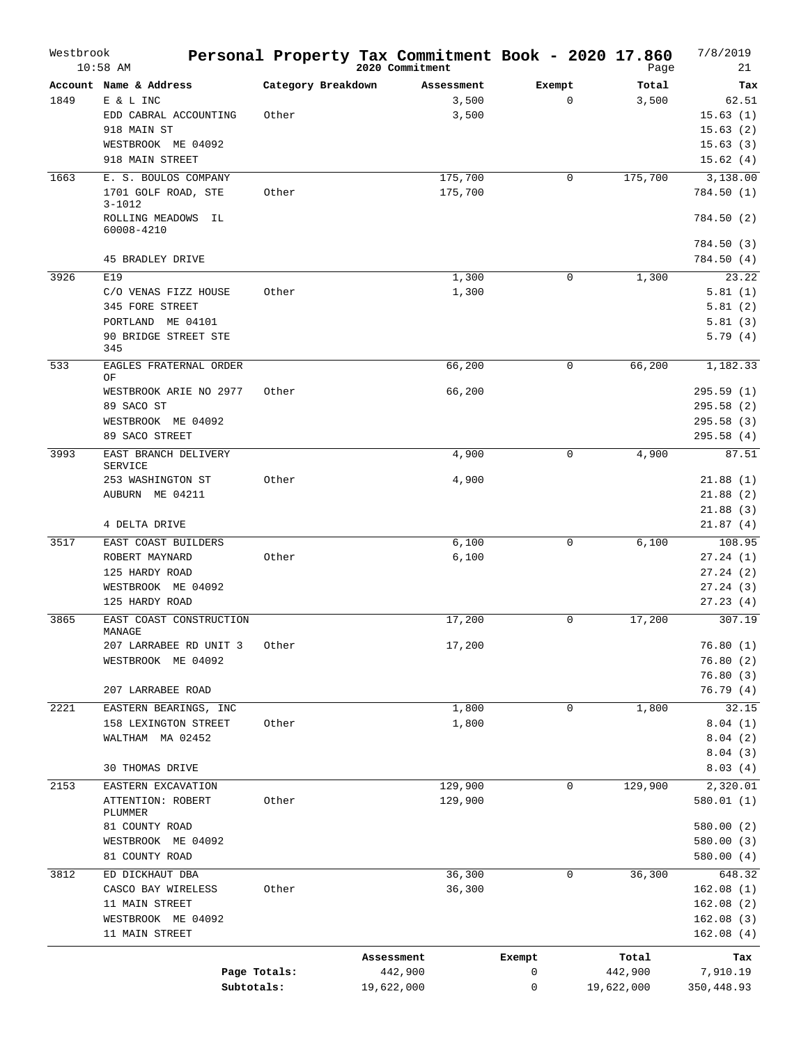| Westbrook | $10:58$ AM                                         |                    | Personal Property Tax Commitment Book - 2020 17.860<br>2020 Commitment |             | Page       | 7/8/2019<br>21                |
|-----------|----------------------------------------------------|--------------------|------------------------------------------------------------------------|-------------|------------|-------------------------------|
|           | Account Name & Address                             | Category Breakdown | Assessment                                                             | Exempt      | Total      | Tax                           |
| 1849      | E & L INC<br>EDD CABRAL ACCOUNTING<br>918 MAIN ST  | Other              | 3,500<br>3,500                                                         | $\mathbf 0$ | 3,500      | 62.51<br>15.63(1)<br>15.63(2) |
|           | WESTBROOK ME 04092<br>918 MAIN STREET              |                    |                                                                        |             |            | 15.63(3)<br>15.62(4)          |
| 1663      | E. S. BOULOS COMPANY                               |                    | 175,700                                                                | 0           | 175,700    | 3,138.00                      |
|           | 1701 GOLF ROAD, STE<br>$3 - 1012$                  | Other              | 175,700                                                                |             |            | 784.50 (1)                    |
|           | ROLLING MEADOWS IL<br>60008-4210                   |                    |                                                                        |             |            | 784.50(2)<br>784.50(3)        |
|           | 45 BRADLEY DRIVE                                   |                    |                                                                        |             |            | 784.50(4)                     |
| 3926      | E19                                                |                    | 1,300                                                                  | 0           | 1,300      | 23.22                         |
|           | C/O VENAS FIZZ HOUSE                               | Other              | 1,300                                                                  |             |            | 5.81(1)                       |
|           | 345 FORE STREET                                    |                    |                                                                        |             |            | 5.81(2)                       |
|           | PORTLAND<br>ME 04101                               |                    |                                                                        |             |            | 5.81(3)                       |
|           | 90 BRIDGE STREET STE<br>345                        |                    |                                                                        |             |            | 5.79(4)                       |
| 533       | EAGLES FRATERNAL ORDER<br>ΟF                       |                    | 66,200                                                                 | 0           | 66,200     | 1,182.33                      |
|           | WESTBROOK ARIE NO 2977                             | Other              | 66,200                                                                 |             |            | 295.59(1)                     |
|           | 89 SACO ST                                         |                    |                                                                        |             |            | 295.58(2)                     |
|           | WESTBROOK ME 04092                                 |                    |                                                                        |             |            | 295.58(3)                     |
|           | 89 SACO STREET                                     |                    |                                                                        |             |            | 295.58(4)                     |
| 3993      | EAST BRANCH DELIVERY<br><b>SERVICE</b>             |                    | 4,900                                                                  | $\mathbf 0$ | 4,900      | 87.51                         |
|           | 253 WASHINGTON ST                                  | Other              | 4,900                                                                  |             |            | 21.88(1)                      |
|           | AUBURN ME 04211                                    |                    |                                                                        |             |            | 21.88(2)                      |
|           | 4 DELTA DRIVE                                      |                    |                                                                        |             |            | 21.88(3)<br>21.87(4)          |
| 3517      | EAST COAST BUILDERS                                |                    | 6,100                                                                  | 0           | 6,100      | 108.95                        |
|           | ROBERT MAYNARD                                     | Other              | 6,100                                                                  |             |            | 27.24(1)                      |
|           | 125 HARDY ROAD                                     |                    |                                                                        |             |            | 27.24(2)                      |
|           | WESTBROOK ME 04092                                 |                    |                                                                        |             |            | 27.24(3)                      |
|           | 125 HARDY ROAD                                     |                    |                                                                        |             |            | 27.23(4)                      |
| 3865      | EAST COAST CONSTRUCTION<br>MANAGE                  |                    | 17,200                                                                 | 0           | 17,200     | 307.19                        |
|           | 207 LARRABEE RD UNIT 3                             | Other              | 17,200                                                                 |             |            | 76.80(1)                      |
|           | WESTBROOK ME 04092                                 |                    |                                                                        |             |            | 76.80(2)                      |
|           |                                                    |                    |                                                                        |             |            | 76.80(3)                      |
|           | 207 LARRABEE ROAD                                  |                    |                                                                        |             |            | 76.79 (4)                     |
| 2221      | EASTERN BEARINGS, INC                              |                    | 1,800                                                                  | 0           | 1,800      | 32.15                         |
|           | 158 LEXINGTON STREET                               | Other              | 1,800                                                                  |             |            | 8.04(1)                       |
|           | WALTHAM MA 02452                                   |                    |                                                                        |             |            | 8.04(2)                       |
|           | 30 THOMAS DRIVE                                    |                    |                                                                        |             |            | 8.04(3)<br>8.03(4)            |
| 2153      |                                                    |                    | 129,900                                                                | 0           | 129,900    |                               |
|           | EASTERN EXCAVATION<br>ATTENTION: ROBERT<br>PLUMMER | Other              | 129,900                                                                |             |            | 2,320.01<br>580.01(1)         |
|           | 81 COUNTY ROAD                                     |                    |                                                                        |             |            | 580.00(2)                     |
|           | WESTBROOK ME 04092                                 |                    |                                                                        |             |            | 580.00(3)                     |
|           | 81 COUNTY ROAD                                     |                    |                                                                        |             |            | 580.00(4)                     |
| 3812      | ED DICKHAUT DBA                                    |                    | 36,300                                                                 | 0           | 36,300     | 648.32                        |
|           | CASCO BAY WIRELESS                                 | Other              | 36,300                                                                 |             |            | 162.08(1)                     |
|           | 11 MAIN STREET                                     |                    |                                                                        |             |            | 162.08(2)                     |
|           | WESTBROOK ME 04092                                 |                    |                                                                        |             |            | 162.08(3)                     |
|           | 11 MAIN STREET                                     |                    |                                                                        |             |            | 162.08(4)                     |
|           |                                                    |                    | Assessment                                                             | Exempt      | Total      | Tax                           |
|           |                                                    | Page Totals:       | 442,900                                                                | 0           | 442,900    | 7,910.19                      |
|           | Subtotals:                                         |                    | 19,622,000                                                             | 0           | 19,622,000 | 350,448.93                    |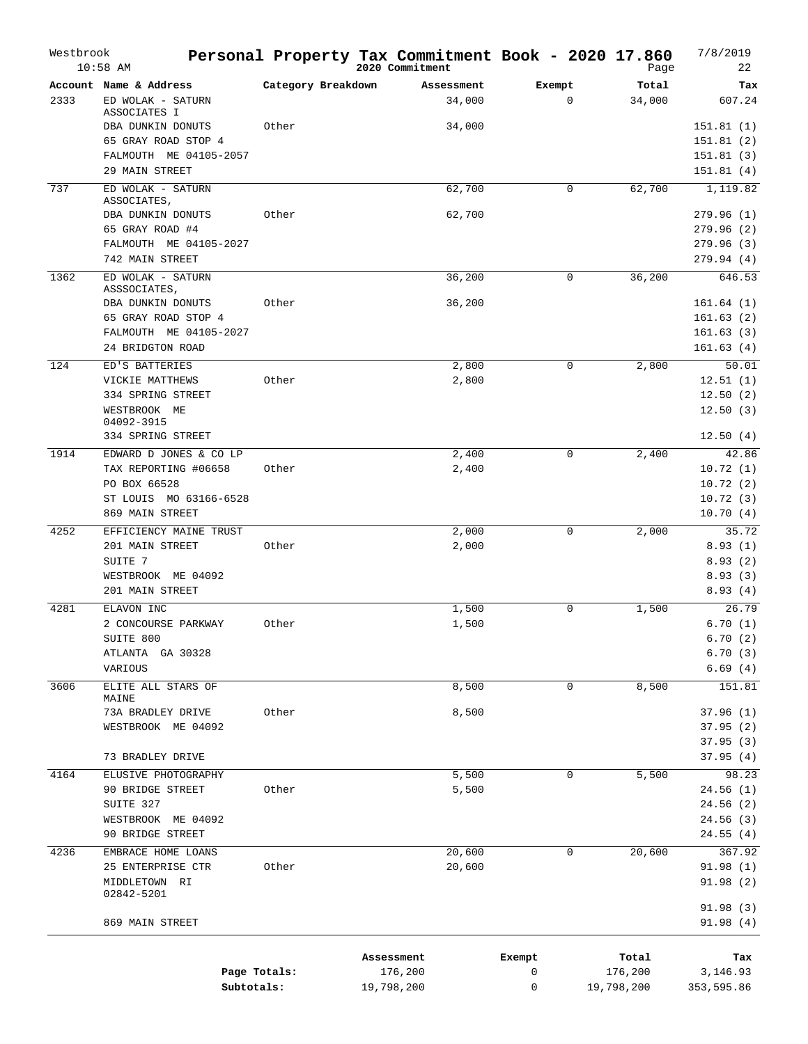| Westbrook | $10:58$ AM                        |                    | Personal Property Tax Commitment Book - 2020 17.860<br>2020 Commitment |             | Page       | 7/8/2019<br>22       |
|-----------|-----------------------------------|--------------------|------------------------------------------------------------------------|-------------|------------|----------------------|
|           | Account Name & Address            | Category Breakdown | Assessment                                                             | Exempt      | Total      | Tax                  |
| 2333      | ED WOLAK - SATURN<br>ASSOCIATES I |                    | 34,000                                                                 | $\mathbf 0$ | 34,000     | 607.24               |
|           | DBA DUNKIN DONUTS                 | Other              | 34,000                                                                 |             |            | 151.81(1)            |
|           | 65 GRAY ROAD STOP 4               |                    |                                                                        |             |            | 151.81(2)            |
|           | FALMOUTH ME 04105-2057            |                    |                                                                        |             |            | 151.81(3)            |
|           | 29 MAIN STREET                    |                    |                                                                        |             |            | 151.81(4)            |
| 737       | ED WOLAK - SATURN<br>ASSOCIATES,  |                    | 62,700                                                                 | 0           | 62,700     | 1,119.82             |
|           | DBA DUNKIN DONUTS                 | Other              | 62,700                                                                 |             |            | 279.96(1)            |
|           | 65 GRAY ROAD #4                   |                    |                                                                        |             |            | 279.96 (2)           |
|           | FALMOUTH ME 04105-2027            |                    |                                                                        |             |            | 279.96 (3)           |
|           | 742 MAIN STREET                   |                    |                                                                        |             |            | 279.94 (4)           |
| 1362      | ED WOLAK - SATURN                 |                    | 36,200                                                                 | 0           | 36,200     | 646.53               |
|           | ASSSOCIATES,                      |                    |                                                                        |             |            |                      |
|           | DBA DUNKIN DONUTS                 | Other              | 36,200                                                                 |             |            | 161.64(1)            |
|           | 65 GRAY ROAD STOP 4               |                    |                                                                        |             |            | 161.63(2)            |
|           | FALMOUTH ME 04105-2027            |                    |                                                                        |             |            | 161.63(3)            |
|           | 24 BRIDGTON ROAD                  |                    |                                                                        |             |            | 161.63(4)            |
| 124       | ED'S BATTERIES                    |                    | 2,800                                                                  | 0           | 2,800      | 50.01                |
|           | VICKIE MATTHEWS                   | Other              | 2,800                                                                  |             |            | 12.51(1)             |
|           | 334 SPRING STREET                 |                    |                                                                        |             |            | 12.50(2)             |
|           | WESTBROOK ME                      |                    |                                                                        |             |            | 12.50(3)             |
|           | 04092-3915                        |                    |                                                                        |             |            |                      |
|           | 334 SPRING STREET                 |                    |                                                                        |             |            | 12.50(4)             |
| 1914      | EDWARD D JONES & CO LP            |                    | 2,400                                                                  | 0           | 2,400      | 42.86                |
|           | TAX REPORTING #06658              | Other              | 2,400                                                                  |             |            | 10.72(1)             |
|           | PO BOX 66528                      |                    |                                                                        |             |            | 10.72(2)             |
|           | ST LOUIS MO 63166-6528            |                    |                                                                        |             |            | 10.72(3)             |
|           | 869 MAIN STREET                   |                    |                                                                        |             |            | 10.70(4)             |
| 4252      | EFFICIENCY MAINE TRUST            |                    | 2,000                                                                  | 0           | 2,000      | 35.72                |
|           | 201 MAIN STREET                   | Other              | 2,000                                                                  |             |            | 8.93(1)              |
|           | SUITE 7                           |                    |                                                                        |             |            | 8.93(2)              |
|           | WESTBROOK ME 04092                |                    |                                                                        |             |            | 8.93(3)              |
|           | 201 MAIN STREET                   |                    |                                                                        |             |            | 8.93(4)              |
|           |                                   |                    |                                                                        |             |            |                      |
| 4281      | ELAVON INC                        | Other              | 1,500                                                                  | $\mathbf 0$ | 1,500      | 26.79                |
|           | 2 CONCOURSE PARKWAY               |                    | 1,500                                                                  |             |            | 6.70(1)              |
|           | SUITE 800                         |                    |                                                                        |             |            | 6.70(2)              |
|           | ATLANTA GA 30328                  |                    |                                                                        |             |            | 6.70(3)              |
|           | VARIOUS                           |                    |                                                                        |             |            | 6.69(4)              |
| 3606      | ELITE ALL STARS OF<br>MAINE       |                    | 8,500                                                                  | 0           | 8,500      | 151.81               |
|           | 73A BRADLEY DRIVE                 | Other              | 8,500                                                                  |             |            | 37.96(1)             |
|           | WESTBROOK ME 04092                |                    |                                                                        |             |            | 37.95(2)             |
|           |                                   |                    |                                                                        |             |            | 37.95(3)             |
|           | 73 BRADLEY DRIVE                  |                    |                                                                        |             |            | 37.95(4)             |
|           |                                   |                    |                                                                        |             |            |                      |
| 4164      | ELUSIVE PHOTOGRAPHY               |                    | 5,500                                                                  | 0           | 5,500      | 98.23                |
|           | 90 BRIDGE STREET                  | Other              | 5,500                                                                  |             |            | 24.56(1)             |
|           | SUITE 327                         |                    |                                                                        |             |            | 24.56(2)             |
|           | WESTBROOK ME 04092                |                    |                                                                        |             |            | 24.56(3)             |
|           | 90 BRIDGE STREET                  |                    |                                                                        |             |            | 24.55(4)             |
| 4236      | EMBRACE HOME LOANS                |                    | 20,600                                                                 | 0           | 20,600     | 367.92               |
|           | 25 ENTERPRISE CTR                 | Other              | 20,600                                                                 |             |            | 91.98(1)             |
|           | MIDDLETOWN RI                     |                    |                                                                        |             |            | 91.98(2)             |
|           | 02842-5201                        |                    |                                                                        |             |            |                      |
|           | 869 MAIN STREET                   |                    |                                                                        |             |            | 91.98(3)<br>91.98(4) |
|           |                                   |                    |                                                                        |             |            |                      |
|           |                                   |                    |                                                                        |             |            |                      |
|           |                                   |                    | Assessment                                                             | Exempt      | Total      | Tax                  |
|           |                                   | Page Totals:       | 176,200                                                                | 0           | 176,200    | 3,146.93             |
|           | Subtotals:                        |                    | 19,798,200                                                             | 0           | 19,798,200 | 353,595.86           |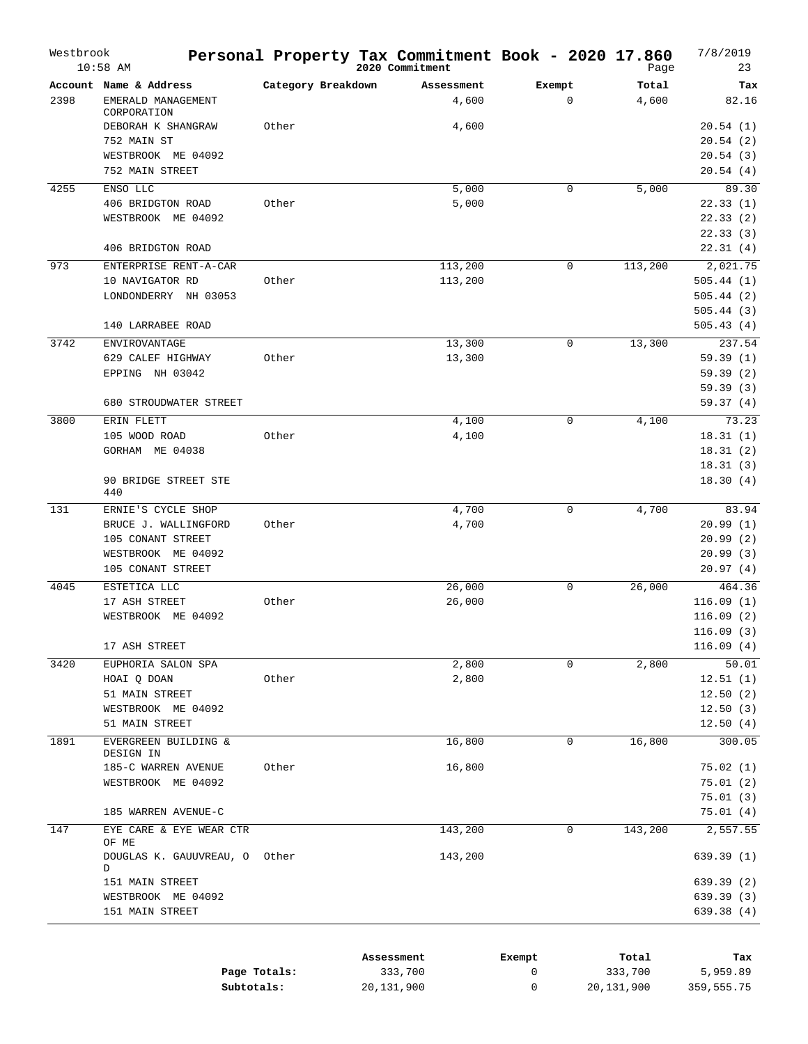| Westbrook | $10:58$ AM                                       |                    | Personal Property Tax Commitment Book - 2020 17.860<br>2020 Commitment |                       | Page           | 7/8/2019<br>23        |
|-----------|--------------------------------------------------|--------------------|------------------------------------------------------------------------|-----------------------|----------------|-----------------------|
| 2398      | Account Name & Address<br>EMERALD MANAGEMENT     | Category Breakdown | Assessment<br>4,600                                                    | Exempt<br>$\mathbf 0$ | Total<br>4,600 | Tax<br>82.16          |
|           | CORPORATION<br>DEBORAH K SHANGRAW<br>752 MAIN ST | Other              | 4,600                                                                  |                       |                | 20.54(1)<br>20.54(2)  |
|           | WESTBROOK ME 04092<br>752 MAIN STREET            |                    |                                                                        |                       |                | 20.54(3)<br>20.54(4)  |
| 4255      | ENSO LLC                                         |                    | 5,000                                                                  | 0                     | 5,000          | 89.30                 |
|           | 406 BRIDGTON ROAD                                | Other              | 5,000                                                                  |                       |                | 22.33(1)              |
|           | WESTBROOK ME 04092                               |                    |                                                                        |                       |                | 22.33(2)              |
|           |                                                  |                    |                                                                        |                       |                | 22.33(3)              |
|           | 406 BRIDGTON ROAD                                |                    |                                                                        |                       |                | 22.31(4)              |
| 973       | ENTERPRISE RENT-A-CAR<br>10 NAVIGATOR RD         | Other              | 113,200<br>113,200                                                     | 0                     | 113,200        | 2,021.75<br>505.44(1) |
|           | LONDONDERRY NH 03053                             |                    |                                                                        |                       |                | 505.44(2)             |
|           |                                                  |                    |                                                                        |                       |                | 505.44(3)             |
|           | 140 LARRABEE ROAD                                |                    |                                                                        |                       |                | 505.43(4)             |
| 3742      | ENVIROVANTAGE                                    |                    | 13,300                                                                 | 0                     | 13,300         | 237.54                |
|           | 629 CALEF HIGHWAY                                | Other              | 13,300                                                                 |                       |                | 59.39(1)              |
|           | EPPING NH 03042                                  |                    |                                                                        |                       |                | 59.39(2)              |
|           |                                                  |                    |                                                                        |                       |                | 59.39(3)              |
|           | 680 STROUDWATER STREET                           |                    |                                                                        |                       |                | 59.37(4)              |
| 3800      | ERIN FLETT<br>105 WOOD ROAD                      | Other              | 4,100<br>4,100                                                         | $\mathsf 0$           | 4,100          | 73.23                 |
|           | GORHAM ME 04038                                  |                    |                                                                        |                       |                | 18.31(1)<br>18.31(2)  |
|           |                                                  |                    |                                                                        |                       |                | 18.31(3)              |
|           | 90 BRIDGE STREET STE<br>440                      |                    |                                                                        |                       |                | 18.30(4)              |
| 131       | ERNIE'S CYCLE SHOP                               |                    | 4,700                                                                  | 0                     | 4,700          | 83.94                 |
|           | BRUCE J. WALLINGFORD                             | Other              | 4,700                                                                  |                       |                | 20.99(1)              |
|           | 105 CONANT STREET                                |                    |                                                                        |                       |                | 20.99(2)              |
|           | WESTBROOK ME 04092<br>105 CONANT STREET          |                    |                                                                        |                       |                | 20.99(3)<br>20.97(4)  |
|           |                                                  |                    |                                                                        | $\mathbf 0$           |                | 464.36                |
| 4045      | ESTETICA LLC<br>17 ASH STREET                    | Other              | 26,000<br>26,000                                                       |                       | 26,000         | 116.09(1)             |
|           | WESTBROOK ME 04092                               |                    |                                                                        |                       |                | 116.09(2)             |
|           |                                                  |                    |                                                                        |                       |                | 116.09(3)             |
|           | 17 ASH STREET                                    |                    |                                                                        |                       |                | 116.09(4)             |
| 3420      | EUPHORIA SALON SPA                               |                    | 2,800                                                                  | $\mathbf 0$           | 2,800          | 50.01                 |
|           | HOAI Q DOAN                                      | Other              | 2,800                                                                  |                       |                | 12.51(1)              |
|           | 51 MAIN STREET                                   |                    |                                                                        |                       |                | 12.50(2)              |
|           | WESTBROOK ME 04092<br>51 MAIN STREET             |                    |                                                                        |                       |                | 12.50(3)<br>12.50(4)  |
| 1891      | EVERGREEN BUILDING &                             |                    | 16,800                                                                 | 0                     | 16,800         | 300.05                |
|           | DESIGN IN                                        |                    |                                                                        |                       |                |                       |
|           | 185-C WARREN AVENUE                              | Other              | 16,800                                                                 |                       |                | 75.02(1)              |
|           | WESTBROOK ME 04092                               |                    |                                                                        |                       |                | 75.01(2)              |
|           | 185 WARREN AVENUE-C                              |                    |                                                                        |                       |                | 75.01(3)<br>75.01(4)  |
| 147       | EYE CARE & EYE WEAR CTR                          |                    | 143,200                                                                | 0                     | 143,200        | 2,557.55              |
|           | OF ME                                            |                    |                                                                        |                       |                |                       |
|           | DOUGLAS K. GAUUVREAU, O<br>D                     | Other              | 143,200                                                                |                       |                | 639.39(1)             |
|           | 151 MAIN STREET                                  |                    |                                                                        |                       |                | 639.39 (2)            |
|           | WESTBROOK ME 04092                               |                    |                                                                        |                       |                | 639.39(3)             |
|           | 151 MAIN STREET                                  |                    |                                                                        |                       |                | 639.38 (4)            |
|           |                                                  |                    |                                                                        |                       |                |                       |

|              | Assessment | Exempt | Total      | Tax        |
|--------------|------------|--------|------------|------------|
| Page Totals: | 333,700    |        | 333,700    | 5,959.89   |
| Subtotals:   | 20,131,900 |        | 20,131,900 | 359,555.75 |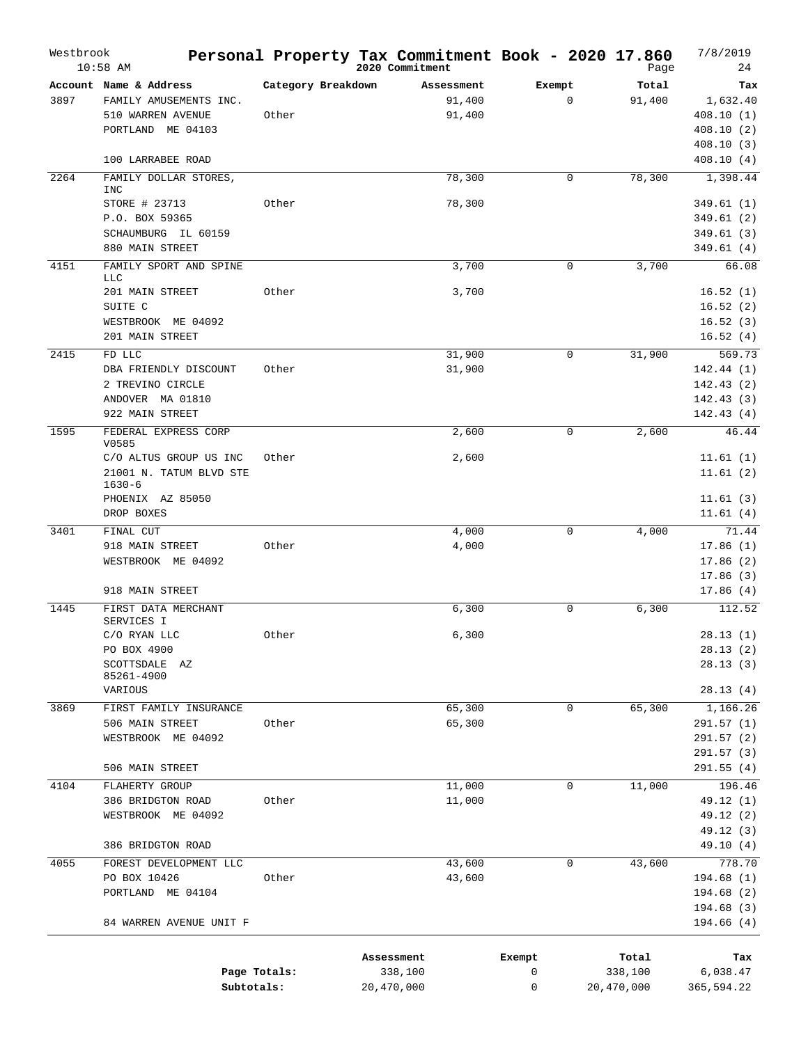| Westbrook | $10:58$ AM                                                                                   |                             | Personal Property Tax Commitment Book - 2020 17.860<br>2020 Commitment |                       | Page                           | 7/8/2019<br>24                                         |
|-----------|----------------------------------------------------------------------------------------------|-----------------------------|------------------------------------------------------------------------|-----------------------|--------------------------------|--------------------------------------------------------|
| 3897      | Account Name & Address<br>FAMILY AMUSEMENTS INC.<br>510 WARREN AVENUE<br>PORTLAND ME 04103   | Category Breakdown<br>Other | Assessment<br>91,400<br>91,400                                         | Exempt<br>$\mathbf 0$ | Total<br>91,400                | Tax<br>1,632.40<br>408.10(1)<br>408.10(2)<br>408.10(3) |
|           | 100 LARRABEE ROAD                                                                            |                             |                                                                        |                       |                                | 408.10(4)                                              |
| 2264      | FAMILY DOLLAR STORES,<br><b>INC</b>                                                          |                             | 78,300                                                                 | 0                     | 78,300                         | 1,398.44                                               |
|           | STORE # 23713<br>P.O. BOX 59365<br>SCHAUMBURG IL 60159<br>880 MAIN STREET                    | Other                       | 78,300                                                                 |                       |                                | 349.61(1)<br>349.61(2)<br>349.61(3)<br>349.61(4)       |
| 4151      | FAMILY SPORT AND SPINE                                                                       |                             | 3,700                                                                  | 0                     | 3,700                          | 66.08                                                  |
|           | <b>LLC</b><br>201 MAIN STREET<br>SUITE C<br>WESTBROOK ME 04092<br>201 MAIN STREET            | Other                       | 3,700                                                                  |                       |                                | 16.52(1)<br>16.52(2)<br>16.52(3)<br>16.52(4)           |
| 2415      | FD LLC                                                                                       |                             | 31,900                                                                 | 0                     | 31,900                         | 569.73                                                 |
|           | DBA FRIENDLY DISCOUNT<br>2 TREVINO CIRCLE<br>ANDOVER MA 01810<br>922 MAIN STREET             | Other                       | 31,900                                                                 |                       |                                | 142.44 (1)<br>142.43(2)<br>142.43(3)<br>142.43(4)      |
| 1595      | FEDERAL EXPRESS CORP                                                                         |                             | 2,600                                                                  | 0                     | 2,600                          | 46.44                                                  |
|           | V0585<br>C/O ALTUS GROUP US INC<br>21001 N. TATUM BLVD STE<br>$1630 - 6$<br>PHOENIX AZ 85050 | Other                       | 2,600                                                                  |                       |                                | 11.61(1)<br>11.61(2)<br>11.61(3)                       |
|           | DROP BOXES                                                                                   |                             |                                                                        |                       |                                | 11.61(4)                                               |
| 3401      | FINAL CUT<br>918 MAIN STREET<br>WESTBROOK ME 04092<br>918 MAIN STREET                        | Other                       | 4,000<br>4,000                                                         | $\mathbf 0$           | 4,000                          | 71.44<br>17.86(1)<br>17.86(2)<br>17.86(3)<br>17.86(4)  |
| 1445      | FIRST DATA MERCHANT                                                                          |                             | 6,300                                                                  | 0                     | 6,300                          | 112.52                                                 |
|           | SERVICES I<br>C/O RYAN LLC<br>PO BOX 4900<br>SCOTTSDALE AZ<br>85261-4900<br>VARIOUS          | Other                       | 6,300                                                                  |                       |                                | 28.13(1)<br>28.13(2)<br>28.13(3)<br>28.13(4)           |
| 3869      | FIRST FAMILY INSURANCE                                                                       |                             | 65,300                                                                 | $\mathbf 0$           | 65,300                         | 1,166.26                                               |
|           | 506 MAIN STREET<br>WESTBROOK ME 04092<br>506 MAIN STREET                                     | Other                       | 65,300                                                                 |                       |                                | 291.57(1)<br>291.57(2)<br>291.57(3)<br>291.55(4)       |
| 4104      | FLAHERTY GROUP                                                                               |                             | 11,000                                                                 | $\mathbf 0$           | 11,000                         | 196.46                                                 |
|           | 386 BRIDGTON ROAD<br>WESTBROOK ME 04092<br>386 BRIDGTON ROAD                                 | Other                       | 11,000                                                                 |                       |                                | 49.12 (1)<br>49.12 (2)<br>49.12 (3)<br>49.10 (4)       |
| 4055      | FOREST DEVELOPMENT LLC                                                                       |                             | 43,600                                                                 | 0                     | 43,600                         | 778.70                                                 |
|           | PO BOX 10426<br>PORTLAND ME 04104<br>84 WARREN AVENUE UNIT F                                 | Other                       | 43,600                                                                 |                       |                                | 194.68 (1)<br>194.68(2)<br>194.68(3)<br>194.66 (4)     |
|           |                                                                                              |                             |                                                                        |                       |                                |                                                        |
|           | Page Totals:<br>Subtotals:                                                                   |                             | Assessment<br>338,100<br>20,470,000                                    | Exempt<br>0<br>0      | Total<br>338,100<br>20,470,000 | Tax<br>6,038.47<br>365,594.22                          |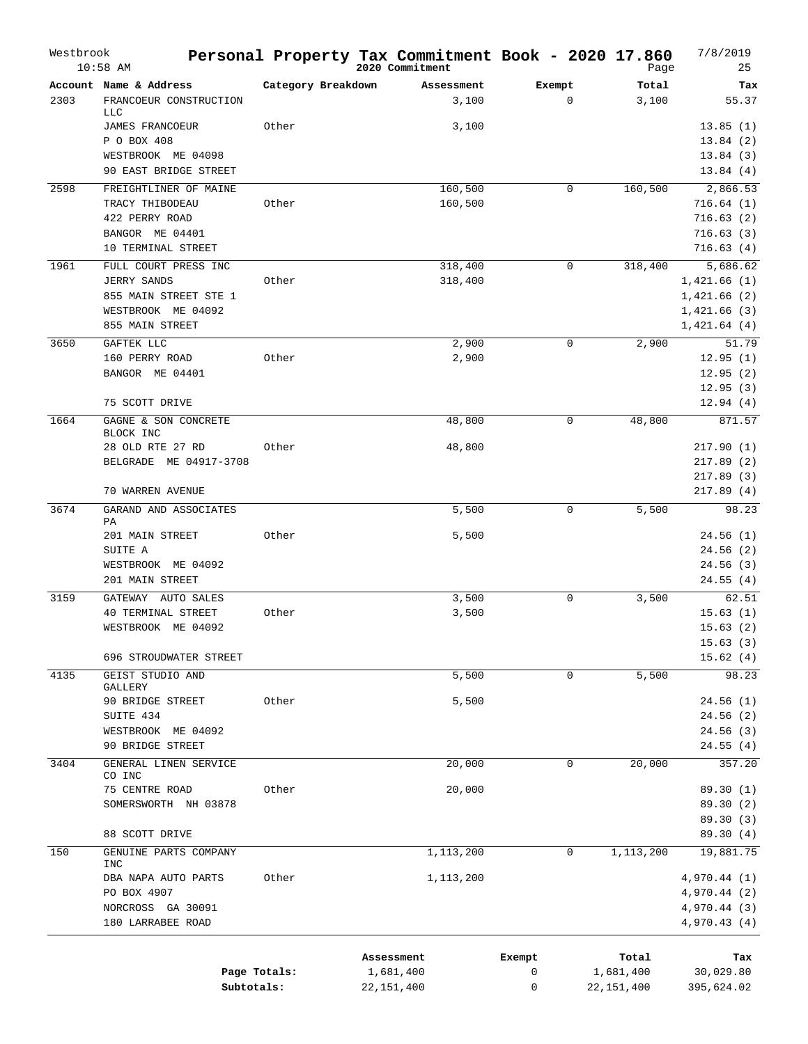| Westbrook | $10:58$ AM                             |                    | Personal Property Tax Commitment Book - 2020 17.860<br>2020 Commitment |             | Page         | 7/8/2019<br>25     |
|-----------|----------------------------------------|--------------------|------------------------------------------------------------------------|-------------|--------------|--------------------|
|           | Account Name & Address                 | Category Breakdown | Assessment                                                             | Exempt      | Total        | Tax                |
| 2303      | FRANCOEUR CONSTRUCTION<br><b>LLC</b>   |                    | 3,100                                                                  | $\mathbf 0$ | 3,100        | 55.37              |
|           | <b>JAMES FRANCOEUR</b>                 | Other              | 3,100                                                                  |             |              | 13.85(1)           |
|           | P O BOX 408                            |                    |                                                                        |             |              | 13.84(2)           |
|           | WESTBROOK ME 04098                     |                    |                                                                        |             |              | 13.84(3)           |
|           | 90 EAST BRIDGE STREET                  |                    |                                                                        |             |              | 13.84(4)           |
| 2598      | FREIGHTLINER OF MAINE                  |                    | 160,500                                                                | 0           | 160,500      | 2,866.53           |
|           | TRACY THIBODEAU                        | Other              | 160,500                                                                |             |              | 716.64(1)          |
|           | 422 PERRY ROAD                         |                    |                                                                        |             |              | 716.63(2)          |
|           | BANGOR ME 04401                        |                    |                                                                        |             |              | 716.63(3)          |
|           | 10 TERMINAL STREET                     |                    |                                                                        |             |              | 716.63(4)          |
| 1961      | FULL COURT PRESS INC                   |                    | 318,400                                                                | 0           | 318,400      | 5,686.62           |
|           | <b>JERRY SANDS</b>                     | Other              | 318,400                                                                |             |              | 1,421.66(1)        |
|           | 855 MAIN STREET STE 1                  |                    |                                                                        |             |              | 1,421.66(2)        |
|           | WESTBROOK ME 04092                     |                    |                                                                        |             |              | 1,421.66(3)        |
|           | 855 MAIN STREET                        |                    |                                                                        |             |              | 1,421.64(4)        |
|           |                                        |                    |                                                                        | 0           |              |                    |
| 3650      | GAFTEK LLC                             |                    | 2,900                                                                  |             | 2,900        | 51.79              |
|           | 160 PERRY ROAD                         | Other              | 2,900                                                                  |             |              | 12.95(1)           |
|           | BANGOR ME 04401                        |                    |                                                                        |             |              | 12.95(2)           |
|           |                                        |                    |                                                                        |             |              | 12.95(3)           |
| 1664      | 75 SCOTT DRIVE<br>GAGNE & SON CONCRETE |                    | 48,800                                                                 | $\mathbf 0$ | 48,800       | 12.94(4)<br>871.57 |
|           | BLOCK INC                              |                    |                                                                        |             |              |                    |
|           | 28 OLD RTE 27 RD                       | Other              | 48,800                                                                 |             |              | 217.90 (1)         |
|           | BELGRADE ME 04917-3708                 |                    |                                                                        |             |              | 217.89 (2)         |
|           |                                        |                    |                                                                        |             |              | 217.89 (3)         |
|           | 70 WARREN AVENUE                       |                    |                                                                        |             |              | 217.89(4)          |
| 3674      | GARAND AND ASSOCIATES<br>PA            |                    | 5,500                                                                  | $\Omega$    | 5,500        | 98.23              |
|           | 201 MAIN STREET                        | Other              | 5,500                                                                  |             |              | 24.56(1)           |
|           | SUITE A                                |                    |                                                                        |             |              | 24.56(2)           |
|           | WESTBROOK ME 04092                     |                    |                                                                        |             |              | 24.56(3)           |
|           | 201 MAIN STREET                        |                    |                                                                        |             |              | 24.55(4)           |
| 3159      | GATEWAY AUTO SALES                     |                    | 3,500                                                                  | 0           | 3,500        | 62.51              |
|           | 40 TERMINAL STREET                     | Other              | 3,500                                                                  |             |              | 15.63(1)           |
|           | WESTBROOK ME 04092                     |                    |                                                                        |             |              | 15.63(2)           |
|           |                                        |                    |                                                                        |             |              | 15.63(3)           |
|           | 696 STROUDWATER STREET                 |                    |                                                                        |             |              | 15.62(4)           |
| 4135      | GEIST STUDIO AND                       |                    | 5,500                                                                  | 0           | 5,500        | 98.23              |
|           | GALLERY                                |                    |                                                                        |             |              |                    |
|           | 90 BRIDGE STREET                       | Other              | 5,500                                                                  |             |              | 24.56(1)           |
|           | SUITE 434                              |                    |                                                                        |             |              | 24.56(2)           |
|           | WESTBROOK ME 04092                     |                    |                                                                        |             |              | 24.56(3)           |
|           | 90 BRIDGE STREET                       |                    |                                                                        |             |              | 24.55(4)           |
| 3404      | GENERAL LINEN SERVICE<br>CO INC        |                    | 20,000                                                                 | 0           | 20,000       | 357.20             |
|           | 75 CENTRE ROAD                         | Other              | 20,000                                                                 |             |              | 89.30 (1)          |
|           | SOMERSWORTH NH 03878                   |                    |                                                                        |             |              | 89.30 (2)          |
|           |                                        |                    |                                                                        |             |              | 89.30 (3)          |
|           | 88 SCOTT DRIVE                         |                    |                                                                        |             |              | 89.30 (4)          |
|           |                                        |                    |                                                                        |             |              |                    |
| 150       | GENUINE PARTS COMPANY<br><b>INC</b>    |                    | 1,113,200                                                              | 0           | 1,113,200    | 19,881.75          |
|           | DBA NAPA AUTO PARTS                    | Other              | 1,113,200                                                              |             |              | 4,970.44(1)        |
|           | PO BOX 4907                            |                    |                                                                        |             |              | 4,970.44 (2)       |
|           | NORCROSS GA 30091                      |                    |                                                                        |             |              | 4,970.44 (3)       |
|           | 180 LARRABEE ROAD                      |                    |                                                                        |             |              | 4,970.43(4)        |
|           |                                        |                    | Assessment                                                             | Exempt      | Total        | Tax                |
|           | Page Totals:                           |                    | 1,681,400                                                              | 0           | 1,681,400    | 30,029.80          |
|           | Subtotals:                             |                    | 22,151,400                                                             | 0           | 22, 151, 400 | 395,624.02         |
|           |                                        |                    |                                                                        |             |              |                    |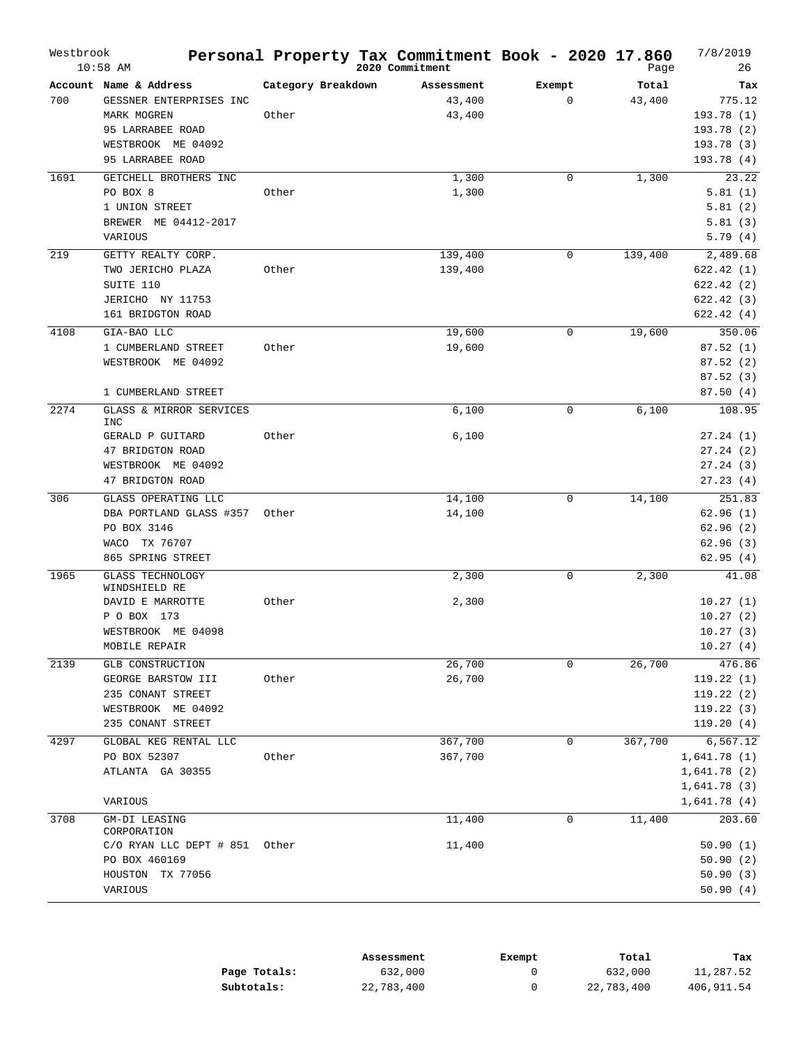| Westbrook | $10:58$ AM                               |                    | Personal Property Tax Commitment Book - 2020 17.860<br>2020 Commitment |             | Page    | 7/8/2019<br>26 |
|-----------|------------------------------------------|--------------------|------------------------------------------------------------------------|-------------|---------|----------------|
|           | Account Name & Address                   | Category Breakdown | Assessment                                                             | Exempt      | Total   | Tax            |
| 700       | GESSNER ENTERPRISES INC                  |                    | 43,400                                                                 | $\mathbf 0$ | 43,400  | 775.12         |
|           | MARK MOGREN                              | Other              | 43,400                                                                 |             |         | 193.78(1)      |
|           | 95 LARRABEE ROAD                         |                    |                                                                        |             |         | 193.78(2)      |
|           | WESTBROOK ME 04092                       |                    |                                                                        |             |         | 193.78(3)      |
|           | 95 LARRABEE ROAD                         |                    |                                                                        |             |         | 193.78(4)      |
| 1691      | GETCHELL BROTHERS INC                    |                    | 1,300                                                                  | $\mathbf 0$ | 1,300   | 23.22          |
|           | PO BOX 8                                 | Other              | 1,300                                                                  |             |         | 5.81(1)        |
|           | 1 UNION STREET                           |                    |                                                                        |             |         | 5.81(2)        |
|           | BREWER ME 04412-2017                     |                    |                                                                        |             |         | 5.81(3)        |
|           | VARIOUS                                  |                    |                                                                        |             |         | 5.79(4)        |
| 219       | GETTY REALTY CORP.                       |                    | 139,400                                                                | $\mathbf 0$ | 139,400 | 2,489.68       |
|           | TWO JERICHO PLAZA                        | Other              | 139,400                                                                |             |         | 622.42(1)      |
|           | SUITE 110                                |                    |                                                                        |             |         | 622.42(2)      |
|           | JERICHO NY 11753                         |                    |                                                                        |             |         | 622.42(3)      |
|           | 161 BRIDGTON ROAD                        |                    |                                                                        |             |         | 622.42(4)      |
| 4108      | GIA-BAO LLC                              |                    | 19,600                                                                 | 0           | 19,600  | 350.06         |
|           | 1 CUMBERLAND STREET                      | Other              | 19,600                                                                 |             |         | 87.52(1)       |
|           | WESTBROOK ME 04092                       |                    |                                                                        |             |         | 87.52(2)       |
|           |                                          |                    |                                                                        |             |         | 87.52(3)       |
|           | 1 CUMBERLAND STREET                      |                    |                                                                        |             |         | 87.50(4)       |
| 2274      | GLASS & MIRROR SERVICES<br>INC           |                    | 6,100                                                                  | $\mathbf 0$ | 6,100   | 108.95         |
|           | GERALD P GUITARD                         | Other              | 6,100                                                                  |             |         | 27.24(1)       |
|           | 47 BRIDGTON ROAD                         |                    |                                                                        |             |         | 27.24(2)       |
|           | WESTBROOK ME 04092                       |                    |                                                                        |             |         | 27.24(3)       |
|           | 47 BRIDGTON ROAD                         |                    |                                                                        |             |         | 27.23(4)       |
| 306       | GLASS OPERATING LLC                      |                    | 14,100                                                                 | 0           | 14,100  | 251.83         |
|           | DBA PORTLAND GLASS #357 Other            |                    | 14,100                                                                 |             |         | 62.96(1)       |
|           | PO BOX 3146                              |                    |                                                                        |             |         | 62.96(2)       |
|           | WACO TX 76707                            |                    |                                                                        |             |         | 62.96(3)       |
|           | 865 SPRING STREET                        |                    |                                                                        |             |         | 62.95(4)       |
| 1965      | <b>GLASS TECHNOLOGY</b><br>WINDSHIELD RE |                    | 2,300                                                                  | $\mathbf 0$ | 2,300   | 41.08          |
|           | DAVID E MARROTTE                         | Other              | 2,300                                                                  |             |         | 10.27(1)       |
|           | P O BOX 173                              |                    |                                                                        |             |         | 10.27(2)       |
|           | WESTBROOK ME 04098                       |                    |                                                                        |             |         | 10.27(3)       |
|           | MOBILE REPAIR                            |                    |                                                                        |             |         | 10.27(4)       |
| 2139      | GLB CONSTRUCTION                         |                    | 26,700                                                                 | $\mathbf 0$ | 26,700  | 476.86         |
|           | GEORGE BARSTOW III                       | Other              | 26,700                                                                 |             |         | 119.22(1)      |
|           | 235 CONANT STREET                        |                    |                                                                        |             |         | 119.22(2)      |
|           | WESTBROOK ME 04092                       |                    |                                                                        |             |         | 119.22(3)      |
|           | 235 CONANT STREET                        |                    |                                                                        |             |         | 119.20(4)      |
| 4297      | GLOBAL KEG RENTAL LLC                    |                    | 367,700                                                                | 0           | 367,700 | 6,567.12       |
|           | PO BOX 52307                             | Other              | 367,700                                                                |             |         | 1,641.78(1)    |
|           | ATLANTA GA 30355                         |                    |                                                                        |             |         | 1,641.78(2)    |
|           |                                          |                    |                                                                        |             |         | 1,641.78(3)    |
|           | VARIOUS                                  |                    |                                                                        |             |         | 1,641.78(4)    |
| 3708      | GM-DI LEASING<br>CORPORATION             |                    | 11,400                                                                 | 0           | 11,400  | 203.60         |
|           | C/O RYAN LLC DEPT # 851 Other            |                    | 11,400                                                                 |             |         | 50.90(1)       |
|           | PO BOX 460169                            |                    |                                                                        |             |         | 50.90(2)       |
|           | HOUSTON<br>TX 77056                      |                    |                                                                        |             |         | 50.90(3)       |
|           | VARIOUS                                  |                    |                                                                        |             |         | 50.90(4)       |
|           |                                          |                    |                                                                        |             |         |                |

|              | Assessment | Exempt | Total      | Tax        |
|--------------|------------|--------|------------|------------|
| Page Totals: | 632,000    |        | 632,000    | 11,287.52  |
| Subtotals:   | 22,783,400 |        | 22,783,400 | 406,911.54 |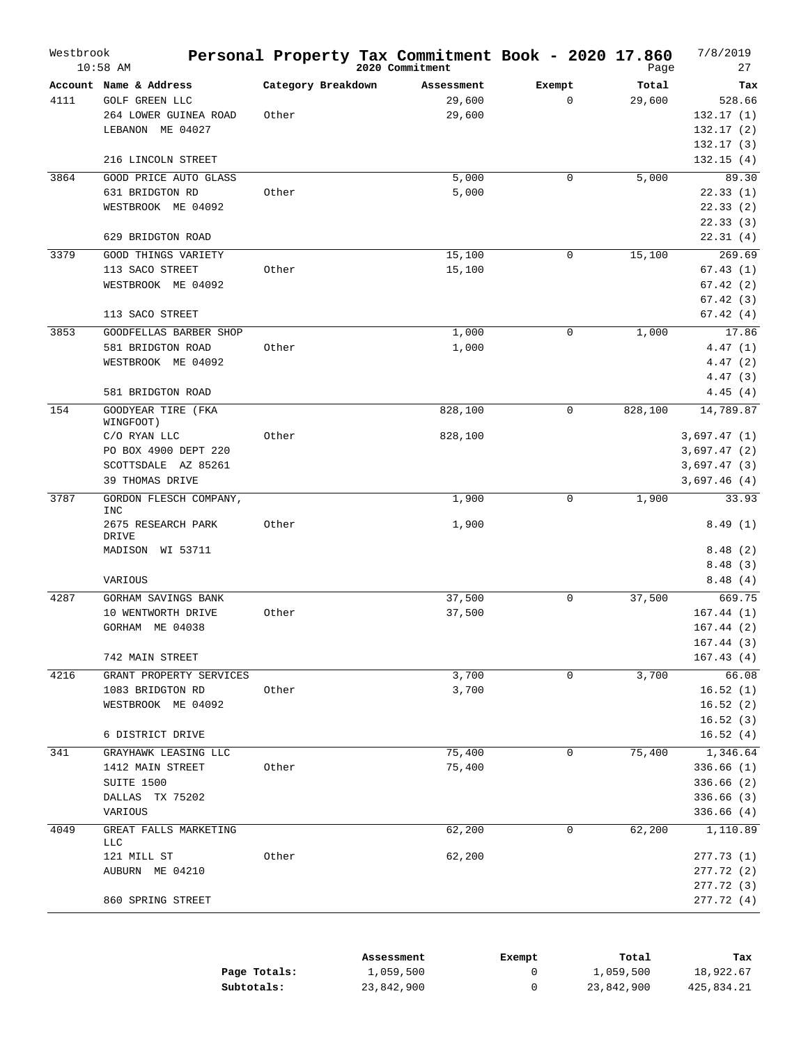| Account Name & Address<br>Category Breakdown<br>Total<br>Assessment<br>Exempt<br>Tax<br><b>GOLF GREEN LLC</b><br>29,600<br>$\mathbf 0$<br>29,600<br>528.66<br>4111<br>264 LOWER GUINEA ROAD<br>Other<br>29,600<br>132.17(1)<br>LEBANON ME 04027<br>132.17(2)<br>132.17(3)<br>216 LINCOLN STREET<br>132.15(4)<br>3864<br>GOOD PRICE AUTO GLASS<br>5,000<br>5,000<br>89.30<br>$\mathbf 0$<br>631 BRIDGTON RD<br>Other<br>5,000<br>22.33(1)<br>22.33(2)<br>WESTBROOK ME 04092<br>22.33(3)<br>22.31(4)<br>629 BRIDGTON ROAD<br>269.69<br>3379<br>15,100<br>15,100<br>GOOD THINGS VARIETY<br>0<br>67.43(1)<br>113 SACO STREET<br>Other<br>15,100<br>67.42(2)<br>WESTBROOK ME 04092<br>67.42(3)<br>113 SACO STREET<br>67.42(4)<br>3853<br>17.86<br>GOODFELLAS BARBER SHOP<br>1,000<br>0<br>1,000<br>4.47(1)<br>581 BRIDGTON ROAD<br>Other<br>1,000<br>WESTBROOK ME 04092<br>4.47(2)<br>4.47(3)<br>581 BRIDGTON ROAD<br>4.45(4)<br>154<br>14,789.87<br>GOODYEAR TIRE (FKA<br>828,100<br>0<br>828,100<br>WINGFOOT)<br>Other<br>828,100<br>3,697.47(1)<br>C/O RYAN LLC<br>PO BOX 4900 DEPT 220<br>3,697.47(2)<br>SCOTTSDALE AZ 85261<br>3,697.47(3)<br>39 THOMAS DRIVE<br>3,697.46(4)<br>3787<br>1,900<br>GORDON FLESCH COMPANY,<br>0<br>1,900<br>33.93<br><b>INC</b><br>2675 RESEARCH PARK<br>Other<br>1,900<br>8.49(1)<br>DRIVE<br>8.48(2)<br>MADISON WI 53711<br>8.48(3)<br>8.48(4)<br>VARIOUS<br>37,500<br>37,500<br>669.75<br>4287<br>GORHAM SAVINGS BANK<br>0<br>10 WENTWORTH DRIVE<br>Other<br>167.44(1)<br>37,500<br>GORHAM ME 04038<br>167.44(2)<br>167.44 (3)<br>167.43(4)<br>742 MAIN STREET<br>4216<br>GRANT PROPERTY SERVICES<br>3,700<br>0<br>3,700<br>66.08<br>1083 BRIDGTON RD<br>3,700<br>16.52(1)<br>Other<br>WESTBROOK ME 04092<br>16.52(2)<br>16.52(3)<br>6 DISTRICT DRIVE<br>16.52(4)<br>341<br>1,346.64<br>GRAYHAWK LEASING LLC<br>75,400<br>0<br>75,400<br>75,400<br>336.66(1)<br>1412 MAIN STREET<br>Other<br>SUITE 1500<br>336.66(2)<br>DALLAS TX 75202<br>336.66(3)<br>VARIOUS<br>336.66(4)<br>4049<br>GREAT FALLS MARKETING<br>62,200<br>1,110.89<br>0<br>62,200<br>LLC<br>62,200<br>121 MILL ST<br>277.73(1)<br>Other<br>AUBURN ME 04210<br>277.72 (2)<br>277.72 (3)<br>277.72 (4)<br>860 SPRING STREET | Westbrook | $10:58$ AM | Personal Property Tax Commitment Book - 2020 17.860<br>2020 Commitment | Page | 7/8/2019<br>27 |
|----------------------------------------------------------------------------------------------------------------------------------------------------------------------------------------------------------------------------------------------------------------------------------------------------------------------------------------------------------------------------------------------------------------------------------------------------------------------------------------------------------------------------------------------------------------------------------------------------------------------------------------------------------------------------------------------------------------------------------------------------------------------------------------------------------------------------------------------------------------------------------------------------------------------------------------------------------------------------------------------------------------------------------------------------------------------------------------------------------------------------------------------------------------------------------------------------------------------------------------------------------------------------------------------------------------------------------------------------------------------------------------------------------------------------------------------------------------------------------------------------------------------------------------------------------------------------------------------------------------------------------------------------------------------------------------------------------------------------------------------------------------------------------------------------------------------------------------------------------------------------------------------------------------------------------------------------------------------------------------------------------------------------------------------------------------------------------------------------------------------------------------------------------------------------------------------------------------------------|-----------|------------|------------------------------------------------------------------------|------|----------------|
|                                                                                                                                                                                                                                                                                                                                                                                                                                                                                                                                                                                                                                                                                                                                                                                                                                                                                                                                                                                                                                                                                                                                                                                                                                                                                                                                                                                                                                                                                                                                                                                                                                                                                                                                                                                                                                                                                                                                                                                                                                                                                                                                                                                                                            |           |            |                                                                        |      |                |
|                                                                                                                                                                                                                                                                                                                                                                                                                                                                                                                                                                                                                                                                                                                                                                                                                                                                                                                                                                                                                                                                                                                                                                                                                                                                                                                                                                                                                                                                                                                                                                                                                                                                                                                                                                                                                                                                                                                                                                                                                                                                                                                                                                                                                            |           |            |                                                                        |      |                |
|                                                                                                                                                                                                                                                                                                                                                                                                                                                                                                                                                                                                                                                                                                                                                                                                                                                                                                                                                                                                                                                                                                                                                                                                                                                                                                                                                                                                                                                                                                                                                                                                                                                                                                                                                                                                                                                                                                                                                                                                                                                                                                                                                                                                                            |           |            |                                                                        |      |                |
|                                                                                                                                                                                                                                                                                                                                                                                                                                                                                                                                                                                                                                                                                                                                                                                                                                                                                                                                                                                                                                                                                                                                                                                                                                                                                                                                                                                                                                                                                                                                                                                                                                                                                                                                                                                                                                                                                                                                                                                                                                                                                                                                                                                                                            |           |            |                                                                        |      |                |
|                                                                                                                                                                                                                                                                                                                                                                                                                                                                                                                                                                                                                                                                                                                                                                                                                                                                                                                                                                                                                                                                                                                                                                                                                                                                                                                                                                                                                                                                                                                                                                                                                                                                                                                                                                                                                                                                                                                                                                                                                                                                                                                                                                                                                            |           |            |                                                                        |      |                |
|                                                                                                                                                                                                                                                                                                                                                                                                                                                                                                                                                                                                                                                                                                                                                                                                                                                                                                                                                                                                                                                                                                                                                                                                                                                                                                                                                                                                                                                                                                                                                                                                                                                                                                                                                                                                                                                                                                                                                                                                                                                                                                                                                                                                                            |           |            |                                                                        |      |                |
|                                                                                                                                                                                                                                                                                                                                                                                                                                                                                                                                                                                                                                                                                                                                                                                                                                                                                                                                                                                                                                                                                                                                                                                                                                                                                                                                                                                                                                                                                                                                                                                                                                                                                                                                                                                                                                                                                                                                                                                                                                                                                                                                                                                                                            |           |            |                                                                        |      |                |
|                                                                                                                                                                                                                                                                                                                                                                                                                                                                                                                                                                                                                                                                                                                                                                                                                                                                                                                                                                                                                                                                                                                                                                                                                                                                                                                                                                                                                                                                                                                                                                                                                                                                                                                                                                                                                                                                                                                                                                                                                                                                                                                                                                                                                            |           |            |                                                                        |      |                |
|                                                                                                                                                                                                                                                                                                                                                                                                                                                                                                                                                                                                                                                                                                                                                                                                                                                                                                                                                                                                                                                                                                                                                                                                                                                                                                                                                                                                                                                                                                                                                                                                                                                                                                                                                                                                                                                                                                                                                                                                                                                                                                                                                                                                                            |           |            |                                                                        |      |                |
|                                                                                                                                                                                                                                                                                                                                                                                                                                                                                                                                                                                                                                                                                                                                                                                                                                                                                                                                                                                                                                                                                                                                                                                                                                                                                                                                                                                                                                                                                                                                                                                                                                                                                                                                                                                                                                                                                                                                                                                                                                                                                                                                                                                                                            |           |            |                                                                        |      |                |
|                                                                                                                                                                                                                                                                                                                                                                                                                                                                                                                                                                                                                                                                                                                                                                                                                                                                                                                                                                                                                                                                                                                                                                                                                                                                                                                                                                                                                                                                                                                                                                                                                                                                                                                                                                                                                                                                                                                                                                                                                                                                                                                                                                                                                            |           |            |                                                                        |      |                |
|                                                                                                                                                                                                                                                                                                                                                                                                                                                                                                                                                                                                                                                                                                                                                                                                                                                                                                                                                                                                                                                                                                                                                                                                                                                                                                                                                                                                                                                                                                                                                                                                                                                                                                                                                                                                                                                                                                                                                                                                                                                                                                                                                                                                                            |           |            |                                                                        |      |                |
|                                                                                                                                                                                                                                                                                                                                                                                                                                                                                                                                                                                                                                                                                                                                                                                                                                                                                                                                                                                                                                                                                                                                                                                                                                                                                                                                                                                                                                                                                                                                                                                                                                                                                                                                                                                                                                                                                                                                                                                                                                                                                                                                                                                                                            |           |            |                                                                        |      |                |
|                                                                                                                                                                                                                                                                                                                                                                                                                                                                                                                                                                                                                                                                                                                                                                                                                                                                                                                                                                                                                                                                                                                                                                                                                                                                                                                                                                                                                                                                                                                                                                                                                                                                                                                                                                                                                                                                                                                                                                                                                                                                                                                                                                                                                            |           |            |                                                                        |      |                |
|                                                                                                                                                                                                                                                                                                                                                                                                                                                                                                                                                                                                                                                                                                                                                                                                                                                                                                                                                                                                                                                                                                                                                                                                                                                                                                                                                                                                                                                                                                                                                                                                                                                                                                                                                                                                                                                                                                                                                                                                                                                                                                                                                                                                                            |           |            |                                                                        |      |                |
|                                                                                                                                                                                                                                                                                                                                                                                                                                                                                                                                                                                                                                                                                                                                                                                                                                                                                                                                                                                                                                                                                                                                                                                                                                                                                                                                                                                                                                                                                                                                                                                                                                                                                                                                                                                                                                                                                                                                                                                                                                                                                                                                                                                                                            |           |            |                                                                        |      |                |
|                                                                                                                                                                                                                                                                                                                                                                                                                                                                                                                                                                                                                                                                                                                                                                                                                                                                                                                                                                                                                                                                                                                                                                                                                                                                                                                                                                                                                                                                                                                                                                                                                                                                                                                                                                                                                                                                                                                                                                                                                                                                                                                                                                                                                            |           |            |                                                                        |      |                |
|                                                                                                                                                                                                                                                                                                                                                                                                                                                                                                                                                                                                                                                                                                                                                                                                                                                                                                                                                                                                                                                                                                                                                                                                                                                                                                                                                                                                                                                                                                                                                                                                                                                                                                                                                                                                                                                                                                                                                                                                                                                                                                                                                                                                                            |           |            |                                                                        |      |                |
|                                                                                                                                                                                                                                                                                                                                                                                                                                                                                                                                                                                                                                                                                                                                                                                                                                                                                                                                                                                                                                                                                                                                                                                                                                                                                                                                                                                                                                                                                                                                                                                                                                                                                                                                                                                                                                                                                                                                                                                                                                                                                                                                                                                                                            |           |            |                                                                        |      |                |
|                                                                                                                                                                                                                                                                                                                                                                                                                                                                                                                                                                                                                                                                                                                                                                                                                                                                                                                                                                                                                                                                                                                                                                                                                                                                                                                                                                                                                                                                                                                                                                                                                                                                                                                                                                                                                                                                                                                                                                                                                                                                                                                                                                                                                            |           |            |                                                                        |      |                |
|                                                                                                                                                                                                                                                                                                                                                                                                                                                                                                                                                                                                                                                                                                                                                                                                                                                                                                                                                                                                                                                                                                                                                                                                                                                                                                                                                                                                                                                                                                                                                                                                                                                                                                                                                                                                                                                                                                                                                                                                                                                                                                                                                                                                                            |           |            |                                                                        |      |                |
|                                                                                                                                                                                                                                                                                                                                                                                                                                                                                                                                                                                                                                                                                                                                                                                                                                                                                                                                                                                                                                                                                                                                                                                                                                                                                                                                                                                                                                                                                                                                                                                                                                                                                                                                                                                                                                                                                                                                                                                                                                                                                                                                                                                                                            |           |            |                                                                        |      |                |
|                                                                                                                                                                                                                                                                                                                                                                                                                                                                                                                                                                                                                                                                                                                                                                                                                                                                                                                                                                                                                                                                                                                                                                                                                                                                                                                                                                                                                                                                                                                                                                                                                                                                                                                                                                                                                                                                                                                                                                                                                                                                                                                                                                                                                            |           |            |                                                                        |      |                |
|                                                                                                                                                                                                                                                                                                                                                                                                                                                                                                                                                                                                                                                                                                                                                                                                                                                                                                                                                                                                                                                                                                                                                                                                                                                                                                                                                                                                                                                                                                                                                                                                                                                                                                                                                                                                                                                                                                                                                                                                                                                                                                                                                                                                                            |           |            |                                                                        |      |                |
|                                                                                                                                                                                                                                                                                                                                                                                                                                                                                                                                                                                                                                                                                                                                                                                                                                                                                                                                                                                                                                                                                                                                                                                                                                                                                                                                                                                                                                                                                                                                                                                                                                                                                                                                                                                                                                                                                                                                                                                                                                                                                                                                                                                                                            |           |            |                                                                        |      |                |
|                                                                                                                                                                                                                                                                                                                                                                                                                                                                                                                                                                                                                                                                                                                                                                                                                                                                                                                                                                                                                                                                                                                                                                                                                                                                                                                                                                                                                                                                                                                                                                                                                                                                                                                                                                                                                                                                                                                                                                                                                                                                                                                                                                                                                            |           |            |                                                                        |      |                |
|                                                                                                                                                                                                                                                                                                                                                                                                                                                                                                                                                                                                                                                                                                                                                                                                                                                                                                                                                                                                                                                                                                                                                                                                                                                                                                                                                                                                                                                                                                                                                                                                                                                                                                                                                                                                                                                                                                                                                                                                                                                                                                                                                                                                                            |           |            |                                                                        |      |                |
|                                                                                                                                                                                                                                                                                                                                                                                                                                                                                                                                                                                                                                                                                                                                                                                                                                                                                                                                                                                                                                                                                                                                                                                                                                                                                                                                                                                                                                                                                                                                                                                                                                                                                                                                                                                                                                                                                                                                                                                                                                                                                                                                                                                                                            |           |            |                                                                        |      |                |
|                                                                                                                                                                                                                                                                                                                                                                                                                                                                                                                                                                                                                                                                                                                                                                                                                                                                                                                                                                                                                                                                                                                                                                                                                                                                                                                                                                                                                                                                                                                                                                                                                                                                                                                                                                                                                                                                                                                                                                                                                                                                                                                                                                                                                            |           |            |                                                                        |      |                |
|                                                                                                                                                                                                                                                                                                                                                                                                                                                                                                                                                                                                                                                                                                                                                                                                                                                                                                                                                                                                                                                                                                                                                                                                                                                                                                                                                                                                                                                                                                                                                                                                                                                                                                                                                                                                                                                                                                                                                                                                                                                                                                                                                                                                                            |           |            |                                                                        |      |                |
|                                                                                                                                                                                                                                                                                                                                                                                                                                                                                                                                                                                                                                                                                                                                                                                                                                                                                                                                                                                                                                                                                                                                                                                                                                                                                                                                                                                                                                                                                                                                                                                                                                                                                                                                                                                                                                                                                                                                                                                                                                                                                                                                                                                                                            |           |            |                                                                        |      |                |
|                                                                                                                                                                                                                                                                                                                                                                                                                                                                                                                                                                                                                                                                                                                                                                                                                                                                                                                                                                                                                                                                                                                                                                                                                                                                                                                                                                                                                                                                                                                                                                                                                                                                                                                                                                                                                                                                                                                                                                                                                                                                                                                                                                                                                            |           |            |                                                                        |      |                |
|                                                                                                                                                                                                                                                                                                                                                                                                                                                                                                                                                                                                                                                                                                                                                                                                                                                                                                                                                                                                                                                                                                                                                                                                                                                                                                                                                                                                                                                                                                                                                                                                                                                                                                                                                                                                                                                                                                                                                                                                                                                                                                                                                                                                                            |           |            |                                                                        |      |                |
|                                                                                                                                                                                                                                                                                                                                                                                                                                                                                                                                                                                                                                                                                                                                                                                                                                                                                                                                                                                                                                                                                                                                                                                                                                                                                                                                                                                                                                                                                                                                                                                                                                                                                                                                                                                                                                                                                                                                                                                                                                                                                                                                                                                                                            |           |            |                                                                        |      |                |
|                                                                                                                                                                                                                                                                                                                                                                                                                                                                                                                                                                                                                                                                                                                                                                                                                                                                                                                                                                                                                                                                                                                                                                                                                                                                                                                                                                                                                                                                                                                                                                                                                                                                                                                                                                                                                                                                                                                                                                                                                                                                                                                                                                                                                            |           |            |                                                                        |      |                |
|                                                                                                                                                                                                                                                                                                                                                                                                                                                                                                                                                                                                                                                                                                                                                                                                                                                                                                                                                                                                                                                                                                                                                                                                                                                                                                                                                                                                                                                                                                                                                                                                                                                                                                                                                                                                                                                                                                                                                                                                                                                                                                                                                                                                                            |           |            |                                                                        |      |                |
|                                                                                                                                                                                                                                                                                                                                                                                                                                                                                                                                                                                                                                                                                                                                                                                                                                                                                                                                                                                                                                                                                                                                                                                                                                                                                                                                                                                                                                                                                                                                                                                                                                                                                                                                                                                                                                                                                                                                                                                                                                                                                                                                                                                                                            |           |            |                                                                        |      |                |
|                                                                                                                                                                                                                                                                                                                                                                                                                                                                                                                                                                                                                                                                                                                                                                                                                                                                                                                                                                                                                                                                                                                                                                                                                                                                                                                                                                                                                                                                                                                                                                                                                                                                                                                                                                                                                                                                                                                                                                                                                                                                                                                                                                                                                            |           |            |                                                                        |      |                |
|                                                                                                                                                                                                                                                                                                                                                                                                                                                                                                                                                                                                                                                                                                                                                                                                                                                                                                                                                                                                                                                                                                                                                                                                                                                                                                                                                                                                                                                                                                                                                                                                                                                                                                                                                                                                                                                                                                                                                                                                                                                                                                                                                                                                                            |           |            |                                                                        |      |                |
|                                                                                                                                                                                                                                                                                                                                                                                                                                                                                                                                                                                                                                                                                                                                                                                                                                                                                                                                                                                                                                                                                                                                                                                                                                                                                                                                                                                                                                                                                                                                                                                                                                                                                                                                                                                                                                                                                                                                                                                                                                                                                                                                                                                                                            |           |            |                                                                        |      |                |
|                                                                                                                                                                                                                                                                                                                                                                                                                                                                                                                                                                                                                                                                                                                                                                                                                                                                                                                                                                                                                                                                                                                                                                                                                                                                                                                                                                                                                                                                                                                                                                                                                                                                                                                                                                                                                                                                                                                                                                                                                                                                                                                                                                                                                            |           |            |                                                                        |      |                |
|                                                                                                                                                                                                                                                                                                                                                                                                                                                                                                                                                                                                                                                                                                                                                                                                                                                                                                                                                                                                                                                                                                                                                                                                                                                                                                                                                                                                                                                                                                                                                                                                                                                                                                                                                                                                                                                                                                                                                                                                                                                                                                                                                                                                                            |           |            |                                                                        |      |                |
|                                                                                                                                                                                                                                                                                                                                                                                                                                                                                                                                                                                                                                                                                                                                                                                                                                                                                                                                                                                                                                                                                                                                                                                                                                                                                                                                                                                                                                                                                                                                                                                                                                                                                                                                                                                                                                                                                                                                                                                                                                                                                                                                                                                                                            |           |            |                                                                        |      |                |
|                                                                                                                                                                                                                                                                                                                                                                                                                                                                                                                                                                                                                                                                                                                                                                                                                                                                                                                                                                                                                                                                                                                                                                                                                                                                                                                                                                                                                                                                                                                                                                                                                                                                                                                                                                                                                                                                                                                                                                                                                                                                                                                                                                                                                            |           |            |                                                                        |      |                |
|                                                                                                                                                                                                                                                                                                                                                                                                                                                                                                                                                                                                                                                                                                                                                                                                                                                                                                                                                                                                                                                                                                                                                                                                                                                                                                                                                                                                                                                                                                                                                                                                                                                                                                                                                                                                                                                                                                                                                                                                                                                                                                                                                                                                                            |           |            |                                                                        |      |                |
|                                                                                                                                                                                                                                                                                                                                                                                                                                                                                                                                                                                                                                                                                                                                                                                                                                                                                                                                                                                                                                                                                                                                                                                                                                                                                                                                                                                                                                                                                                                                                                                                                                                                                                                                                                                                                                                                                                                                                                                                                                                                                                                                                                                                                            |           |            |                                                                        |      |                |
|                                                                                                                                                                                                                                                                                                                                                                                                                                                                                                                                                                                                                                                                                                                                                                                                                                                                                                                                                                                                                                                                                                                                                                                                                                                                                                                                                                                                                                                                                                                                                                                                                                                                                                                                                                                                                                                                                                                                                                                                                                                                                                                                                                                                                            |           |            |                                                                        |      |                |
|                                                                                                                                                                                                                                                                                                                                                                                                                                                                                                                                                                                                                                                                                                                                                                                                                                                                                                                                                                                                                                                                                                                                                                                                                                                                                                                                                                                                                                                                                                                                                                                                                                                                                                                                                                                                                                                                                                                                                                                                                                                                                                                                                                                                                            |           |            |                                                                        |      |                |
|                                                                                                                                                                                                                                                                                                                                                                                                                                                                                                                                                                                                                                                                                                                                                                                                                                                                                                                                                                                                                                                                                                                                                                                                                                                                                                                                                                                                                                                                                                                                                                                                                                                                                                                                                                                                                                                                                                                                                                                                                                                                                                                                                                                                                            |           |            |                                                                        |      |                |
|                                                                                                                                                                                                                                                                                                                                                                                                                                                                                                                                                                                                                                                                                                                                                                                                                                                                                                                                                                                                                                                                                                                                                                                                                                                                                                                                                                                                                                                                                                                                                                                                                                                                                                                                                                                                                                                                                                                                                                                                                                                                                                                                                                                                                            |           |            |                                                                        |      |                |
|                                                                                                                                                                                                                                                                                                                                                                                                                                                                                                                                                                                                                                                                                                                                                                                                                                                                                                                                                                                                                                                                                                                                                                                                                                                                                                                                                                                                                                                                                                                                                                                                                                                                                                                                                                                                                                                                                                                                                                                                                                                                                                                                                                                                                            |           |            |                                                                        |      |                |

|              | Assessment | Exempt | Total      | тах        |
|--------------|------------|--------|------------|------------|
| Page Totals: | 1,059,500  |        | 1,059,500  | 18,922.67  |
| Subtotals:   | 23,842,900 |        | 23,842,900 | 425,834.21 |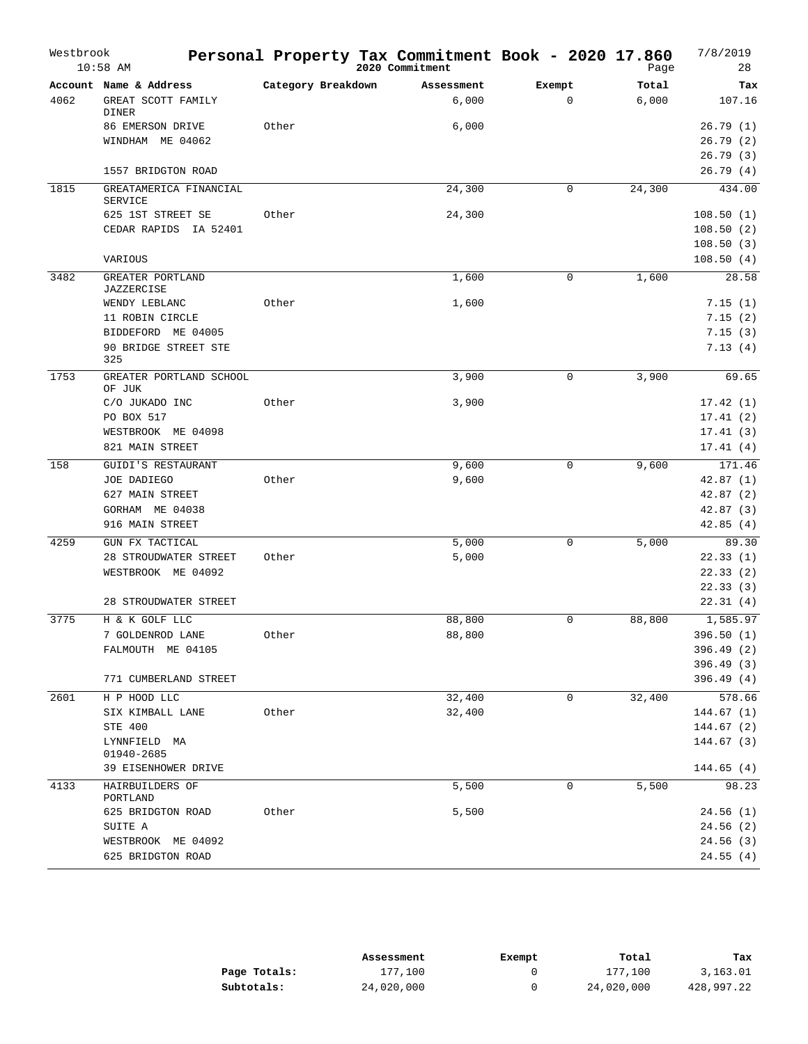| Westbrook | $10:58$ AM                               |                    | Personal Property Tax Commitment Book - 2020 17.860<br>2020 Commitment |             | Page   | 7/8/2019<br>28          |
|-----------|------------------------------------------|--------------------|------------------------------------------------------------------------|-------------|--------|-------------------------|
|           | Account Name & Address                   | Category Breakdown | Assessment                                                             | Exempt      | Total  | Tax                     |
| 4062      | GREAT SCOTT FAMILY<br><b>DINER</b>       |                    | 6,000                                                                  | $\mathbf 0$ | 6,000  | 107.16                  |
|           | 86 EMERSON DRIVE                         | Other              | 6,000                                                                  |             |        | 26.79(1)                |
|           | WINDHAM ME 04062                         |                    |                                                                        |             |        | 26.79(2)                |
|           |                                          |                    |                                                                        |             |        | 26.79(3)                |
|           | 1557 BRIDGTON ROAD                       |                    |                                                                        |             |        | 26.79(4)                |
| 1815      | GREATAMERICA FINANCIAL<br><b>SERVICE</b> |                    | 24,300                                                                 | 0           | 24,300 | 434.00                  |
|           | 625 1ST STREET SE                        | Other              | 24,300                                                                 |             |        | 108.50(1)               |
|           | CEDAR RAPIDS IA 52401                    |                    |                                                                        |             |        | 108.50(2)               |
|           |                                          |                    |                                                                        |             |        | 108.50(3)               |
|           | VARIOUS                                  |                    |                                                                        |             |        | 108.50(4)               |
| 3482      | GREATER PORTLAND<br>JAZZERCISE           |                    | 1,600                                                                  | $\mathbf 0$ | 1,600  | 28.58                   |
|           | WENDY LEBLANC                            | Other              | 1,600                                                                  |             |        | 7.15(1)                 |
|           | 11 ROBIN CIRCLE                          |                    |                                                                        |             |        | 7.15(2)                 |
|           | BIDDEFORD ME 04005                       |                    |                                                                        |             |        | 7.15(3)                 |
|           | 90 BRIDGE STREET STE<br>325              |                    |                                                                        |             |        | 7.13(4)                 |
| 1753      | GREATER PORTLAND SCHOOL<br>OF JUK        |                    | 3,900                                                                  | $\mathsf 0$ | 3,900  | 69.65                   |
|           | C/O JUKADO INC                           | Other              | 3,900                                                                  |             |        | 17.42(1)                |
|           | PO BOX 517                               |                    |                                                                        |             |        | 17.41(2)                |
|           | WESTBROOK ME 04098                       |                    |                                                                        |             |        | 17.41(3)                |
|           | 821 MAIN STREET                          |                    |                                                                        |             |        | 17.41(4)                |
| 158       | GUIDI'S RESTAURANT                       |                    | 9,600                                                                  | $\mathbf 0$ | 9,600  | 171.46                  |
|           | JOE DADIEGO                              | Other              | 9,600                                                                  |             |        | 42.87(1)                |
|           | 627 MAIN STREET                          |                    |                                                                        |             |        | 42.87(2)                |
|           | GORHAM ME 04038                          |                    |                                                                        |             |        | 42.87(3)                |
|           | 916 MAIN STREET                          |                    |                                                                        |             |        | 42.85(4)                |
| 4259      | GUN FX TACTICAL                          |                    | 5,000                                                                  | 0           | 5,000  | 89.30                   |
|           | 28 STROUDWATER STREET                    | Other              | 5,000                                                                  |             |        | 22.33(1)                |
|           | WESTBROOK ME 04092                       |                    |                                                                        |             |        | 22.33(2)                |
|           | 28 STROUDWATER STREET                    |                    |                                                                        |             |        | 22.33(3)<br>22.31(4)    |
|           |                                          |                    |                                                                        |             |        |                         |
| 3775      | H & K GOLF LLC                           |                    | 88,800<br>88,800                                                       | $\mathbf 0$ | 88,800 | 1,585.97                |
|           | 7 GOLDENROD LANE<br>FALMOUTH ME 04105    | Other              |                                                                        |             |        | 396.50 (1)<br>396.49(2) |
|           |                                          |                    |                                                                        |             |        | 396.49(3)               |
|           | 771 CUMBERLAND STREET                    |                    |                                                                        |             |        | 396.49(4)               |
| 2601      | H P HOOD LLC                             |                    | 32,400                                                                 | $\mathbf 0$ | 32,400 | 578.66                  |
|           | SIX KIMBALL LANE                         | Other              | 32,400                                                                 |             |        | 144.67(1)               |
|           | STE 400                                  |                    |                                                                        |             |        | 144.67 (2)              |
|           | LYNNFIELD MA<br>01940-2685               |                    |                                                                        |             |        | 144.67(3)               |
|           | 39 EISENHOWER DRIVE                      |                    |                                                                        |             |        | 144.65(4)               |
| 4133      | HAIRBUILDERS OF<br>PORTLAND              |                    | 5,500                                                                  | 0           | 5,500  | 98.23                   |
|           | 625 BRIDGTON ROAD                        | Other              | 5,500                                                                  |             |        | 24.56(1)                |
|           | SUITE A                                  |                    |                                                                        |             |        | 24.56(2)                |
|           | WESTBROOK ME 04092                       |                    |                                                                        |             |        | 24.56(3)                |
|           | 625 BRIDGTON ROAD                        |                    |                                                                        |             |        | 24.55(4)                |

|              | Assessment | Exempt | Total      | Tax        |
|--------------|------------|--------|------------|------------|
| Page Totals: | 177,100    |        | 177,100    | 3,163.01   |
| Subtotals:   | 24,020,000 |        | 24,020,000 | 428,997.22 |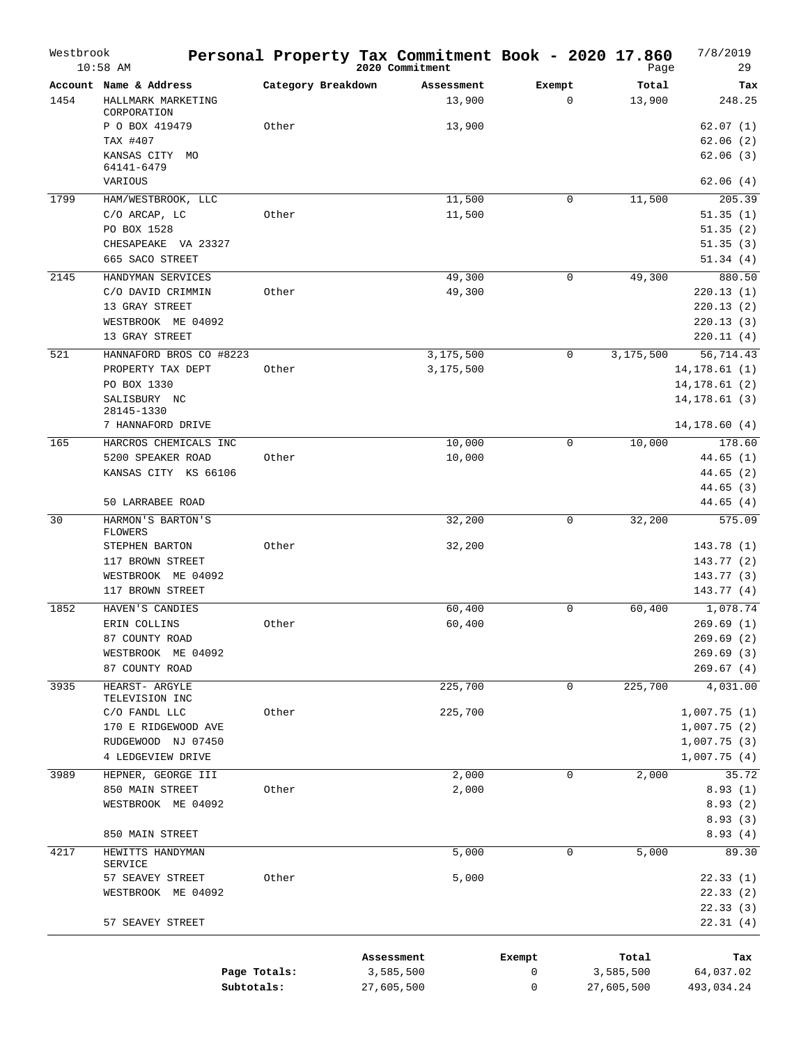| Westbrook | $10:58$ AM              |                    | Personal Property Tax Commitment Book - 2020 17.860<br>2020 Commitment |             | Page       | 7/8/2019<br>29 |
|-----------|-------------------------|--------------------|------------------------------------------------------------------------|-------------|------------|----------------|
|           | Account Name & Address  | Category Breakdown | Assessment                                                             | Exempt      | Total      | Tax            |
| 1454      | HALLMARK MARKETING      |                    | 13,900                                                                 | $\mathbf 0$ | 13,900     | 248.25         |
|           | CORPORATION             |                    |                                                                        |             |            |                |
|           | P O BOX 419479          | Other              | 13,900                                                                 |             |            | 62.07(1)       |
|           | TAX #407                |                    |                                                                        |             |            | 62.06(2)       |
|           | KANSAS CITY MO          |                    |                                                                        |             |            | 62.06(3)       |
|           | 64141-6479              |                    |                                                                        |             |            |                |
|           | VARIOUS                 |                    |                                                                        |             |            | 62.06(4)       |
| 1799      | HAM/WESTBROOK, LLC      |                    | 11,500                                                                 | 0           | 11,500     | 205.39         |
|           | C/O ARCAP, LC           | Other              | 11,500                                                                 |             |            | 51.35(1)       |
|           | PO BOX 1528             |                    |                                                                        |             |            | 51.35(2)       |
|           | CHESAPEAKE VA 23327     |                    |                                                                        |             |            | 51.35(3)       |
|           | 665 SACO STREET         |                    |                                                                        |             |            | 51.34(4)       |
| 2145      | HANDYMAN SERVICES       |                    | 49,300                                                                 | 0           | 49,300     | 880.50         |
|           | C/O DAVID CRIMMIN       | Other              | 49,300                                                                 |             |            | 220.13(1)      |
|           | 13 GRAY STREET          |                    |                                                                        |             |            | 220.13(2)      |
|           | WESTBROOK ME 04092      |                    |                                                                        |             |            | 220.13(3)      |
|           | 13 GRAY STREET          |                    |                                                                        |             |            | 220.11(4)      |
| 521       | HANNAFORD BROS CO #8223 |                    | 3,175,500                                                              | 0           | 3,175,500  | 56,714.43      |
|           | PROPERTY TAX DEPT       | Other              | 3,175,500                                                              |             |            | 14, 178.61(1)  |
|           | PO BOX 1330             |                    |                                                                        |             |            | 14, 178.61(2)  |
|           | SALISBURY NC            |                    |                                                                        |             |            | 14, 178.61 (3) |
|           | 28145-1330              |                    |                                                                        |             |            |                |
|           | 7 HANNAFORD DRIVE       |                    |                                                                        |             |            | 14, 178.60(4)  |
| 165       | HARCROS CHEMICALS INC   |                    | 10,000                                                                 | 0           | 10,000     | 178.60         |
|           | 5200 SPEAKER ROAD       | Other              | 10,000                                                                 |             |            | 44.65(1)       |
|           | KANSAS CITY KS 66106    |                    |                                                                        |             |            | 44.65 (2)      |
|           |                         |                    |                                                                        |             |            | 44.65(3)       |
|           | 50 LARRABEE ROAD        |                    |                                                                        |             |            | 44.65(4)       |
| 30        | HARMON'S BARTON'S       |                    | 32,200                                                                 | 0           | 32,200     | 575.09         |
|           | <b>FLOWERS</b>          |                    |                                                                        |             |            |                |
|           | STEPHEN BARTON          | Other              | 32,200                                                                 |             |            | 143.78 (1)     |
|           | 117 BROWN STREET        |                    |                                                                        |             |            | 143.77(2)      |
|           | WESTBROOK ME 04092      |                    |                                                                        |             |            | 143.77 (3)     |
|           | 117 BROWN STREET        |                    |                                                                        |             |            | 143.77(4)      |
| 1852      | HAVEN'S CANDIES         |                    | 60,400                                                                 | $\mathbf 0$ | 60,400     | 1,078.74       |
|           | ERIN COLLINS            | Other              | 60,400                                                                 |             |            | 269.69 (1)     |
|           | 87 COUNTY ROAD          |                    |                                                                        |             |            | 269.69 (2)     |
|           | WESTBROOK ME 04092      |                    |                                                                        |             |            | 269.69(3)      |
|           | 87 COUNTY ROAD          |                    |                                                                        |             |            | 269.67(4)      |
| 3935      | HEARST- ARGYLE          |                    | 225,700                                                                | 0           | 225,700    | 4,031.00       |
|           | TELEVISION INC          |                    |                                                                        |             |            |                |
|           | C/O FANDL LLC           | Other              | 225,700                                                                |             |            | 1,007.75(1)    |
|           | 170 E RIDGEWOOD AVE     |                    |                                                                        |             |            | 1,007.75(2)    |
|           | RUDGEWOOD NJ 07450      |                    |                                                                        |             |            | 1,007.75(3)    |
|           | 4 LEDGEVIEW DRIVE       |                    |                                                                        |             |            | 1,007.75(4)    |
| 3989      | HEPNER, GEORGE III      |                    | 2,000                                                                  | 0           | 2,000      | 35.72          |
|           | 850 MAIN STREET         | Other              | 2,000                                                                  |             |            | 8.93(1)        |
|           | WESTBROOK ME 04092      |                    |                                                                        |             |            | 8.93(2)        |
|           |                         |                    |                                                                        |             |            | 8.93(3)        |
|           | 850 MAIN STREET         |                    |                                                                        |             |            | 8.93(4)        |
| 4217      | HEWITTS HANDYMAN        |                    | 5,000                                                                  | $\mathbf 0$ | 5,000      | 89.30          |
|           | <b>SERVICE</b>          |                    |                                                                        |             |            |                |
|           | 57 SEAVEY STREET        | Other              | 5,000                                                                  |             |            | 22.33(1)       |
|           | WESTBROOK ME 04092      |                    |                                                                        |             |            | 22.33(2)       |
|           |                         |                    |                                                                        |             |            | 22.33(3)       |
|           | 57 SEAVEY STREET        |                    |                                                                        |             |            | 22.31(4)       |
|           |                         |                    |                                                                        |             |            |                |
|           |                         |                    | Assessment                                                             | Exempt      | Total      | Tax            |
|           |                         | Page Totals:       | 3,585,500                                                              | 0           | 3,585,500  | 64,037.02      |
|           | Subtotals:              |                    | 27,605,500                                                             | 0           | 27,605,500 | 493,034.24     |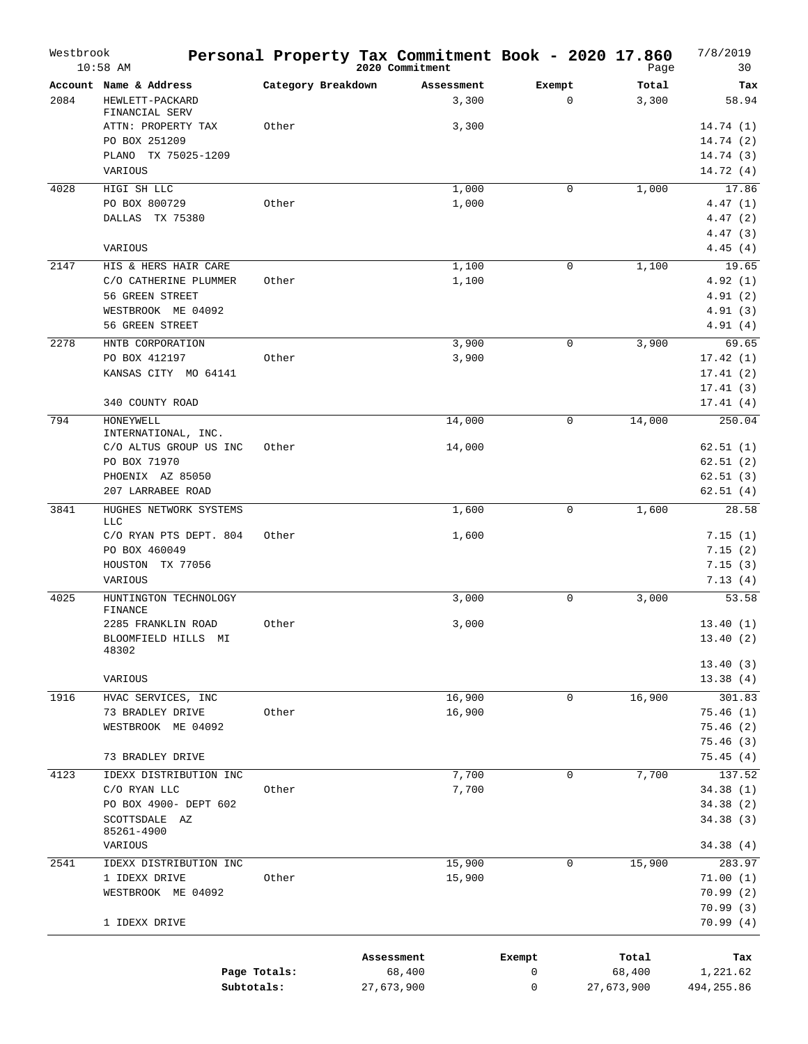| Westbrook | $10:58$ AM                              |                    | Personal Property Tax Commitment Book - 2020 17.860<br>2020 Commitment |             | Page       | 7/8/2019<br>30        |
|-----------|-----------------------------------------|--------------------|------------------------------------------------------------------------|-------------|------------|-----------------------|
|           | Account Name & Address                  | Category Breakdown | Assessment                                                             | Exempt      | Total      | Tax                   |
| 2084      | HEWLETT-PACKARD<br>FINANCIAL SERV       |                    | 3,300                                                                  | $\mathbf 0$ | 3,300      | 58.94                 |
|           | ATTN: PROPERTY TAX                      | Other              | 3,300                                                                  |             |            | 14.74(1)              |
|           | PO BOX 251209<br>PLANO<br>TX 75025-1209 |                    |                                                                        |             |            | 14.74(2)              |
|           | VARIOUS                                 |                    |                                                                        |             |            | 14.74 (3)<br>14.72(4) |
| 4028      | HIGI SH LLC                             |                    | 1,000                                                                  | 0           | 1,000      | 17.86                 |
|           | PO BOX 800729                           | Other              | 1,000                                                                  |             |            | 4.47(1)               |
|           | DALLAS TX 75380                         |                    |                                                                        |             |            | 4.47(2)               |
|           |                                         |                    |                                                                        |             |            | 4.47(3)               |
| 2147      | VARIOUS<br>HIS & HERS HAIR CARE         |                    | 1,100                                                                  | 0           |            | 4.45(4)<br>19.65      |
|           | C/O CATHERINE PLUMMER                   | Other              | 1,100                                                                  |             | 1,100      | 4.92(1)               |
|           | 56 GREEN STREET                         |                    |                                                                        |             |            | 4.91(2)               |
|           | WESTBROOK ME 04092                      |                    |                                                                        |             |            | 4.91(3)               |
|           | 56 GREEN STREET                         |                    |                                                                        |             |            | 4.91(4)               |
| 2278      | HNTB CORPORATION                        |                    | 3,900                                                                  | $\mathbf 0$ | 3,900      | 69.65                 |
|           | PO BOX 412197<br>KANSAS CITY MO 64141   | Other              | 3,900                                                                  |             |            | 17.42(1)<br>17.41(2)  |
|           |                                         |                    |                                                                        |             |            | 17.41(3)              |
|           | 340 COUNTY ROAD                         |                    |                                                                        |             |            | 17.41(4)              |
| 794       | HONEYWELL<br>INTERNATIONAL, INC.        |                    | 14,000                                                                 | $\mathbf 0$ | 14,000     | 250.04                |
|           | C/O ALTUS GROUP US INC                  | Other              | 14,000                                                                 |             |            | 62.51(1)              |
|           | PO BOX 71970                            |                    |                                                                        |             |            | 62.51(2)              |
|           | PHOENIX AZ 85050<br>207 LARRABEE ROAD   |                    |                                                                        |             |            | 62.51(3)<br>62.51(4)  |
| 3841      | HUGHES NETWORK SYSTEMS                  |                    | 1,600                                                                  | 0           | 1,600      | 28.58                 |
|           | LLC                                     |                    |                                                                        |             |            |                       |
|           | C/O RYAN PTS DEPT. 804                  | Other              | 1,600                                                                  |             |            | 7.15(1)               |
|           | PO BOX 460049                           |                    |                                                                        |             |            | 7.15(2)               |
|           | TX 77056<br>HOUSTON<br>VARIOUS          |                    |                                                                        |             |            | 7.15(3)<br>7.13(4)    |
| 4025      | HUNTINGTON TECHNOLOGY<br>FINANCE        |                    | 3,000                                                                  | 0           | 3,000      | 53.58                 |
|           | 2285 FRANKLIN ROAD                      | Other              | 3,000                                                                  |             |            | 13.40(1)              |
|           | BLOOMFIELD HILLS MI<br>48302            |                    |                                                                        |             |            | 13.40 (2)             |
|           |                                         |                    |                                                                        |             |            | 13.40(3)              |
|           | VARIOUS                                 |                    |                                                                        |             |            | 13.38(4)              |
| 1916      | HVAC SERVICES, INC<br>73 BRADLEY DRIVE  | Other              | 16,900<br>16,900                                                       | $\mathbf 0$ | 16,900     | 301.83<br>75.46(1)    |
|           | WESTBROOK ME 04092                      |                    |                                                                        |             |            | 75.46(2)              |
|           |                                         |                    |                                                                        |             |            | 75.46(3)              |
|           | 73 BRADLEY DRIVE                        |                    |                                                                        |             |            | 75.45(4)              |
| 4123      | IDEXX DISTRIBUTION INC                  |                    | 7,700                                                                  | 0           | 7,700      | 137.52                |
|           | C/O RYAN LLC                            | Other              | 7,700                                                                  |             |            | 34.38(1)              |
|           | PO BOX 4900- DEPT 602<br>SCOTTSDALE AZ  |                    |                                                                        |             |            | 34.38(2)<br>34.38(3)  |
|           | 85261-4900<br>VARIOUS                   |                    |                                                                        |             |            | 34.38(4)              |
| 2541      | IDEXX DISTRIBUTION INC                  |                    | 15,900                                                                 | 0           | 15,900     | 283.97                |
|           | 1 IDEXX DRIVE                           | Other              | 15,900                                                                 |             |            | 71.00(1)              |
|           | WESTBROOK ME 04092                      |                    |                                                                        |             |            | 70.99(2)              |
|           |                                         |                    |                                                                        |             |            | 70.99(3)              |
|           | 1 IDEXX DRIVE                           |                    |                                                                        |             |            | 70.99(4)              |
|           |                                         |                    | Assessment                                                             | Exempt      | Total      | Tax                   |
|           | Page Totals:                            |                    | 68,400                                                                 | 0           | 68,400     | 1,221.62              |
|           | Subtotals:                              |                    | 27,673,900                                                             | 0           | 27,673,900 | 494,255.86            |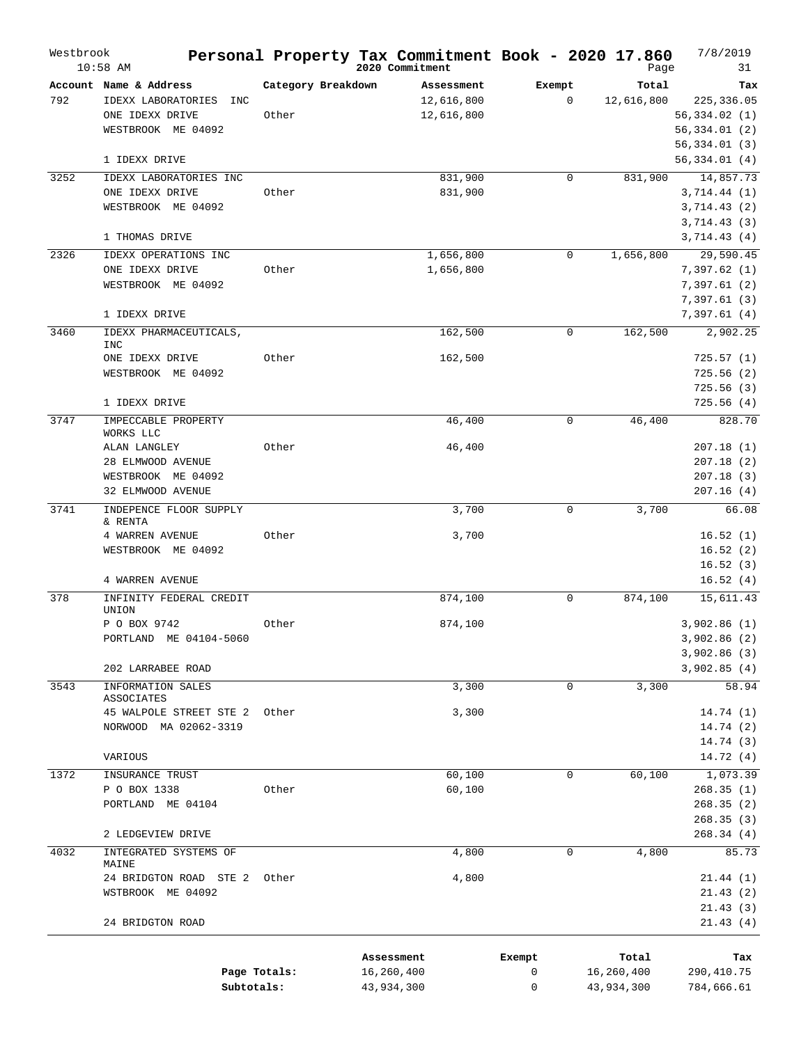| Westbrook | $10:58$ AM                        |                    | Personal Property Tax Commitment Book - 2020 17.860<br>2020 Commitment |        |             | Page       | 7/8/2019<br>31               |
|-----------|-----------------------------------|--------------------|------------------------------------------------------------------------|--------|-------------|------------|------------------------------|
|           | Account Name & Address            | Category Breakdown | Assessment                                                             | Exempt |             | Total      | Tax                          |
| 792       | IDEXX LABORATORIES<br>INC         |                    | 12,616,800                                                             |        | 0           | 12,616,800 | 225,336.05                   |
|           | ONE IDEXX DRIVE                   | Other              | 12,616,800                                                             |        |             |            | 56,334.02(1)                 |
|           | WESTBROOK ME 04092                |                    |                                                                        |        |             |            | 56,334.01(2)                 |
|           |                                   |                    |                                                                        |        |             |            | 56,334.01 (3)                |
|           | 1 IDEXX DRIVE                     |                    |                                                                        |        |             |            | 56,334.01(4)                 |
| 3252      | IDEXX LABORATORIES INC            |                    | 831,900                                                                |        | $\mathbf 0$ | 831,900    | 14,857.73                    |
|           | ONE IDEXX DRIVE                   | Other              | 831,900                                                                |        |             |            | 3,714.44(1)                  |
|           | WESTBROOK ME 04092                |                    |                                                                        |        |             |            | 3,714.43(2)                  |
|           |                                   |                    |                                                                        |        |             |            | 3,714.43(3)                  |
|           | 1 THOMAS DRIVE                    |                    |                                                                        |        |             |            | 3,714.43(4)                  |
| 2326      | IDEXX OPERATIONS INC              |                    | 1,656,800                                                              |        | 0           | 1,656,800  | 29,590.45                    |
|           | ONE IDEXX DRIVE                   | Other              | 1,656,800                                                              |        |             |            | 7,397.62 (1)                 |
|           | WESTBROOK ME 04092                |                    |                                                                        |        |             |            | 7,397.61(2)                  |
|           |                                   |                    |                                                                        |        |             |            | 7,397.61 (3)                 |
|           | 1 IDEXX DRIVE                     |                    |                                                                        |        |             |            | 7,397.61 (4)                 |
| 3460      | IDEXX PHARMACEUTICALS,            |                    | 162,500                                                                |        | 0           | 162,500    | 2,902.25                     |
|           | INC<br>ONE IDEXX DRIVE            | Other              | 162,500                                                                |        |             |            | 725.57(1)                    |
|           | WESTBROOK ME 04092                |                    |                                                                        |        |             |            | 725.56(2)                    |
|           |                                   |                    |                                                                        |        |             |            | 725.56(3)                    |
|           | 1 IDEXX DRIVE                     |                    |                                                                        |        |             |            | 725.56(4)                    |
| 3747      | IMPECCABLE PROPERTY               |                    | 46,400                                                                 |        | $\mathbf 0$ | 46,400     | 828.70                       |
|           | WORKS LLC                         |                    |                                                                        |        |             |            |                              |
|           | ALAN LANGLEY                      | Other              | 46,400                                                                 |        |             |            | 207.18(1)                    |
|           | 28 ELMWOOD AVENUE                 |                    |                                                                        |        |             |            | 207.18(2)                    |
|           | WESTBROOK ME 04092                |                    |                                                                        |        |             |            | 207.18(3)                    |
|           | 32 ELMWOOD AVENUE                 |                    |                                                                        |        |             |            | 207.16(4)                    |
| 3741      | INDEPENCE FLOOR SUPPLY<br>& RENTA |                    | 3,700                                                                  |        | 0           | 3,700      | 66.08                        |
|           | 4 WARREN AVENUE                   | Other              | 3,700                                                                  |        |             |            | 16.52(1)                     |
|           | WESTBROOK ME 04092                |                    |                                                                        |        |             |            | 16.52(2)                     |
|           |                                   |                    |                                                                        |        |             |            | 16.52(3)                     |
|           | 4 WARREN AVENUE                   |                    |                                                                        |        |             |            | 16.52(4)                     |
| 378       | INFINITY FEDERAL CREDIT           |                    | 874,100                                                                |        | 0           | 874,100    | 15,611.43                    |
|           | UNION                             |                    |                                                                        |        |             |            |                              |
|           | P O BOX 9742                      | Other              | 874,100                                                                |        |             |            | 3,902.86(1)                  |
|           | PORTLAND ME 04104-5060            |                    |                                                                        |        |             |            | 3,902.86 (2)<br>3,902.86 (3) |
|           | 202 LARRABEE ROAD                 |                    |                                                                        |        |             |            | 3,902.85(4)                  |
| 3543      | INFORMATION SALES                 |                    | 3,300                                                                  |        | 0           | 3,300      | 58.94                        |
|           | ASSOCIATES                        |                    |                                                                        |        |             |            |                              |
|           | 45 WALPOLE STREET STE 2           | Other              | 3,300                                                                  |        |             |            | 14.74(1)                     |
|           | NORWOOD MA 02062-3319             |                    |                                                                        |        |             |            | 14.74 (2)                    |
|           |                                   |                    |                                                                        |        |             |            | 14.74(3)                     |
|           | VARIOUS                           |                    |                                                                        |        |             |            | 14.72(4)                     |
| 1372      | INSURANCE TRUST                   |                    | 60,100                                                                 |        | 0           | 60,100     | 1,073.39                     |
|           | P O BOX 1338                      | Other              | 60,100                                                                 |        |             |            | 268.35(1)                    |
|           | PORTLAND ME 04104                 |                    |                                                                        |        |             |            | 268.35(2)                    |
|           |                                   |                    |                                                                        |        |             |            | 268.35(3)                    |
|           | 2 LEDGEVIEW DRIVE                 |                    |                                                                        |        |             |            | 268.34(4)                    |
| 4032      | INTEGRATED SYSTEMS OF<br>MAINE    |                    | 4,800                                                                  |        | 0           | 4,800      | 85.73                        |
|           | 24 BRIDGTON ROAD STE 2            | Other              | 4,800                                                                  |        |             |            | 21.44(1)                     |
|           | WSTBROOK ME 04092                 |                    |                                                                        |        |             |            | 21.43(2)                     |
|           |                                   |                    |                                                                        |        |             |            | 21.43(3)                     |
|           | 24 BRIDGTON ROAD                  |                    |                                                                        |        |             |            | 21.43(4)                     |
|           |                                   |                    |                                                                        |        |             |            |                              |
|           |                                   |                    | Assessment                                                             | Exempt |             | Total      | Tax                          |
|           | Page Totals:<br>Subtotals:        |                    | 16,260,400                                                             | 0<br>0 |             | 16,260,400 | 290,410.75                   |
|           |                                   |                    | 43,934,300                                                             |        |             | 43,934,300 | 784,666.61                   |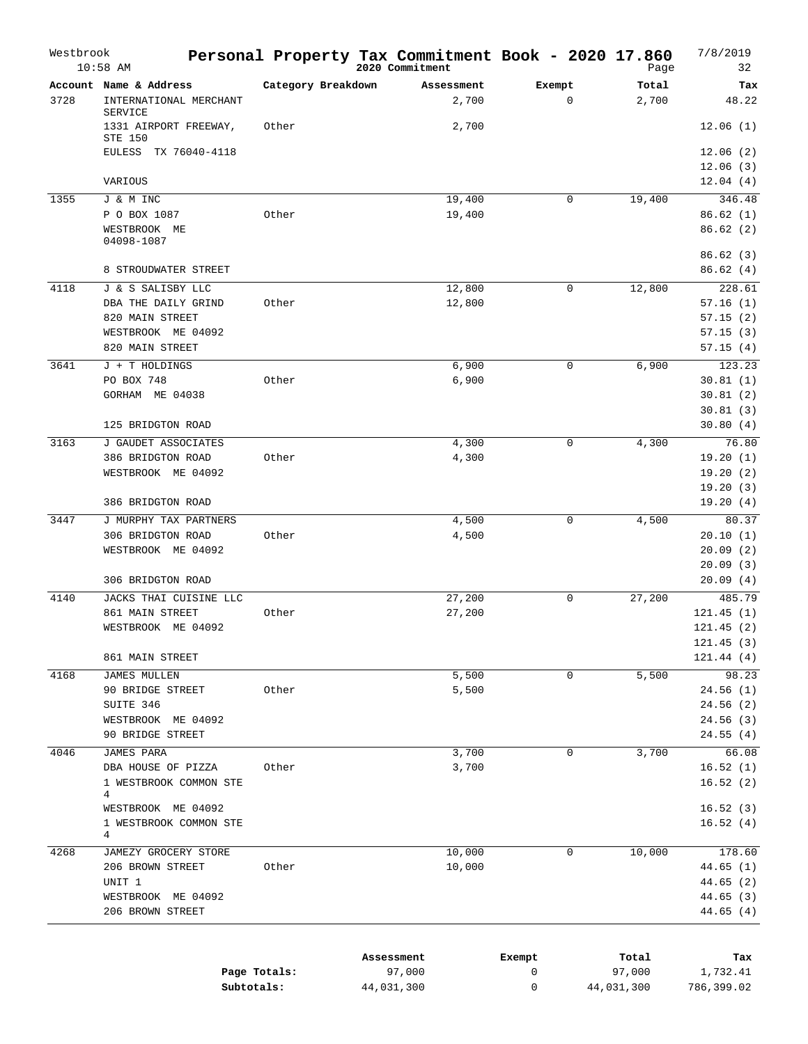| Westbrook | $10:58$ AM                                                |                    | Personal Property Tax Commitment Book - 2020 17.860<br>2020 Commitment |                       | Page           | 7/8/2019<br>32       |
|-----------|-----------------------------------------------------------|--------------------|------------------------------------------------------------------------|-----------------------|----------------|----------------------|
| 3728      | Account Name & Address<br>INTERNATIONAL MERCHANT          | Category Breakdown | Assessment<br>2,700                                                    | Exempt<br>$\mathbf 0$ | Total<br>2,700 | Tax<br>48.22         |
|           | <b>SERVICE</b><br>1331 AIRPORT FREEWAY,<br><b>STE 150</b> | Other              | 2,700                                                                  |                       |                | 12.06(1)             |
|           | EULESS TX 76040-4118                                      |                    |                                                                        |                       |                | 12.06(2)             |
|           | VARIOUS                                                   |                    |                                                                        |                       |                | 12.06(3)<br>12.04(4) |
| 1355      | J & M INC                                                 |                    | 19,400                                                                 | $\mathbf 0$           | 19,400         | 346.48               |
|           | P O BOX 1087                                              | Other              | 19,400                                                                 |                       |                | 86.62(1)             |
|           | WESTBROOK ME<br>04098-1087                                |                    |                                                                        |                       |                | 86.62(2)             |
|           | 8 STROUDWATER STREET                                      |                    |                                                                        |                       |                | 86.62(3)<br>86.62(4) |
| 4118      | J & S SALISBY LLC                                         |                    | 12,800                                                                 | $\mathbf 0$           | 12,800         | 228.61               |
|           | DBA THE DAILY GRIND                                       | Other              | 12,800                                                                 |                       |                | 57.16(1)             |
|           | 820 MAIN STREET                                           |                    |                                                                        |                       |                | 57.15(2)             |
|           | WESTBROOK ME 04092                                        |                    |                                                                        |                       |                | 57.15(3)             |
|           | 820 MAIN STREET                                           |                    |                                                                        |                       |                | 57.15(4)             |
| 3641      | J + T HOLDINGS                                            |                    | 6,900                                                                  | $\mathbf 0$           | 6,900          | 123.23               |
|           | PO BOX 748                                                | Other              | 6,900                                                                  |                       |                | 30.81(1)             |
|           | GORHAM ME 04038                                           |                    |                                                                        |                       |                | 30.81(2)             |
|           |                                                           |                    |                                                                        |                       |                | 30.81(3)             |
|           | 125 BRIDGTON ROAD                                         |                    |                                                                        |                       |                | 30.80(4)             |
| 3163      | J GAUDET ASSOCIATES                                       |                    | 4,300                                                                  | $\mathbf 0$           | 4,300          | 76.80                |
|           | 386 BRIDGTON ROAD                                         | Other              | 4,300                                                                  |                       |                | 19.20(1)             |
|           | WESTBROOK ME 04092                                        |                    |                                                                        |                       |                | 19.20(2)             |
|           |                                                           |                    |                                                                        |                       |                | 19.20(3)             |
|           | 386 BRIDGTON ROAD                                         |                    |                                                                        |                       |                | 19.20(4)             |
| 3447      | J MURPHY TAX PARTNERS                                     |                    | 4,500                                                                  | $\mathbf 0$           | 4,500          | 80.37                |
|           | 306 BRIDGTON ROAD                                         | Other              | 4,500                                                                  |                       |                | 20.10(1)             |
|           | WESTBROOK ME 04092                                        |                    |                                                                        |                       |                | 20.09(2)             |
|           |                                                           |                    |                                                                        |                       |                | 20.09(3)             |
|           | 306 BRIDGTON ROAD                                         |                    |                                                                        |                       |                | 20.09(4)             |
| 4140      | JACKS THAI CUISINE LLC                                    |                    | 27,200                                                                 | 0                     | 27,200         | 485.79               |
|           | 861 MAIN STREET                                           | Other              | 27,200                                                                 |                       |                | 121.45(1)            |
|           | WESTBROOK ME 04092                                        |                    |                                                                        |                       |                | 121.45(2)            |
|           |                                                           |                    |                                                                        |                       |                | 121.45(3)            |
|           | 861 MAIN STREET                                           |                    |                                                                        |                       |                | 121.44(4)            |
| 4168      | <b>JAMES MULLEN</b>                                       |                    | 5,500                                                                  | $\mathbf 0$           | 5,500          | 98.23                |
|           | 90 BRIDGE STREET                                          | Other              | 5,500                                                                  |                       |                | 24.56(1)             |
|           | SUITE 346                                                 |                    |                                                                        |                       |                | 24.56(2)             |
|           | WESTBROOK ME 04092                                        |                    |                                                                        |                       |                | 24.56(3)             |
|           | 90 BRIDGE STREET                                          |                    |                                                                        |                       |                | 24.55(4)             |
| 4046      | JAMES PARA                                                |                    | 3,700                                                                  | $\mathbf 0$           | 3,700          | 66.08                |
|           | DBA HOUSE OF PIZZA                                        | Other              | 3,700                                                                  |                       |                | 16.52(1)             |
|           | 1 WESTBROOK COMMON STE<br>4                               |                    |                                                                        |                       |                | 16.52(2)             |
|           | WESTBROOK ME 04092                                        |                    |                                                                        |                       |                | 16.52(3)             |
|           | 1 WESTBROOK COMMON STE<br>4                               |                    |                                                                        |                       |                | 16.52(4)             |
| 4268      | JAMEZY GROCERY STORE                                      |                    | 10,000                                                                 | 0                     | 10,000         | 178.60               |
|           | 206 BROWN STREET                                          | Other              | 10,000                                                                 |                       |                | 44.65(1)             |
|           | UNIT 1                                                    |                    |                                                                        |                       |                | 44.65 (2)            |
|           | WESTBROOK ME 04092                                        |                    |                                                                        |                       |                | 44.65 (3)            |
|           | 206 BROWN STREET                                          |                    |                                                                        |                       |                | 44.65(4)             |
|           |                                                           |                    |                                                                        |                       |                |                      |
|           |                                                           |                    | Assessment                                                             | Exempt                | Total          | Tax                  |
|           |                                                           |                    |                                                                        |                       |                |                      |

|              | ASSessment | Exempt | тосат      | тах        |
|--------------|------------|--------|------------|------------|
| Page Totals: | 97,000     |        | 97,000     | 1,732.41   |
| Subtotals:   | 44,031,300 |        | 44,031,300 | 786,399.02 |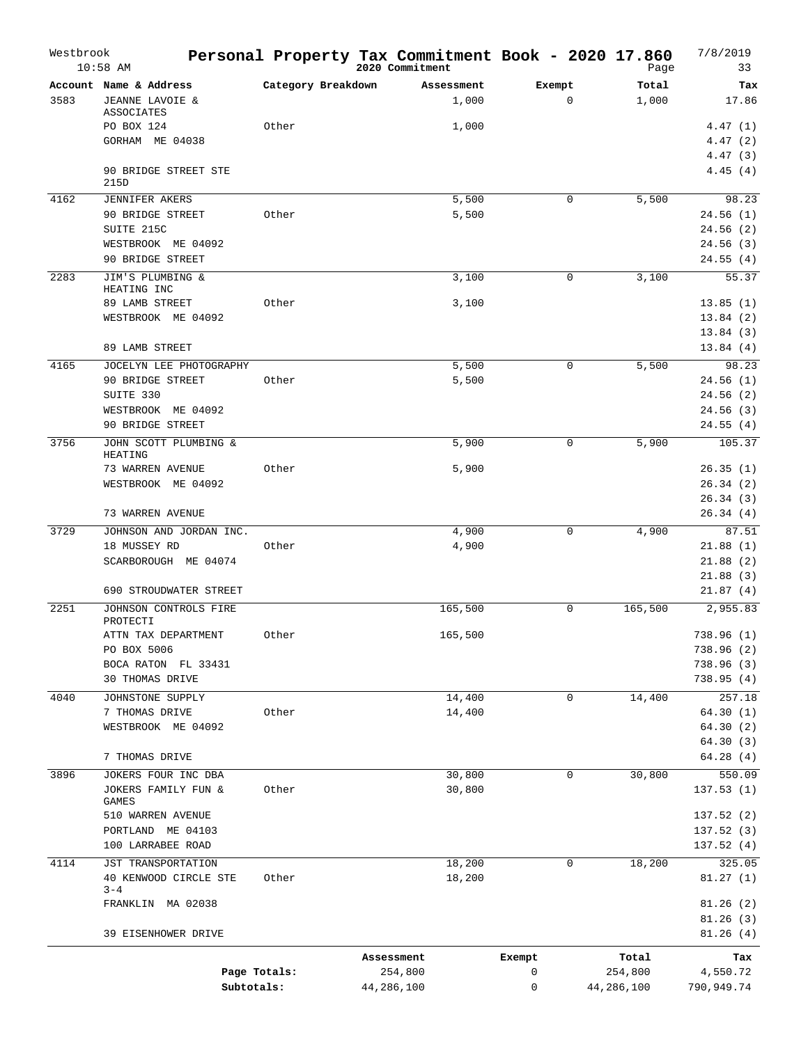| Westbrook | $10:58$ AM                                  |                    | Personal Property Tax Commitment Book - 2020 17.860<br>2020 Commitment |             | Page           | 7/8/2019<br>33       |
|-----------|---------------------------------------------|--------------------|------------------------------------------------------------------------|-------------|----------------|----------------------|
| 3583      | Account Name & Address<br>JEANNE LAVOIE &   | Category Breakdown | Assessment<br>1,000                                                    | Exempt<br>0 | Total<br>1,000 | Tax<br>17.86         |
|           | ASSOCIATES<br>PO BOX 124                    | Other              | 1,000                                                                  |             |                | 4.47(1)              |
|           | GORHAM ME 04038                             |                    |                                                                        |             |                | 4.47(2)              |
|           |                                             |                    |                                                                        |             |                | 4.47(3)              |
|           | 90 BRIDGE STREET STE<br>215D                |                    |                                                                        |             |                | 4.45(4)              |
| 4162      | <b>JENNIFER AKERS</b>                       |                    | 5,500                                                                  | 0           | 5,500          | 98.23                |
|           | 90 BRIDGE STREET                            | Other              | 5,500                                                                  |             |                | 24.56(1)             |
|           | SUITE 215C                                  |                    |                                                                        |             |                | 24.56(2)             |
|           | WESTBROOK ME 04092                          |                    |                                                                        |             |                | 24.56(3)<br>24.55(4) |
|           | 90 BRIDGE STREET                            |                    |                                                                        |             |                |                      |
| 2283      | JIM'S PLUMBING &<br>HEATING INC             |                    | 3,100                                                                  | 0           | 3,100          | 55.37                |
|           | 89 LAMB STREET                              | Other              | 3,100                                                                  |             |                | 13.85(1)             |
|           | WESTBROOK ME 04092                          |                    |                                                                        |             |                | 13.84(2)             |
|           |                                             |                    |                                                                        |             |                | 13.84(3)             |
|           | 89 LAMB STREET                              |                    |                                                                        |             |                | 13.84(4)             |
| 4165      | JOCELYN LEE PHOTOGRAPHY                     |                    | 5,500                                                                  | 0           | 5,500          | 98.23                |
|           | 90 BRIDGE STREET                            | Other              | 5,500                                                                  |             |                | 24.56(1)             |
|           | SUITE 330<br>WESTBROOK ME 04092             |                    |                                                                        |             |                | 24.56(2)<br>24.56(3) |
|           | 90 BRIDGE STREET                            |                    |                                                                        |             |                | 24.55(4)             |
| 3756      | JOHN SCOTT PLUMBING &<br><b>HEATING</b>     |                    | 5,900                                                                  | 0           | 5,900          | 105.37               |
|           | 73 WARREN AVENUE                            | Other              | 5,900                                                                  |             |                | 26.35(1)             |
|           | WESTBROOK ME 04092                          |                    |                                                                        |             |                | 26.34(2)             |
|           |                                             |                    |                                                                        |             |                | 26.34(3)             |
|           | 73 WARREN AVENUE                            |                    |                                                                        |             |                | 26.34(4)             |
| 3729      | JOHNSON AND JORDAN INC.                     |                    | 4,900                                                                  | 0           | 4,900          | 87.51                |
|           | 18 MUSSEY RD                                | Other              | 4,900                                                                  |             |                | 21.88(1)             |
|           | SCARBOROUGH ME 04074                        |                    |                                                                        |             |                | 21.88(2)             |
|           | 690 STROUDWATER STREET                      |                    |                                                                        |             |                | 21.88(3)<br>21.87(4) |
| 2251      | JOHNSON CONTROLS FIRE                       |                    | 165,500                                                                | 0           | 165,500        | 2,955.83             |
|           | PROTECTI                                    |                    |                                                                        |             |                |                      |
|           | ATTN TAX DEPARTMENT                         | Other              | 165,500                                                                |             |                | 738.96 (1)           |
|           | PO BOX 5006                                 |                    |                                                                        |             |                | 738.96 (2)           |
|           | BOCA RATON FL 33431                         |                    |                                                                        |             |                | 738.96 (3)           |
|           | 30 THOMAS DRIVE                             |                    |                                                                        |             |                | 738.95 (4)           |
| 4040      | JOHNSTONE SUPPLY                            |                    | 14,400                                                                 | 0           | 14,400         | 257.18               |
|           | 7 THOMAS DRIVE<br>WESTBROOK ME 04092        | Other              | 14,400                                                                 |             |                | 64.30(1)<br>64.30(2) |
|           |                                             |                    |                                                                        |             |                | 64.30(3)             |
|           | 7 THOMAS DRIVE                              |                    |                                                                        |             |                | 64.28(4)             |
| 3896      | JOKERS FOUR INC DBA                         |                    | 30,800                                                                 | 0           | 30,800         | 550.09               |
|           | JOKERS FAMILY FUN &<br>GAMES                | Other              | 30,800                                                                 |             |                | 137.53(1)            |
|           | 510 WARREN AVENUE                           |                    |                                                                        |             |                | 137.52(2)            |
|           | PORTLAND ME 04103                           |                    |                                                                        |             |                | 137.52(3)            |
|           | 100 LARRABEE ROAD                           |                    |                                                                        |             |                | 137.52(4)            |
| 4114      | JST TRANSPORTATION<br>40 KENWOOD CIRCLE STE | Other              | 18,200<br>18,200                                                       | 0           | 18,200         | 325.05<br>81.27(1)   |
|           | $3 - 4$<br>FRANKLIN MA 02038                |                    |                                                                        |             |                | 81.26(2)             |
|           | 39 EISENHOWER DRIVE                         |                    |                                                                        |             |                | 81.26(3)<br>81.26(4) |
|           |                                             |                    | Assessment                                                             | Exempt      | Total          | Tax                  |
|           |                                             | Page Totals:       | 254,800                                                                | 0           | 254,800        | 4,550.72             |
|           | Subtotals:                                  |                    | 44,286,100                                                             | 0           | 44,286,100     | 790,949.74           |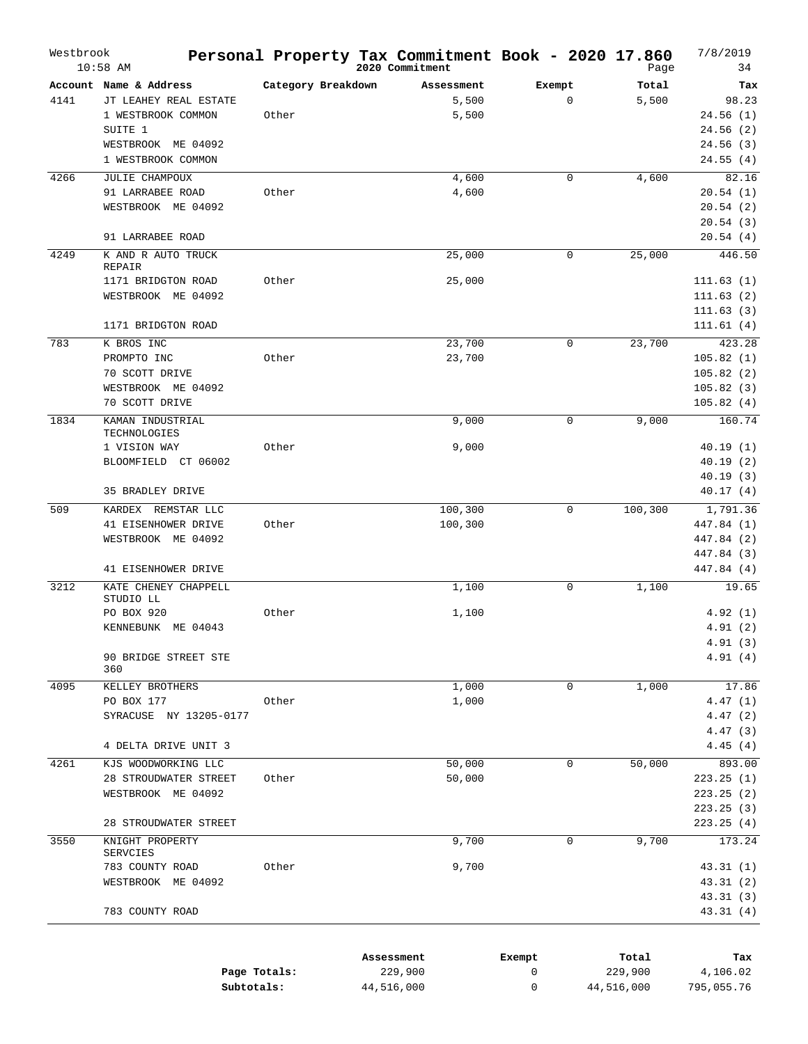| Westbrook | $10:58$ AM                           |                    | Personal Property Tax Commitment Book - 2020 17.860<br>2020 Commitment |             | Page       | 7/8/2019<br>34     |
|-----------|--------------------------------------|--------------------|------------------------------------------------------------------------|-------------|------------|--------------------|
|           | Account Name & Address               | Category Breakdown | Assessment                                                             | Exempt      | Total      | Tax                |
| 4141      | JT LEAHEY REAL ESTATE                |                    | 5,500                                                                  | $\mathbf 0$ | 5,500      | 98.23              |
|           | 1 WESTBROOK COMMON                   | Other              | 5,500                                                                  |             |            | 24.56(1)           |
|           | SUITE 1                              |                    |                                                                        |             |            | 24.56(2)           |
|           | WESTBROOK ME 04092                   |                    |                                                                        |             |            | 24.56(3)           |
|           | 1 WESTBROOK COMMON                   |                    |                                                                        |             |            | 24.55(4)           |
| 4266      | JULIE CHAMPOUX                       |                    | 4,600                                                                  | 0           | 4,600      | 82.16              |
|           | 91 LARRABEE ROAD                     | Other              | 4,600                                                                  |             |            | 20.54(1)           |
|           | WESTBROOK ME 04092                   |                    |                                                                        |             |            | 20.54(2)           |
|           |                                      |                    |                                                                        |             |            | 20.54(3)           |
|           | 91 LARRABEE ROAD                     |                    |                                                                        |             |            | 20.54(4)           |
|           |                                      |                    |                                                                        | $\mathbf 0$ |            | 446.50             |
| 4249      | K AND R AUTO TRUCK<br>REPAIR         |                    | 25,000                                                                 |             | 25,000     |                    |
|           | 1171 BRIDGTON ROAD                   | Other              | 25,000                                                                 |             |            | 111.63(1)          |
|           | WESTBROOK ME 04092                   |                    |                                                                        |             |            | 111.63(2)          |
|           |                                      |                    |                                                                        |             |            | 111.63(3)          |
|           | 1171 BRIDGTON ROAD                   |                    |                                                                        |             |            | 111.61(4)          |
| 783       | K BROS INC                           |                    | 23,700                                                                 | $\mathbf 0$ | 23,700     | 423.28             |
|           | PROMPTO INC                          | Other              | 23,700                                                                 |             |            | 105.82(1)          |
|           |                                      |                    |                                                                        |             |            |                    |
|           | 70 SCOTT DRIVE<br>WESTBROOK ME 04092 |                    |                                                                        |             |            | 105.82(2)          |
|           |                                      |                    |                                                                        |             |            | 105.82(3)          |
|           | 70 SCOTT DRIVE                       |                    |                                                                        |             |            | 105.82(4)          |
| 1834      | KAMAN INDUSTRIAL                     |                    | 9,000                                                                  | 0           | 9,000      | 160.74             |
|           | TECHNOLOGIES<br>1 VISION WAY         | Other              | 9,000                                                                  |             |            | 40.19(1)           |
|           | BLOOMFIELD CT 06002                  |                    |                                                                        |             |            | 40.19(2)           |
|           |                                      |                    |                                                                        |             |            | 40.19(3)           |
|           | 35 BRADLEY DRIVE                     |                    |                                                                        |             |            | 40.17(4)           |
|           |                                      |                    |                                                                        |             |            |                    |
| 509       | KARDEX REMSTAR LLC                   |                    | 100,300                                                                | $\mathbf 0$ | 100,300    | 1,791.36           |
|           | 41 EISENHOWER DRIVE                  | Other              | 100,300                                                                |             |            | 447.84 (1)         |
|           | WESTBROOK ME 04092                   |                    |                                                                        |             |            | 447.84 (2)         |
|           |                                      |                    |                                                                        |             |            | 447.84 (3)         |
|           | 41 EISENHOWER DRIVE                  |                    |                                                                        |             |            | 447.84 (4)         |
| 3212      | KATE CHENEY CHAPPELL                 |                    | 1,100                                                                  | 0           | 1,100      | 19.65              |
|           | STUDIO LL                            | Other              |                                                                        |             |            | 4.92(1)            |
|           | PO BOX 920                           |                    | 1,100                                                                  |             |            |                    |
|           | KENNEBUNK ME 04043                   |                    |                                                                        |             |            | 4.91(2)            |
|           | 90 BRIDGE STREET STE                 |                    |                                                                        |             |            | 4.91(3)<br>4.91(4) |
|           | 360                                  |                    |                                                                        |             |            |                    |
| 4095      | KELLEY BROTHERS                      |                    | 1,000                                                                  | 0           | 1,000      | 17.86              |
|           | PO BOX 177                           | Other              | 1,000                                                                  |             |            | 4.47(1)            |
|           | SYRACUSE NY 13205-0177               |                    |                                                                        |             |            | 4.47(2)            |
|           |                                      |                    |                                                                        |             |            | 4.47(3)            |
|           | 4 DELTA DRIVE UNIT 3                 |                    |                                                                        |             |            |                    |
|           |                                      |                    |                                                                        |             |            | 4.45(4)            |
| 4261      | KJS WOODWORKING LLC                  |                    | 50,000                                                                 | 0           | 50,000     | 893.00             |
|           | 28 STROUDWATER STREET                | Other              | 50,000                                                                 |             |            | 223.25 (1)         |
|           | WESTBROOK ME 04092                   |                    |                                                                        |             |            | 223.25(2)          |
|           |                                      |                    |                                                                        |             |            | 223.25 (3)         |
|           | 28 STROUDWATER STREET                |                    |                                                                        |             |            | 223.25(4)          |
| 3550      | KNIGHT PROPERTY                      |                    | 9,700                                                                  | $\mathbf 0$ | 9,700      | 173.24             |
|           | SERVCIES                             |                    |                                                                        |             |            |                    |
|           | 783 COUNTY ROAD                      | Other              | 9,700                                                                  |             |            | 43.31(1)           |
|           | WESTBROOK ME 04092                   |                    |                                                                        |             |            | 43.31 (2)          |
|           |                                      |                    |                                                                        |             |            | 43.31(3)           |
|           | 783 COUNTY ROAD                      |                    |                                                                        |             |            | 43.31(4)           |
|           |                                      |                    |                                                                        |             |            |                    |
|           |                                      |                    |                                                                        |             |            |                    |
|           |                                      |                    | Assessment                                                             | Exempt      | Total      | Tax                |
|           |                                      | Page Totals:       | 229,900                                                                | 0           | 229,900    | 4,106.02           |
|           | Subtotals:                           |                    | 44,516,000                                                             | 0           | 44,516,000 | 795,055.76         |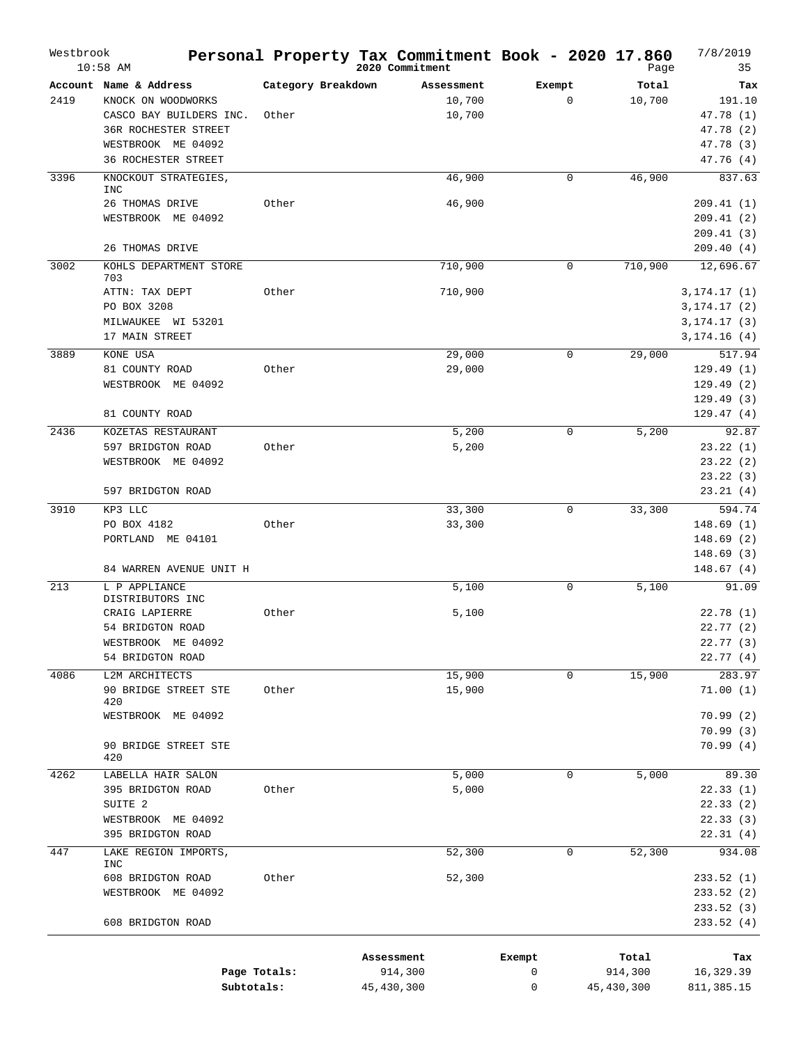| Westbrook | $10:58$ AM                         |                    | Personal Property Tax Commitment Book - 2020 17.860<br>2020 Commitment |             | Page       | 7/8/2019<br>35 |
|-----------|------------------------------------|--------------------|------------------------------------------------------------------------|-------------|------------|----------------|
|           | Account Name & Address             | Category Breakdown | Assessment                                                             | Exempt      | Total      | Tax            |
| 2419      | KNOCK ON WOODWORKS                 |                    | 10,700                                                                 | $\mathbf 0$ | 10,700     | 191.10         |
|           | CASCO BAY BUILDERS INC.            | Other              | 10,700                                                                 |             |            | 47.78 (1)      |
|           | <b>36R ROCHESTER STREET</b>        |                    |                                                                        |             |            | 47.78 (2)      |
|           | WESTBROOK ME 04092                 |                    |                                                                        |             |            | 47.78 (3)      |
|           | <b>36 ROCHESTER STREET</b>         |                    |                                                                        |             |            | 47.76 (4)      |
| 3396      | KNOCKOUT STRATEGIES,               |                    | 46,900                                                                 | $\mathbf 0$ | 46,900     | 837.63         |
|           | <b>INC</b><br>26 THOMAS DRIVE      | Other              | 46,900                                                                 |             |            | 209.41 (1)     |
|           | WESTBROOK ME 04092                 |                    |                                                                        |             |            | 209.41(2)      |
|           |                                    |                    |                                                                        |             |            | 209.41(3)      |
|           | 26 THOMAS DRIVE                    |                    |                                                                        |             |            | 209.40(4)      |
| 3002      | KOHLS DEPARTMENT STORE<br>703      |                    | 710,900                                                                | 0           | 710,900    | 12,696.67      |
|           | ATTN: TAX DEPT                     | Other              | 710,900                                                                |             |            | 3, 174.17(1)   |
|           | PO BOX 3208                        |                    |                                                                        |             |            | 3, 174.17(2)   |
|           | MILWAUKEE WI 53201                 |                    |                                                                        |             |            | 3, 174.17(3)   |
|           | 17 MAIN STREET                     |                    |                                                                        |             |            | 3, 174.16(4)   |
| 3889      | KONE USA                           |                    | 29,000                                                                 | $\Omega$    | 29,000     | 517.94         |
|           | 81 COUNTY ROAD                     | Other              | 29,000                                                                 |             |            | 129.49(1)      |
|           | WESTBROOK ME 04092                 |                    |                                                                        |             |            | 129.49(2)      |
|           |                                    |                    |                                                                        |             |            | 129.49(3)      |
|           | 81 COUNTY ROAD                     |                    |                                                                        |             |            | 129.47(4)      |
| 2436      | KOZETAS RESTAURANT                 |                    | 5,200                                                                  | $\mathbf 0$ | 5,200      | 92.87          |
|           | 597 BRIDGTON ROAD                  | Other              | 5,200                                                                  |             |            | 23.22(1)       |
|           | WESTBROOK ME 04092                 |                    |                                                                        |             |            | 23.22(2)       |
|           |                                    |                    |                                                                        |             |            | 23.22(3)       |
|           | 597 BRIDGTON ROAD                  |                    |                                                                        |             |            | 23.21(4)       |
| 3910      | KP3 LLC                            |                    | 33,300                                                                 | $\Omega$    | 33,300     | 594.74         |
|           | PO BOX 4182                        | Other              | 33,300                                                                 |             |            | 148.69(1)      |
|           | PORTLAND ME 04101                  |                    |                                                                        |             |            | 148.69(2)      |
|           |                                    |                    |                                                                        |             |            | 148.69(3)      |
|           | 84 WARREN AVENUE UNIT H            |                    |                                                                        |             |            | 148.67(4)      |
| 213       | L P APPLIANCE                      |                    | 5,100                                                                  | $\mathbf 0$ | 5,100      | 91.09          |
|           | DISTRIBUTORS INC<br>CRAIG LAPIERRE | Other              | 5,100                                                                  |             |            | 22.78(1)       |
|           | 54 BRIDGTON ROAD                   |                    |                                                                        |             |            | 22.77(2)       |
|           | WESTBROOK ME 04092                 |                    |                                                                        |             |            | 22.77(3)       |
|           | 54 BRIDGTON ROAD                   |                    |                                                                        |             |            | 22.77(4)       |
| 4086      | L2M ARCHITECTS                     |                    | 15,900                                                                 | 0           | 15,900     | 283.97         |
|           | 90 BRIDGE STREET STE               | Other              | 15,900                                                                 |             |            | 71.00(1)       |
|           | 420                                |                    |                                                                        |             |            |                |
|           | WESTBROOK ME 04092                 |                    |                                                                        |             |            | 70.99(2)       |
|           |                                    |                    |                                                                        |             |            | 70.99(3)       |
|           | 90 BRIDGE STREET STE<br>420        |                    |                                                                        |             |            | 70.99(4)       |
| 4262      | LABELLA HAIR SALON                 |                    | 5,000                                                                  | $\mathbf 0$ | 5,000      | 89.30          |
|           | 395 BRIDGTON ROAD                  | Other              | 5,000                                                                  |             |            | 22.33(1)       |
|           | SUITE <sub>2</sub>                 |                    |                                                                        |             |            | 22.33(2)       |
|           | WESTBROOK ME 04092                 |                    |                                                                        |             |            | 22.33(3)       |
|           | 395 BRIDGTON ROAD                  |                    |                                                                        |             |            | 22.31(4)       |
| 447       | LAKE REGION IMPORTS,<br><b>INC</b> |                    | 52,300                                                                 | $\mathbf 0$ | 52,300     | 934.08         |
|           | 608 BRIDGTON ROAD                  | Other              | 52,300                                                                 |             |            | 233.52 (1)     |
|           | WESTBROOK ME 04092                 |                    |                                                                        |             |            | 233.52 (2)     |
|           |                                    |                    |                                                                        |             |            | 233.52 (3)     |
|           | 608 BRIDGTON ROAD                  |                    |                                                                        |             |            | 233.52 (4)     |
|           |                                    |                    |                                                                        |             |            |                |
|           |                                    |                    | Assessment                                                             | Exempt      | Total      | Tax            |
|           |                                    | Page Totals:       | 914,300                                                                | 0           | 914,300    | 16,329.39      |
|           | Subtotals:                         |                    | 45,430,300                                                             | 0           | 45,430,300 | 811,385.15     |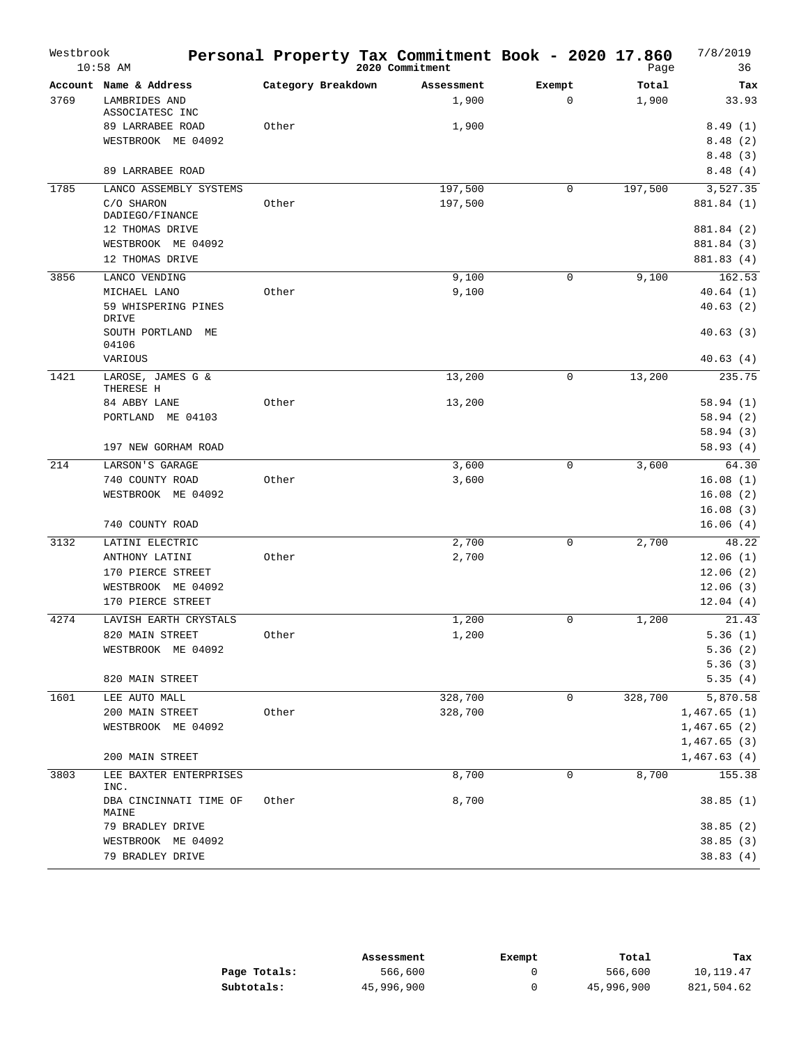| Westbrook | $10:58$ AM                            |                    | Personal Property Tax Commitment Book - 2020 17.860<br>2020 Commitment |             | Page    | 7/8/2019<br>36       |
|-----------|---------------------------------------|--------------------|------------------------------------------------------------------------|-------------|---------|----------------------|
|           | Account Name & Address                | Category Breakdown | Assessment                                                             | Exempt      | Total   | Tax                  |
| 3769      | LAMBRIDES AND<br>ASSOCIATESC INC      |                    | 1,900                                                                  | $\mathbf 0$ | 1,900   | 33.93                |
|           | 89 LARRABEE ROAD                      | Other              | 1,900                                                                  |             |         | 8.49(1)              |
|           | WESTBROOK ME 04092                    |                    |                                                                        |             |         | 8.48(2)              |
|           |                                       |                    |                                                                        |             |         | 8.48(3)              |
|           | 89 LARRABEE ROAD                      |                    |                                                                        |             |         | 8.48(4)              |
| 1785      | LANCO ASSEMBLY SYSTEMS                |                    | 197,500                                                                | 0           | 197,500 | 3,527.35             |
|           | C/O SHARON<br>DADIEGO/FINANCE         | Other              | 197,500                                                                |             |         | 881.84 (1)           |
|           | 12 THOMAS DRIVE                       |                    |                                                                        |             |         | 881.84 (2)           |
|           | WESTBROOK ME 04092                    |                    |                                                                        |             |         | 881.84 (3)           |
|           | 12 THOMAS DRIVE                       |                    |                                                                        |             |         | 881.83 (4)           |
| 3856      | LANCO VENDING                         |                    | 9,100                                                                  | 0           | 9,100   | 162.53               |
|           | MICHAEL LANO                          | Other              | 9,100                                                                  |             |         | 40.64(1)             |
|           | 59 WHISPERING PINES<br>DRIVE          |                    |                                                                        |             |         | 40.63(2)             |
|           | SOUTH PORTLAND ME<br>04106<br>VARIOUS |                    |                                                                        |             |         | 40.63(3)<br>40.63(4) |
|           |                                       |                    |                                                                        |             |         |                      |
| 1421      | LAROSE, JAMES G &<br>THERESE H        |                    | 13,200                                                                 | 0           | 13,200  | 235.75               |
|           | 84 ABBY LANE                          | Other              | 13,200                                                                 |             |         | 58.94(1)             |
|           | PORTLAND ME 04103                     |                    |                                                                        |             |         | 58.94(2)             |
|           |                                       |                    |                                                                        |             |         | 58.94(3)             |
|           | 197 NEW GORHAM ROAD                   |                    |                                                                        |             |         | 58.93(4)             |
| 214       | LARSON'S GARAGE                       |                    | 3,600                                                                  | $\mathbf 0$ | 3,600   | 64.30                |
|           | 740 COUNTY ROAD                       | Other              | 3,600                                                                  |             |         | 16.08(1)             |
|           | WESTBROOK ME 04092                    |                    |                                                                        |             |         | 16.08(2)             |
|           |                                       |                    |                                                                        |             |         | 16.08(3)             |
|           | 740 COUNTY ROAD                       |                    |                                                                        |             |         | 16.06(4)             |
| 3132      | LATINI ELECTRIC                       |                    | 2,700                                                                  | $\mathbf 0$ | 2,700   | 48.22                |
|           | ANTHONY LATINI                        | Other              | 2,700                                                                  |             |         | 12.06(1)             |
|           | 170 PIERCE STREET                     |                    |                                                                        |             |         | 12.06(2)             |
|           | WESTBROOK ME 04092                    |                    |                                                                        |             |         | 12.06(3)             |
|           | 170 PIERCE STREET                     |                    |                                                                        |             |         | 12.04(4)             |
| 4274      | LAVISH EARTH CRYSTALS                 |                    | 1,200                                                                  | 0           | 1,200   | 21.43                |
|           | 820 MAIN STREET                       | Other              | 1,200                                                                  |             |         | 5.36(1)              |
|           | WESTBROOK ME 04092                    |                    |                                                                        |             |         | 5.36(2)              |
|           |                                       |                    |                                                                        |             |         | 5.36(3)              |
|           | 820 MAIN STREET                       |                    |                                                                        |             |         | 5.35(4)              |
| 1601      | LEE AUTO MALL                         |                    | 328,700                                                                | 0           | 328,700 | 5,870.58             |
|           | 200 MAIN STREET                       | Other              | 328,700                                                                |             |         | 1,467.65(1)          |
|           | WESTBROOK ME 04092                    |                    |                                                                        |             |         | 1,467.65(2)          |
|           |                                       |                    |                                                                        |             |         | 1,467.65 (3)         |
|           | 200 MAIN STREET                       |                    |                                                                        |             |         | 1,467.63(4)          |
| 3803      | LEE BAXTER ENTERPRISES<br>INC.        |                    | 8,700                                                                  | 0           | 8,700   | 155.38               |
|           | DBA CINCINNATI TIME OF<br>MAINE       | Other              | 8,700                                                                  |             |         | 38.85(1)             |
|           | 79 BRADLEY DRIVE                      |                    |                                                                        |             |         | 38.85(2)             |
|           | WESTBROOK ME 04092                    |                    |                                                                        |             |         | 38.85(3)             |
|           | 79 BRADLEY DRIVE                      |                    |                                                                        |             |         | 38.83(4)             |

|              | Assessment | Exempt | Total      | Tax        |
|--------------|------------|--------|------------|------------|
| Page Totals: | 566,600    |        | 566,600    | 10,119.47  |
| Subtotals:   | 45,996,900 |        | 45,996,900 | 821,504.62 |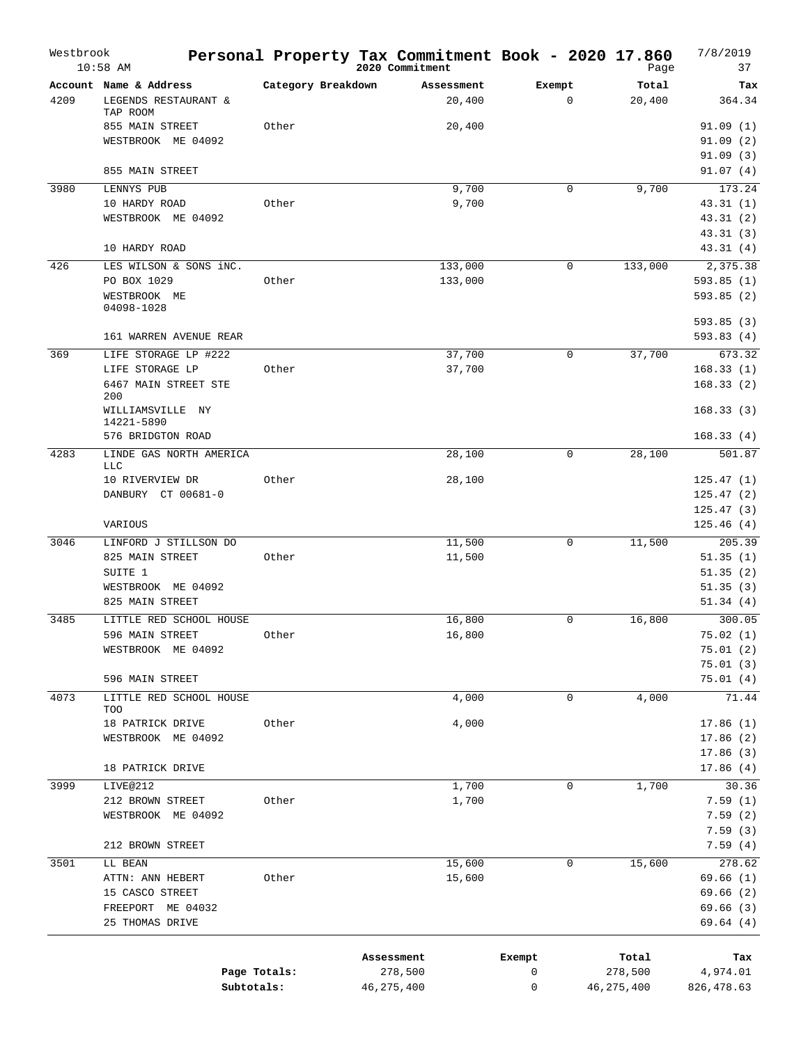| Westbrook | $10:58$ AM                            |                    | Personal Property Tax Commitment Book - 2020 17.860<br>2020 Commitment |         |        |             | Page         | 7/8/2019<br>37       |
|-----------|---------------------------------------|--------------------|------------------------------------------------------------------------|---------|--------|-------------|--------------|----------------------|
|           | Account Name & Address                | Category Breakdown | Assessment                                                             |         | Exempt |             | Total        | Tax                  |
| 4209      | LEGENDS RESTAURANT &                  |                    |                                                                        | 20,400  |        | $\mathbf 0$ | 20,400       | 364.34               |
|           | TAP ROOM<br>855 MAIN STREET           | Other              |                                                                        | 20,400  |        |             |              | 91.09(1)             |
|           | WESTBROOK ME 04092                    |                    |                                                                        |         |        |             |              | 91.09(2)             |
|           |                                       |                    |                                                                        |         |        |             |              | 91.09(3)             |
|           | 855 MAIN STREET                       |                    |                                                                        |         |        |             |              | 91.07(4)             |
| 3980      | LENNYS PUB                            |                    |                                                                        | 9,700   |        | 0           | 9,700        | 173.24               |
|           | 10 HARDY ROAD                         | Other              |                                                                        | 9,700   |        |             |              | 43.31(1)             |
|           | WESTBROOK ME 04092                    |                    |                                                                        |         |        |             |              | 43.31(2)             |
|           |                                       |                    |                                                                        |         |        |             |              | 43.31(3)             |
|           | 10 HARDY ROAD                         |                    |                                                                        |         |        |             |              | 43.31(4)             |
| 426       | LES WILSON & SONS iNC.                |                    |                                                                        | 133,000 |        | 0           | 133,000      | 2,375.38             |
|           | PO BOX 1029                           | Other              |                                                                        | 133,000 |        |             |              | 593.85(1)            |
|           | WESTBROOK ME<br>04098-1028            |                    |                                                                        |         |        |             |              | 593.85(2)            |
|           |                                       |                    |                                                                        |         |        |             |              | 593.85(3)            |
|           | 161 WARREN AVENUE REAR                |                    |                                                                        |         |        |             |              | 593.83(4)            |
| 369       | LIFE STORAGE LP #222                  |                    |                                                                        | 37,700  |        | 0           | 37,700       | 673.32               |
|           | LIFE STORAGE LP                       | Other              |                                                                        | 37,700  |        |             |              | 168.33(1)            |
|           | 6467 MAIN STREET STE                  |                    |                                                                        |         |        |             |              | 168.33(2)            |
|           | 200<br>WILLIAMSVILLE NY               |                    |                                                                        |         |        |             |              | 168.33(3)            |
|           | 14221-5890                            |                    |                                                                        |         |        |             |              |                      |
|           | 576 BRIDGTON ROAD                     |                    |                                                                        |         |        |             |              | 168.33(4)            |
| 4283      | LINDE GAS NORTH AMERICA               |                    |                                                                        | 28,100  |        | $\mathbf 0$ | 28,100       | 501.87               |
|           | LLC<br>10 RIVERVIEW DR                | Other              |                                                                        | 28,100  |        |             |              | 125.47(1)            |
|           | DANBURY CT 00681-0                    |                    |                                                                        |         |        |             |              | 125.47(2)            |
|           |                                       |                    |                                                                        |         |        |             |              | 125.47(3)            |
|           | VARIOUS                               |                    |                                                                        |         |        |             |              | 125.46(4)            |
| 3046      | LINFORD J STILLSON DO                 |                    |                                                                        | 11,500  |        | 0           | 11,500       | 205.39               |
|           | 825 MAIN STREET                       | Other              |                                                                        | 11,500  |        |             |              | 51.35(1)             |
|           | SUITE 1                               |                    |                                                                        |         |        |             |              | 51.35(2)             |
|           | WESTBROOK ME 04092                    |                    |                                                                        |         |        |             |              | 51.35(3)             |
|           | 825 MAIN STREET                       |                    |                                                                        |         |        |             |              | 51.34(4)             |
| 3485      | LITTLE RED SCHOOL HOUSE               |                    |                                                                        | 16,800  |        | 0           | 16,800       | 300.05               |
|           | 596 MAIN STREET<br>WESTBROOK ME 04092 | Other              |                                                                        | 16,800  |        |             |              | 75.02(1)<br>75.01(2) |
|           |                                       |                    |                                                                        |         |        |             |              | 75.01(3)             |
|           | 596 MAIN STREET                       |                    |                                                                        |         |        |             |              | 75.01(4)             |
| 4073      | LITTLE RED SCHOOL HOUSE               |                    |                                                                        | 4,000   |        | 0           | 4,000        | 71.44                |
|           | TOO                                   |                    |                                                                        |         |        |             |              |                      |
|           | 18 PATRICK DRIVE                      | Other              |                                                                        | 4,000   |        |             |              | 17.86(1)             |
|           | WESTBROOK ME 04092                    |                    |                                                                        |         |        |             |              | 17.86(2)<br>17.86(3) |
|           | 18 PATRICK DRIVE                      |                    |                                                                        |         |        |             |              | 17.86(4)             |
| 3999      | LIVE@212                              |                    |                                                                        | 1,700   |        | 0           | 1,700        | 30.36                |
|           | 212 BROWN STREET                      | Other              |                                                                        | 1,700   |        |             |              | 7.59(1)              |
|           | WESTBROOK ME 04092                    |                    |                                                                        |         |        |             |              | 7.59(2)              |
|           |                                       |                    |                                                                        |         |        |             |              | 7.59(3)              |
|           | 212 BROWN STREET                      |                    |                                                                        |         |        |             |              | 7.59(4)              |
| 3501      | LL BEAN                               |                    |                                                                        | 15,600  |        | 0           | 15,600       | 278.62               |
|           | ATTN: ANN HEBERT                      | Other              |                                                                        | 15,600  |        |             |              | 69.66(1)             |
|           | 15 CASCO STREET                       |                    |                                                                        |         |        |             |              | 69.66 (2)            |
|           | FREEPORT ME 04032<br>25 THOMAS DRIVE  |                    |                                                                        |         |        |             |              | 69.66(3)<br>69.64(4) |
|           |                                       |                    |                                                                        |         |        |             |              |                      |
|           |                                       |                    | Assessment                                                             |         | Exempt |             | Total        | Tax                  |
|           |                                       | Page Totals:       | 278,500                                                                |         | 0      |             | 278,500      | 4,974.01             |
|           | Subtotals:                            |                    | 46,275,400                                                             |         | 0      |             | 46, 275, 400 | 826,478.63           |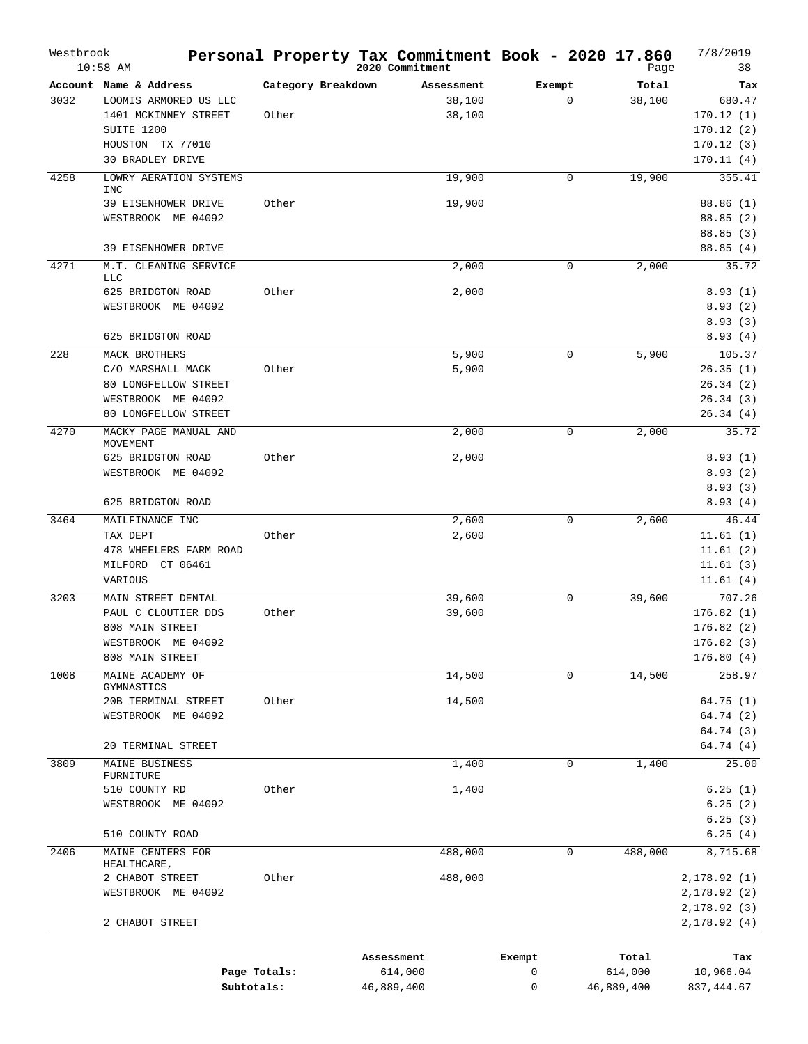| Westbrook | $10:58$ AM                                                                                                |                             | Personal Property Tax Commitment Book - 2020 17.860<br>2020 Commitment |                       | Page                           | 7/8/2019<br>38                                             |
|-----------|-----------------------------------------------------------------------------------------------------------|-----------------------------|------------------------------------------------------------------------|-----------------------|--------------------------------|------------------------------------------------------------|
| 3032      | Account Name & Address<br>LOOMIS ARMORED US LLC<br>1401 MCKINNEY STREET<br>SUITE 1200<br>HOUSTON TX 77010 | Category Breakdown<br>Other | Assessment<br>38,100<br>38,100                                         | Exempt<br>$\mathbf 0$ | Total<br>38,100                | Tax<br>680.47<br>170.12(1)<br>170.12(2)<br>170.12(3)       |
|           | <b>30 BRADLEY DRIVE</b>                                                                                   |                             |                                                                        |                       |                                | 170.11(4)                                                  |
| 4258      | LOWRY AERATION SYSTEMS<br><b>INC</b><br>39 EISENHOWER DRIVE<br>WESTBROOK ME 04092                         | Other                       | 19,900<br>19,900                                                       | $\mathbf 0$           | 19,900                         | 355.41<br>88.86 (1)<br>88.85(2)<br>88.85(3)                |
|           | 39 EISENHOWER DRIVE                                                                                       |                             |                                                                        |                       |                                | 88.85(4)                                                   |
| 4271      | M.T. CLEANING SERVICE<br><b>LLC</b>                                                                       |                             | 2,000                                                                  | 0                     | 2,000                          | 35.72                                                      |
|           | 625 BRIDGTON ROAD<br>WESTBROOK ME 04092                                                                   | Other                       | 2,000                                                                  |                       |                                | 8.93(1)<br>8.93(2)<br>8.93(3)                              |
|           | 625 BRIDGTON ROAD                                                                                         |                             |                                                                        |                       |                                | 8.93(4)                                                    |
| 228       | MACK BROTHERS<br>C/O MARSHALL MACK<br>80 LONGFELLOW STREET<br>WESTBROOK ME 04092<br>80 LONGFELLOW STREET  | Other                       | 5,900<br>5,900                                                         | 0                     | 5,900                          | 105.37<br>26.35(1)<br>26.34(2)<br>26.34(3)<br>26.34(4)     |
| 4270      | MACKY PAGE MANUAL AND                                                                                     |                             | 2,000                                                                  | 0                     | 2,000                          | 35.72                                                      |
|           | MOVEMENT<br>625 BRIDGTON ROAD<br>WESTBROOK ME 04092                                                       | Other                       | 2,000                                                                  |                       |                                | 8.93(1)<br>8.93(2)<br>8.93(3)                              |
|           | 625 BRIDGTON ROAD                                                                                         |                             |                                                                        |                       |                                | 8.93(4)                                                    |
| 3464      | MAILFINANCE INC<br>TAX DEPT<br>478 WHEELERS FARM ROAD<br>MILFORD<br>CT 06461<br>VARIOUS                   | Other                       | 2,600<br>2,600                                                         | 0                     | 2,600                          | 46.44<br>11.61(1)<br>11.61(2)<br>11.61(3)<br>11.61(4)      |
| 3203      | MAIN STREET DENTAL<br>PAUL C CLOUTIER DDS<br>808 MAIN STREET<br>WESTBROOK ME 04092<br>808 MAIN STREET     | Other                       | 39,600<br>39,600                                                       | 0                     | 39,600                         | 707.26<br>176.82(1)<br>176.82(2)<br>176.82(3)<br>176.80(4) |
| 1008      | MAINE ACADEMY OF                                                                                          |                             | 14,500                                                                 | $\mathbf 0$           | 14,500                         | 258.97                                                     |
|           | GYMNASTICS<br>20B TERMINAL STREET<br>WESTBROOK ME 04092<br>20 TERMINAL STREET                             | Other                       | 14,500                                                                 |                       |                                | 64.75 (1)<br>64.74 (2)<br>64.74 (3)<br>64.74 (4)           |
| 3809      | MAINE BUSINESS                                                                                            |                             | 1,400                                                                  | 0                     | 1,400                          | 25.00                                                      |
|           | FURNITURE<br>510 COUNTY RD<br>WESTBROOK ME 04092                                                          | Other                       | 1,400                                                                  |                       |                                | 6.25(1)<br>6.25(2)<br>6.25(3)                              |
|           | 510 COUNTY ROAD                                                                                           |                             |                                                                        |                       |                                | 6.25(4)                                                    |
| 2406      | MAINE CENTERS FOR<br>HEALTHCARE,                                                                          |                             | 488,000                                                                | $\mathbf 0$           | 488,000                        | 8,715.68                                                   |
|           | 2 CHABOT STREET<br>WESTBROOK ME 04092<br>2 CHABOT STREET                                                  | Other                       | 488,000                                                                |                       |                                | 2,178.92(1)<br>2,178.92 (2)<br>2,178.92 (3)<br>2,178.92(4) |
|           |                                                                                                           | Page Totals:<br>Subtotals:  | Assessment<br>614,000<br>46,889,400                                    | Exempt<br>0<br>0      | Total<br>614,000<br>46,889,400 | Tax<br>10,966.04<br>837, 444.67                            |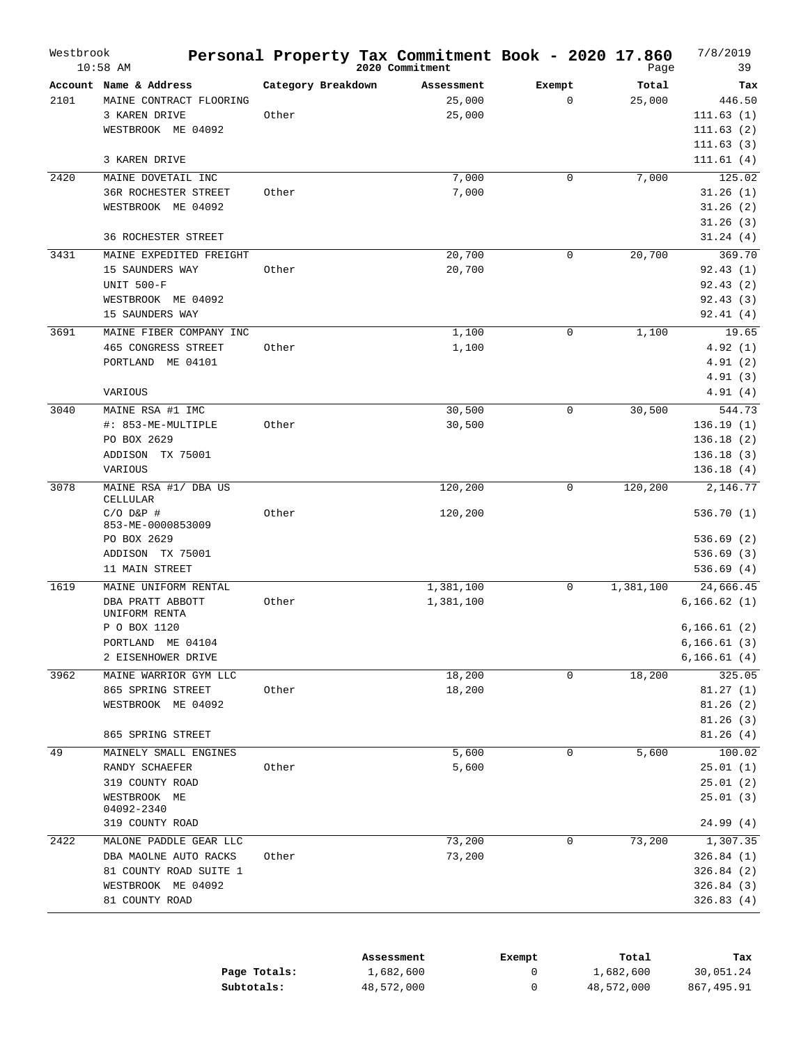| Westbrook | $10:58$ AM                                        |                    | Personal Property Tax Commitment Book - 2020 17.860<br>2020 Commitment |                       | Page            | 7/8/2019<br>39            |
|-----------|---------------------------------------------------|--------------------|------------------------------------------------------------------------|-----------------------|-----------------|---------------------------|
| 2101      | Account Name & Address<br>MAINE CONTRACT FLOORING | Category Breakdown | Assessment<br>25,000                                                   | Exempt<br>$\mathbf 0$ | Total<br>25,000 | Tax<br>446.50             |
|           | 3 KAREN DRIVE                                     | Other              | 25,000                                                                 |                       |                 | 111.63(1)                 |
|           | WESTBROOK ME 04092                                |                    |                                                                        |                       |                 | 111.63(2)                 |
|           |                                                   |                    |                                                                        |                       |                 | 111.63(3)                 |
|           | 3 KAREN DRIVE                                     |                    |                                                                        |                       |                 | 111.61(4)                 |
| 2420      | MAINE DOVETAIL INC                                |                    | 7,000                                                                  | 0                     | 7,000           | 125.02                    |
|           | 36R ROCHESTER STREET                              | Other              | 7,000                                                                  |                       |                 | 31.26(1)                  |
|           | WESTBROOK ME 04092                                |                    |                                                                        |                       |                 | 31.26(2)                  |
|           | <b>36 ROCHESTER STREET</b>                        |                    |                                                                        |                       |                 | 31.26(3)<br>31.24(4)      |
| 3431      | MAINE EXPEDITED FREIGHT                           |                    | 20,700                                                                 | 0                     | 20,700          | 369.70                    |
|           | 15 SAUNDERS WAY                                   | Other              | 20,700                                                                 |                       |                 | 92.43(1)                  |
|           | <b>UNIT 500-F</b>                                 |                    |                                                                        |                       |                 | 92.43(2)                  |
|           | WESTBROOK ME 04092                                |                    |                                                                        |                       |                 | 92.43(3)                  |
|           | 15 SAUNDERS WAY                                   |                    |                                                                        |                       |                 | 92.41(4)                  |
| 3691      | MAINE FIBER COMPANY INC                           |                    | 1,100                                                                  | 0                     | 1,100           | 19.65                     |
|           | 465 CONGRESS STREET                               | Other              | 1,100                                                                  |                       |                 | 4.92(1)                   |
|           | PORTLAND<br>ME 04101                              |                    |                                                                        |                       |                 | 4.91(2)                   |
|           |                                                   |                    |                                                                        |                       |                 | 4.91(3)                   |
|           | VARIOUS                                           |                    |                                                                        |                       |                 | 4.91 (4)                  |
| 3040      | MAINE RSA #1 IMC                                  |                    | 30,500                                                                 | 0                     | 30,500          | 544.73                    |
|           | #: 853-ME-MULTIPLE                                | Other              | 30,500                                                                 |                       |                 | 136.19(1)                 |
|           | PO BOX 2629                                       |                    |                                                                        |                       |                 | 136.18(2)                 |
|           | ADDISON<br>TX 75001                               |                    |                                                                        |                       |                 | 136.18(3)                 |
|           | VARIOUS                                           |                    |                                                                        |                       |                 | 136.18(4)                 |
| 3078      | MAINE RSA #1/ DBA US<br>CELLULAR                  |                    | 120,200                                                                | 0                     | 120,200         | 2,146.77                  |
|           | $C/O$ $D&P$ #                                     | Other              | 120,200                                                                |                       |                 | 536.70(1)                 |
|           | 853-ME-0000853009                                 |                    |                                                                        |                       |                 |                           |
|           | PO BOX 2629                                       |                    |                                                                        |                       |                 | 536.69(2)                 |
|           | ADDISON TX 75001<br>11 MAIN STREET                |                    |                                                                        |                       |                 | 536.69(3)<br>536.69(4)    |
|           |                                                   |                    |                                                                        |                       |                 |                           |
| 1619      | MAINE UNIFORM RENTAL<br>DBA PRATT ABBOTT          | Other              | 1,381,100<br>1,381,100                                                 | 0                     | 1,381,100       | 24,666.45<br>6, 166.62(1) |
|           | UNIFORM RENTA                                     |                    |                                                                        |                       |                 |                           |
|           | P O BOX 1120                                      |                    |                                                                        |                       |                 | 6, 166.61(2)              |
|           | PORTLAND ME 04104                                 |                    |                                                                        |                       |                 | 6, 166.61(3)              |
|           | 2 EISENHOWER DRIVE                                |                    |                                                                        |                       |                 | 6, 166.61(4)              |
| 3962      | MAINE WARRIOR GYM LLC                             |                    | 18,200                                                                 | 0                     | 18,200          | 325.05                    |
|           | 865 SPRING STREET                                 | Other              | 18,200                                                                 |                       |                 | 81.27(1)                  |
|           | WESTBROOK ME 04092                                |                    |                                                                        |                       |                 | 81.26(2)                  |
|           |                                                   |                    |                                                                        |                       |                 | 81.26(3)                  |
|           | 865 SPRING STREET                                 |                    |                                                                        |                       |                 | 81.26(4)                  |
| 49        | MAINELY SMALL ENGINES                             | Other              | 5,600                                                                  | 0                     | 5,600           | 100.02                    |
|           | RANDY SCHAEFER<br>319 COUNTY ROAD                 |                    | 5,600                                                                  |                       |                 | 25.01(1)<br>25.01(2)      |
|           | WESTBROOK ME                                      |                    |                                                                        |                       |                 | 25.01(3)                  |
|           | 04092-2340                                        |                    |                                                                        |                       |                 |                           |
|           | 319 COUNTY ROAD                                   |                    |                                                                        |                       |                 | 24.99(4)                  |
| 2422      | MALONE PADDLE GEAR LLC                            |                    | 73,200                                                                 | 0                     | 73,200          | 1,307.35                  |
|           | DBA MAOLNE AUTO RACKS                             | Other              | 73,200                                                                 |                       |                 | 326.84(1)                 |
|           | 81 COUNTY ROAD SUITE 1                            |                    |                                                                        |                       |                 | 326.84(2)                 |
|           | WESTBROOK ME 04092                                |                    |                                                                        |                       |                 | 326.84(3)                 |
|           | 81 COUNTY ROAD                                    |                    |                                                                        |                       |                 | 326.83 (4)                |

|              | Assessment | Exempt | Total      | Tax        |
|--------------|------------|--------|------------|------------|
| Page Totals: | 1,682,600  |        | 1,682,600  | 30,051.24  |
| Subtotals:   | 48,572,000 |        | 48,572,000 | 867,495.91 |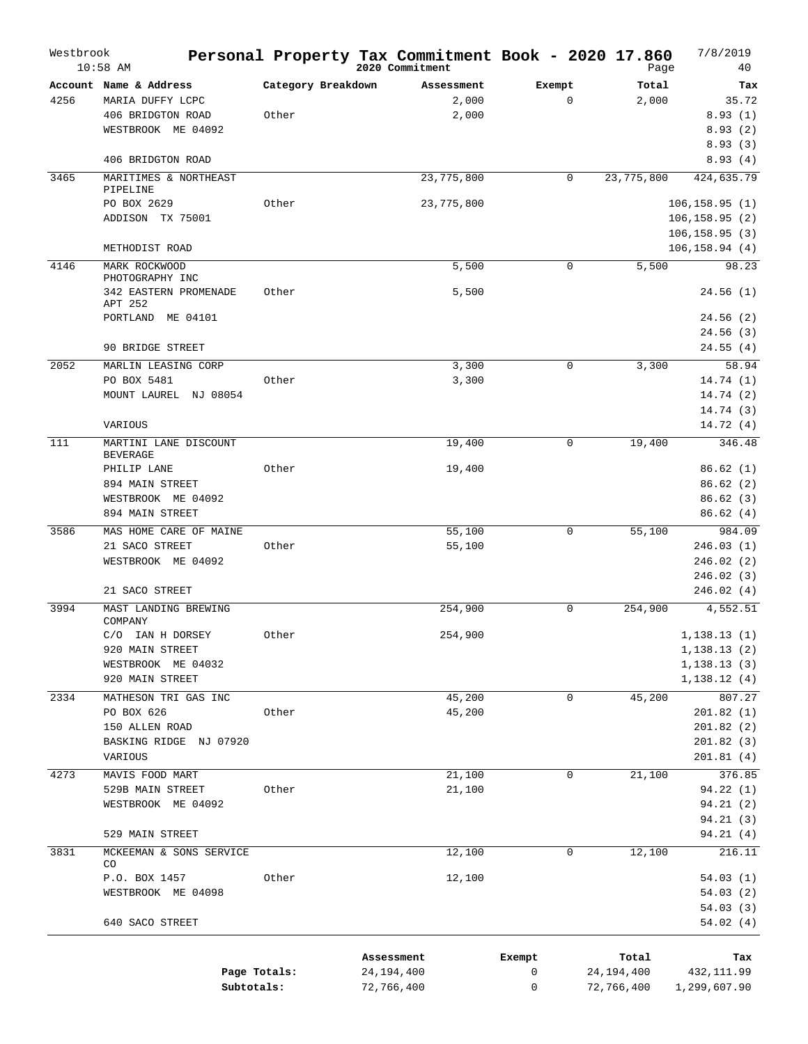| Westbrook | $10:58$ AM                                                                                                      |                             | Personal Property Tax Commitment Book - 2020 17.860<br>2020 Commitment |                       | Page                              | 7/8/2019<br>40                                                       |
|-----------|-----------------------------------------------------------------------------------------------------------------|-----------------------------|------------------------------------------------------------------------|-----------------------|-----------------------------------|----------------------------------------------------------------------|
| 4256      | Account Name & Address<br>MARIA DUFFY LCPC<br>406 BRIDGTON ROAD<br>WESTBROOK ME 04092                           | Category Breakdown<br>Other | Assessment<br>2,000<br>2,000                                           | Exempt<br>$\mathbf 0$ | Total<br>2,000                    | Tax<br>35.72<br>8.93(1)<br>8.93(2)<br>8.93(3)                        |
|           | 406 BRIDGTON ROAD                                                                                               |                             |                                                                        |                       |                                   | 8.93(4)                                                              |
| 3465      | MARITIMES & NORTHEAST<br>PIPELINE                                                                               |                             | 23,775,800                                                             | 0                     | 23,775,800                        | 424,635.79                                                           |
|           | PO BOX 2629<br>ADDISON TX 75001<br>METHODIST ROAD                                                               | Other                       | 23,775,800                                                             |                       |                                   | 106, 158.95(1)<br>106, 158.95(2)<br>106, 158.95(3)<br>106, 158.94(4) |
| 4146      | MARK ROCKWOOD<br>PHOTOGRAPHY INC                                                                                |                             | 5,500                                                                  | 0                     | 5,500                             | 98.23                                                                |
|           | 342 EASTERN PROMENADE<br>APT 252<br>PORTLAND ME 04101                                                           | Other                       | 5,500                                                                  |                       |                                   | 24.56(1)<br>24.56(2)                                                 |
|           |                                                                                                                 |                             |                                                                        |                       |                                   | 24.56(3)                                                             |
|           | 90 BRIDGE STREET                                                                                                |                             |                                                                        |                       |                                   | 24.55(4)                                                             |
| 2052      | MARLIN LEASING CORP<br>PO BOX 5481<br>MOUNT LAUREL NJ 08054                                                     | Other                       | 3,300<br>3,300                                                         | 0                     | 3,300                             | 58.94<br>14.74(1)<br>14.74(2)<br>14.74(3)                            |
|           | VARIOUS                                                                                                         |                             |                                                                        |                       |                                   | 14.72(4)                                                             |
| 111       | MARTINI LANE DISCOUNT<br><b>BEVERAGE</b>                                                                        |                             | 19,400                                                                 | 0                     | 19,400                            | 346.48                                                               |
|           | PHILIP LANE<br>894 MAIN STREET<br>WESTBROOK ME 04092<br>894 MAIN STREET                                         | Other                       | 19,400                                                                 |                       |                                   | 86.62(1)<br>86.62(2)<br>86.62(3)<br>86.62(4)                         |
| 3586      | MAS HOME CARE OF MAINE<br>21 SACO STREET<br>WESTBROOK ME 04092<br>21 SACO STREET                                | Other                       | 55,100<br>55,100                                                       | 0                     | 55,100                            | 984.09<br>246.03(1)<br>246.02(2)<br>246.02 (3)<br>246.02(4)          |
| 3994      | MAST LANDING BREWING<br>COMPANY<br>C/O IAN H DORSEY<br>920 MAIN STREET<br>WESTBROOK ME 04032<br>920 MAIN STREET | Other                       | 254,900<br>254,900                                                     | 0                     | 254,900                           | 4,552.51<br>1,138.13(1)<br>1,138.13(2)<br>1,138.13(3)<br>1,138.12(4) |
| 2334      | MATHESON TRI GAS INC<br>PO BOX 626<br>150 ALLEN ROAD<br>BASKING RIDGE NJ 07920<br>VARIOUS                       | Other                       | 45,200<br>45,200                                                       | 0                     | 45,200                            | 807.27<br>201.82(1)<br>201.82(2)<br>201.82(3)<br>201.81(4)           |
| 4273      | MAVIS FOOD MART<br>529B MAIN STREET<br>WESTBROOK ME 04092                                                       | Other                       | 21,100<br>21,100                                                       | 0                     | 21,100                            | 376.85<br>94.22 (1)<br>94.21(2)<br>94.21 (3)                         |
| 3831      | 529 MAIN STREET<br>MCKEEMAN & SONS SERVICE                                                                      |                             | 12,100                                                                 | 0                     | 12,100                            | 94.21 (4)<br>216.11                                                  |
|           | CO<br>P.O. BOX 1457<br>WESTBROOK ME 04098<br>640 SACO STREET                                                    | Other                       | 12,100                                                                 |                       |                                   | 54.03(1)<br>54.03(2)<br>54.03(3)<br>54.02(4)                         |
|           | Subtotals:                                                                                                      | Page Totals:                | Assessment<br>24,194,400<br>72,766,400                                 | Exempt<br>0<br>0      | Total<br>24,194,400<br>72,766,400 | Tax<br>432,111.99<br>1,299,607.90                                    |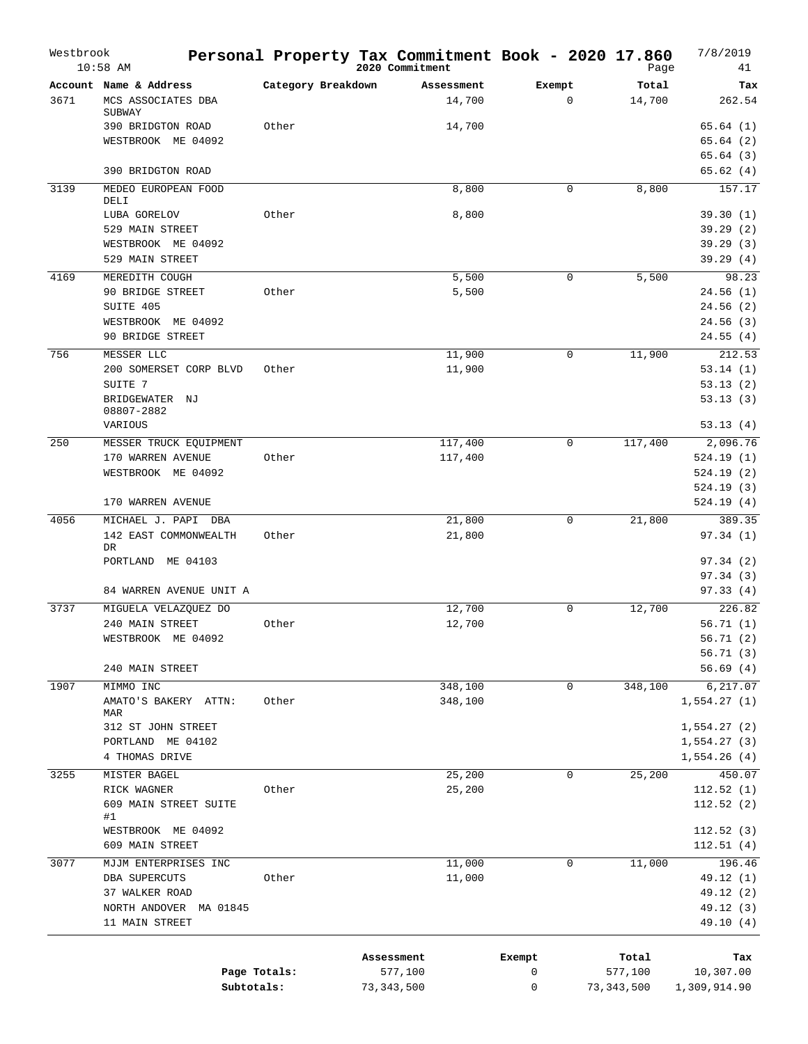| Westbrook | $10:58$ AM                            |                    | Personal Property Tax Commitment Book - 2020 17.860<br>2020 Commitment |             |             | Page             | 7/8/2019<br>41         |
|-----------|---------------------------------------|--------------------|------------------------------------------------------------------------|-------------|-------------|------------------|------------------------|
|           | Account Name & Address                | Category Breakdown | Assessment                                                             | Exempt      |             | Total            | Tax                    |
| 3671      | MCS ASSOCIATES DBA<br>SUBWAY          |                    | 14,700                                                                 |             | $\mathbf 0$ | 14,700           | 262.54                 |
|           | 390 BRIDGTON ROAD                     | Other              | 14,700                                                                 |             |             |                  | 65.64(1)               |
|           | WESTBROOK ME 04092                    |                    |                                                                        |             |             |                  | 65.64(2)               |
|           | 390 BRIDGTON ROAD                     |                    |                                                                        |             |             |                  | 65.64(3)<br>65.62(4)   |
| 3139      | MEDEO EUROPEAN FOOD                   |                    | 8,800                                                                  |             | 0           | 8,800            | 157.17                 |
|           | DELI                                  |                    |                                                                        |             |             |                  |                        |
|           | LUBA GORELOV                          | Other              | 8,800                                                                  |             |             |                  | 39.30(1)               |
|           | 529 MAIN STREET                       |                    |                                                                        |             |             |                  | 39.29(2)               |
|           | WESTBROOK ME 04092<br>529 MAIN STREET |                    |                                                                        |             |             |                  | 39.29(3)<br>39.29(4)   |
| 4169      | MEREDITH COUGH                        |                    | 5,500                                                                  |             | $\mathbf 0$ | 5,500            | 98.23                  |
|           | 90 BRIDGE STREET                      | Other              | 5,500                                                                  |             |             |                  | 24.56(1)               |
|           | SUITE 405                             |                    |                                                                        |             |             |                  | 24.56(2)               |
|           | WESTBROOK ME 04092                    |                    |                                                                        |             |             |                  | 24.56(3)               |
|           | 90 BRIDGE STREET                      |                    |                                                                        |             |             |                  | 24.55(4)               |
| 756       | MESSER LLC                            |                    | 11,900                                                                 |             | 0           | 11,900           | 212.53                 |
|           | 200 SOMERSET CORP BLVD                | Other              | 11,900                                                                 |             |             |                  | 53.14(1)               |
|           | SUITE 7                               |                    |                                                                        |             |             |                  | 53.13(2)               |
|           | BRIDGEWATER NJ<br>08807-2882          |                    |                                                                        |             |             |                  | 53.13(3)               |
|           | VARIOUS                               |                    |                                                                        |             |             |                  | 53.13(4)               |
| 250       | MESSER TRUCK EQUIPMENT                |                    | 117,400                                                                |             | 0           | 117,400          | 2,096.76               |
|           | 170 WARREN AVENUE                     | Other              | 117,400                                                                |             |             |                  | 524.19(1)              |
|           | WESTBROOK ME 04092                    |                    |                                                                        |             |             |                  | 524.19(2)              |
|           | 170 WARREN AVENUE                     |                    |                                                                        |             |             |                  | 524.19(3)<br>524.19(4) |
| 4056      | MICHAEL J. PAPI DBA                   |                    | 21,800                                                                 |             | 0           | 21,800           | 389.35                 |
|           | 142 EAST COMMONWEALTH                 | Other              | 21,800                                                                 |             |             |                  | 97.34(1)               |
|           | DR                                    |                    |                                                                        |             |             |                  |                        |
|           | PORTLAND ME 04103                     |                    |                                                                        |             |             |                  | 97.34(2)               |
|           | 84 WARREN AVENUE UNIT A               |                    |                                                                        |             |             |                  | 97.34(3)<br>97.33(4)   |
| 3737      | MIGUELA VELAZQUEZ DO                  |                    | 12,700                                                                 |             | $\mathbf 0$ | 12,700           | 226.82                 |
|           | 240 MAIN STREET                       | Other              | 12,700                                                                 |             |             |                  | 56.71(1)               |
|           | WESTBROOK ME 04092                    |                    |                                                                        |             |             |                  | 56.71(2)               |
|           |                                       |                    |                                                                        |             |             |                  | 56.71(3)               |
|           | 240 MAIN STREET                       |                    |                                                                        |             |             |                  | 56.69(4)               |
| 1907      | MIMMO INC                             |                    | 348,100                                                                |             | 0           | 348,100          | 6,217.07               |
|           | AMATO'S BAKERY ATTN:                  | Other              | 348,100                                                                |             |             |                  | 1,554.27(1)            |
|           | MAR<br>312 ST JOHN STREET             |                    |                                                                        |             |             |                  | 1,554.27(2)            |
|           | PORTLAND ME 04102                     |                    |                                                                        |             |             |                  | 1,554.27(3)            |
|           | 4 THOMAS DRIVE                        |                    |                                                                        |             |             |                  | 1,554.26(4)            |
| 3255      | MISTER BAGEL                          |                    | 25,200                                                                 |             | $\mathbf 0$ | 25,200           | 450.07                 |
|           | RICK WAGNER                           | Other              | 25,200                                                                 |             |             |                  | 112.52(1)              |
|           | 609 MAIN STREET SUITE                 |                    |                                                                        |             |             |                  | 112.52(2)              |
|           | #1                                    |                    |                                                                        |             |             |                  |                        |
|           | WESTBROOK ME 04092<br>609 MAIN STREET |                    |                                                                        |             |             |                  | 112.52(3)              |
| 3077      | MJJM ENTERPRISES INC                  |                    | 11,000                                                                 |             | 0           | 11,000           | 112.51(4)<br>196.46    |
|           | DBA SUPERCUTS                         | Other              | 11,000                                                                 |             |             |                  | 49.12 (1)              |
|           | 37 WALKER ROAD                        |                    |                                                                        |             |             |                  | 49.12 (2)              |
|           | NORTH ANDOVER MA 01845                |                    |                                                                        |             |             |                  | 49.12 (3)              |
|           | 11 MAIN STREET                        |                    |                                                                        |             |             |                  | 49.10 (4)              |
|           |                                       |                    |                                                                        |             |             |                  |                        |
|           |                                       | Page Totals:       | Assessment<br>577,100                                                  | Exempt<br>0 |             | Total<br>577,100 | Tax<br>10,307.00       |
|           | Subtotals:                            |                    | 73,343,500                                                             | 0           |             | 73,343,500       | 1,309,914.90           |
|           |                                       |                    |                                                                        |             |             |                  |                        |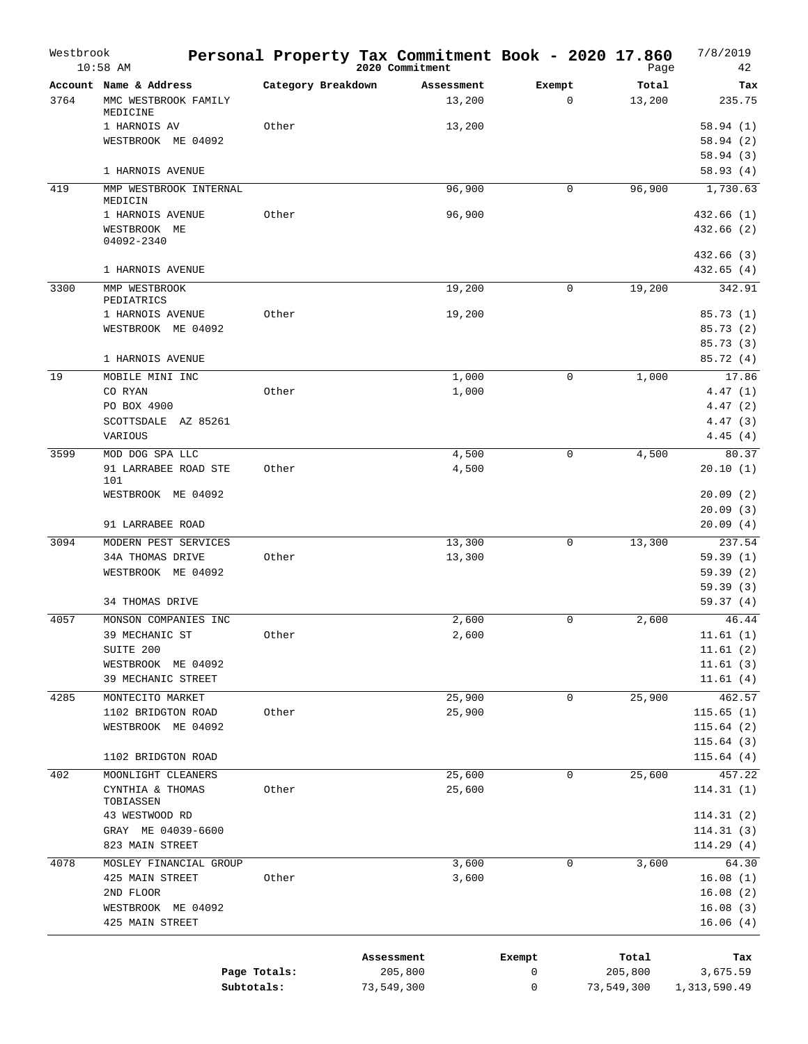| Westbrook | $10:58$ AM                                |                    | Personal Property Tax Commitment Book - 2020 17.860<br>2020 Commitment |             | Page       | 7/8/2019<br>42          |
|-----------|-------------------------------------------|--------------------|------------------------------------------------------------------------|-------------|------------|-------------------------|
|           | Account Name & Address                    | Category Breakdown | Assessment                                                             | Exempt      | Total      | Tax                     |
| 3764      | MMC WESTBROOK FAMILY                      |                    | 13,200                                                                 | $\mathbf 0$ | 13,200     | 235.75                  |
|           | MEDICINE<br>1 HARNOIS AV                  | Other              | 13,200                                                                 |             |            | 58.94(1)                |
|           | WESTBROOK ME 04092                        |                    |                                                                        |             |            | 58.94(2)                |
|           |                                           |                    |                                                                        |             |            | 58.94(3)                |
|           | 1 HARNOIS AVENUE                          |                    |                                                                        |             |            | 58.93(4)                |
| 419       | MMP WESTBROOK INTERNAL                    |                    | 96,900                                                                 | 0           | 96,900     | 1,730.63                |
|           | MEDICIN                                   |                    |                                                                        |             |            |                         |
|           | 1 HARNOIS AVENUE<br>WESTBROOK ME          | Other              | 96,900                                                                 |             |            | 432.66(1)<br>432.66 (2) |
|           | 04092-2340                                |                    |                                                                        |             |            |                         |
|           |                                           |                    |                                                                        |             |            | 432.66 (3)              |
|           | 1 HARNOIS AVENUE                          |                    |                                                                        |             |            | 432.65(4)               |
| 3300      | MMP WESTBROOK                             |                    | 19,200                                                                 | 0           | 19,200     | 342.91                  |
|           | PEDIATRICS<br>1 HARNOIS AVENUE            | Other              | 19,200                                                                 |             |            | 85.73(1)                |
|           | WESTBROOK ME 04092                        |                    |                                                                        |             |            | 85.73(2)                |
|           |                                           |                    |                                                                        |             |            | 85.73(3)                |
|           | 1 HARNOIS AVENUE                          |                    |                                                                        |             |            | 85.72 (4)               |
| 19        | MOBILE MINI INC                           |                    | 1,000                                                                  | 0           | 1,000      | 17.86                   |
|           | CO RYAN                                   | Other              | 1,000                                                                  |             |            | 4.47(1)                 |
|           | PO BOX 4900                               |                    |                                                                        |             |            | 4.47(2)                 |
|           | SCOTTSDALE AZ 85261                       |                    |                                                                        |             |            | 4.47(3)                 |
|           | VARIOUS                                   |                    |                                                                        |             |            | 4.45(4)                 |
| 3599      | MOD DOG SPA LLC                           |                    | 4,500                                                                  | 0           | 4,500      | 80.37                   |
|           | 91 LARRABEE ROAD STE<br>101               | Other              | 4,500                                                                  |             |            | 20.10(1)                |
|           | WESTBROOK ME 04092                        |                    |                                                                        |             |            | 20.09(2)                |
|           |                                           |                    |                                                                        |             |            | 20.09(3)                |
|           | 91 LARRABEE ROAD                          |                    |                                                                        |             |            | 20.09(4)                |
| 3094      | MODERN PEST SERVICES                      |                    | 13,300                                                                 | 0           | 13,300     | 237.54                  |
|           | 34A THOMAS DRIVE                          | Other              | 13,300                                                                 |             |            | 59.39(1)                |
|           | WESTBROOK ME 04092                        |                    |                                                                        |             |            | 59.39(2)<br>59.39(3)    |
|           | 34 THOMAS DRIVE                           |                    |                                                                        |             |            | 59.37(4)                |
| 4057      | MONSON COMPANIES INC                      |                    | 2,600                                                                  | 0           | 2,600      | 46.44                   |
|           | 39 MECHANIC ST                            | Other              | 2,600                                                                  |             |            | 11.61(1)                |
|           | SUITE 200                                 |                    |                                                                        |             |            | 11.61(2)                |
|           | WESTBROOK ME 04092                        |                    |                                                                        |             |            | 11.61(3)                |
|           | 39 MECHANIC STREET                        |                    |                                                                        |             |            | 11.61(4)                |
| 4285      | MONTECITO MARKET                          |                    | 25,900                                                                 | 0           | 25,900     | 462.57                  |
|           | 1102 BRIDGTON ROAD                        | Other              | 25,900                                                                 |             |            | 115.65(1)               |
|           | WESTBROOK ME 04092                        |                    |                                                                        |             |            | 115.64(2)               |
|           | 1102 BRIDGTON ROAD                        |                    |                                                                        |             |            | 115.64(3)<br>115.64(4)  |
| 402       | MOONLIGHT CLEANERS                        |                    | 25,600                                                                 | 0           | 25,600     | 457.22                  |
|           | CYNTHIA & THOMAS                          | Other              | 25,600                                                                 |             |            | 114.31(1)               |
|           | TOBIASSEN                                 |                    |                                                                        |             |            |                         |
|           | 43 WESTWOOD RD                            |                    |                                                                        |             |            | 114.31(2)               |
|           | GRAY ME 04039-6600                        |                    |                                                                        |             |            | 114.31(3)               |
|           | 823 MAIN STREET                           |                    |                                                                        |             |            | 114.29(4)               |
| 4078      | MOSLEY FINANCIAL GROUP<br>425 MAIN STREET | Other              | 3,600<br>3,600                                                         | 0           | 3,600      | 64.30                   |
|           | 2ND FLOOR                                 |                    |                                                                        |             |            | 16.08(1)<br>16.08(2)    |
|           | WESTBROOK ME 04092                        |                    |                                                                        |             |            | 16.08(3)                |
|           | 425 MAIN STREET                           |                    |                                                                        |             |            | 16.06(4)                |
|           |                                           |                    |                                                                        |             |            |                         |
|           |                                           |                    | Assessment                                                             | Exempt      | Total      | Tax                     |
|           |                                           | Page Totals:       | 205,800                                                                | 0           | 205,800    | 3,675.59                |
|           |                                           | Subtotals:         | 73,549,300                                                             | 0           | 73,549,300 | 1, 313, 590.49          |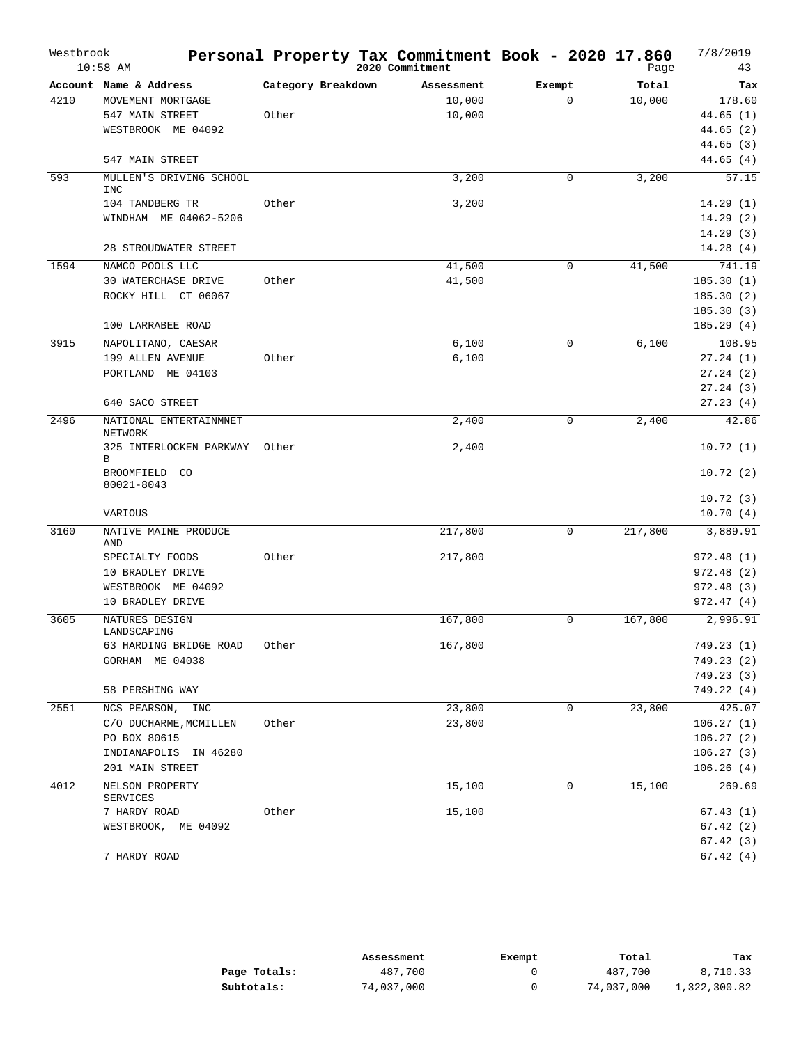| Westbrook | $10:58$ AM                               |                    | Personal Property Tax Commitment Book - 2020 17.860<br>2020 Commitment |             | Page    | 7/8/2019<br>43         |
|-----------|------------------------------------------|--------------------|------------------------------------------------------------------------|-------------|---------|------------------------|
|           | Account Name & Address                   | Category Breakdown | Assessment                                                             | Exempt      | Total   | Tax                    |
| 4210      | MOVEMENT MORTGAGE                        |                    | 10,000                                                                 | $\mathbf 0$ | 10,000  | 178.60                 |
|           | 547 MAIN STREET                          | Other              | 10,000                                                                 |             |         | 44.65(1)               |
|           | WESTBROOK ME 04092                       |                    |                                                                        |             |         | 44.65(2)               |
|           |                                          |                    |                                                                        |             |         | 44.65(3)               |
|           | 547 MAIN STREET                          |                    |                                                                        |             |         | 44.65(4)               |
| 593       | MULLEN'S DRIVING SCHOOL<br><b>INC</b>    |                    | 3,200                                                                  | $\mathbf 0$ | 3,200   | 57.15                  |
|           | 104 TANDBERG TR                          | Other              | 3,200                                                                  |             |         | 14.29(1)               |
|           | WINDHAM ME 04062-5206                    |                    |                                                                        |             |         | 14.29(2)               |
|           |                                          |                    |                                                                        |             |         | 14.29(3)               |
|           | 28 STROUDWATER STREET                    |                    |                                                                        |             |         | 14.28(4)               |
| 1594      | NAMCO POOLS LLC                          |                    | 41,500                                                                 | $\mathbf 0$ | 41,500  | 741.19                 |
|           | <b>30 WATERCHASE DRIVE</b>               | Other              | 41,500                                                                 |             |         | 185.30(1)              |
|           | ROCKY HILL CT 06067                      |                    |                                                                        |             |         | 185.30(2)              |
|           |                                          |                    |                                                                        |             |         | 185.30(3)              |
|           | 100 LARRABEE ROAD                        |                    |                                                                        |             |         | 185.29(4)              |
| 3915      | NAPOLITANO, CAESAR                       |                    | 6,100                                                                  | $\mathbf 0$ | 6,100   | 108.95                 |
|           | 199 ALLEN AVENUE                         | Other              | 6,100                                                                  |             |         | 27.24(1)               |
|           | PORTLAND ME 04103                        |                    |                                                                        |             |         | 27.24(2)<br>27.24(3)   |
|           | 640 SACO STREET                          |                    |                                                                        |             |         | 27.23(4)               |
| 2496      | NATIONAL ENTERTAINMNET                   |                    | 2,400                                                                  | $\mathbf 0$ | 2,400   | 42.86                  |
|           | NETWORK<br>325 INTERLOCKEN PARKWAY       | Other              | 2,400                                                                  |             |         | 10.72(1)               |
|           | B<br>BROOMFIELD CO                       |                    |                                                                        |             |         | 10.72(2)               |
|           | 80021-8043                               |                    |                                                                        |             |         | 10.72(3)               |
|           | VARIOUS                                  |                    |                                                                        |             |         | 10.70(4)               |
| 3160      | NATIVE MAINE PRODUCE                     |                    | 217,800                                                                | $\mathbf 0$ | 217,800 | 3,889.91               |
|           | AND                                      |                    |                                                                        |             |         |                        |
|           | SPECIALTY FOODS                          | Other              | 217,800                                                                |             |         | 972.48 (1)             |
|           | 10 BRADLEY DRIVE                         |                    |                                                                        |             |         | 972.48(2)              |
|           | WESTBROOK ME 04092                       |                    |                                                                        |             |         | 972.48 (3)             |
|           | 10 BRADLEY DRIVE                         |                    |                                                                        |             |         | 972.47(4)              |
| 3605      | NATURES DESIGN<br>LANDSCAPING            |                    | 167,800                                                                | $\mathbf 0$ | 167,800 | 2,996.91               |
|           | 63 HARDING BRIDGE ROAD                   | Other              | 167,800                                                                |             |         | 749.23 (1)             |
|           | GORHAM ME 04038                          |                    |                                                                        |             |         | 749.23 (2)             |
|           |                                          |                    |                                                                        |             |         | 749.23(3)              |
|           | 58 PERSHING WAY                          |                    |                                                                        |             |         | 749.22 (4)             |
| 2551      | NCS PEARSON, INC                         |                    | 23,800                                                                 | $\mathbf 0$ | 23,800  | 425.07                 |
|           | C/O DUCHARME, MCMILLEN                   | Other              | 23,800                                                                 |             |         | 106.27(1)              |
|           | PO BOX 80615                             |                    |                                                                        |             |         | 106.27(2)<br>106.27(3) |
|           | INDIANAPOLIS IN 46280<br>201 MAIN STREET |                    |                                                                        |             |         | 106.26(4)              |
| 4012      | NELSON PROPERTY                          |                    | 15,100                                                                 | $\mathbf 0$ | 15,100  | 269.69                 |
|           | SERVICES                                 |                    |                                                                        |             |         |                        |
|           | 7 HARDY ROAD                             | Other              | 15,100                                                                 |             |         | 67.43(1)               |
|           | WESTBROOK, ME 04092                      |                    |                                                                        |             |         | 67.42(2)<br>67.42(3)   |
|           | 7 HARDY ROAD                             |                    |                                                                        |             |         | 67.42(4)               |
|           |                                          |                    |                                                                        |             |         |                        |

|              | Assessment | Exempt | Total      | Tax          |
|--------------|------------|--------|------------|--------------|
| Page Totals: | 487,700    |        | 487,700    | 8,710.33     |
| Subtotals:   | 74,037,000 |        | 74,037,000 | 1,322,300.82 |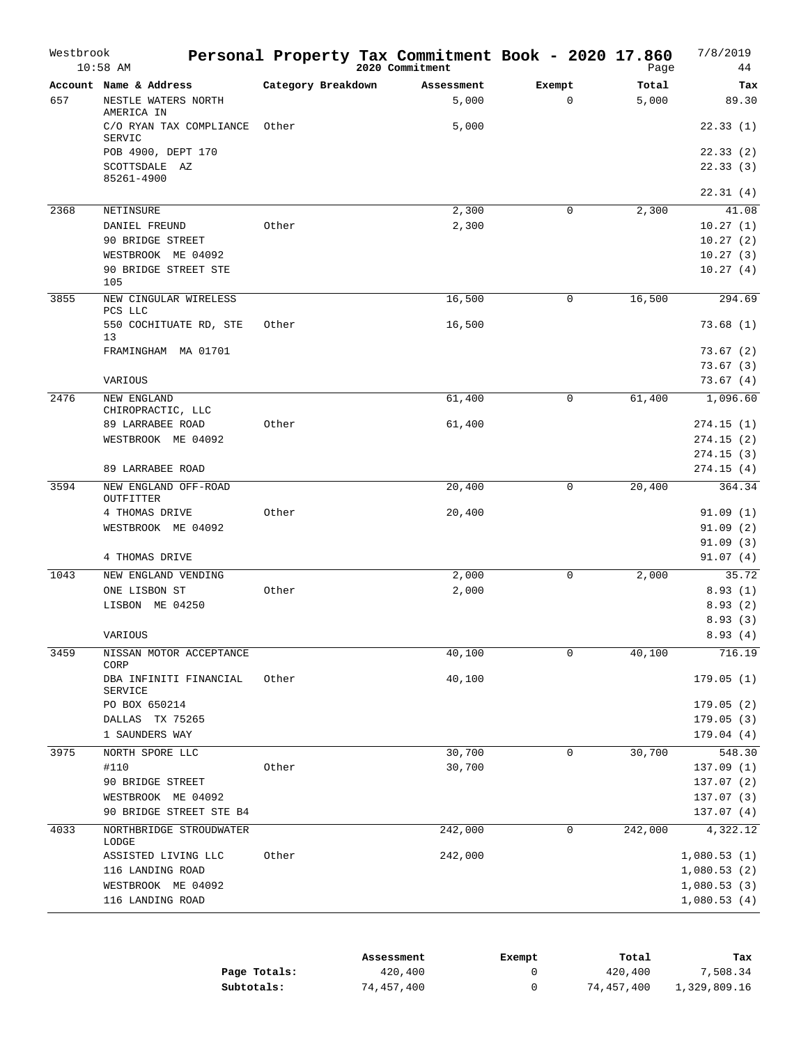| Westbrook | $10:58$ AM                                                  |                    | Personal Property Tax Commitment Book - 2020 17.860<br>2020 Commitment |                       | Page           | 7/8/2019<br>44           |
|-----------|-------------------------------------------------------------|--------------------|------------------------------------------------------------------------|-----------------------|----------------|--------------------------|
| 657       | Account Name & Address<br>NESTLE WATERS NORTH<br>AMERICA IN | Category Breakdown | Assessment<br>5,000                                                    | Exempt<br>$\mathbf 0$ | Total<br>5,000 | Tax<br>89.30             |
|           | C/O RYAN TAX COMPLIANCE<br>SERVIC                           | Other              | 5,000                                                                  |                       |                | 22.33(1)                 |
|           | POB 4900, DEPT 170                                          |                    |                                                                        |                       |                | 22.33(2)                 |
|           | SCOTTSDALE AZ<br>85261-4900                                 |                    |                                                                        |                       |                | 22.33(3)                 |
|           |                                                             |                    |                                                                        |                       |                | 22.31(4)                 |
| 2368      | NETINSURE                                                   |                    | 2,300                                                                  | 0                     | 2,300          | 41.08                    |
|           | DANIEL FREUND                                               | Other              | 2,300                                                                  |                       |                | 10.27(1)                 |
|           | 90 BRIDGE STREET<br>WESTBROOK ME 04092                      |                    |                                                                        |                       |                | 10.27(2)<br>10.27(3)     |
|           | 90 BRIDGE STREET STE                                        |                    |                                                                        |                       |                | 10.27(4)                 |
|           | 105                                                         |                    |                                                                        |                       |                |                          |
| 3855      | NEW CINGULAR WIRELESS<br>PCS LLC                            |                    | 16,500                                                                 | 0                     | 16,500         | 294.69                   |
|           | 550 COCHITUATE RD, STE<br>13                                | Other              | 16,500                                                                 |                       |                | 73.68(1)                 |
|           | FRAMINGHAM MA 01701                                         |                    |                                                                        |                       |                | 73.67 (2)                |
|           |                                                             |                    |                                                                        |                       |                | 73.67(3)                 |
|           | VARIOUS                                                     |                    |                                                                        |                       |                | 73.67(4)                 |
| 2476      | NEW ENGLAND<br>CHIROPRACTIC, LLC                            |                    | 61,400                                                                 | 0                     | 61,400         | 1,096.60                 |
|           | 89 LARRABEE ROAD                                            | Other              | 61,400                                                                 |                       |                | 274.15(1)                |
|           | WESTBROOK ME 04092                                          |                    |                                                                        |                       |                | 274.15(2)                |
|           |                                                             |                    |                                                                        |                       |                | 274.15(3)                |
|           | 89 LARRABEE ROAD                                            |                    |                                                                        |                       |                | 274.15 (4)               |
| 3594      | NEW ENGLAND OFF-ROAD<br>OUTFITTER                           |                    | 20,400                                                                 | 0                     | 20,400         | 364.34                   |
|           | 4 THOMAS DRIVE                                              | Other              | 20,400                                                                 |                       |                | 91.09(1)                 |
|           | WESTBROOK ME 04092                                          |                    |                                                                        |                       |                | 91.09(2)                 |
|           |                                                             |                    |                                                                        |                       |                | 91.09(3)                 |
|           | 4 THOMAS DRIVE                                              |                    |                                                                        |                       |                | 91.07(4)                 |
| 1043      | NEW ENGLAND VENDING                                         |                    | 2,000                                                                  | $\mathbf 0$           | 2,000          | 35.72                    |
|           | ONE LISBON ST                                               | Other              | 2,000                                                                  |                       |                | 8.93(1)                  |
|           | LISBON ME 04250                                             |                    |                                                                        |                       |                | 8.93(2)                  |
|           |                                                             |                    |                                                                        |                       |                | 8.93(3)                  |
|           | VARIOUS                                                     |                    |                                                                        |                       |                | 8.93(4)                  |
| 3459      | NISSAN MOTOR ACCEPTANCE<br>CORP                             |                    | 40,100                                                                 | 0                     | 40,100         | 716.19                   |
|           | DBA INFINITI FINANCIAL<br>SERVICE                           | Other              | 40,100                                                                 |                       |                | 179.05(1)                |
|           | PO BOX 650214                                               |                    |                                                                        |                       |                | 179.05(2)                |
|           | DALLAS TX 75265                                             |                    |                                                                        |                       |                | 179.05(3)                |
|           | 1 SAUNDERS WAY                                              |                    |                                                                        |                       |                | 179.04(4)                |
| 3975      | NORTH SPORE LLC                                             |                    | 30,700                                                                 | 0                     | 30,700         | 548.30                   |
|           | #110<br>90 BRIDGE STREET                                    | Other              | 30,700                                                                 |                       |                | 137.09(1)                |
|           | WESTBROOK ME 04092                                          |                    |                                                                        |                       |                | 137.07 (2)<br>137.07 (3) |
|           | 90 BRIDGE STREET STE B4                                     |                    |                                                                        |                       |                | 137.07 (4)               |
| 4033      | NORTHBRIDGE STROUDWATER                                     |                    | 242,000                                                                | 0                     | 242,000        | 4,322.12                 |
|           | LODGE<br>ASSISTED LIVING LLC                                | Other              | 242,000                                                                |                       |                | 1,080.53(1)              |
|           | 116 LANDING ROAD                                            |                    |                                                                        |                       |                | 1,080.53(2)              |
|           | WESTBROOK ME 04092                                          |                    |                                                                        |                       |                | 1,080.53(3)              |
|           | 116 LANDING ROAD                                            |                    |                                                                        |                       |                | 1,080.53(4)              |
|           |                                                             |                    |                                                                        |                       |                |                          |

|              | Assessment | Exempt | Total      | Tax          |
|--------------|------------|--------|------------|--------------|
| Page Totals: | 420,400    |        | 420,400    | 7,508.34     |
| Subtotals:   | 74,457,400 |        | 74,457,400 | 1,329,809.16 |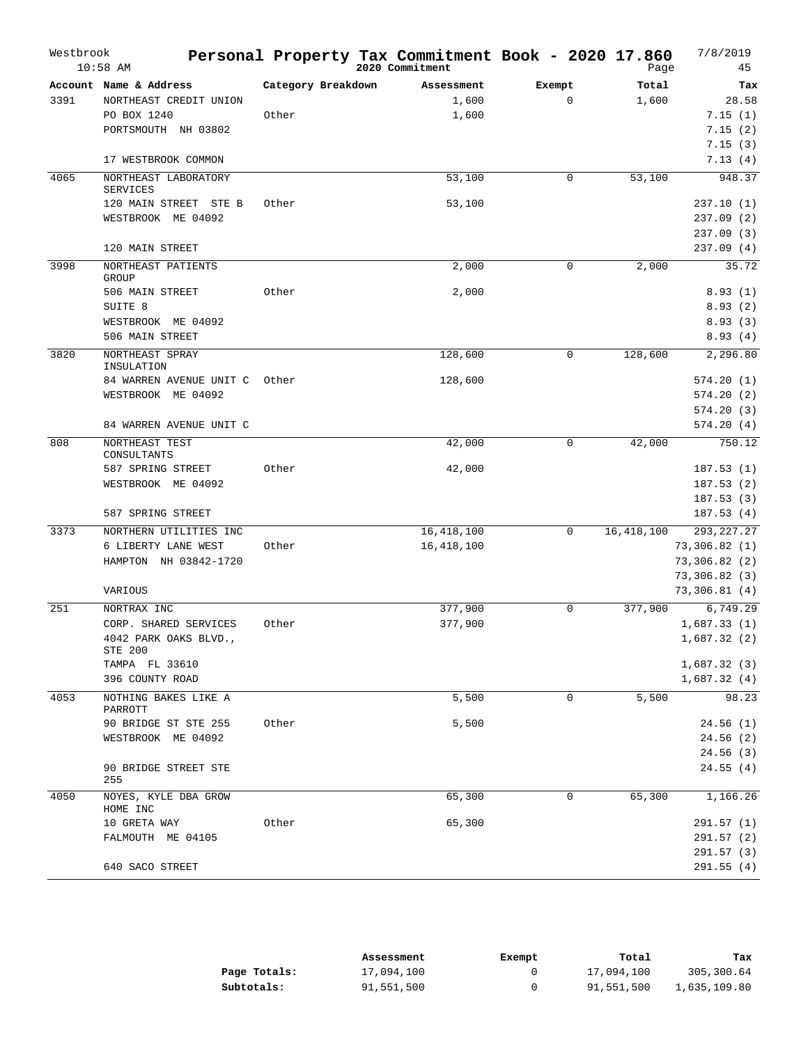| Westbrook | $10:58$ AM                              |                    | Personal Property Tax Commitment Book - 2020 17.860<br>2020 Commitment |              | Page         | 7/8/2019<br>45 |
|-----------|-----------------------------------------|--------------------|------------------------------------------------------------------------|--------------|--------------|----------------|
|           | Account Name & Address                  | Category Breakdown | Assessment                                                             | Exempt       | Total        | Tax            |
| 3391      | NORTHEAST CREDIT UNION                  |                    | 1,600                                                                  | $\mathbf{0}$ | 1,600        | 28.58          |
|           | PO BOX 1240                             | Other              | 1,600                                                                  |              |              | 7.15(1)        |
|           | PORTSMOUTH NH 03802                     |                    |                                                                        |              |              | 7.15(2)        |
|           |                                         |                    |                                                                        |              |              | 7.15(3)        |
|           | 17 WESTBROOK COMMON                     |                    |                                                                        |              |              | 7.13(4)        |
| 4065      | NORTHEAST LABORATORY<br><b>SERVICES</b> |                    | 53,100                                                                 | 0            | 53,100       | 948.37         |
|           | 120 MAIN STREET STE B                   | Other              | 53,100                                                                 |              |              | 237.10(1)      |
|           | WESTBROOK ME 04092                      |                    |                                                                        |              |              | 237.09 (2)     |
|           |                                         |                    |                                                                        |              |              | 237.09 (3)     |
|           | 120 MAIN STREET                         |                    |                                                                        |              |              | 237.09(4)      |
| 3998      | NORTHEAST PATIENTS<br>GROUP             |                    | 2,000                                                                  | 0            | 2,000        | 35.72          |
|           | 506 MAIN STREET                         | Other              | 2,000                                                                  |              |              | 8.93(1)        |
|           | SUITE <sub>8</sub>                      |                    |                                                                        |              |              | 8.93(2)        |
|           | WESTBROOK ME 04092                      |                    |                                                                        |              |              | 8.93(3)        |
|           | 506 MAIN STREET                         |                    |                                                                        |              |              | 8.93(4)        |
| 3820      | NORTHEAST SPRAY<br>INSULATION           |                    | 128,600                                                                | 0            | 128,600      | 2,296.80       |
|           | 84 WARREN AVENUE UNIT C                 | Other              | 128,600                                                                |              |              | 574.20(1)      |
|           | WESTBROOK ME 04092                      |                    |                                                                        |              |              | 574.20(2)      |
|           |                                         |                    |                                                                        |              |              | 574.20(3)      |
|           | 84 WARREN AVENUE UNIT C                 |                    |                                                                        |              |              | 574.20(4)      |
| 808       | NORTHEAST TEST<br>CONSULTANTS           |                    | 42,000                                                                 | 0            | 42,000       | 750.12         |
|           | 587 SPRING STREET                       | Other              | 42,000                                                                 |              |              | 187.53(1)      |
|           | WESTBROOK ME 04092                      |                    |                                                                        |              |              | 187.53(2)      |
|           |                                         |                    |                                                                        |              |              | 187.53(3)      |
|           | 587 SPRING STREET                       |                    |                                                                        |              |              | 187.53(4)      |
| 3373      | NORTHERN UTILITIES INC                  |                    | 16, 418, 100                                                           | 0            | 16, 418, 100 | 293, 227. 27   |
|           | 6 LIBERTY LANE WEST                     | Other              | 16, 418, 100                                                           |              |              | 73,306.82 (1)  |
|           | HAMPTON NH 03842-1720                   |                    |                                                                        |              |              | 73,306.82 (2)  |
|           |                                         |                    |                                                                        |              |              | 73,306.82 (3)  |
|           | VARIOUS                                 |                    |                                                                        |              |              | 73,306.81(4)   |
| 251       | NORTRAX INC                             |                    | 377,900                                                                | $\mathbf{0}$ | 377,900      | 6,749.29       |
|           | CORP. SHARED SERVICES                   | Other              | 377,900                                                                |              |              | 1,687.33(1)    |
|           | 4042 PARK OAKS BLVD.,<br>STE 200        |                    |                                                                        |              |              | 1,687.32 (2)   |
|           | TAMPA FL 33610                          |                    |                                                                        |              |              | 1,687.32(3)    |
|           | 396 COUNTY ROAD                         |                    |                                                                        |              |              | 1,687.32(4)    |
| 4053      | NOTHING BAKES LIKE A                    |                    | 5,500                                                                  | 0            | 5,500        | 98.23          |
|           | PARROTT                                 |                    |                                                                        |              |              |                |
|           | 90 BRIDGE ST STE 255                    | Other              | 5,500                                                                  |              |              | 24.56(1)       |
|           | WESTBROOK ME 04092                      |                    |                                                                        |              |              | 24.56(2)       |
|           |                                         |                    |                                                                        |              |              | 24.56(3)       |
|           | 90 BRIDGE STREET STE<br>255             |                    |                                                                        |              |              | 24.55(4)       |
| 4050      | NOYES, KYLE DBA GROW<br>HOME INC        |                    | 65,300                                                                 | 0            | 65,300       | 1,166.26       |
|           | 10 GRETA WAY                            | Other              | 65,300                                                                 |              |              | 291.57 (1)     |
|           | FALMOUTH ME 04105                       |                    |                                                                        |              |              | 291.57 (2)     |
|           |                                         |                    |                                                                        |              |              | 291.57 (3)     |
|           | 640 SACO STREET                         |                    |                                                                        |              |              | 291.55(4)      |
|           |                                         |                    |                                                                        |              |              |                |

|              | Assessment | Exempt | Total      | тах          |
|--------------|------------|--------|------------|--------------|
| Page Totals: | 17,094,100 |        | 17,094,100 | 305,300.64   |
| Subtotals:   | 91,551,500 |        | 91,551,500 | 1,635,109.80 |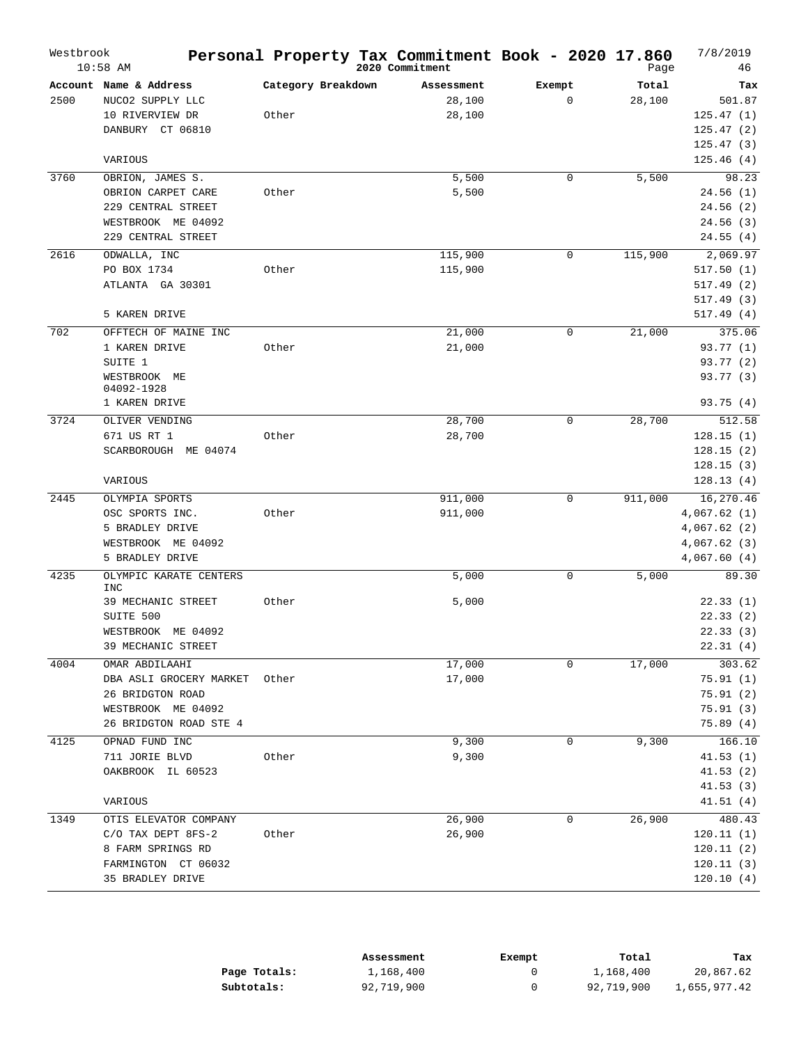| Westbrook | $10:58$ AM                               |                    | Personal Property Tax Commitment Book - 2020 17.860<br>2020 Commitment |             | Page    | 7/8/2019<br>46         |
|-----------|------------------------------------------|--------------------|------------------------------------------------------------------------|-------------|---------|------------------------|
|           | Account Name & Address                   | Category Breakdown | Assessment                                                             | Exempt      | Total   | Tax                    |
| 2500      | NUCO2 SUPPLY LLC                         |                    | 28,100                                                                 | $\mathbf 0$ | 28,100  | 501.87                 |
|           | 10 RIVERVIEW DR                          | Other              | 28,100                                                                 |             |         | 125.47(1)              |
|           | DANBURY CT 06810                         |                    |                                                                        |             |         | 125.47(2)              |
|           |                                          |                    |                                                                        |             |         | 125.47(3)              |
|           | VARIOUS                                  |                    |                                                                        |             |         | 125.46(4)              |
| 3760      | OBRION, JAMES S.                         |                    | 5,500                                                                  | $\mathbf 0$ | 5,500   | 98.23                  |
|           | OBRION CARPET CARE                       | Other              | 5,500                                                                  |             |         | 24.56(1)               |
|           | 229 CENTRAL STREET                       |                    |                                                                        |             |         | 24.56(2)               |
|           | WESTBROOK ME 04092                       |                    |                                                                        |             |         | 24.56(3)               |
|           | 229 CENTRAL STREET                       |                    |                                                                        |             |         | 24.55(4)               |
| 2616      | ODWALLA, INC                             |                    | 115,900                                                                | $\mathbf 0$ | 115,900 | 2,069.97               |
|           | PO BOX 1734                              | Other              | 115,900                                                                |             |         | 517.50(1)              |
|           | ATLANTA GA 30301                         |                    |                                                                        |             |         | 517.49(2)              |
|           |                                          |                    |                                                                        |             |         | 517.49 (3)             |
|           | 5 KAREN DRIVE                            |                    |                                                                        |             |         | 517.49(4)              |
| 702       | OFFTECH OF MAINE INC                     |                    | 21,000                                                                 | 0           | 21,000  | 375.06                 |
|           | 1 KAREN DRIVE                            | Other              | 21,000                                                                 |             |         | 93.77(1)               |
|           | SUITE 1                                  |                    |                                                                        |             |         | 93.77 (2)              |
|           | WESTBROOK ME<br>04092-1928               |                    |                                                                        |             |         | 93.77 (3)              |
|           | 1 KAREN DRIVE                            |                    |                                                                        |             |         | 93.75(4)               |
| 3724      | OLIVER VENDING                           |                    | 28,700                                                                 | $\mathbf 0$ | 28,700  | 512.58                 |
|           | 671 US RT 1                              | Other              | 28,700                                                                 |             |         | 128.15(1)              |
|           | SCARBOROUGH ME 04074                     |                    |                                                                        |             |         | 128.15(2)              |
|           |                                          |                    |                                                                        |             |         | 128.15(3)              |
|           | VARIOUS                                  |                    |                                                                        |             |         | 128.13(4)              |
| 2445      | OLYMPIA SPORTS                           |                    | 911,000                                                                | $\mathbf 0$ | 911,000 | 16, 270.46             |
|           | OSC SPORTS INC.                          | Other              | 911,000                                                                |             |         | 4,067.62(1)            |
|           | 5 BRADLEY DRIVE                          |                    |                                                                        |             |         | 4,067.62(2)            |
|           | WESTBROOK ME 04092                       |                    |                                                                        |             |         | 4,067.62(3)            |
|           | 5 BRADLEY DRIVE                          |                    |                                                                        |             |         | 4,067.60(4)            |
| 4235      | OLYMPIC KARATE CENTERS<br><b>INC</b>     |                    | 5,000                                                                  | $\mathbf 0$ | 5,000   | 89.30                  |
|           | 39 MECHANIC STREET                       | Other              | 5,000                                                                  |             |         | 22.33(1)               |
|           | SUITE 500                                |                    |                                                                        |             |         | 22.33(2)               |
|           | WESTBROOK<br>ME 04092                    |                    |                                                                        |             |         | 22.33(3)               |
|           | 39 MECHANIC STREET                       |                    |                                                                        |             |         | 22.31(4)               |
| 4004      | OMAR ABDILAAHI                           |                    | 17,000                                                                 | 0           | 17,000  | 303.62                 |
|           | DBA ASLI GROCERY MARKET                  | Other              | 17,000                                                                 |             |         | 75.91(1)               |
|           | 26 BRIDGTON ROAD                         |                    |                                                                        |             |         | 75.91(2)               |
|           | WESTBROOK ME 04092                       |                    |                                                                        |             |         | 75.91(3)               |
|           | 26 BRIDGTON ROAD STE 4                   |                    |                                                                        |             |         | 75.89(4)               |
| 4125      | OPNAD FUND INC                           |                    | 9,300                                                                  | 0           | 9,300   | 166.10                 |
|           | 711 JORIE BLVD                           | Other              | 9,300                                                                  |             |         | 41.53(1)               |
|           | OAKBROOK IL 60523                        |                    |                                                                        |             |         | 41.53(2)               |
|           |                                          |                    |                                                                        |             |         | 41.53(3)               |
|           | VARIOUS                                  |                    |                                                                        |             |         | 41.51(4)               |
| 1349      | OTIS ELEVATOR COMPANY                    |                    | 26,900                                                                 | 0           | 26,900  | 480.43                 |
|           | C/O TAX DEPT 8FS-2                       | Other              | 26,900                                                                 |             |         | 120.11(1)              |
|           | 8 FARM SPRINGS RD<br>FARMINGTON CT 06032 |                    |                                                                        |             |         | 120.11(2)<br>120.11(3) |
|           | 35 BRADLEY DRIVE                         |                    |                                                                        |             |         | 120.10(4)              |
|           |                                          |                    |                                                                        |             |         |                        |

|              | Assessment | Exempt | Total      | Tax          |
|--------------|------------|--------|------------|--------------|
| Page Totals: | 1,168,400  |        | 1,168,400  | 20,867.62    |
| Subtotals:   | 92,719,900 |        | 92,719,900 | 1,655,977.42 |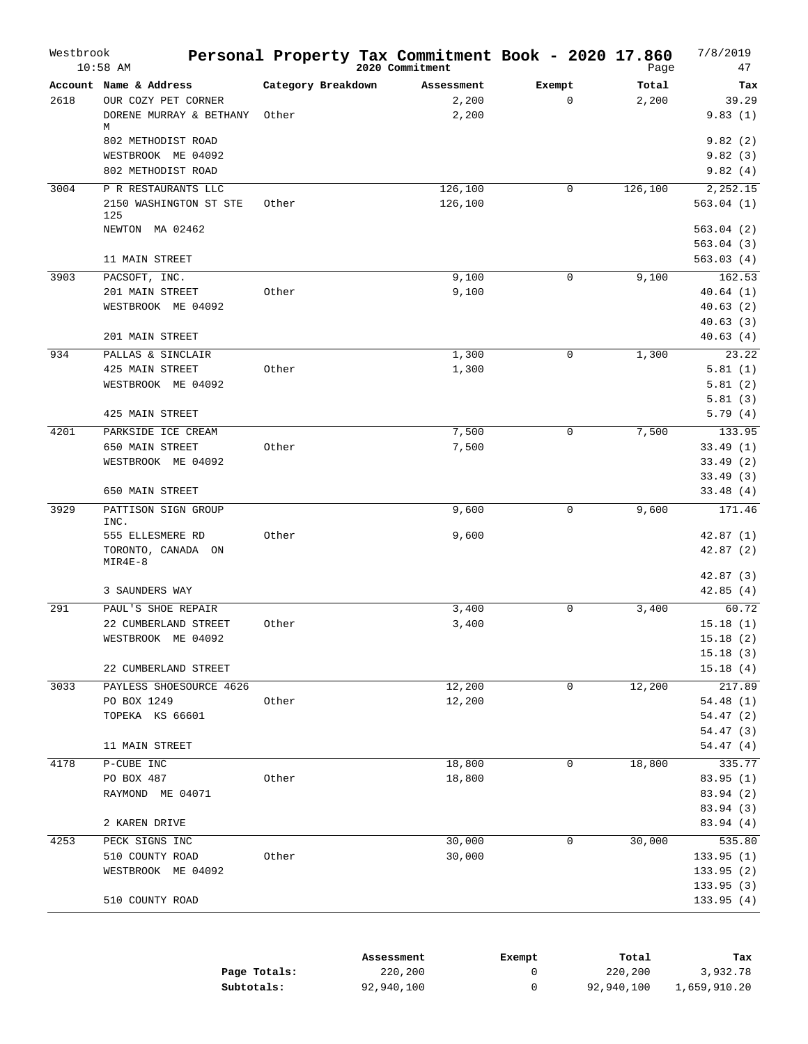|      | $10:58$ AM                                                               |                             | 2020 Commitment              | Personal Property Tax Commitment Book - 2020 17.860 | Page           | 7/8/2019<br>47                |
|------|--------------------------------------------------------------------------|-----------------------------|------------------------------|-----------------------------------------------------|----------------|-------------------------------|
| 2618 | Account Name & Address<br>OUR COZY PET CORNER<br>DORENE MURRAY & BETHANY | Category Breakdown<br>Other | Assessment<br>2,200<br>2,200 | Exempt<br>$\mathbf 0$                               | Total<br>2,200 | Tax<br>39.29<br>9.83(1)       |
|      | M<br>802 METHODIST ROAD<br>WESTBROOK ME 04092<br>802 METHODIST ROAD      |                             |                              |                                                     |                | 9.82(2)<br>9.82(3)<br>9.82(4) |
| 3004 | P R RESTAURANTS LLC                                                      |                             | 126,100                      | $\mathbf 0$                                         | 126,100        | 2,252.15                      |
|      | 2150 WASHINGTON ST STE<br>125                                            | Other                       | 126,100                      |                                                     |                | 563.04(1)                     |
|      | NEWTON MA 02462                                                          |                             |                              |                                                     |                | 563.04(2)                     |
|      |                                                                          |                             |                              |                                                     |                | 563.04(3)                     |
|      | 11 MAIN STREET                                                           |                             |                              |                                                     |                | 563.03(4)                     |
| 3903 | PACSOFT, INC.                                                            | Other                       | 9,100<br>9,100               | $\mathbf 0$                                         | 9,100          | 162.53                        |
|      | 201 MAIN STREET<br>WESTBROOK ME 04092                                    |                             |                              |                                                     |                | 40.64(1)<br>40.63(2)          |
|      |                                                                          |                             |                              |                                                     |                | 40.63(3)                      |
|      | 201 MAIN STREET                                                          |                             |                              |                                                     |                | 40.63(4)                      |
| 934  | PALLAS & SINCLAIR                                                        |                             | 1,300                        | $\mathbf 0$                                         | 1,300          | 23.22                         |
|      | 425 MAIN STREET                                                          | Other                       | 1,300                        |                                                     |                | 5.81(1)                       |
|      | WESTBROOK ME 04092                                                       |                             |                              |                                                     |                | 5.81(2)                       |
|      | 425 MAIN STREET                                                          |                             |                              |                                                     |                | 5.81(3)<br>5.79(4)            |
| 4201 | PARKSIDE ICE CREAM                                                       |                             | 7,500                        | $\mathbf 0$                                         | 7,500          | 133.95                        |
|      | 650 MAIN STREET                                                          | Other                       | 7,500                        |                                                     |                | 33.49(1)                      |
|      | WESTBROOK ME 04092                                                       |                             |                              |                                                     |                | 33.49(2)                      |
|      |                                                                          |                             |                              |                                                     |                | 33.49(3)                      |
|      | 650 MAIN STREET                                                          |                             |                              |                                                     |                | 33.48(4)                      |
| 3929 | PATTISON SIGN GROUP<br>INC.                                              |                             | 9,600                        | 0                                                   | 9,600          | 171.46                        |
|      | 555 ELLESMERE RD<br>TORONTO, CANADA ON<br>$MIR4E-8$                      | Other                       | 9,600                        |                                                     |                | 42.87(1)<br>42.87(2)          |
|      |                                                                          |                             |                              |                                                     |                | 42.87(3)                      |
|      | 3 SAUNDERS WAY                                                           |                             |                              |                                                     |                | 42.85(4)                      |
| 291  | PAUL'S SHOE REPAIR                                                       | Other                       | 3,400                        | $\mathbf 0$                                         | 3,400          | 60.72                         |
|      | 22 CUMBERLAND STREET<br>WESTBROOK ME 04092                               |                             | 3,400                        |                                                     |                | 15.18(1)<br>15.18(2)          |
|      |                                                                          |                             |                              |                                                     |                | 15.18(3)                      |
|      | 22 CUMBERLAND STREET                                                     |                             |                              |                                                     |                | 15.18(4)                      |
| 3033 | PAYLESS SHOESOURCE 4626                                                  |                             | 12,200                       | 0                                                   | 12, 200        | 217.89                        |
|      | PO BOX 1249                                                              | Other                       | 12,200                       |                                                     |                | 54.48(1)                      |
|      | TOPEKA KS 66601                                                          |                             |                              |                                                     |                | 54.47(2)                      |
|      |                                                                          |                             |                              |                                                     |                | 54.47 (3)                     |
|      | 11 MAIN STREET                                                           |                             |                              |                                                     |                | 54.47(4)                      |
| 4178 | P-CUBE INC                                                               |                             | 18,800                       | 0                                                   | 18,800         | 335.77                        |
|      | PO BOX 487                                                               | Other                       | 18,800                       |                                                     |                | 83.95 (1)                     |
|      | RAYMOND ME 04071                                                         |                             |                              |                                                     |                | 83.94 (2)<br>83.94 (3)        |
|      | 2 KAREN DRIVE                                                            |                             |                              |                                                     |                | 83.94 (4)                     |
| 4253 | PECK SIGNS INC                                                           |                             | 30,000                       | 0                                                   | 30,000         | 535.80                        |
|      | 510 COUNTY ROAD                                                          | Other                       | 30,000                       |                                                     |                | 133.95(1)                     |
|      | WESTBROOK ME 04092                                                       |                             |                              |                                                     |                | 133.95(2)                     |
|      |                                                                          |                             |                              |                                                     |                | 133.95(3)                     |
|      | 510 COUNTY ROAD                                                          |                             |                              |                                                     |                | 133.95(4)                     |

|              | Assessment | Exempt | Total      | Tax          |
|--------------|------------|--------|------------|--------------|
| Page Totals: | 220,200    |        | 220,200    | 3,932.78     |
| Subtotals:   | 92,940,100 |        | 92,940,100 | 1,659,910.20 |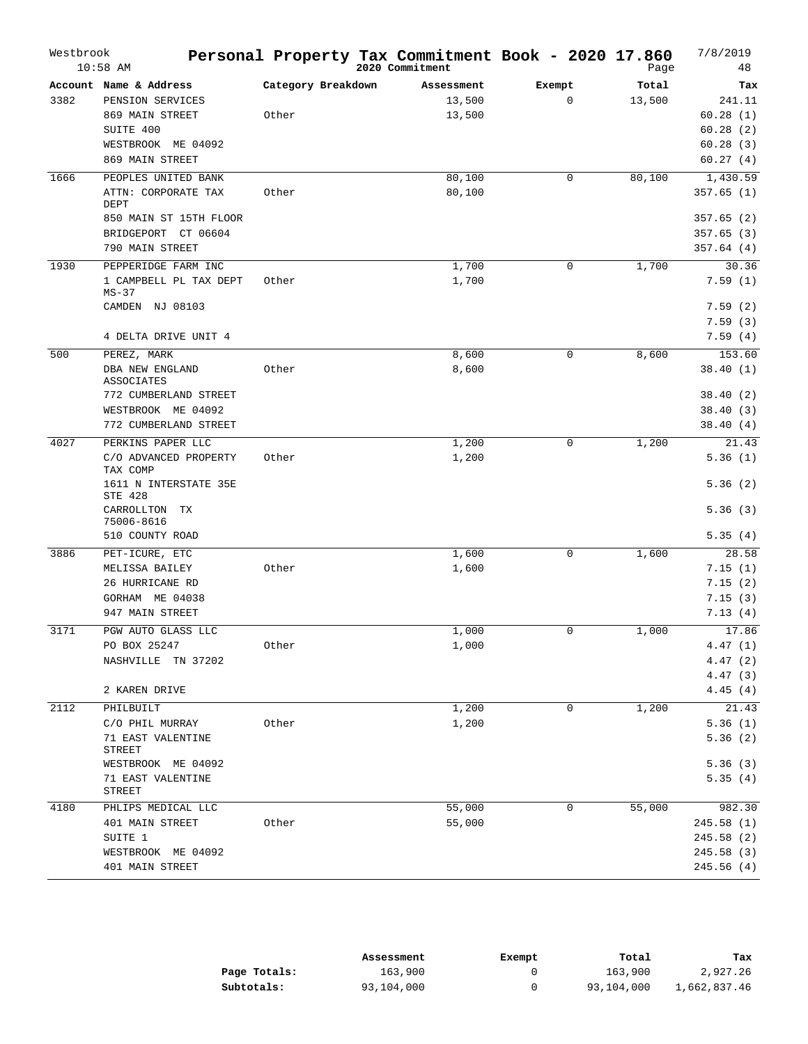| Westbrook | $10:58$ AM                                  |                    | Personal Property Tax Commitment Book - 2020 17.860<br>2020 Commitment |             | Page   | 7/8/2019<br>48 |
|-----------|---------------------------------------------|--------------------|------------------------------------------------------------------------|-------------|--------|----------------|
|           | Account Name & Address                      | Category Breakdown | Assessment                                                             | Exempt      | Total  | Tax            |
| 3382      | PENSION SERVICES                            |                    | 13,500                                                                 | $\mathbf 0$ | 13,500 | 241.11         |
|           | 869 MAIN STREET                             | Other              | 13,500                                                                 |             |        | 60.28(1)       |
|           | SUITE 400                                   |                    |                                                                        |             |        | 60.28(2)       |
|           | WESTBROOK ME 04092                          |                    |                                                                        |             |        | 60.28(3)       |
|           | 869 MAIN STREET                             |                    |                                                                        |             |        | 60.27(4)       |
| 1666      | PEOPLES UNITED BANK                         |                    | 80,100                                                                 | $\mathbf 0$ | 80,100 | 1,430.59       |
|           | ATTN: CORPORATE TAX<br>DEPT                 | Other              | 80,100                                                                 |             |        | 357.65(1)      |
|           | 850 MAIN ST 15TH FLOOR                      |                    |                                                                        |             |        | 357.65(2)      |
|           | BRIDGEPORT CT 06604                         |                    |                                                                        |             |        | 357.65(3)      |
|           | 790 MAIN STREET                             |                    |                                                                        |             |        | 357.64(4)      |
| 1930      | PEPPERIDGE FARM INC                         |                    | 1,700                                                                  | 0           | 1,700  | 30.36          |
|           | 1 CAMPBELL PL TAX DEPT<br>$MS-37$           | Other              | 1,700                                                                  |             |        | 7.59(1)        |
|           | CAMDEN NJ 08103                             |                    |                                                                        |             |        | 7.59(2)        |
|           |                                             |                    |                                                                        |             |        | 7.59(3)        |
|           | 4 DELTA DRIVE UNIT 4                        |                    |                                                                        |             |        | 7.59(4)        |
| 500       | PEREZ, MARK                                 |                    | 8,600                                                                  | $\mathbf 0$ | 8,600  | 153.60         |
|           | <b>DBA NEW ENGLAND</b><br><b>ASSOCIATES</b> | Other              | 8,600                                                                  |             |        | 38.40(1)       |
|           | 772 CUMBERLAND STREET                       |                    |                                                                        |             |        | 38.40(2)       |
|           | WESTBROOK ME 04092                          |                    |                                                                        |             |        | 38.40(3)       |
|           | 772 CUMBERLAND STREET                       |                    |                                                                        |             |        | 38.40(4)       |
| 4027      | PERKINS PAPER LLC                           |                    | 1,200                                                                  | 0           | 1,200  | 21.43          |
|           | C/O ADVANCED PROPERTY<br>TAX COMP           | Other              | 1,200                                                                  |             |        | 5.36(1)        |
|           | 1611 N INTERSTATE 35E<br>STE 428            |                    |                                                                        |             |        | 5.36(2)        |
|           | CARROLLTON<br>ТX<br>75006-8616              |                    |                                                                        |             |        | 5.36(3)        |
|           | 510 COUNTY ROAD                             |                    |                                                                        |             |        | 5.35(4)        |
| 3886      | PET-ICURE, ETC                              |                    | 1,600                                                                  | $\mathbf 0$ | 1,600  | 28.58          |
|           | MELISSA BAILEY                              | Other              | 1,600                                                                  |             |        | 7.15(1)        |
|           | 26 HURRICANE RD                             |                    |                                                                        |             |        | 7.15(2)        |
|           | GORHAM ME 04038                             |                    |                                                                        |             |        | 7.15(3)        |
|           | 947 MAIN STREET                             |                    |                                                                        |             |        | 7.13(4)        |
| 3171      | PGW AUTO GLASS LLC                          |                    | 1,000                                                                  | $\mathbf 0$ | 1,000  | 17.86          |
|           | PO BOX 25247                                | Other              | 1,000                                                                  |             |        | 4.47(1)        |
|           | NASHVILLE TN 37202                          |                    |                                                                        |             |        | 4.47(2)        |
|           |                                             |                    |                                                                        |             |        | 4.47(3)        |
|           | 2 KAREN DRIVE                               |                    |                                                                        |             |        | 4.45(4)        |
| 2112      | PHILBUILT                                   |                    | 1,200                                                                  | 0           | 1,200  | 21.43          |
|           | C/O PHIL MURRAY                             | Other              | 1,200                                                                  |             |        | 5.36(1)        |
|           | 71 EAST VALENTINE<br>STREET                 |                    |                                                                        |             |        | 5.36(2)        |
|           | WESTBROOK ME 04092                          |                    |                                                                        |             |        | 5.36(3)        |
|           | 71 EAST VALENTINE<br>STREET                 |                    |                                                                        |             |        | 5.35(4)        |
| 4180      | PHLIPS MEDICAL LLC                          |                    | 55,000                                                                 | 0           | 55,000 | 982.30         |
|           | 401 MAIN STREET                             | Other              | 55,000                                                                 |             |        | 245.58 (1)     |
|           | SUITE 1                                     |                    |                                                                        |             |        | 245.58 (2)     |
|           | WESTBROOK ME 04092                          |                    |                                                                        |             |        | 245.58 (3)     |
|           | 401 MAIN STREET                             |                    |                                                                        |             |        | 245.56 (4)     |
|           |                                             |                    |                                                                        |             |        |                |

|              | Assessment | Exempt | Total      | Tax          |
|--------------|------------|--------|------------|--------------|
| Page Totals: | 163,900    |        | 163,900    | 2,927.26     |
| Subtotals:   | 93,104,000 |        | 93,104,000 | 1,662,837.46 |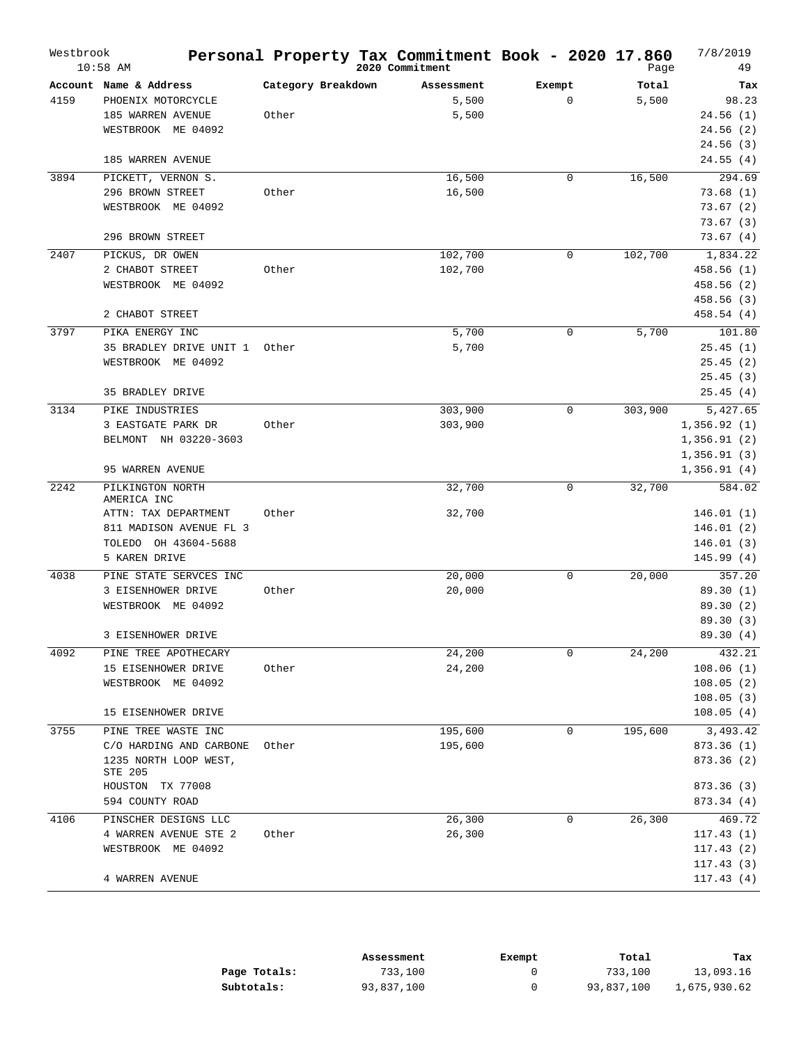| Westbrook | $10:58$ AM                       |                    | Personal Property Tax Commitment Book - 2020 17.860<br>2020 Commitment |             | Page    | 7/8/2019<br>49 |
|-----------|----------------------------------|--------------------|------------------------------------------------------------------------|-------------|---------|----------------|
|           | Account Name & Address           | Category Breakdown | Assessment                                                             | Exempt      | Total   | Tax            |
| 4159      | PHOENIX MOTORCYCLE               |                    | 5,500                                                                  | $\mathbf 0$ | 5,500   | 98.23          |
|           | 185 WARREN AVENUE                | Other              | 5,500                                                                  |             |         | 24.56(1)       |
|           | WESTBROOK ME 04092               |                    |                                                                        |             |         | 24.56(2)       |
|           |                                  |                    |                                                                        |             |         | 24.56(3)       |
|           | 185 WARREN AVENUE                |                    |                                                                        |             |         | 24.55(4)       |
| 3894      | PICKETT, VERNON S.               |                    | 16,500                                                                 | $\Omega$    | 16,500  | 294.69         |
|           | 296 BROWN STREET                 | Other              | 16,500                                                                 |             |         | 73.68(1)       |
|           | WESTBROOK ME 04092               |                    |                                                                        |             |         | 73.67(2)       |
|           |                                  |                    |                                                                        |             |         | 73.67(3)       |
|           | 296 BROWN STREET                 |                    |                                                                        |             |         | 73.67(4)       |
| 2407      | PICKUS, DR OWEN                  |                    | 102,700                                                                | $\mathbf 0$ | 102,700 | 1,834.22       |
|           | 2 CHABOT STREET                  | Other              | 102,700                                                                |             |         | 458.56(1)      |
|           | WESTBROOK ME 04092               |                    |                                                                        |             |         | 458.56 (2)     |
|           |                                  |                    |                                                                        |             |         | 458.56 (3)     |
|           | 2 CHABOT STREET                  |                    |                                                                        |             |         | 458.54 (4)     |
| 3797      | PIKA ENERGY INC                  |                    | 5,700                                                                  | 0           | 5,700   | 101.80         |
|           | 35 BRADLEY DRIVE UNIT 1          | Other              | 5,700                                                                  |             |         | 25.45(1)       |
|           | WESTBROOK ME 04092               |                    |                                                                        |             |         |                |
|           |                                  |                    |                                                                        |             |         | 25.45(2)       |
|           |                                  |                    |                                                                        |             |         | 25.45(3)       |
|           | 35 BRADLEY DRIVE                 |                    |                                                                        |             |         | 25.45(4)       |
| 3134      | PIKE INDUSTRIES                  |                    | 303,900                                                                | $\mathbf 0$ | 303,900 | 5,427.65       |
|           | 3 EASTGATE PARK DR               | Other              | 303,900                                                                |             |         | 1,356.92(1)    |
|           | BELMONT NH 03220-3603            |                    |                                                                        |             |         | 1,356.91(2)    |
|           |                                  |                    |                                                                        |             |         | 1,356.91(3)    |
|           | 95 WARREN AVENUE                 |                    |                                                                        |             |         | 1,356.91(4)    |
| 2242      | PILKINGTON NORTH<br>AMERICA INC  |                    | 32,700                                                                 | $\mathbf 0$ | 32,700  | 584.02         |
|           | ATTN: TAX DEPARTMENT             | Other              | 32,700                                                                 |             |         | 146.01(1)      |
|           | 811 MADISON AVENUE FL 3          |                    |                                                                        |             |         | 146.01(2)      |
|           | TOLEDO OH 43604-5688             |                    |                                                                        |             |         | 146.01(3)      |
|           | 5 KAREN DRIVE                    |                    |                                                                        |             |         | 145.99(4)      |
| 4038      | PINE STATE SERVCES INC           |                    | 20,000                                                                 | $\mathbf 0$ | 20,000  | 357.20         |
|           | 3 EISENHOWER DRIVE               | Other              | 20,000                                                                 |             |         | 89.30(1)       |
|           | WESTBROOK ME 04092               |                    |                                                                        |             |         | 89.30 (2)      |
|           |                                  |                    |                                                                        |             |         | 89.30 (3)      |
|           | 3 EISENHOWER DRIVE               |                    |                                                                        |             |         | 89.30 (4)      |
| 4092      | PINE TREE APOTHECARY             |                    | 24,200                                                                 | $\mathbf 0$ | 24,200  | 432.21         |
|           | 15 EISENHOWER DRIVE              | Other              | 24,200                                                                 |             |         | 108.06(1)      |
|           | WESTBROOK ME 04092               |                    |                                                                        |             |         | 108.05(2)      |
|           |                                  |                    |                                                                        |             |         | 108.05(3)      |
|           | 15 EISENHOWER DRIVE              |                    |                                                                        |             |         | 108.05(4)      |
| 3755      | PINE TREE WASTE INC              |                    | 195,600                                                                | 0           | 195,600 | 3,493.42       |
|           | C/O HARDING AND CARBONE          | Other              | 195,600                                                                |             |         | 873.36 (1)     |
|           | 1235 NORTH LOOP WEST,<br>STE 205 |                    |                                                                        |             |         | 873.36 (2)     |
|           | HOUSTON TX 77008                 |                    |                                                                        |             |         | 873.36 (3)     |
|           | 594 COUNTY ROAD                  |                    |                                                                        |             |         | 873.34 (4)     |
| 4106      | PINSCHER DESIGNS LLC             |                    | 26,300                                                                 | $\mathbf 0$ | 26,300  | 469.72         |
|           | 4 WARREN AVENUE STE 2            | Other              | 26,300                                                                 |             |         | 117.43(1)      |
|           | WESTBROOK ME 04092               |                    |                                                                        |             |         | 117.43(2)      |
|           |                                  |                    |                                                                        |             |         | 117.43 (3)     |
|           | 4 WARREN AVENUE                  |                    |                                                                        |             |         | 117.43(4)      |
|           |                                  |                    |                                                                        |             |         |                |

|              | Assessment | Exempt | Total      | Tax          |
|--------------|------------|--------|------------|--------------|
| Page Totals: | 733,100    |        | 733,100    | 13,093.16    |
| Subtotals:   | 93,837,100 |        | 93,837,100 | 1,675,930.62 |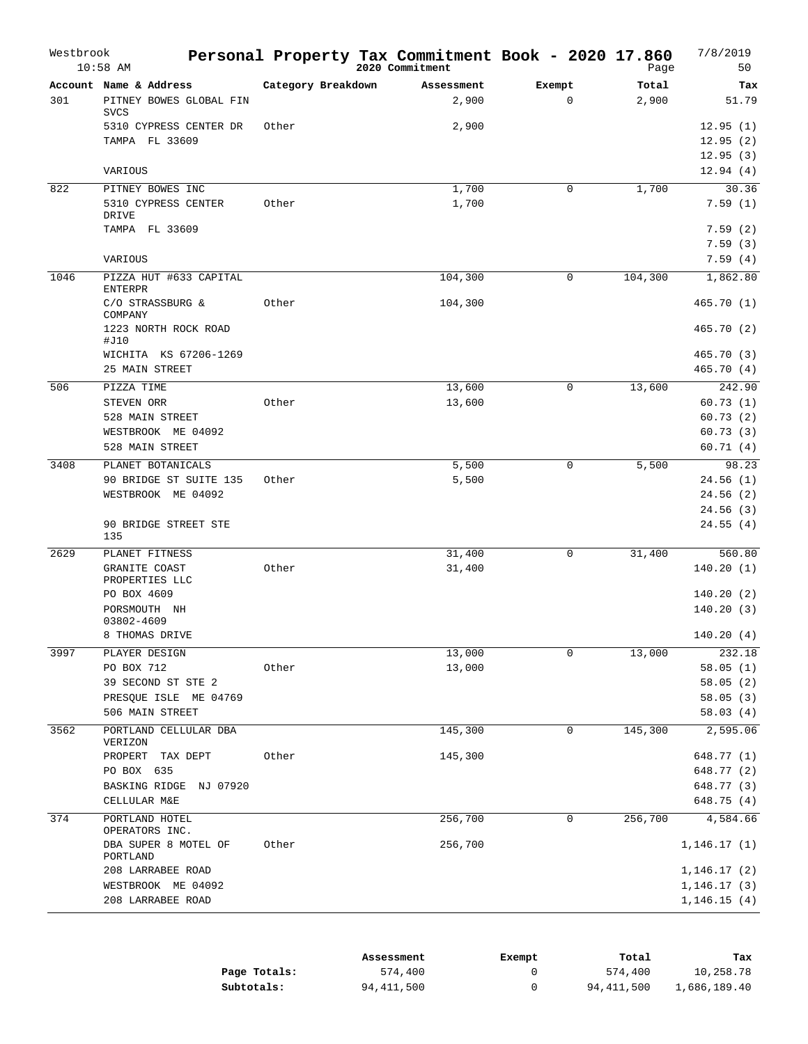| Westbrook | $10:58$ AM                                                         |                    | Personal Property Tax Commitment Book - 2020 17.860<br>2020 Commitment |                       | Page           | 7/8/2019<br>50                   |
|-----------|--------------------------------------------------------------------|--------------------|------------------------------------------------------------------------|-----------------------|----------------|----------------------------------|
| 301       | Account Name & Address<br>PITNEY BOWES GLOBAL FIN<br><b>SVCS</b>   | Category Breakdown | Assessment<br>2,900                                                    | Exempt<br>$\mathbf 0$ | Total<br>2,900 | Tax<br>51.79                     |
|           | 5310 CYPRESS CENTER DR<br>TAMPA FL 33609                           | Other              | 2,900                                                                  |                       |                | 12.95(1)<br>12.95(2)<br>12.95(3) |
|           | VARIOUS                                                            |                    |                                                                        |                       |                | 12.94(4)                         |
| 822       | PITNEY BOWES INC<br>5310 CYPRESS CENTER<br>DRIVE<br>TAMPA FL 33609 | Other              | 1,700<br>1,700                                                         | $\mathbf 0$           | 1,700          | 30.36<br>7.59(1)<br>7.59(2)      |
|           |                                                                    |                    |                                                                        |                       |                | 7.59(3)                          |
|           | VARIOUS                                                            |                    |                                                                        |                       |                | 7.59(4)                          |
| 1046      | PIZZA HUT #633 CAPITAL<br><b>ENTERPR</b>                           |                    | 104,300                                                                | $\mathbf 0$           | 104,300        | 1,862.80                         |
|           | C/O STRASSBURG &<br>COMPANY                                        | Other              | 104,300                                                                |                       |                | 465.70(1)                        |
|           | 1223 NORTH ROCK ROAD<br>#J10                                       |                    |                                                                        |                       |                | 465.70(2)                        |
|           | WICHITA KS 67206-1269                                              |                    |                                                                        |                       |                | 465.70(3)                        |
|           | 25 MAIN STREET                                                     |                    |                                                                        |                       |                | 465.70(4)                        |
| 506       | PIZZA TIME<br>STEVEN ORR                                           | Other              | 13,600<br>13,600                                                       | $\mathbf 0$           | 13,600         | 242.90<br>60.73(1)               |
|           | 528 MAIN STREET                                                    |                    |                                                                        |                       |                | 60.73(2)                         |
|           | WESTBROOK ME 04092                                                 |                    |                                                                        |                       |                | 60.73(3)                         |
|           | 528 MAIN STREET                                                    |                    |                                                                        |                       |                | 60.71(4)                         |
| 3408      | PLANET BOTANICALS                                                  |                    | 5,500                                                                  | $\mathbf 0$           | 5,500          | 98.23                            |
|           | 90 BRIDGE ST SUITE 135                                             | Other              | 5,500                                                                  |                       |                | 24.56(1)                         |
|           | WESTBROOK ME 04092                                                 |                    |                                                                        |                       |                | 24.56 (2)                        |
|           |                                                                    |                    |                                                                        |                       |                | 24.56(3)                         |
|           | 90 BRIDGE STREET STE<br>135                                        |                    |                                                                        |                       |                | 24.55(4)                         |
| 2629      | PLANET FITNESS                                                     |                    | 31,400                                                                 | 0                     | 31,400         | 560.80                           |
|           | GRANITE COAST<br>PROPERTIES LLC                                    | Other              | 31,400                                                                 |                       |                | 140.20(1)                        |
|           | PO BOX 4609<br>PORSMOUTH NH                                        |                    |                                                                        |                       |                | 140.20(2)<br>140.20(3)           |
|           | 03802-4609<br>8 THOMAS DRIVE                                       |                    |                                                                        |                       |                | 140.20(4)                        |
| 3997      | PLAYER DESIGN                                                      |                    | 13,000                                                                 | 0                     | 13,000         | 232.18                           |
|           | PO BOX 712                                                         | Other              | 13,000                                                                 |                       |                | 58.05(1)                         |
|           | 39 SECOND ST STE 2                                                 |                    |                                                                        |                       |                | 58.05(2)                         |
|           | PRESQUE ISLE ME 04769                                              |                    |                                                                        |                       |                | 58.05(3)                         |
|           | 506 MAIN STREET                                                    |                    |                                                                        |                       |                | 58.03(4)                         |
| 3562      | PORTLAND CELLULAR DBA<br>VERIZON                                   |                    | 145,300                                                                | 0                     | 145,300        | 2,595.06                         |
|           | PROPERT TAX DEPT                                                   | Other              | 145,300                                                                |                       |                | 648.77 (1)                       |
|           | PO BOX 635                                                         |                    |                                                                        |                       |                | 648.77 (2)                       |
|           | BASKING RIDGE NJ 07920                                             |                    |                                                                        |                       |                | 648.77 (3)                       |
|           | CELLULAR M&E                                                       |                    |                                                                        |                       |                | 648.75 (4)                       |
| 374       | PORTLAND HOTEL<br>OPERATORS INC.                                   |                    | 256,700                                                                | $\mathbf 0$           | 256,700        | 4,584.66                         |
|           | DBA SUPER 8 MOTEL OF<br>PORTLAND                                   | Other              | 256,700                                                                |                       |                | 1,146.17(1)                      |
|           | 208 LARRABEE ROAD                                                  |                    |                                                                        |                       |                | 1,146.17 (2)                     |
|           | WESTBROOK ME 04092<br>208 LARRABEE ROAD                            |                    |                                                                        |                       |                | 1, 146.17(3)                     |
|           |                                                                    |                    |                                                                        |                       |                | 1,146.15(4)                      |

|              | Assessment | Exempt | Total      | Tax          |
|--------------|------------|--------|------------|--------------|
| Page Totals: | 574,400    |        | 574,400    | 10,258.78    |
| Subtotals:   | 94,411,500 |        | 94,411,500 | 1,686,189.40 |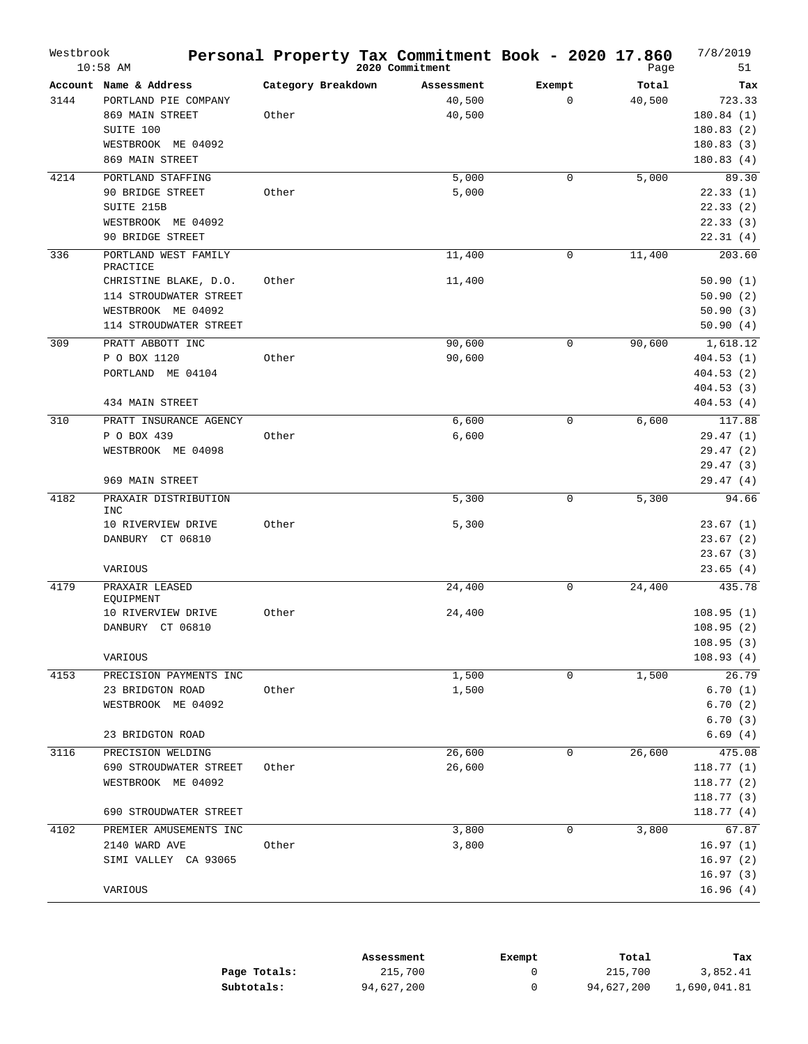| Westbrook | $10:58$ AM                         |                    | Personal Property Tax Commitment Book - 2020 17.860<br>2020 Commitment |              | Page   | 7/8/2019<br>51 |
|-----------|------------------------------------|--------------------|------------------------------------------------------------------------|--------------|--------|----------------|
|           | Account Name & Address             | Category Breakdown | Assessment                                                             | Exempt       | Total  | Tax            |
| 3144      | PORTLAND PIE COMPANY               |                    | 40,500                                                                 | $\mathbf{0}$ | 40,500 | 723.33         |
|           | 869 MAIN STREET                    | Other              | 40,500                                                                 |              |        | 180.84(1)      |
|           | SUITE 100                          |                    |                                                                        |              |        | 180.83(2)      |
|           | WESTBROOK ME 04092                 |                    |                                                                        |              |        | 180.83(3)      |
|           | 869 MAIN STREET                    |                    |                                                                        |              |        | 180.83(4)      |
| 4214      | PORTLAND STAFFING                  |                    | 5,000                                                                  | 0            | 5,000  | 89.30          |
|           | 90 BRIDGE STREET                   | Other              | 5,000                                                                  |              |        | 22.33(1)       |
|           | SUITE 215B                         |                    |                                                                        |              |        | 22.33(2)       |
|           | WESTBROOK ME 04092                 |                    |                                                                        |              |        | 22.33(3)       |
|           | 90 BRIDGE STREET                   |                    |                                                                        |              |        | 22.31(4)       |
| 336       | PORTLAND WEST FAMILY               |                    | 11,400                                                                 | $\mathbf 0$  | 11,400 | 203.60         |
|           | PRACTICE                           |                    |                                                                        |              |        |                |
|           | CHRISTINE BLAKE, D.O.              | Other              | 11,400                                                                 |              |        | 50.90(1)       |
|           | 114 STROUDWATER STREET             |                    |                                                                        |              |        | 50.90(2)       |
|           | WESTBROOK ME 04092                 |                    |                                                                        |              |        | 50.90(3)       |
|           | 114 STROUDWATER STREET             |                    |                                                                        |              |        | 50.90(4)       |
| 309       | PRATT ABBOTT INC                   |                    | 90,600                                                                 | $\mathsf 0$  | 90,600 | 1,618.12       |
|           | P O BOX 1120                       | Other              | 90,600                                                                 |              |        | 404.53(1)      |
|           | PORTLAND ME 04104                  |                    |                                                                        |              |        | 404.53 (2)     |
|           |                                    |                    |                                                                        |              |        | 404.53 (3)     |
|           | 434 MAIN STREET                    |                    |                                                                        |              |        | 404.53(4)      |
| 310       | PRATT INSURANCE AGENCY             |                    | 6,600                                                                  | $\mathbf 0$  | 6,600  | 117.88         |
|           | P O BOX 439                        | Other              | 6,600                                                                  |              |        | 29.47(1)       |
|           | WESTBROOK ME 04098                 |                    |                                                                        |              |        | 29.47(2)       |
|           |                                    |                    |                                                                        |              |        | 29.47(3)       |
|           | 969 MAIN STREET                    |                    |                                                                        |              |        | 29.47(4)       |
| 4182      | PRAXAIR DISTRIBUTION<br><b>INC</b> |                    | 5,300                                                                  | $\mathsf 0$  | 5,300  | 94.66          |
|           | 10 RIVERVIEW DRIVE                 | Other              | 5,300                                                                  |              |        | 23.67(1)       |
|           | DANBURY CT 06810                   |                    |                                                                        |              |        | 23.67(2)       |
|           |                                    |                    |                                                                        |              |        | 23.67(3)       |
|           | VARIOUS                            |                    |                                                                        |              |        | 23.65(4)       |
| 4179      | PRAXAIR LEASED<br>EQUIPMENT        |                    | 24,400                                                                 | $\mathbf 0$  | 24,400 | 435.78         |
|           | 10 RIVERVIEW DRIVE                 | Other              | 24,400                                                                 |              |        | 108.95(1)      |
|           | DANBURY CT 06810                   |                    |                                                                        |              |        | 108.95(2)      |
|           |                                    |                    |                                                                        |              |        | 108.95(3)      |
|           | VARIOUS                            |                    |                                                                        |              |        | 108.93(4)      |
| 4153      | PRECISION PAYMENTS INC             |                    | 1,500                                                                  | 0            | 1,500  | 26.79          |
|           | 23 BRIDGTON ROAD                   | Other              | 1,500                                                                  |              |        | 6.70(1)        |
|           | WESTBROOK ME 04092                 |                    |                                                                        |              |        | 6.70(2)        |
|           |                                    |                    |                                                                        |              |        | 6.70(3)        |
|           | 23 BRIDGTON ROAD                   |                    |                                                                        |              |        | 6.69(4)        |
| 3116      | PRECISION WELDING                  |                    | 26,600                                                                 | $\mathbf 0$  | 26,600 | 475.08         |
|           | 690 STROUDWATER STREET             | Other              | 26,600                                                                 |              |        | 118.77(1)      |
|           | WESTBROOK ME 04092                 |                    |                                                                        |              |        | 118.77(2)      |
|           |                                    |                    |                                                                        |              |        | 118.77(3)      |
|           | 690 STROUDWATER STREET             |                    |                                                                        |              |        | 118.77(4)      |
| 4102      | PREMIER AMUSEMENTS INC             |                    | 3,800                                                                  | 0            | 3,800  | 67.87          |
|           | 2140 WARD AVE                      | Other              | 3,800                                                                  |              |        | 16.97(1)       |
|           | SIMI VALLEY CA 93065               |                    |                                                                        |              |        | 16.97(2)       |
|           |                                    |                    |                                                                        |              |        | 16.97(3)       |
|           | VARIOUS                            |                    |                                                                        |              |        | 16.96(4)       |
|           |                                    |                    |                                                                        |              |        |                |

|              | Assessment | Exempt | Total      | Tax          |
|--------------|------------|--------|------------|--------------|
| Page Totals: | 215,700    |        | 215,700    | 3,852.41     |
| Subtotals:   | 94,627,200 |        | 94,627,200 | 1,690,041.81 |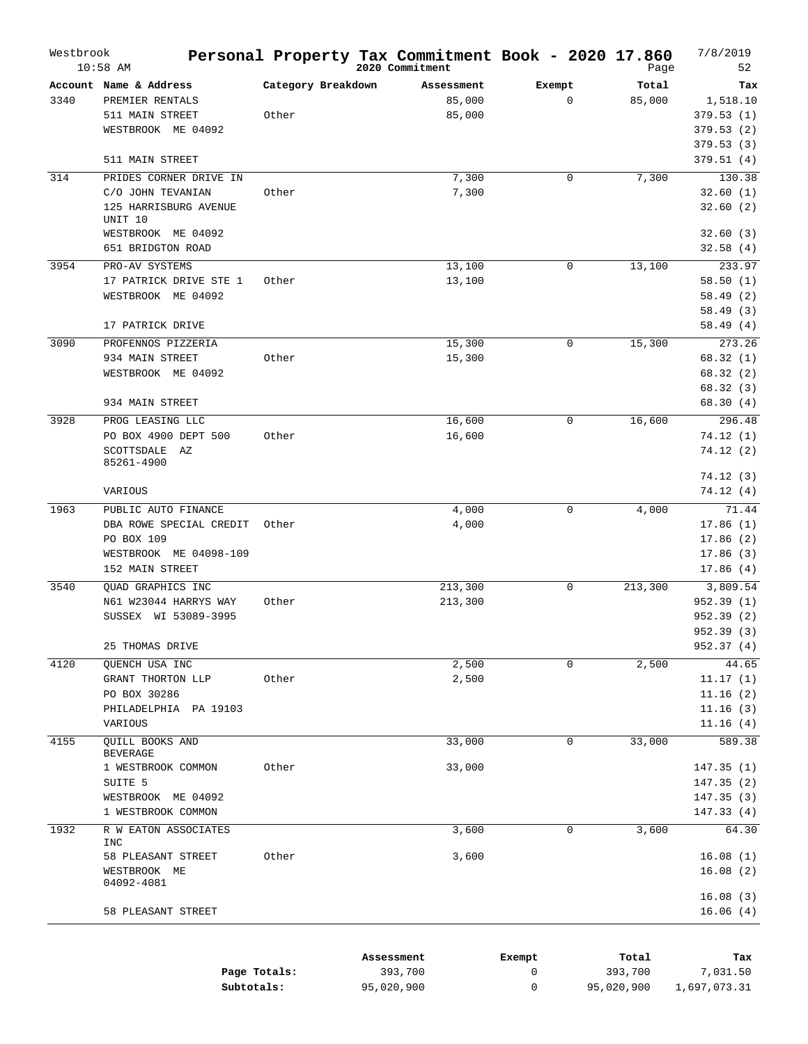| Westbrook | $10:58$ AM                 |                    | Personal Property Tax Commitment Book - 2020 17.860<br>2020 Commitment |             | Page         | 7/8/2019<br>52 |
|-----------|----------------------------|--------------------|------------------------------------------------------------------------|-------------|--------------|----------------|
|           | Account Name & Address     | Category Breakdown | Assessment                                                             | Exempt      | Total        | Tax            |
| 3340      | PREMIER RENTALS            |                    | 85,000                                                                 | $\mathbf 0$ | 85,000       | 1,518.10       |
|           | 511 MAIN STREET            | Other              | 85,000                                                                 |             |              | 379.53(1)      |
|           | WESTBROOK ME 04092         |                    |                                                                        |             |              | 379.53(2)      |
|           |                            |                    |                                                                        |             |              | 379.53(3)      |
|           | 511 MAIN STREET            |                    |                                                                        |             |              | 379.51(4)      |
| 314       | PRIDES CORNER DRIVE IN     |                    | 7,300                                                                  | 0           | 7,300        | 130.38         |
|           | C/O JOHN TEVANIAN          | Other              | 7,300                                                                  |             |              | 32.60(1)       |
|           | 125 HARRISBURG AVENUE      |                    |                                                                        |             |              | 32.60(2)       |
|           | UNIT 10                    |                    |                                                                        |             |              |                |
|           | WESTBROOK ME 04092         |                    |                                                                        |             |              | 32.60(3)       |
|           | 651 BRIDGTON ROAD          |                    |                                                                        |             |              | 32.58(4)       |
| 3954      | PRO-AV SYSTEMS             |                    | 13,100                                                                 | 0           | 13,100       | 233.97         |
|           | 17 PATRICK DRIVE STE 1     | Other              | 13,100                                                                 |             |              | 58.50(1)       |
|           | WESTBROOK ME 04092         |                    |                                                                        |             |              | 58.49(2)       |
|           |                            |                    |                                                                        |             |              | 58.49(3)       |
|           | 17 PATRICK DRIVE           |                    |                                                                        |             |              | 58.49(4)       |
| 3090      | PROFENNOS PIZZERIA         |                    | 15,300                                                                 | 0           | 15,300       | 273.26         |
|           | 934 MAIN STREET            | Other              | 15,300                                                                 |             |              | 68.32(1)       |
|           | WESTBROOK ME 04092         |                    |                                                                        |             |              | 68.32(2)       |
|           |                            |                    |                                                                        |             |              | 68.32(3)       |
|           | 934 MAIN STREET            |                    |                                                                        |             |              | 68.30(4)       |
| 3928      | PROG LEASING LLC           |                    | 16,600                                                                 | 0           | 16,600       | 296.48         |
|           | PO BOX 4900 DEPT 500       | Other              | 16,600                                                                 |             |              | 74.12(1)       |
|           | SCOTTSDALE<br>AZ           |                    |                                                                        |             |              | 74.12(2)       |
|           | 85261-4900                 |                    |                                                                        |             |              |                |
|           |                            |                    |                                                                        |             |              | 74.12(3)       |
|           | VARIOUS                    |                    |                                                                        |             |              | 74.12(4)       |
| 1963      | PUBLIC AUTO FINANCE        |                    | 4,000                                                                  | $\mathbf 0$ | 4,000        | 71.44          |
|           | DBA ROWE SPECIAL CREDIT    | Other              | 4,000                                                                  |             |              | 17.86(1)       |
|           | PO BOX 109                 |                    |                                                                        |             |              | 17.86(2)       |
|           | WESTBROOK ME 04098-109     |                    |                                                                        |             |              | 17.86(3)       |
|           | 152 MAIN STREET            |                    |                                                                        |             |              | 17.86(4)       |
| 3540      | QUAD GRAPHICS INC          |                    | 213,300                                                                | 0           | 213,300      | 3,809.54       |
|           | N61 W23044 HARRYS WAY      | Other              | 213,300                                                                |             |              | 952.39(1)      |
|           | SUSSEX WI 53089-3995       |                    |                                                                        |             |              | 952.39 (2)     |
|           |                            |                    |                                                                        |             |              | 952.39 (3)     |
|           | 25 THOMAS DRIVE            |                    |                                                                        |             |              | 952.37 (4)     |
| 4120      | OUENCH USA INC             |                    | 2,500                                                                  | 0           | 2,500        | 44.65          |
|           | GRANT THORTON LLP          | Other              | 2,500                                                                  |             |              | 11.17(1)       |
|           | PO BOX 30286               |                    |                                                                        |             |              | 11.16(2)       |
|           | PHILADELPHIA PA 19103      |                    |                                                                        |             |              | 11.16(3)       |
|           | VARIOUS                    |                    |                                                                        |             |              | 11.16(4)       |
| 4155      | QUILL BOOKS AND            |                    | 33,000                                                                 | 0           | 33,000       | 589.38         |
|           | <b>BEVERAGE</b>            |                    |                                                                        |             |              |                |
|           | 1 WESTBROOK COMMON         | Other              | 33,000                                                                 |             |              | 147.35(1)      |
|           | SUITE 5                    |                    |                                                                        |             |              | 147.35(2)      |
|           | WESTBROOK ME 04092         |                    |                                                                        |             |              | 147.35(3)      |
|           | 1 WESTBROOK COMMON         |                    |                                                                        |             |              | 147.33(4)      |
| 1932      | R W EATON ASSOCIATES       |                    | 3,600                                                                  | 0           | 3,600        | 64.30          |
|           | INC                        |                    |                                                                        |             |              |                |
|           | 58 PLEASANT STREET         | Other              | 3,600                                                                  |             |              | 16.08(1)       |
|           | WESTBROOK ME<br>04092-4081 |                    |                                                                        |             |              | 16.08(2)       |
|           |                            |                    |                                                                        |             |              | 16.08(3)       |
|           | 58 PLEASANT STREET         |                    |                                                                        |             |              | 16.06(4)       |
|           |                            |                    |                                                                        |             |              |                |
|           |                            |                    |                                                                        |             |              |                |
|           |                            |                    | 1000000                                                                |             | <b>TRA-1</b> |                |

|              | Assessment | Exempt | Total      | Tax          |
|--------------|------------|--------|------------|--------------|
| Page Totals: | 393,700    |        | 393,700    | 7,031.50     |
| Subtotals:   | 95,020,900 |        | 95,020,900 | 1,697,073.31 |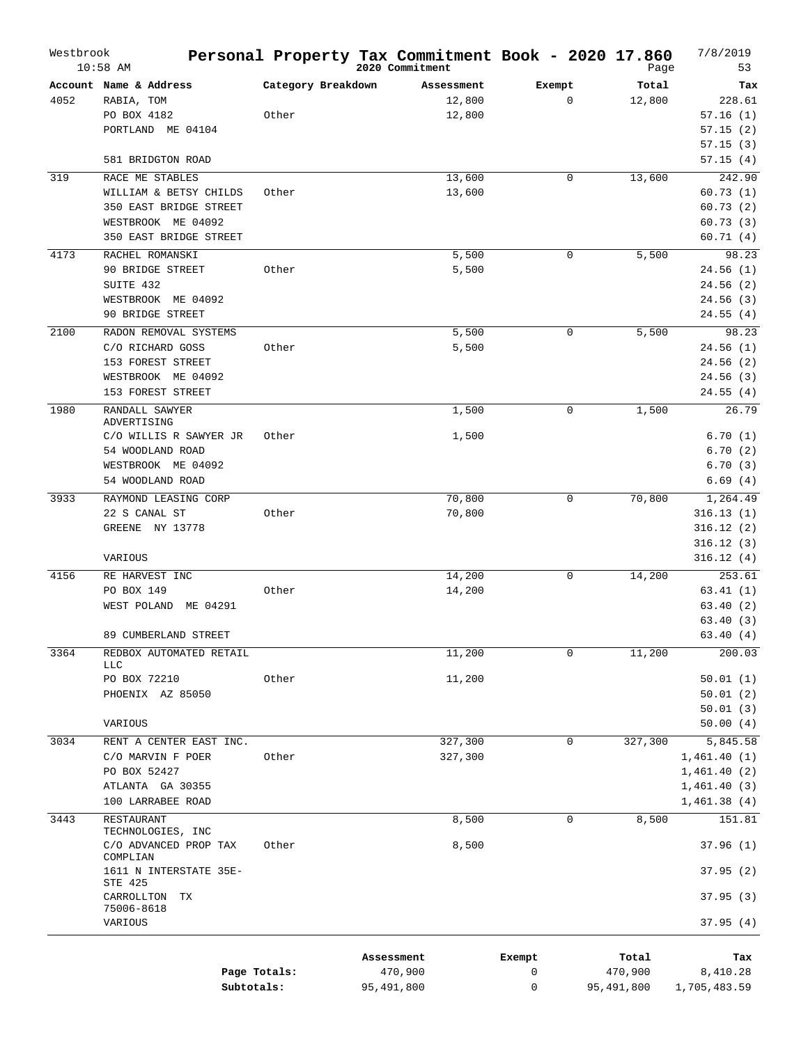| Westbrook | $10:58$ AM                            |                    | Personal Property Tax Commitment Book - 2020 17.860<br>2020 Commitment |             | Page    | 7/8/2019<br>53 |
|-----------|---------------------------------------|--------------------|------------------------------------------------------------------------|-------------|---------|----------------|
|           | Account Name & Address                | Category Breakdown | Assessment                                                             | Exempt      | Total   | Tax            |
| 4052      | RABIA, TOM                            |                    | 12,800                                                                 | $\mathbf 0$ | 12,800  | 228.61         |
|           | PO BOX 4182                           | Other              | 12,800                                                                 |             |         | 57.16(1)       |
|           | PORTLAND ME 04104                     |                    |                                                                        |             |         | 57.15(2)       |
|           |                                       |                    |                                                                        |             |         | 57.15(3)       |
|           | 581 BRIDGTON ROAD                     |                    |                                                                        |             |         | 57.15(4)       |
| 319       | RACE ME STABLES                       |                    | 13,600                                                                 | $\mathbf 0$ | 13,600  | 242.90         |
|           | WILLIAM & BETSY CHILDS                | Other              | 13,600                                                                 |             |         | 60.73(1)       |
|           | 350 EAST BRIDGE STREET                |                    |                                                                        |             |         | 60.73(2)       |
|           | WESTBROOK ME 04092                    |                    |                                                                        |             |         | 60.73(3)       |
|           | 350 EAST BRIDGE STREET                |                    |                                                                        |             |         | 60.71(4)       |
| 4173      | RACHEL ROMANSKI                       |                    | 5,500                                                                  | 0           | 5,500   | 98.23          |
|           | 90 BRIDGE STREET                      | Other              | 5,500                                                                  |             |         | 24.56(1)       |
|           | SUITE 432                             |                    |                                                                        |             |         | 24.56(2)       |
|           | WESTBROOK ME 04092                    |                    |                                                                        |             |         | 24.56(3)       |
|           | 90 BRIDGE STREET                      |                    |                                                                        |             |         | 24.55(4)       |
| 2100      | RADON REMOVAL SYSTEMS                 |                    | 5,500                                                                  | 0           | 5,500   | 98.23          |
|           | C/O RICHARD GOSS                      | Other              | 5,500                                                                  |             |         | 24.56(1)       |
|           | 153 FOREST STREET                     |                    |                                                                        |             |         | 24.56(2)       |
|           | WESTBROOK ME 04092                    |                    |                                                                        |             |         | 24.56(3)       |
|           | 153 FOREST STREET                     |                    |                                                                        |             |         | 24.55(4)       |
| 1980      | RANDALL SAWYER<br>ADVERTISING         |                    | 1,500                                                                  | 0           | 1,500   | 26.79          |
|           | C/O WILLIS R SAWYER JR                | Other              | 1,500                                                                  |             |         | 6.70(1)        |
|           | 54 WOODLAND ROAD                      |                    |                                                                        |             |         | 6.70(2)        |
|           | WESTBROOK ME 04092                    |                    |                                                                        |             |         | 6.70(3)        |
|           | 54 WOODLAND ROAD                      |                    |                                                                        |             |         | 6.69(4)        |
| 3933      | RAYMOND LEASING CORP                  |                    | 70,800                                                                 | $\mathsf 0$ | 70,800  | 1,264.49       |
|           | 22 S CANAL ST                         | Other              | 70,800                                                                 |             |         | 316.13(1)      |
|           | GREENE NY 13778                       |                    |                                                                        |             |         | 316.12(2)      |
|           |                                       |                    |                                                                        |             |         | 316.12(3)      |
|           | VARIOUS                               |                    |                                                                        |             |         | 316.12(4)      |
| 4156      | RE HARVEST INC                        |                    | 14,200                                                                 | $\mathbf 0$ | 14,200  | 253.61         |
|           | PO BOX 149                            | Other              | 14,200                                                                 |             |         | 63.41(1)       |
|           | WEST POLAND<br>ME 04291               |                    |                                                                        |             |         | 63.40(2)       |
|           |                                       |                    |                                                                        |             |         | 63.40(3)       |
|           | 89 CUMBERLAND STREET                  |                    |                                                                        |             |         | 63.40 (4)      |
| 3364      | REDBOX AUTOMATED RETAIL<br><b>LLC</b> |                    | 11,200                                                                 | 0           | 11,200  | 200.03         |
|           | PO BOX 72210                          | Other              | 11,200                                                                 |             |         | 50.01(1)       |
|           | PHOENIX AZ 85050                      |                    |                                                                        |             |         | 50.01(2)       |
|           |                                       |                    |                                                                        |             |         | 50.01(3)       |
|           | VARIOUS                               |                    |                                                                        |             |         | 50.00(4)       |
| 3034      | RENT A CENTER EAST INC.               |                    | 327,300                                                                | $\mathbf 0$ | 327,300 | 5,845.58       |
|           | C/O MARVIN F POER                     | Other              | 327,300                                                                |             |         | 1,461.40(1)    |
|           | PO BOX 52427                          |                    |                                                                        |             |         | 1,461.40(2)    |
|           | ATLANTA GA 30355                      |                    |                                                                        |             |         | 1,461.40(3)    |
|           | 100 LARRABEE ROAD                     |                    |                                                                        |             |         | 1,461.38(4)    |
| 3443      | RESTAURANT<br>TECHNOLOGIES, INC       |                    | 8,500                                                                  | 0           | 8,500   | 151.81         |
|           | C/O ADVANCED PROP TAX<br>COMPLIAN     | Other              | 8,500                                                                  |             |         | 37.96(1)       |
|           | 1611 N INTERSTATE 35E-<br>STE 425     |                    |                                                                        |             |         | 37.95(2)       |
|           | CARROLLTON<br>ТX                      |                    |                                                                        |             |         | 37.95(3)       |
|           | 75006-8618<br>VARIOUS                 |                    |                                                                        |             |         | 37.95(4)       |
|           |                                       |                    | Assessment                                                             | Exempt      | Total   | Tax            |
|           |                                       | Page Totals:       | 470,900                                                                | 0           | 470,900 | 8,410.28       |

**Subtotals:** 95,491,800

0 95,491,800 1,705,483.59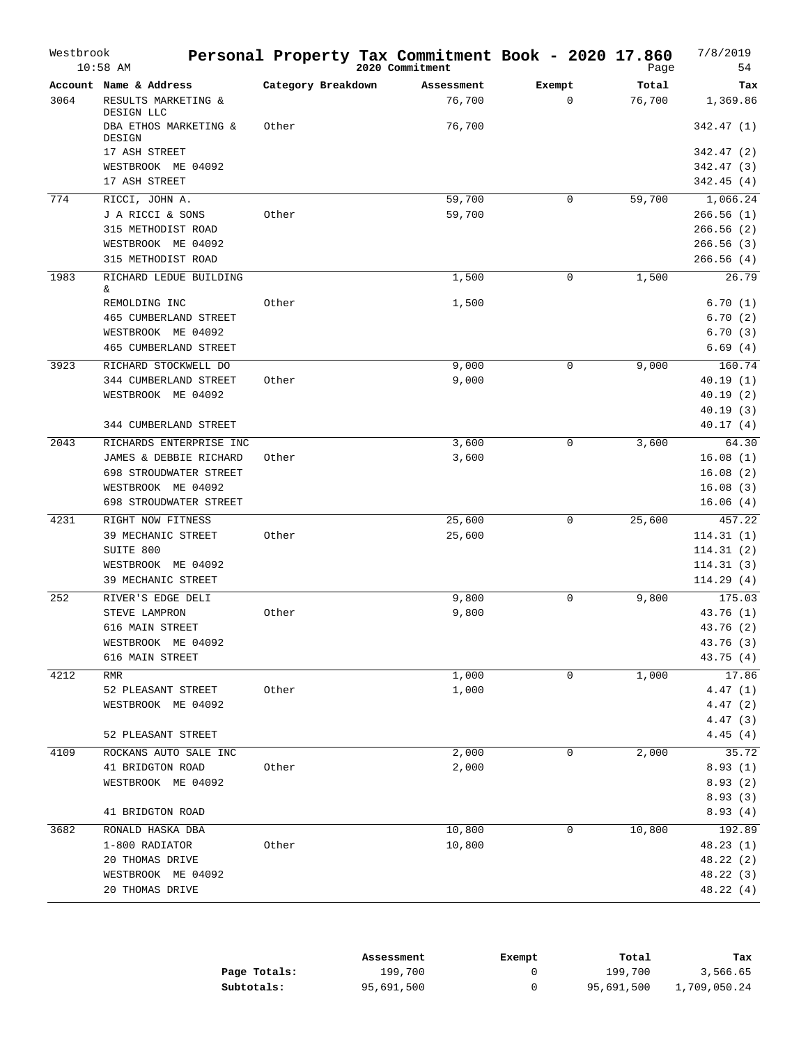| Westbrook | $10:58$ AM                        |                    | Personal Property Tax Commitment Book - 2020 17.860<br>2020 Commitment |             | Page   | 7/8/2019<br>54 |
|-----------|-----------------------------------|--------------------|------------------------------------------------------------------------|-------------|--------|----------------|
|           | Account Name & Address            | Category Breakdown | Assessment                                                             | Exempt      | Total  | Tax            |
| 3064      | RESULTS MARKETING &<br>DESIGN LLC |                    | 76,700                                                                 | $\mathbf 0$ | 76,700 | 1,369.86       |
|           | DBA ETHOS MARKETING &<br>DESIGN   | Other              | 76,700                                                                 |             |        | 342.47 (1)     |
|           | 17 ASH STREET                     |                    |                                                                        |             |        | 342.47 (2)     |
|           | WESTBROOK ME 04092                |                    |                                                                        |             |        | 342.47 (3)     |
|           | 17 ASH STREET                     |                    |                                                                        |             |        | 342.45(4)      |
| 774       | RICCI, JOHN A.                    |                    | 59,700                                                                 | $\mathbf 0$ | 59,700 | 1,066.24       |
|           | J A RICCI & SONS                  | Other              | 59,700                                                                 |             |        | 266.56(1)      |
|           | 315 METHODIST ROAD                |                    |                                                                        |             |        | 266.56(2)      |
|           | WESTBROOK ME 04092                |                    |                                                                        |             |        | 266.56(3)      |
|           | 315 METHODIST ROAD                |                    |                                                                        |             |        | 266.56(4)      |
| 1983      | RICHARD LEDUE BUILDING<br>&       |                    | 1,500                                                                  | $\mathbf 0$ | 1,500  | 26.79          |
|           | REMOLDING INC                     | Other              | 1,500                                                                  |             |        | 6.70(1)        |
|           | 465 CUMBERLAND STREET             |                    |                                                                        |             |        | 6.70(2)        |
|           | WESTBROOK ME 04092                |                    |                                                                        |             |        | 6.70(3)        |
|           | 465 CUMBERLAND STREET             |                    |                                                                        |             |        | 6.69(4)        |
| 3923      | RICHARD STOCKWELL DO              |                    | 9,000                                                                  | $\mathbf 0$ | 9,000  | 160.74         |
|           | 344 CUMBERLAND STREET             | Other              | 9,000                                                                  |             |        | 40.19(1)       |
|           | WESTBROOK ME 04092                |                    |                                                                        |             |        | 40.19(2)       |
|           |                                   |                    |                                                                        |             |        | 40.19(3)       |
|           | 344 CUMBERLAND STREET             |                    |                                                                        |             |        | 40.17(4)       |
| 2043      | RICHARDS ENTERPRISE INC           |                    | 3,600                                                                  | 0           | 3,600  | 64.30          |
|           | JAMES & DEBBIE RICHARD            | Other              | 3,600                                                                  |             |        | 16.08(1)       |
|           | 698 STROUDWATER STREET            |                    |                                                                        |             |        | 16.08(2)       |
|           | WESTBROOK ME 04092                |                    |                                                                        |             |        | 16.08(3)       |
|           | 698 STROUDWATER STREET            |                    |                                                                        |             |        | 16.06(4)       |
| 4231      | RIGHT NOW FITNESS                 |                    | 25,600                                                                 | $\mathbf 0$ | 25,600 | 457.22         |
|           | 39 MECHANIC STREET                | Other              | 25,600                                                                 |             |        | 114.31(1)      |
|           | SUITE 800                         |                    |                                                                        |             |        | 114.31(2)      |
|           | WESTBROOK ME 04092                |                    |                                                                        |             |        | 114.31(3)      |
|           | 39 MECHANIC STREET                |                    |                                                                        |             |        | 114.29(4)      |
| 252       | RIVER'S EDGE DELI                 |                    | 9,800                                                                  | 0           | 9,800  | 175.03         |
|           | STEVE LAMPRON                     | Other              | 9,800                                                                  |             |        | 43.76 (1)      |
|           | 616 MAIN STREET                   |                    |                                                                        |             |        | 43.76 (2)      |
|           | WESTBROOK ME 04092                |                    |                                                                        |             |        | 43.76 (3)      |
|           | 616 MAIN STREET                   |                    |                                                                        |             |        | 43.75 (4)      |
| 4212      | RMR                               |                    | 1,000                                                                  | 0           | 1,000  | 17.86          |
|           | 52 PLEASANT STREET                | Other              | 1,000                                                                  |             |        | 4.47(1)        |
|           | WESTBROOK ME 04092                |                    |                                                                        |             |        | 4.47(2)        |
|           |                                   |                    |                                                                        |             |        | 4.47(3)        |
|           | 52 PLEASANT STREET                |                    |                                                                        |             |        | 4.45(4)        |
| 4109      | ROCKANS AUTO SALE INC             |                    | 2,000                                                                  | 0           | 2,000  | 35.72          |
|           | 41 BRIDGTON ROAD                  | Other              | 2,000                                                                  |             |        | 8.93(1)        |
|           | WESTBROOK ME 04092                |                    |                                                                        |             |        | 8.93(2)        |
|           |                                   |                    |                                                                        |             |        | 8.93(3)        |
|           | 41 BRIDGTON ROAD                  |                    |                                                                        |             |        | 8.93(4)        |
| 3682      | RONALD HASKA DBA                  |                    | 10,800                                                                 | $\mathbf 0$ | 10,800 | 192.89         |
|           | 1-800 RADIATOR                    | Other              | 10,800                                                                 |             |        | 48.23 (1)      |
|           | 20 THOMAS DRIVE                   |                    |                                                                        |             |        | 48.22 (2)      |
|           | WESTBROOK ME 04092                |                    |                                                                        |             |        | 48.22 (3)      |
|           | 20 THOMAS DRIVE                   |                    |                                                                        |             |        | 48.22 (4)      |

|              | Assessment | Exempt | Total      | Tax          |
|--------------|------------|--------|------------|--------------|
| Page Totals: | 199,700    |        | 199,700    | 3,566.65     |
| Subtotals:   | 95,691,500 |        | 95,691,500 | 1,709,050.24 |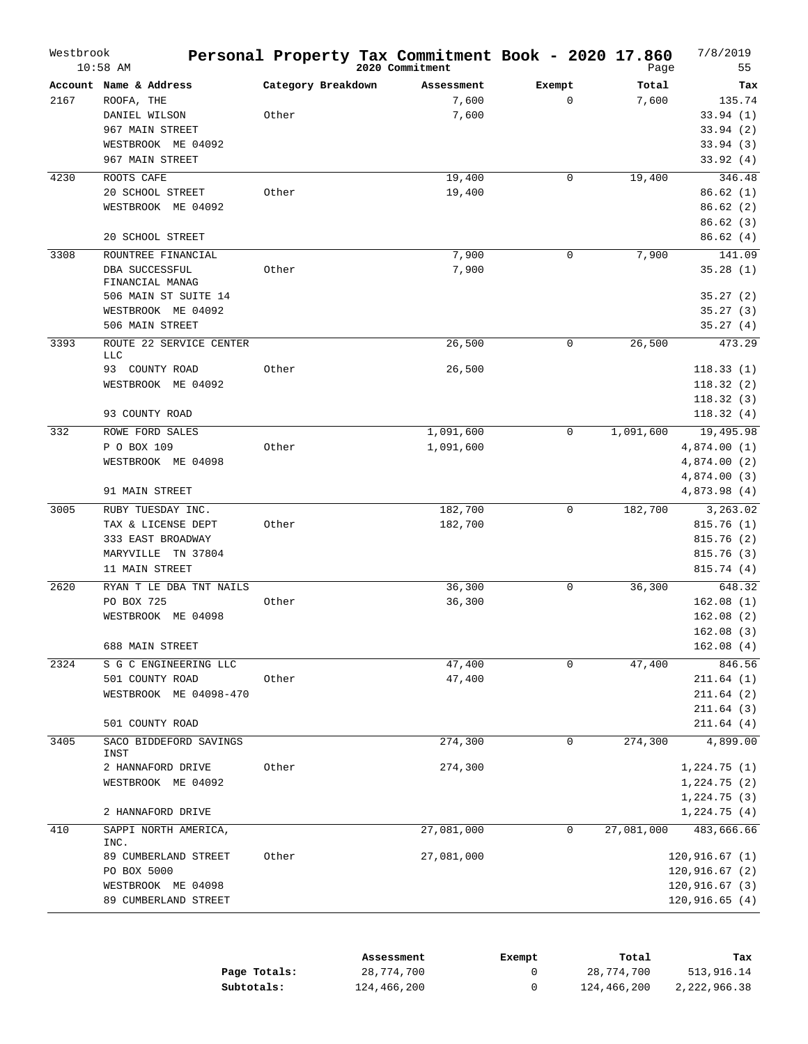| Westbrook | $10:58$ AM                                                                                                               |                             | Personal Property Tax Commitment Book - 2020 17.860<br>2020 Commitment |                       | Page           | 7/8/2019<br>55                                                                     |
|-----------|--------------------------------------------------------------------------------------------------------------------------|-----------------------------|------------------------------------------------------------------------|-----------------------|----------------|------------------------------------------------------------------------------------|
| 2167      | Account Name & Address<br>ROOFA, THE<br>DANIEL WILSON<br>967 MAIN STREET<br>WESTBROOK ME 04092<br>967 MAIN STREET        | Category Breakdown<br>Other | Assessment<br>7,600<br>7,600                                           | Exempt<br>$\mathbf 0$ | Total<br>7,600 | Tax<br>135.74<br>33.94(1)<br>33.94(2)<br>33.94(3)<br>33.92(4)                      |
| 4230      | ROOTS CAFE<br>20 SCHOOL STREET<br>WESTBROOK ME 04092<br>20 SCHOOL STREET                                                 | Other                       | 19,400<br>19,400                                                       | $\mathbf 0$           | 19,400         | 346.48<br>86.62(1)<br>86.62(2)<br>86.62(3)<br>86.62(4)                             |
| 3308      | ROUNTREE FINANCIAL<br>DBA SUCCESSFUL<br>FINANCIAL MANAG<br>506 MAIN ST SUITE 14<br>WESTBROOK ME 04092<br>506 MAIN STREET | Other                       | 7,900<br>7,900                                                         | $\mathbf 0$           | 7,900          | 141.09<br>35.28(1)<br>35.27(2)<br>35.27(3)<br>35.27(4)                             |
| 3393      | ROUTE 22 SERVICE CENTER<br>LLC<br>93 COUNTY ROAD<br>WESTBROOK ME 04092<br>93 COUNTY ROAD                                 | Other                       | 26,500<br>26,500                                                       | 0                     | 26,500         | 473.29<br>118.33(1)<br>118.32(2)<br>118.32(3)<br>118.32(4)                         |
| 332       | ROWE FORD SALES<br>P O BOX 109<br>WESTBROOK ME 04098<br>91 MAIN STREET                                                   | Other                       | 1,091,600<br>1,091,600                                                 | $\mathbf 0$           | 1,091,600      | 19,495.98<br>4,874.00(1)<br>4,874.00 (2)<br>4,874.00 (3)<br>4,873.98 (4)           |
| 3005      | RUBY TUESDAY INC.<br>TAX & LICENSE DEPT<br>333 EAST BROADWAY<br>MARYVILLE<br>TN 37804<br>11 MAIN STREET                  | Other                       | 182,700<br>182,700                                                     | $\mathbf 0$           | 182,700        | 3,263.02<br>815.76(1)<br>815.76(2)<br>815.76(3)<br>815.74(4)                       |
| 2620      | RYAN T LE DBA TNT NAILS<br>PO BOX 725<br>WESTBROOK ME 04098<br>688 MAIN STREET                                           | Other                       | 36,300<br>36,300                                                       | $\mathbf 0$           | 36,300         | 648.32<br>162.08(1)<br>162.08(2)<br>162.08(3)<br>162.08(4)                         |
| 2324      | S G C ENGINEERING LLC<br>501 COUNTY ROAD<br>WESTBROOK ME 04098-470<br>501 COUNTY ROAD                                    | Other                       | 47,400<br>47,400                                                       | 0                     | 47,400         | 846.56<br>211.64 (1)<br>211.64(2)<br>211.64(3)<br>211.64(4)                        |
| 3405      | SACO BIDDEFORD SAVINGS<br>INST<br>2 HANNAFORD DRIVE<br>WESTBROOK ME 04092<br>2 HANNAFORD DRIVE                           | Other                       | 274,300<br>274,300                                                     | 0                     | 274,300        | 4,899.00<br>1,224.75(1)<br>1,224.75(2)<br>1,224.75(3)<br>1,224.75 (4)              |
| 410       | SAPPI NORTH AMERICA,<br>INC.<br>89 CUMBERLAND STREET<br>PO BOX 5000<br>WESTBROOK ME 04098<br>89 CUMBERLAND STREET        | Other                       | 27,081,000<br>27,081,000                                               | 0                     | 27,081,000     | 483,666.66<br>120, 916.67(1)<br>120,916.67 (2)<br>120,916.67 (3)<br>120, 916.65(4) |

|              | Assessment  | Exempt | Total       | Tax          |
|--------------|-------------|--------|-------------|--------------|
| Page Totals: | 28,774,700  |        | 28,774,700  | 513,916.14   |
| Subtotals:   | 124,466,200 |        | 124,466,200 | 2,222,966.38 |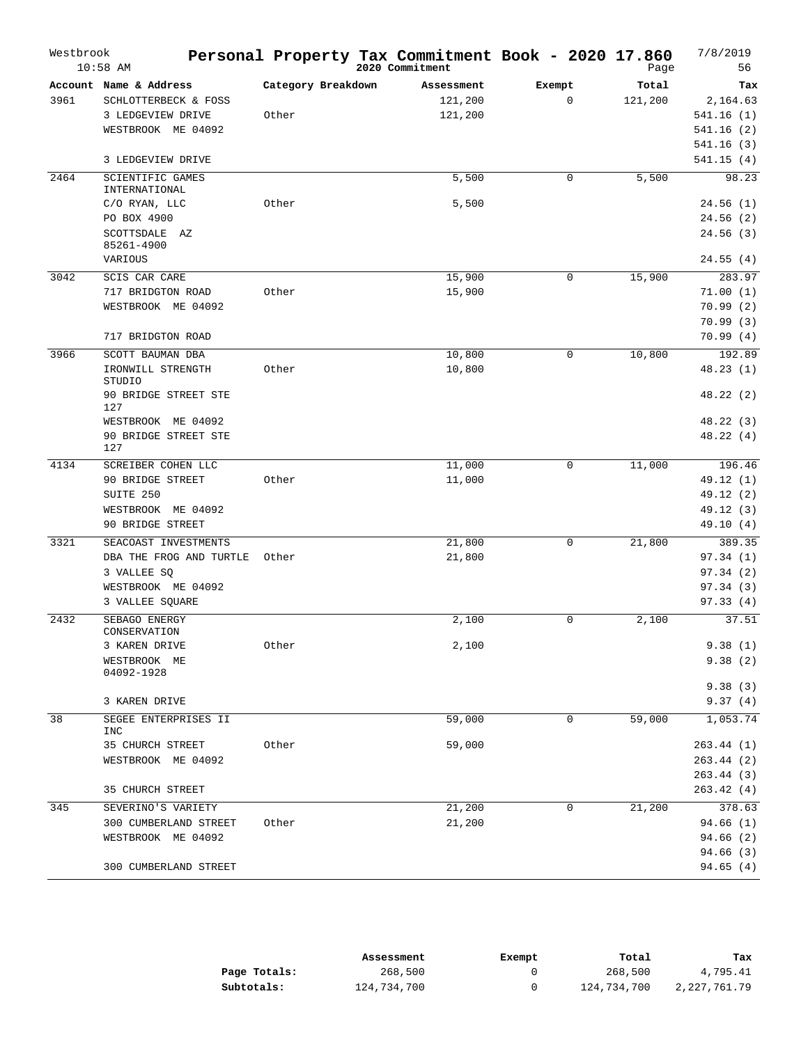| Westbrook | $10:58$ AM                                                                                    |                             | Personal Property Tax Commitment Book - 2020 17.860<br>2020 Commitment |                       | Page             | 7/8/2019<br>56                                             |
|-----------|-----------------------------------------------------------------------------------------------|-----------------------------|------------------------------------------------------------------------|-----------------------|------------------|------------------------------------------------------------|
| 3961      | Account Name & Address<br>SCHLOTTERBECK & FOSS<br>3 LEDGEVIEW DRIVE<br>WESTBROOK ME 04092     | Category Breakdown<br>Other | Assessment<br>121,200<br>121,200                                       | Exempt<br>$\mathbf 0$ | Total<br>121,200 | Tax<br>2,164.63<br>541.16(1)<br>541.16(2)<br>541.16(3)     |
|           | 3 LEDGEVIEW DRIVE                                                                             |                             |                                                                        |                       |                  | 541.15(4)                                                  |
| 2464      | SCIENTIFIC GAMES<br>INTERNATIONAL                                                             |                             | 5,500                                                                  | $\mathbf 0$           | 5,500            | 98.23                                                      |
|           | C/O RYAN, LLC<br>PO BOX 4900<br>SCOTTSDALE AZ<br>85261-4900                                   | Other                       | 5,500                                                                  |                       |                  | 24.56(1)<br>24.56(2)<br>24.56(3)                           |
| 3042      | VARIOUS<br>SCIS CAR CARE                                                                      |                             | 15,900                                                                 | $\mathbf 0$           | 15,900           | 24.55(4)<br>283.97                                         |
|           | 717 BRIDGTON ROAD<br>WESTBROOK ME 04092                                                       | Other                       | 15,900                                                                 |                       |                  | 71.00(1)<br>70.99(2)<br>70.99(3)                           |
| 3966      | 717 BRIDGTON ROAD<br>SCOTT BAUMAN DBA                                                         |                             |                                                                        | $\mathbf 0$           |                  | 70.99(4)<br>192.89                                         |
|           | IRONWILL STRENGTH<br>STUDIO                                                                   | Other                       | 10,800<br>10,800                                                       |                       | 10,800           | 48.23(1)                                                   |
|           | 90 BRIDGE STREET STE<br>127                                                                   |                             |                                                                        |                       |                  | 48.22 (2)                                                  |
|           | WESTBROOK ME 04092<br>90 BRIDGE STREET STE<br>127                                             |                             |                                                                        |                       |                  | 48.22 (3)<br>48.22(4)                                      |
| 4134      | SCREIBER COHEN LLC<br>90 BRIDGE STREET<br>SUITE 250<br>WESTBROOK ME 04092<br>90 BRIDGE STREET | Other                       | 11,000<br>11,000                                                       | $\mathbf 0$           | 11,000           | 196.46<br>49.12 (1)<br>49.12 (2)<br>49.12 (3)<br>49.10 (4) |
| 3321      | SEACOAST INVESTMENTS                                                                          |                             | 21,800                                                                 | $\mathbf 0$           | 21,800           | 389.35                                                     |
|           | DBA THE FROG AND TURTLE<br>3 VALLEE SO<br>WESTBROOK ME 04092<br>3 VALLEE SQUARE               | Other                       | 21,800                                                                 |                       |                  | 97.34(1)<br>97.34(2)<br>97.34(3)<br>97.33(4)               |
| 2432      | SEBAGO ENERGY<br>CONSERVATION                                                                 |                             | 2,100                                                                  | 0                     | 2,100            | 37.51                                                      |
|           | 3 KAREN DRIVE<br>WESTBROOK ME<br>04092-1928                                                   | Other                       | 2,100                                                                  |                       |                  | 9.38(1)<br>9.38(2)                                         |
|           | 3 KAREN DRIVE                                                                                 |                             |                                                                        |                       |                  | 9.38(3)<br>9.37(4)                                         |
| 38        | SEGEE ENTERPRISES II                                                                          |                             | 59,000                                                                 | 0                     | 59,000           | 1,053.74                                                   |
|           | INC<br>35 CHURCH STREET<br>WESTBROOK ME 04092                                                 | Other                       | 59,000                                                                 |                       |                  | 263.44(1)<br>263.44(2)<br>263.44(3)                        |
|           | 35 CHURCH STREET                                                                              |                             |                                                                        |                       |                  | 263.42(4)                                                  |
| 345       | SEVERINO'S VARIETY<br>300 CUMBERLAND STREET<br>WESTBROOK ME 04092<br>300 CUMBERLAND STREET    | Other                       | 21,200<br>21,200                                                       | 0                     | 21,200           | 378.63<br>94.66 (1)<br>94.66(2)<br>94.66 (3)<br>94.65(4)   |
|           |                                                                                               |                             |                                                                        |                       |                  |                                                            |

|              | Assessment  | Exempt | Total       | Tax          |
|--------------|-------------|--------|-------------|--------------|
| Page Totals: | 268,500     |        | 268,500     | 4,795.41     |
| Subtotals:   | 124,734,700 |        | 124,734,700 | 2,227,761.79 |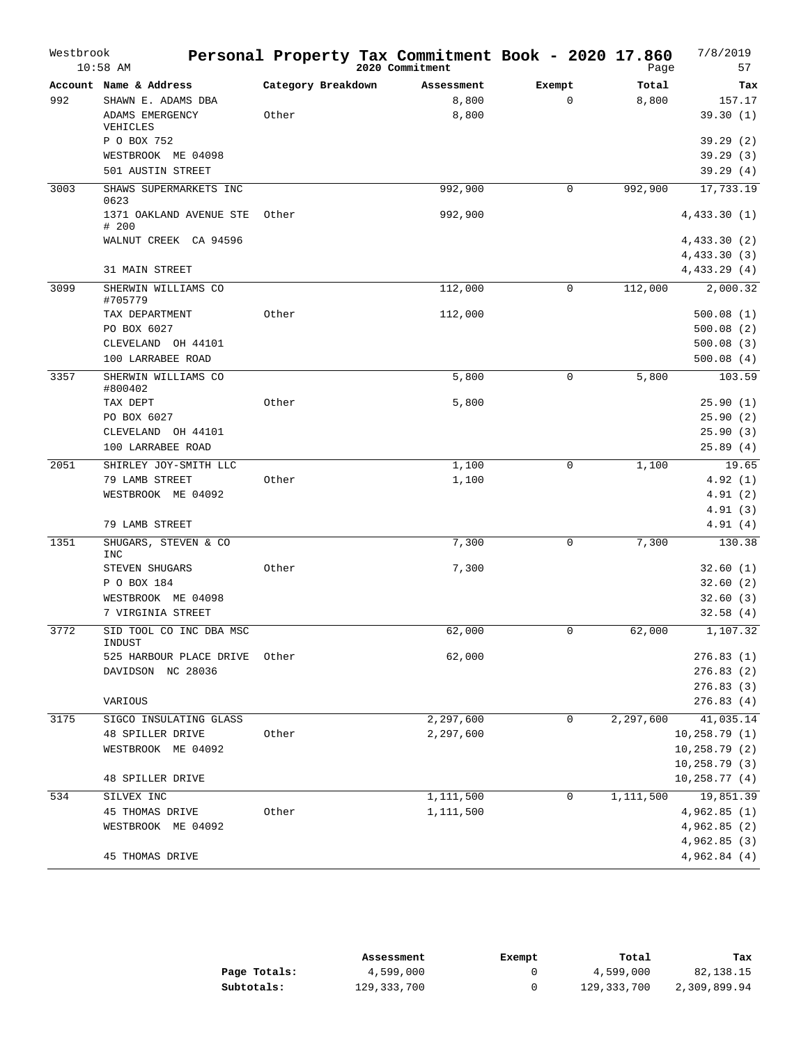| Westbrook | $10:58$ AM                                        |                    | Personal Property Tax Commitment Book - 2020 17.860<br>2020 Commitment |              | Page      | 7/8/2019<br>57          |
|-----------|---------------------------------------------------|--------------------|------------------------------------------------------------------------|--------------|-----------|-------------------------|
|           | Account Name & Address                            | Category Breakdown | Assessment                                                             | Exempt       | Total     | Tax                     |
| 992       | SHAWN E. ADAMS DBA                                |                    | 8,800                                                                  | $\mathbf{0}$ | 8,800     | 157.17                  |
|           | ADAMS EMERGENCY<br>VEHICLES                       | Other              | 8,800                                                                  |              |           | 39.30(1)                |
|           | P O BOX 752                                       |                    |                                                                        |              |           | 39.29(2)                |
|           | WESTBROOK ME 04098                                |                    |                                                                        |              |           | 39.29(3)                |
|           | 501 AUSTIN STREET                                 |                    |                                                                        |              |           | 39.29(4)                |
| 3003      | SHAWS SUPERMARKETS INC<br>0623                    |                    | 992,900                                                                | $\mathbf 0$  | 992,900   | 17,733.19               |
|           | 1371 OAKLAND AVENUE STE<br># 200                  | Other              | 992,900                                                                |              |           | 4,433.30(1)             |
|           | WALNUT CREEK CA 94596                             |                    |                                                                        |              |           | 4,433.30 (2)            |
|           | 31 MAIN STREET                                    |                    |                                                                        |              |           | 4,433.30(3)             |
|           |                                                   |                    |                                                                        |              |           | 4,433.29(4)             |
| 3099      | SHERWIN WILLIAMS CO<br>#705779                    |                    | 112,000                                                                | $\mathbf 0$  | 112,000   | 2,000.32                |
|           | TAX DEPARTMENT<br>PO BOX 6027                     | Other              | 112,000                                                                |              |           | 500.08(1)               |
|           | CLEVELAND OH 44101                                |                    |                                                                        |              |           | 500.08(2)<br>500.08(3)  |
|           | 100 LARRABEE ROAD                                 |                    |                                                                        |              |           | 500.08(4)               |
|           |                                                   |                    |                                                                        |              |           |                         |
| 3357      | SHERWIN WILLIAMS CO<br>#800402                    |                    | 5,800                                                                  | $\mathbf 0$  | 5,800     | 103.59                  |
|           | TAX DEPT                                          | Other              | 5,800                                                                  |              |           | 25.90(1)                |
|           | PO BOX 6027                                       |                    |                                                                        |              |           | 25.90(2)                |
|           | CLEVELAND OH 44101                                |                    |                                                                        |              |           | 25.90(3)                |
|           | 100 LARRABEE ROAD                                 |                    |                                                                        |              |           | 25.89(4)                |
| 2051      | SHIRLEY JOY-SMITH LLC                             |                    | 1,100                                                                  | $\mathbf 0$  | 1,100     | 19.65                   |
|           | 79 LAMB STREET                                    | Other              | 1,100                                                                  |              |           | 4.92(1)                 |
|           | WESTBROOK ME 04092                                |                    |                                                                        |              |           | 4.91(2)                 |
|           |                                                   |                    |                                                                        |              |           | 4.91(3)                 |
|           | 79 LAMB STREET                                    |                    |                                                                        |              |           | 4.91(4)                 |
| 1351      | SHUGARS, STEVEN & CO<br><b>INC</b>                |                    | 7,300                                                                  | $\mathbf 0$  | 7,300     | 130.38                  |
|           | STEVEN SHUGARS                                    | Other              | 7,300                                                                  |              |           | 32.60(1)                |
|           | P O BOX 184                                       |                    |                                                                        |              |           | 32.60(2)                |
|           | WESTBROOK ME 04098                                |                    |                                                                        |              |           | 32.60(3)                |
|           | 7 VIRGINIA STREET                                 |                    |                                                                        |              |           | 32.58(4)                |
| 3772      | SID TOOL CO INC DBA MSC<br>INDUST                 |                    | 62,000                                                                 | $\mathbf 0$  | 62,000    | 1,107.32                |
|           | 525 HARBOUR PLACE DRIVE                           | Other              | 62,000                                                                 |              |           | 276.83(1)               |
|           | DAVIDSON NC 28036                                 |                    |                                                                        |              |           | 276.83(2)               |
|           | VARIOUS                                           |                    |                                                                        |              |           | 276.83(3)<br>276.83 (4) |
| 3175      |                                                   |                    |                                                                        | 0            |           | 41,035.14               |
|           | SIGCO INSULATING GLASS<br><b>48 SPILLER DRIVE</b> | Other              | 2,297,600<br>2,297,600                                                 |              | 2,297,600 | 10, 258.79(1)           |
|           | WESTBROOK ME 04092                                |                    |                                                                        |              |           | 10, 258.79(2)           |
|           |                                                   |                    |                                                                        |              |           | 10, 258.79(3)           |
|           | <b>48 SPILLER DRIVE</b>                           |                    |                                                                        |              |           | 10, 258.77(4)           |
| 534       | SILVEX INC                                        |                    | 1,111,500                                                              | 0            | 1,111,500 | 19,851.39               |
|           | 45 THOMAS DRIVE                                   | Other              | 1,111,500                                                              |              |           | 4,962.85(1)             |
|           | WESTBROOK ME 04092                                |                    |                                                                        |              |           | 4,962.85 (2)            |
|           |                                                   |                    |                                                                        |              |           | 4,962.85 (3)            |
|           | 45 THOMAS DRIVE                                   |                    |                                                                        |              |           | 4,962.84(4)             |
|           |                                                   |                    |                                                                        |              |           |                         |

|              | Assessment    | Exempt | Total       | Tax          |
|--------------|---------------|--------|-------------|--------------|
| Page Totals: | 4,599,000     |        | 4,599,000   | 82,138.15    |
| Subtotals:   | 129, 333, 700 |        | 129,333,700 | 2,309,899.94 |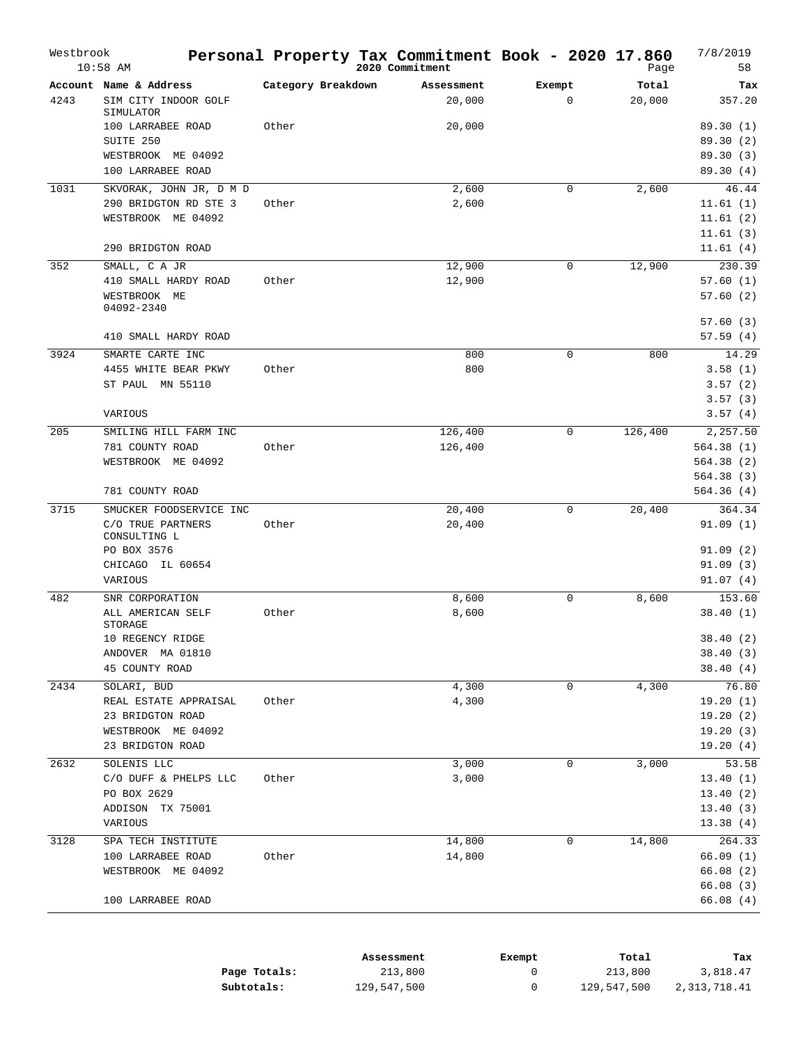| Westbrook | $10:58$ AM                                                                                                                    |                    | Personal Property Tax Commitment Book - 2020 17.860<br>2020 Commitment |                       | Page            | 7/8/2019<br>58                                                       |
|-----------|-------------------------------------------------------------------------------------------------------------------------------|--------------------|------------------------------------------------------------------------|-----------------------|-----------------|----------------------------------------------------------------------|
| 4243      | Account Name & Address<br>SIM CITY INDOOR GOLF<br>SIMULATOR                                                                   | Category Breakdown | Assessment<br>20,000                                                   | Exempt<br>$\mathbf 0$ | Total<br>20,000 | Tax<br>357.20                                                        |
|           | 100 LARRABEE ROAD<br>SUITE 250<br>WESTBROOK ME 04092<br>100 LARRABEE ROAD                                                     | Other              | 20,000                                                                 |                       |                 | 89.30 (1)<br>89.30 (2)<br>89.30(3)<br>89.30 (4)                      |
| 1031      | SKVORAK, JOHN JR, D M D<br>290 BRIDGTON RD STE 3<br>WESTBROOK ME 04092<br>290 BRIDGTON ROAD                                   | Other              | 2,600<br>2,600                                                         | $\mathbf 0$           | 2,600           | 46.44<br>11.61(1)<br>11.61(2)<br>11.61(3)<br>11.61(4)                |
| 352       | SMALL, C A JR<br>410 SMALL HARDY ROAD<br>WESTBROOK ME<br>04092-2340                                                           | Other              | 12,900<br>12,900                                                       | 0                     | 12,900          | 230.39<br>57.60(1)<br>57.60(2)<br>57.60(3)                           |
| 3924      | 410 SMALL HARDY ROAD<br>SMARTE CARTE INC<br>4455 WHITE BEAR PKWY<br>ST PAUL MN 55110<br>VARIOUS                               | Other              | 800<br>800                                                             | $\mathbf 0$           | 800             | 57.59(4)<br>14.29<br>3.58(1)<br>3.57(2)<br>3.57(3)<br>3.57(4)        |
| 205       | SMILING HILL FARM INC<br>781 COUNTY ROAD<br>WESTBROOK ME 04092                                                                | Other              | 126,400<br>126,400                                                     | $\mathbf 0$           | 126,400         | 2,257.50<br>564.38(1)<br>564.38(2)<br>564.38(3)                      |
| 3715      | 781 COUNTY ROAD<br>SMUCKER FOODSERVICE INC<br>C/O TRUE PARTNERS<br>CONSULTING L<br>PO BOX 3576<br>CHICAGO IL 60654<br>VARIOUS | Other              | 20,400<br>20,400                                                       | $\mathbf 0$           | 20,400          | 564.36 (4)<br>364.34<br>91.09(1)<br>91.09(2)<br>91.09(3)<br>91.07(4) |
| 482       | SNR CORPORATION<br>ALL AMERICAN SELF<br><b>STORAGE</b><br>10 REGENCY RIDGE<br>ANDOVER MA 01810<br>45 COUNTY ROAD              | Other              | 8,600<br>8,600                                                         | 0                     | 8,600           | 153.60<br>38.40(1)<br>38.40 (2)<br>38.40 (3)<br>38.40(4)             |
| 2434      | SOLARI, BUD<br>REAL ESTATE APPRAISAL<br>23 BRIDGTON ROAD<br>WESTBROOK ME 04092<br>23 BRIDGTON ROAD                            | Other              | 4,300<br>4,300                                                         | 0                     | 4,300           | 76.80<br>19.20(1)<br>19.20(2)<br>19.20(3)<br>19.20(4)                |
| 2632      | SOLENIS LLC<br>C/O DUFF & PHELPS LLC<br>PO BOX 2629<br>ADDISON TX 75001<br>VARIOUS                                            | Other              | 3,000<br>3,000                                                         | 0                     | 3,000           | 53.58<br>13.40(1)<br>13.40(2)<br>13.40(3)<br>13.38(4)                |
| 3128      | SPA TECH INSTITUTE<br>100 LARRABEE ROAD<br>WESTBROOK ME 04092<br>100 LARRABEE ROAD                                            | Other              | 14,800<br>14,800                                                       | 0                     | 14,800          | 264.33<br>66.09(1)<br>66.08(2)<br>66.08(3)<br>66.08(4)               |

|              | Assessment  | Exempt | Total       | тах          |
|--------------|-------------|--------|-------------|--------------|
| Page Totals: | 213,800     |        | 213,800     | 3,818.47     |
| Subtotals:   | 129,547,500 |        | 129,547,500 | 2,313,718.41 |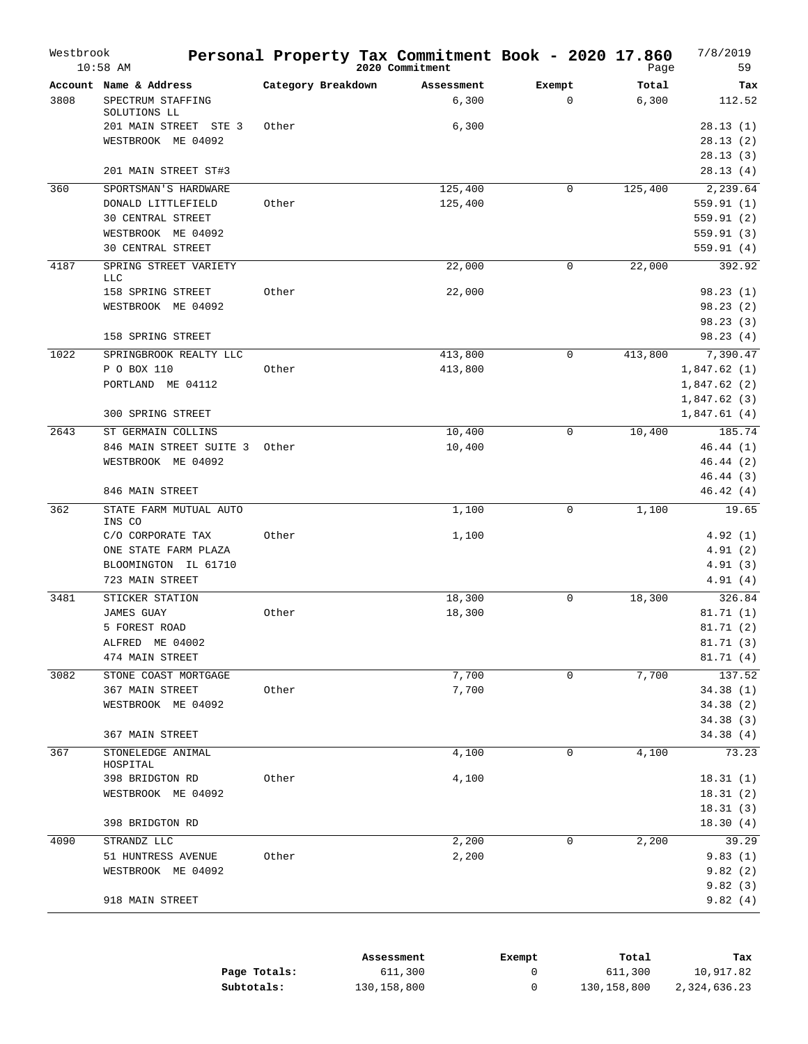| Westbrook | $10:58$ AM                                                                                                 |                    | Personal Property Tax Commitment Book - 2020 17.860<br>2020 Commitment |                        | Page           | 7/8/2019<br>59                                                |
|-----------|------------------------------------------------------------------------------------------------------------|--------------------|------------------------------------------------------------------------|------------------------|----------------|---------------------------------------------------------------|
| 3808      | Account Name & Address<br>SPECTRUM STAFFING<br>SOLUTIONS LL                                                | Category Breakdown | Assessment<br>6,300                                                    | Exempt<br>$\mathbf{0}$ | Total<br>6,300 | Tax<br>112.52                                                 |
|           | 201 MAIN STREET STE 3<br>WESTBROOK ME 04092                                                                | Other              | 6,300                                                                  |                        |                | 28.13(1)<br>28.13(2)<br>28.13(3)                              |
|           | 201 MAIN STREET ST#3                                                                                       |                    |                                                                        |                        |                | 28.13(4)                                                      |
| 360       | SPORTSMAN'S HARDWARE<br>DONALD LITTLEFIELD<br>30 CENTRAL STREET<br>WESTBROOK ME 04092<br>30 CENTRAL STREET | Other              | 125,400<br>125,400                                                     | $\mathbf 0$            | 125,400        | 2,239.64<br>559.91(1)<br>559.91 (2)<br>559.91(3)<br>559.91(4) |
| 4187      | SPRING STREET VARIETY                                                                                      |                    | 22,000                                                                 | 0                      | 22,000         | 392.92                                                        |
|           | <b>LLC</b><br>158 SPRING STREET<br>WESTBROOK ME 04092<br>158 SPRING STREET                                 | Other              | 22,000                                                                 |                        |                | 98.23(1)<br>98.23(2)<br>98.23(3)<br>98.23(4)                  |
| 1022      | SPRINGBROOK REALTY LLC                                                                                     |                    | 413,800                                                                | $\mathbf 0$            | 413,800        | 7,390.47                                                      |
|           | P O BOX 110<br>PORTLAND ME 04112<br>300 SPRING STREET                                                      | Other              | 413,800                                                                |                        |                | 1,847.62(1)<br>1,847.62(2)<br>1,847.62(3)<br>1,847.61(4)      |
| 2643      | ST GERMAIN COLLINS                                                                                         |                    | 10,400                                                                 | $\mathbf 0$            | 10,400         | 185.74                                                        |
|           | 846 MAIN STREET SUITE 3<br>WESTBROOK ME 04092                                                              | Other              | 10,400                                                                 |                        |                | 46.44(1)<br>46.44(2)<br>46.44(3)                              |
|           | 846 MAIN STREET                                                                                            |                    |                                                                        |                        |                | 46.42(4)                                                      |
| 362       | STATE FARM MUTUAL AUTO<br>INS CO                                                                           |                    | 1,100                                                                  | $\mathbf 0$            | 1,100          | 19.65                                                         |
|           | C/O CORPORATE TAX<br>ONE STATE FARM PLAZA<br>BLOOMINGTON IL 61710<br>723 MAIN STREET                       | Other              | 1,100                                                                  |                        |                | 4.92(1)<br>4.91(2)<br>4.91(3)<br>4.91(4)                      |
| 3481      | STICKER STATION<br><b>JAMES GUAY</b><br>5 FOREST ROAD<br>ALFRED ME 04002<br>474 MAIN STREET                | Other              | 18,300<br>18,300                                                       | 0                      | 18,300         | 326.84<br>81.71(1)<br>81.71(2)<br>81.71(3)<br>81.71 (4)       |
| 3082      | STONE COAST MORTGAGE<br>367 MAIN STREET<br>WESTBROOK ME 04092<br>367 MAIN STREET                           | Other              | 7,700<br>7,700                                                         | $\mathbf 0$            | 7,700          | 137.52<br>34.38(1)<br>34.38(2)<br>34.38(3)<br>34.38(4)        |
| 367       | STONELEDGE ANIMAL                                                                                          |                    | 4,100                                                                  | 0                      | 4,100          | 73.23                                                         |
|           | HOSPITAL<br>398 BRIDGTON RD<br>WESTBROOK ME 04092<br>398 BRIDGTON RD                                       | Other              | 4,100                                                                  |                        |                | 18.31(1)<br>18.31(2)<br>18.31(3)<br>18.30(4)                  |
| 4090      | STRANDZ LLC                                                                                                |                    | 2,200                                                                  | 0                      | 2,200          | 39.29                                                         |
|           | 51 HUNTRESS AVENUE<br>WESTBROOK ME 04092                                                                   | Other              | 2,200                                                                  |                        |                | 9.83(1)<br>9.82(2)<br>9.82(3)                                 |
|           | 918 MAIN STREET                                                                                            |                    |                                                                        |                        |                | 9.82(4)                                                       |

|              | Assessment    | Exempt | Total       | Tax          |
|--------------|---------------|--------|-------------|--------------|
| Page Totals: | 611,300       |        | 611,300     | 10,917.82    |
| Subtotals:   | 130, 158, 800 |        | 130,158,800 | 2,324,636.23 |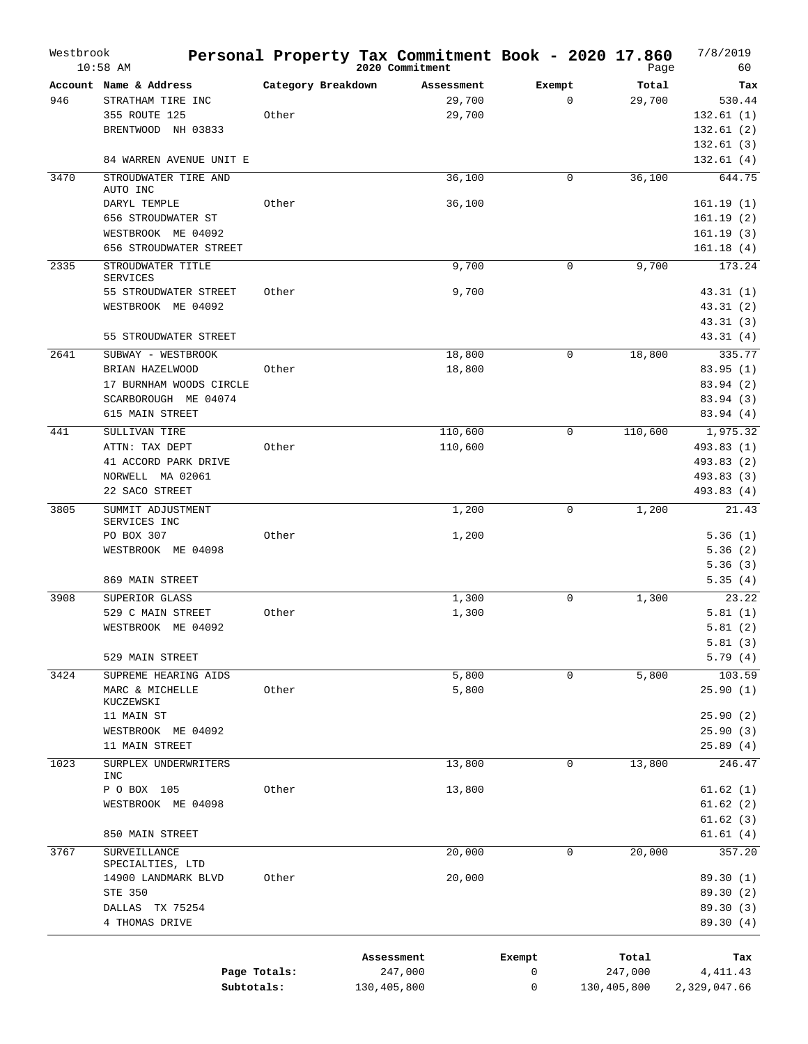| Westbrook | $10:58$ AM                                   |                    | Personal Property Tax Commitment Book - 2020 17.860<br>2020 Commitment |             | Page        | 7/8/2019<br>60         |
|-----------|----------------------------------------------|--------------------|------------------------------------------------------------------------|-------------|-------------|------------------------|
|           | Account Name & Address                       | Category Breakdown | Assessment                                                             | Exempt      | Total       | Tax                    |
| 946       | STRATHAM TIRE INC                            |                    | 29,700                                                                 | $\mathbf 0$ | 29,700      | 530.44                 |
|           | 355 ROUTE 125                                | Other              | 29,700                                                                 |             |             | 132.61(1)              |
|           | BRENTWOOD NH 03833                           |                    |                                                                        |             |             | 132.61(2)              |
|           |                                              |                    |                                                                        |             |             | 132.61(3)              |
|           | 84 WARREN AVENUE UNIT E                      |                    |                                                                        |             |             | 132.61(4)              |
| 3470      | STROUDWATER TIRE AND                         |                    | 36,100                                                                 | $\mathbf 0$ | 36,100      | 644.75                 |
|           | AUTO INC                                     |                    |                                                                        |             |             |                        |
|           | DARYL TEMPLE                                 | Other              | 36,100                                                                 |             |             | 161.19(1)              |
|           | 656 STROUDWATER ST                           |                    |                                                                        |             |             | 161.19(2)              |
|           | WESTBROOK ME 04092<br>656 STROUDWATER STREET |                    |                                                                        |             |             | 161.19(3)<br>161.18(4) |
|           |                                              |                    |                                                                        |             |             |                        |
| 2335      | STROUDWATER TITLE<br><b>SERVICES</b>         |                    | 9,700                                                                  | 0           | 9,700       | 173.24                 |
|           | 55 STROUDWATER STREET                        | Other              | 9,700                                                                  |             |             | 43.31(1)               |
|           | WESTBROOK ME 04092                           |                    |                                                                        |             |             | 43.31(2)               |
|           |                                              |                    |                                                                        |             |             | 43.31(3)               |
|           | 55 STROUDWATER STREET                        |                    |                                                                        |             |             | 43.31(4)               |
| 2641      | SUBWAY - WESTBROOK                           |                    | 18,800                                                                 | 0           | 18,800      | 335.77                 |
|           | BRIAN HAZELWOOD                              | Other              | 18,800                                                                 |             |             | 83.95(1)               |
|           | 17 BURNHAM WOODS CIRCLE                      |                    |                                                                        |             |             | 83.94 (2)              |
|           | SCARBOROUGH ME 04074                         |                    |                                                                        |             |             | 83.94(3)               |
|           | 615 MAIN STREET                              |                    |                                                                        |             |             | 83.94(4)               |
| 441       | SULLIVAN TIRE                                |                    | 110,600                                                                | 0           | 110,600     | 1,975.32               |
|           | ATTN: TAX DEPT                               | Other              | 110,600                                                                |             |             | 493.83 (1)             |
|           | 41 ACCORD PARK DRIVE                         |                    |                                                                        |             |             | 493.83 (2)             |
|           | NORWELL MA 02061                             |                    |                                                                        |             |             | 493.83 (3)             |
|           | 22 SACO STREET                               |                    |                                                                        |             |             | 493.83(4)              |
| 3805      | SUMMIT ADJUSTMENT                            |                    | 1,200                                                                  | 0           | 1,200       | 21.43                  |
|           | SERVICES INC<br>PO BOX 307                   | Other              | 1,200                                                                  |             |             | 5.36(1)                |
|           | WESTBROOK ME 04098                           |                    |                                                                        |             |             | 5.36(2)                |
|           |                                              |                    |                                                                        |             |             | 5.36(3)                |
|           | 869 MAIN STREET                              |                    |                                                                        |             |             | 5.35(4)                |
| 3908      | SUPERIOR GLASS                               |                    | 1,300                                                                  | 0           | 1,300       | 23.22                  |
|           | 529 C MAIN STREET                            | Other              | 1,300                                                                  |             |             | 5.81(1)                |
|           | WESTBROOK ME 04092                           |                    |                                                                        |             |             | 5.81(2)                |
|           |                                              |                    |                                                                        |             |             | 5.81(3)                |
|           | 529 MAIN STREET                              |                    |                                                                        |             |             | 5.79(4)                |
| 3424      | SUPREME HEARING AIDS                         |                    | 5,800                                                                  | 0           | 5,800       | 103.59                 |
|           | MARC & MICHELLE                              | Other              | 5,800                                                                  |             |             | 25.90(1)               |
|           | KUCZEWSKI                                    |                    |                                                                        |             |             |                        |
|           | 11 MAIN ST                                   |                    |                                                                        |             |             | 25.90(2)               |
|           | WESTBROOK ME 04092                           |                    |                                                                        |             |             | 25.90(3)               |
|           | 11 MAIN STREET                               |                    |                                                                        |             |             | 25.89(4)               |
| 1023      | SURPLEX UNDERWRITERS<br>INC                  |                    | 13,800                                                                 | 0           | 13,800      | 246.47                 |
|           | P O BOX 105                                  | Other              | 13,800                                                                 |             |             | 61.62(1)               |
|           | WESTBROOK ME 04098                           |                    |                                                                        |             |             | 61.62(2)               |
|           |                                              |                    |                                                                        |             |             | 61.62(3)               |
|           | 850 MAIN STREET                              |                    |                                                                        |             |             | 61.61(4)               |
| 3767      | SURVEILLANCE                                 |                    | 20,000                                                                 | 0           | 20,000      | 357.20                 |
|           | SPECIALTIES, LTD                             |                    |                                                                        |             |             |                        |
|           | 14900 LANDMARK BLVD                          | Other              | 20,000                                                                 |             |             | 89.30 (1)              |
|           | STE 350                                      |                    |                                                                        |             |             | 89.30 (2)              |
|           | DALLAS TX 75254                              |                    |                                                                        |             |             | 89.30 (3)              |
|           | 4 THOMAS DRIVE                               |                    |                                                                        |             |             | 89.30(4)               |
|           |                                              |                    |                                                                        |             |             |                        |
|           |                                              |                    | Assessment                                                             | Exempt      | Total       | Tax                    |
|           | Page Totals:                                 |                    | 247,000                                                                | 0           | 247,000     | 4,411.43               |
|           | Subtotals:                                   |                    | 130,405,800                                                            | 0           | 130,405,800 | 2,329,047.66           |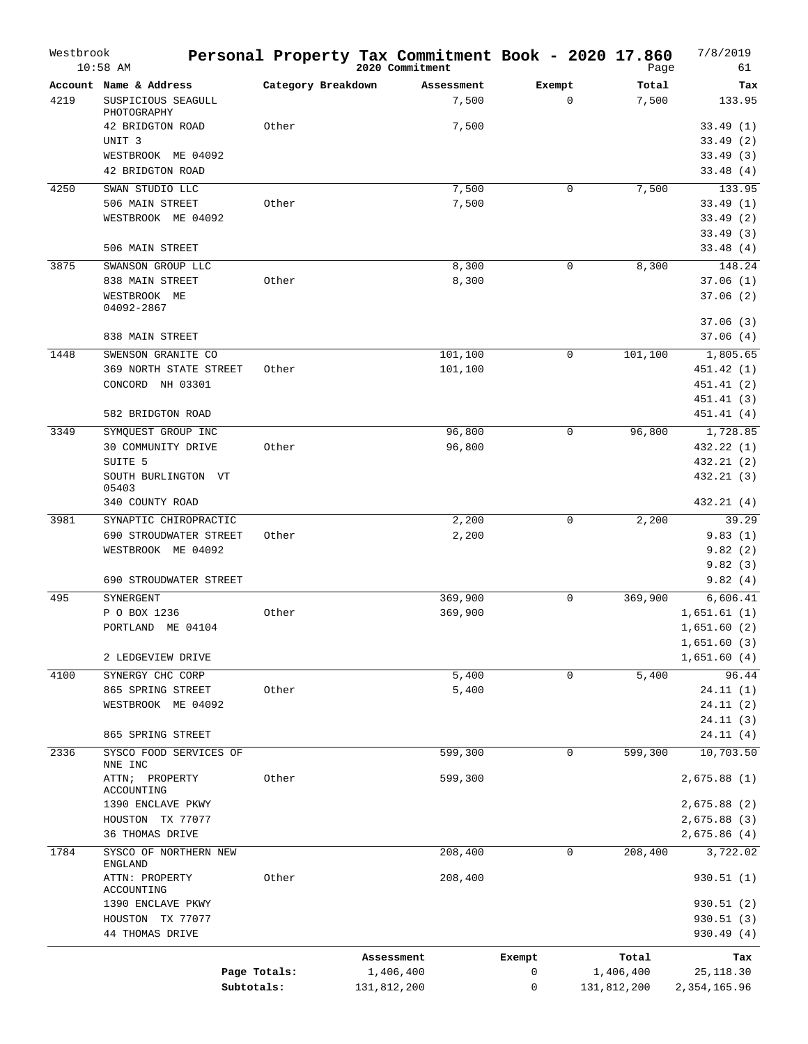| Westbrook | $10:58$ AM                              | Personal Property Tax Commitment Book - 2020 17.860 |             | 2020 Commitment |        |              | Page        | 7/8/2019<br>61 |
|-----------|-----------------------------------------|-----------------------------------------------------|-------------|-----------------|--------|--------------|-------------|----------------|
|           | Account Name & Address                  | Category Breakdown                                  |             | Assessment      | Exempt |              | Total       | Tax            |
| 4219      | SUSPICIOUS SEAGULL<br>PHOTOGRAPHY       |                                                     |             | 7,500           |        | $\mathbf{0}$ | 7,500       | 133.95         |
|           | 42 BRIDGTON ROAD                        | Other                                               |             | 7,500           |        |              |             | 33.49(1)       |
|           | UNIT <sub>3</sub>                       |                                                     |             |                 |        |              |             | 33.49(2)       |
|           | WESTBROOK ME 04092                      |                                                     |             |                 |        |              |             | 33.49(3)       |
|           | 42 BRIDGTON ROAD                        |                                                     |             |                 |        |              |             | 33.48(4)       |
| 4250      | SWAN STUDIO LLC                         |                                                     |             | 7,500           |        | $\mathbf 0$  | 7,500       | 133.95         |
|           | 506 MAIN STREET                         | Other                                               |             | 7,500           |        |              |             | 33.49(1)       |
|           | WESTBROOK ME 04092                      |                                                     |             |                 |        |              |             | 33.49(2)       |
|           |                                         |                                                     |             |                 |        |              |             | 33.49(3)       |
|           | 506 MAIN STREET                         |                                                     |             |                 |        |              |             | 33.48 (4)      |
| 3875      | SWANSON GROUP LLC                       |                                                     |             | 8,300           |        | $\mathbf 0$  | 8,300       | 148.24         |
|           | 838 MAIN STREET                         | Other                                               |             | 8,300           |        |              |             | 37.06(1)       |
|           | WESTBROOK ME                            |                                                     |             |                 |        |              |             | 37.06(2)       |
|           | 04092-2867                              |                                                     |             |                 |        |              |             | 37.06(3)       |
|           | 838 MAIN STREET                         |                                                     |             |                 |        |              |             | 37.06(4)       |
|           |                                         |                                                     |             |                 |        |              |             |                |
| 1448      | SWENSON GRANITE CO                      |                                                     |             | 101,100         |        | $\mathbf 0$  | 101,100     | 1,805.65       |
|           | 369 NORTH STATE STREET                  | Other                                               |             | 101,100         |        |              |             | 451.42 (1)     |
|           | CONCORD NH 03301                        |                                                     |             |                 |        |              |             | 451.41 (2)     |
|           |                                         |                                                     |             |                 |        |              |             | 451.41 (3)     |
|           | 582 BRIDGTON ROAD                       |                                                     |             |                 |        |              |             | 451.41 (4)     |
| 3349      | SYMQUEST GROUP INC                      |                                                     |             | 96,800          |        | $\mathbf 0$  | 96,800      | 1,728.85       |
|           | 30 COMMUNITY DRIVE                      | Other                                               |             | 96,800          |        |              |             | 432.22 (1)     |
|           | SUITE 5                                 |                                                     |             |                 |        |              |             | 432.21 (2)     |
|           | SOUTH BURLINGTON VT<br>05403            |                                                     |             |                 |        |              |             | 432.21 (3)     |
|           | 340 COUNTY ROAD                         |                                                     |             |                 |        |              |             | 432.21(4)      |
| 3981      | SYNAPTIC CHIROPRACTIC                   |                                                     |             | 2,200           |        | 0            | 2,200       | 39.29          |
|           | 690 STROUDWATER STREET                  | Other                                               |             | 2,200           |        |              |             | 9.83(1)        |
|           | WESTBROOK ME 04092                      |                                                     |             |                 |        |              |             | 9.82(2)        |
|           |                                         |                                                     |             |                 |        |              |             | 9.82(3)        |
|           | 690 STROUDWATER STREET                  |                                                     |             |                 |        |              |             | 9.82(4)        |
| 495       | SYNERGENT                               |                                                     |             | 369,900         |        | $\mathbf 0$  | 369,900     | 6,606.41       |
|           | P O BOX 1236                            | Other                                               |             | 369,900         |        |              |             | 1,651.61(1)    |
|           | PORTLAND ME 04104                       |                                                     |             |                 |        |              |             | 1,651.60(2)    |
|           |                                         |                                                     |             |                 |        |              |             | 1,651.60(3)    |
|           | 2 LEDGEVIEW DRIVE                       |                                                     |             |                 |        |              |             | 1,651.60(4)    |
| 4100      | SYNERGY CHC CORP                        |                                                     |             | 5,400           |        | $\mathbf 0$  | 5,400       | 96.44          |
|           | 865 SPRING STREET                       | Other                                               |             | 5,400           |        |              |             | 24.11(1)       |
|           | WESTBROOK ME 04092                      |                                                     |             |                 |        |              |             | 24.11(2)       |
|           |                                         |                                                     |             |                 |        |              |             | 24.11(3)       |
|           | 865 SPRING STREET                       |                                                     |             |                 |        |              |             | 24.11(4)       |
| 2336      | SYSCO FOOD SERVICES OF                  |                                                     |             | 599,300         |        | $\mathbf 0$  | 599,300     | 10,703.50      |
|           | NNE INC<br>ATTN; PROPERTY               | Other                                               |             | 599,300         |        |              |             | 2,675.88(1)    |
|           | ACCOUNTING                              |                                                     |             |                 |        |              |             |                |
|           | 1390 ENCLAVE PKWY<br>HOUSTON TX 77077   |                                                     |             |                 |        |              |             | 2,675.88 (2)   |
|           | 36 THOMAS DRIVE                         |                                                     |             |                 |        |              |             | 2,675.88 (3)   |
|           |                                         |                                                     |             |                 |        |              |             | 2,675.86 (4)   |
| 1784      | SYSCO OF NORTHERN NEW<br><b>ENGLAND</b> |                                                     |             | 208,400         |        | $\mathbf 0$  | 208,400     | 3,722.02       |
|           | ATTN: PROPERTY<br>ACCOUNTING            | Other                                               |             | 208,400         |        |              |             | 930.51(1)      |
|           | 1390 ENCLAVE PKWY                       |                                                     |             |                 |        |              |             | 930.51 (2)     |
|           | HOUSTON TX 77077                        |                                                     |             |                 |        |              |             | 930.51(3)      |
|           | 44 THOMAS DRIVE                         |                                                     |             |                 |        |              |             | 930.49 (4)     |
|           |                                         |                                                     | Assessment  |                 | Exempt |              | Total       | Tax            |
|           |                                         | Page Totals:                                        | 1,406,400   |                 | 0      |              | 1,406,400   | 25, 118.30     |
|           |                                         | Subtotals:                                          | 131,812,200 |                 | 0      |              | 131,812,200 | 2,354,165.96   |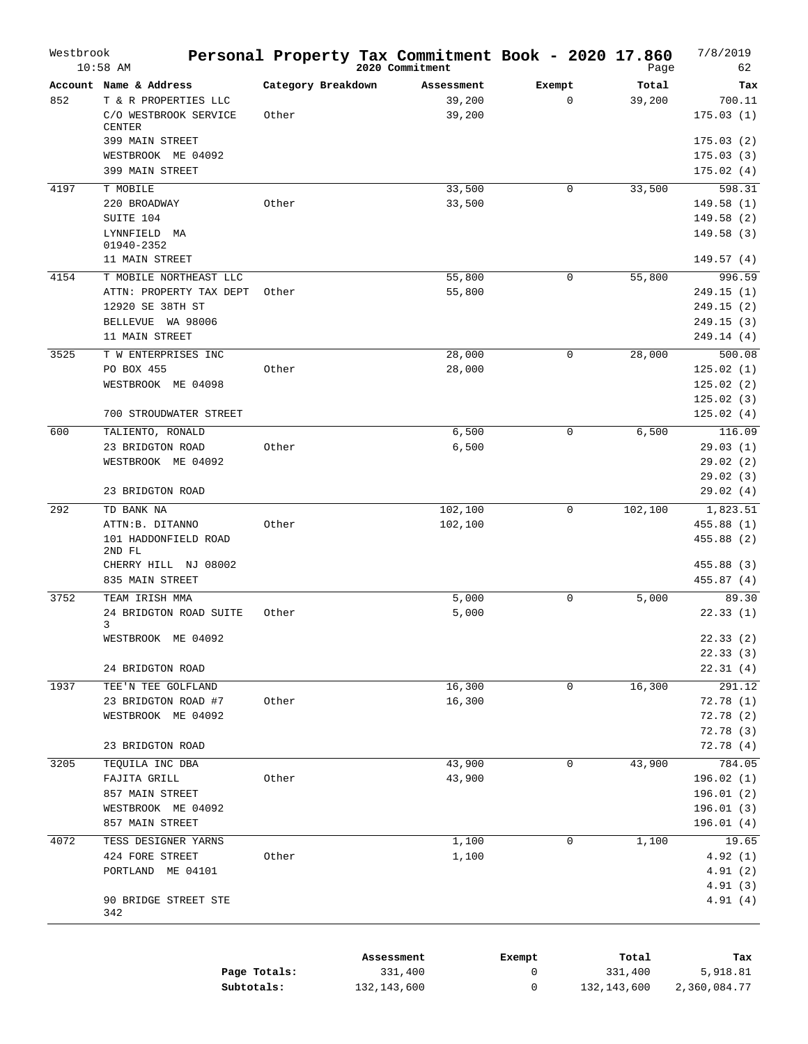| $10:58$ AM |                                                                                              |                             | 2020 Commitment                |                       | Page            | 62                                                 |
|------------|----------------------------------------------------------------------------------------------|-----------------------------|--------------------------------|-----------------------|-----------------|----------------------------------------------------|
| 852        | Account Name & Address<br>T & R PROPERTIES LLC<br>C/O WESTBROOK SERVICE<br><b>CENTER</b>     | Category Breakdown<br>Other | Assessment<br>39,200<br>39,200 | Exempt<br>$\mathbf 0$ | Total<br>39,200 | Tax<br>700.11<br>175.03(1)                         |
|            | 399 MAIN STREET<br>WESTBROOK ME 04092<br>399 MAIN STREET                                     |                             |                                |                       |                 | 175.03(2)<br>175.03(3)<br>175.02(4)                |
| 4197       | T MOBILE                                                                                     |                             | 33,500                         | 0                     | 33,500          | 598.31                                             |
|            | 220 BROADWAY                                                                                 | Other                       | 33,500                         |                       |                 | 149.58(1)                                          |
|            | SUITE 104<br>LYNNFIELD MA                                                                    |                             |                                |                       |                 | 149.58(2)<br>149.58(3)                             |
|            | 01940-2352<br>11 MAIN STREET                                                                 |                             |                                |                       |                 | 149.57 (4)                                         |
| 4154       | T MOBILE NORTHEAST LLC                                                                       |                             | 55,800                         | $\mathbf 0$           | 55,800          | 996.59                                             |
|            | ATTN: PROPERTY TAX DEPT<br>12920 SE 38TH ST<br>BELLEVUE WA 98006                             | Other                       | 55,800                         |                       |                 | 249.15 (1)<br>249.15 (2)<br>249.15 (3)             |
|            | 11 MAIN STREET                                                                               |                             |                                |                       |                 | 249.14 (4)                                         |
| 3525       | T W ENTERPRISES INC<br>PO BOX 455<br>WESTBROOK ME 04098                                      | Other                       | 28,000<br>28,000               | 0                     | 28,000          | 500.08<br>125.02(1)<br>125.02(2)<br>125.02(3)      |
|            | 700 STROUDWATER STREET                                                                       |                             |                                |                       |                 | 125.02(4)                                          |
| 600        | TALIENTO, RONALD<br>23 BRIDGTON ROAD<br>WESTBROOK ME 04092                                   | Other                       | 6,500<br>6,500                 | 0                     | 6,500           | 116.09<br>29.03(1)<br>29.02(2)<br>29.02(3)         |
|            | 23 BRIDGTON ROAD                                                                             |                             |                                |                       |                 | 29.02(4)                                           |
| 292        | TD BANK NA                                                                                   |                             | 102,100                        | 0                     | 102,100         | 1,823.51                                           |
|            | ATTN:B. DITANNO<br>101 HADDONFIELD ROAD<br>2ND FL<br>CHERRY HILL NJ 08002<br>835 MAIN STREET | Other                       | 102,100                        |                       |                 | 455.88 (1)<br>455.88(2)<br>455.88 (3)<br>455.87(4) |
| 3752       | TEAM IRISH MMA                                                                               |                             | 5,000                          | 0                     | 5,000           | 89.30                                              |
|            | 24 BRIDGTON ROAD SUITE<br>3<br>WESTBROOK ME 04092                                            | Other                       | 5,000                          |                       |                 | 22.33(1)<br>22.33(2)                               |
|            | 24 BRIDGTON ROAD                                                                             |                             |                                |                       |                 | 22.33(3)<br>22.31(4)                               |
| 1937       | TEE'N TEE GOLFLAND                                                                           |                             |                                |                       |                 | 291.12                                             |
|            | 23 BRIDGTON ROAD #7<br>WESTBROOK ME 04092                                                    | Other                       | 16,300<br>16,300               | 0                     | 16,300          | 72.78(1)<br>72.78(2)<br>72.78 (3)                  |
|            | 23 BRIDGTON ROAD                                                                             |                             |                                |                       |                 | 72.78(4)                                           |
| 3205       | TEQUILA INC DBA<br>FAJITA GRILL<br>857 MAIN STREET<br>WESTBROOK ME 04092                     | Other                       | 43,900<br>43,900               | 0                     | 43,900          | 784.05<br>196.02 (1)<br>196.01(2)<br>196.01(3)     |
|            | 857 MAIN STREET                                                                              |                             |                                |                       |                 | 196.01(4)                                          |
| 4072       | TESS DESIGNER YARNS<br>424 FORE STREET<br>PORTLAND ME 04101                                  | Other                       | 1,100<br>1,100                 | 0                     | 1,100           | 19.65<br>4.92(1)<br>4.91(2)<br>4.91(3)             |
|            | 90 BRIDGE STREET STE<br>342                                                                  |                             |                                |                       |                 | 4.91(4)                                            |

|              | Assessment  | Exempt | Total       | Tax          |
|--------------|-------------|--------|-------------|--------------|
| Page Totals: | 331,400     |        | 331,400     | 5,918.81     |
| Subtotals:   | 132,143,600 |        | 132,143,600 | 2,360,084.77 |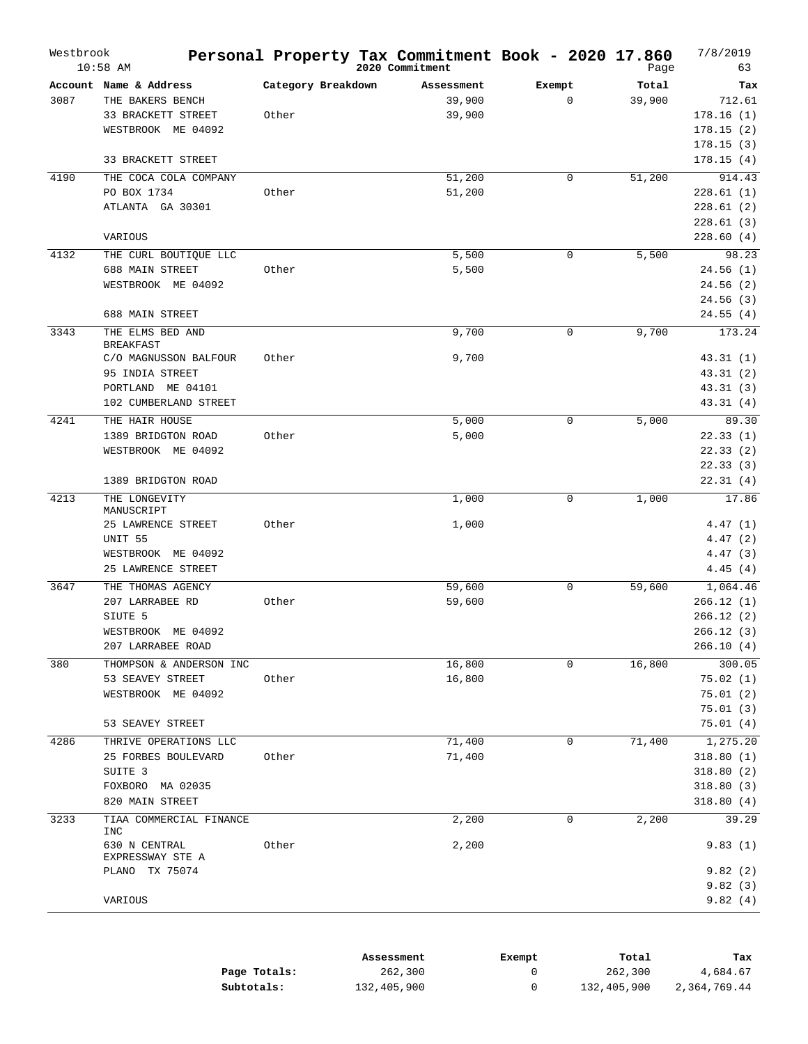| Westbrook | $10:58$ AM                            |                    | Personal Property Tax Commitment Book - 2020 17.860<br>2020 Commitment |             | Page   | 7/8/2019<br>63        |
|-----------|---------------------------------------|--------------------|------------------------------------------------------------------------|-------------|--------|-----------------------|
|           | Account Name & Address                | Category Breakdown | Assessment                                                             | Exempt      | Total  | Tax                   |
| 3087      | THE BAKERS BENCH                      |                    | 39,900                                                                 | $\mathbf 0$ | 39,900 | 712.61                |
|           | 33 BRACKETT STREET                    | Other              | 39,900                                                                 |             |        | 178.16(1)             |
|           | WESTBROOK ME 04092                    |                    |                                                                        |             |        | 178.15(2)             |
|           |                                       |                    |                                                                        |             |        | 178.15(3)             |
|           | 33 BRACKETT STREET                    |                    |                                                                        |             |        | 178.15(4)             |
| 4190      | THE COCA COLA COMPANY                 |                    | 51,200                                                                 | $\mathbf 0$ | 51,200 | 914.43                |
|           | PO BOX 1734                           | Other              | 51,200                                                                 |             |        | 228.61(1)             |
|           | ATLANTA GA 30301                      |                    |                                                                        |             |        | 228.61(2)             |
|           |                                       |                    |                                                                        |             |        | 228.61(3)             |
|           | VARIOUS                               |                    |                                                                        |             |        | 228.60(4)             |
| 4132      | THE CURL BOUTIQUE LLC                 |                    | 5,500                                                                  | $\mathbf 0$ | 5,500  | 98.23                 |
|           | 688 MAIN STREET                       | Other              | 5,500                                                                  |             |        | 24.56(1)              |
|           | WESTBROOK ME 04092                    |                    |                                                                        |             |        | 24.56(2)              |
|           |                                       |                    |                                                                        |             |        | 24.56(3)              |
|           | 688 MAIN STREET                       |                    |                                                                        |             |        | 24.55(4)              |
| 3343      | THE ELMS BED AND<br><b>BREAKFAST</b>  |                    | 9,700                                                                  | 0           | 9,700  | 173.24                |
|           | C/O MAGNUSSON BALFOUR                 | Other              | 9,700                                                                  |             |        | 43.31(1)              |
|           | 95 INDIA STREET                       |                    |                                                                        |             |        | 43.31(2)              |
|           | PORTLAND ME 04101                     |                    |                                                                        |             |        | 43.31(3)              |
|           | 102 CUMBERLAND STREET                 |                    |                                                                        |             |        | 43.31(4)              |
| 4241      | THE HAIR HOUSE                        |                    | 5,000                                                                  | $\mathbf 0$ | 5,000  | 89.30                 |
|           | 1389 BRIDGTON ROAD                    | Other              | 5,000                                                                  |             |        | 22.33(1)              |
|           | WESTBROOK ME 04092                    |                    |                                                                        |             |        | 22.33(2)              |
|           | 1389 BRIDGTON ROAD                    |                    |                                                                        |             |        | 22.33(3)              |
|           |                                       |                    |                                                                        |             |        | 22.31(4)              |
| 4213      | THE LONGEVITY<br>MANUSCRIPT           |                    | 1,000                                                                  | $\mathbf 0$ | 1,000  | 17.86                 |
|           | 25 LAWRENCE STREET                    | Other              | 1,000                                                                  |             |        | 4.47(1)               |
|           | UNIT 55<br>WESTBROOK ME 04092         |                    |                                                                        |             |        | 4.47(2)<br>4.47(3)    |
|           | 25 LAWRENCE STREET                    |                    |                                                                        |             |        | 4.45(4)               |
| 3647      | THE THOMAS AGENCY                     |                    |                                                                        | $\mathbf 0$ | 59,600 |                       |
|           | 207 LARRABEE RD                       | Other              | 59,600<br>59,600                                                       |             |        | 1,064.46<br>266.12(1) |
|           | SIUTE 5                               |                    |                                                                        |             |        | 266.12(2)             |
|           | WESTBROOK ME 04092                    |                    |                                                                        |             |        | 266.12(3)             |
|           | 207 LARRABEE ROAD                     |                    |                                                                        |             |        | 266.10 (4)            |
| 380       | THOMPSON & ANDERSON INC               |                    | 16,800                                                                 | 0           | 16,800 | 300.05                |
|           | 53 SEAVEY STREET                      | Other              | 16,800                                                                 |             |        | 75.02 (1)             |
|           | WESTBROOK ME 04092                    |                    |                                                                        |             |        | 75.01(2)              |
|           |                                       |                    |                                                                        |             |        | 75.01 (3)             |
|           | 53 SEAVEY STREET                      |                    |                                                                        |             |        | 75.01(4)              |
| 4286      | THRIVE OPERATIONS LLC                 |                    | 71,400                                                                 | $\mathbf 0$ | 71,400 | 1,275.20              |
|           | 25 FORBES BOULEVARD                   | Other              | 71,400                                                                 |             |        | 318.80(1)             |
|           | SUITE <sub>3</sub>                    |                    |                                                                        |             |        | 318.80(2)             |
|           | FOXBORO MA 02035                      |                    |                                                                        |             |        | 318.80 (3)            |
|           | 820 MAIN STREET                       |                    |                                                                        |             |        | 318.80(4)             |
| 3233      | TIAA COMMERCIAL FINANCE<br><b>INC</b> |                    | 2,200                                                                  | $\mathbf 0$ | 2,200  | 39.29                 |
|           | 630 N CENTRAL                         | Other              | 2,200                                                                  |             |        | 9.83(1)               |
|           | EXPRESSWAY STE A                      |                    |                                                                        |             |        |                       |
|           | PLANO TX 75074                        |                    |                                                                        |             |        | 9.82(2)               |
|           |                                       |                    |                                                                        |             |        | 9.82(3)               |
|           | VARIOUS                               |                    |                                                                        |             |        | 9.82(4)               |
|           |                                       |                    |                                                                        |             |        |                       |

|              | Assessment  | Exempt | Total       | тах          |
|--------------|-------------|--------|-------------|--------------|
| Page Totals: | 262,300     |        | 262,300     | 4,684.67     |
| Subtotals:   | 132,405,900 |        | 132,405,900 | 2,364,769.44 |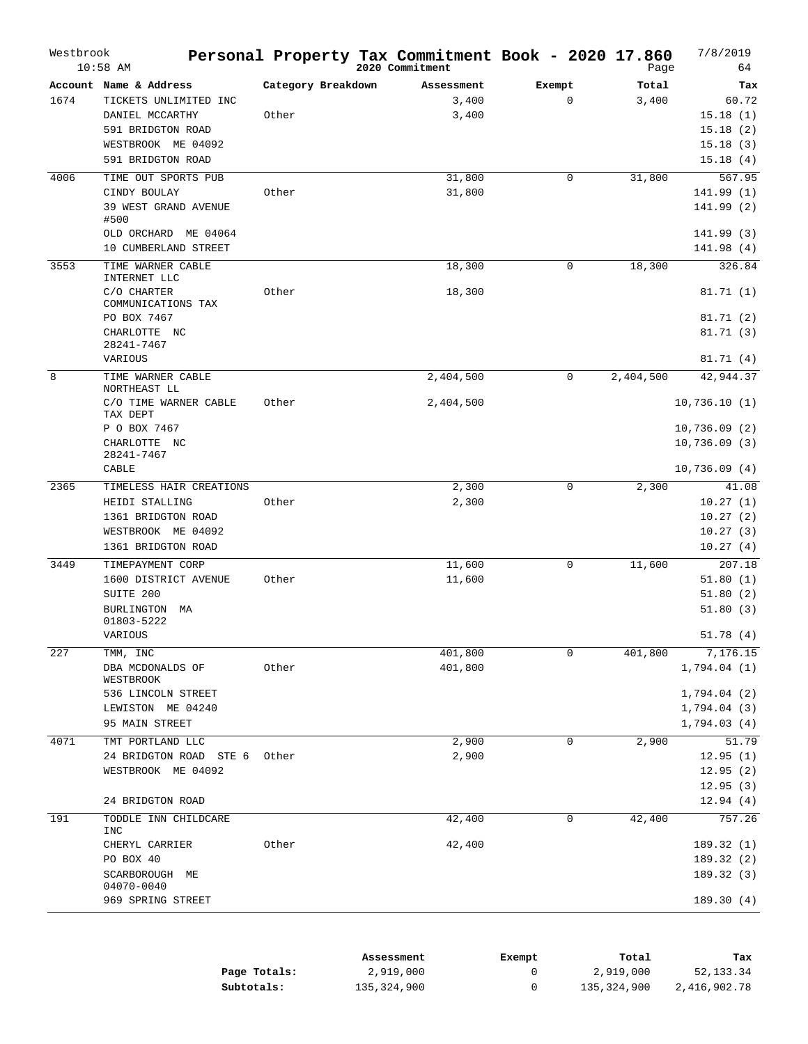| Westbrook | $10:58$ AM                          |                    | Personal Property Tax Commitment Book - 2020 17.860<br>2020 Commitment |        |              | Page      | 7/8/2019<br>64          |
|-----------|-------------------------------------|--------------------|------------------------------------------------------------------------|--------|--------------|-----------|-------------------------|
|           | Account Name & Address              | Category Breakdown | Assessment                                                             | Exempt |              | Total     | Tax                     |
| 1674      | TICKETS UNLIMITED INC               |                    | 3,400                                                                  |        | $\mathbf{0}$ | 3,400     | 60.72                   |
|           | DANIEL MCCARTHY                     | Other              | 3,400                                                                  |        |              |           | 15.18(1)                |
|           | 591 BRIDGTON ROAD                   |                    |                                                                        |        |              |           | 15.18(2)                |
|           | WESTBROOK ME 04092                  |                    |                                                                        |        |              |           | 15.18(3)                |
|           | 591 BRIDGTON ROAD                   |                    |                                                                        |        |              |           | 15.18(4)                |
| 4006      | TIME OUT SPORTS PUB                 |                    | 31,800                                                                 |        | $\mathbf 0$  | 31,800    | 567.95                  |
|           | CINDY BOULAY                        | Other              | 31,800                                                                 |        |              |           | 141.99 (1)              |
|           | <b>39 WEST GRAND AVENUE</b><br>#500 |                    |                                                                        |        |              |           | 141.99 (2)              |
|           | OLD ORCHARD ME 04064                |                    |                                                                        |        |              |           | 141.99 (3)              |
|           | 10 CUMBERLAND STREET                |                    |                                                                        |        |              |           | 141.98(4)               |
| 3553      | TIME WARNER CABLE<br>INTERNET LLC   |                    | 18,300                                                                 |        | 0            | 18,300    | 326.84                  |
|           | C/O CHARTER<br>COMMUNICATIONS TAX   | Other              | 18,300                                                                 |        |              |           | 81.71(1)                |
|           | PO BOX 7467                         |                    |                                                                        |        |              |           | 81.71 (2)               |
|           | CHARLOTTE NC<br>28241-7467          |                    |                                                                        |        |              |           | 81.71(3)                |
|           | VARIOUS                             |                    |                                                                        |        |              |           | 81.71(4)                |
| 8         | TIME WARNER CABLE<br>NORTHEAST LL   |                    | 2,404,500                                                              |        | 0            | 2,404,500 | 42,944.37               |
|           | C/O TIME WARNER CABLE<br>TAX DEPT   | Other              | 2,404,500                                                              |        |              |           | 10,736.10(1)            |
|           | P O BOX 7467                        |                    |                                                                        |        |              |           | 10,736.09(2)            |
|           | CHARLOTTE NC                        |                    |                                                                        |        |              |           | 10,736.09(3)            |
|           | 28241-7467<br>CABLE                 |                    |                                                                        |        |              |           | 10,736.09(4)            |
| 2365      | TIMELESS HAIR CREATIONS             |                    | 2,300                                                                  |        | 0            | 2,300     | 41.08                   |
|           | HEIDI STALLING                      | Other              | 2,300                                                                  |        |              |           | 10.27(1)                |
|           | 1361 BRIDGTON ROAD                  |                    |                                                                        |        |              |           | 10.27(2)                |
|           | WESTBROOK ME 04092                  |                    |                                                                        |        |              |           | 10.27(3)                |
|           | 1361 BRIDGTON ROAD                  |                    |                                                                        |        |              |           | 10.27(4)                |
| 3449      | TIMEPAYMENT CORP                    |                    | 11,600                                                                 |        | $\mathbf{0}$ | 11,600    | 207.18                  |
|           | 1600 DISTRICT AVENUE                | Other              | 11,600                                                                 |        |              |           | 51.80(1)                |
|           | SUITE 200                           |                    |                                                                        |        |              |           | 51.80(2)                |
|           | BURLINGTON MA<br>01803-5222         |                    |                                                                        |        |              |           | 51.80(3)                |
|           | VARIOUS                             |                    |                                                                        |        |              |           | 51.78(4)                |
| 227       | TMM, INC                            |                    | 401,800                                                                |        | 0            | 401,800   | 7,176.15                |
|           | DBA MCDONALDS OF<br>WESTBROOK       | Other              | 401,800                                                                |        |              |           | 1,794.04(1)             |
|           | 536 LINCOLN STREET                  |                    |                                                                        |        |              |           | 1,794.04 (2)            |
|           | LEWISTON ME 04240                   |                    |                                                                        |        |              |           | 1,794.04 (3)            |
|           | 95 MAIN STREET                      |                    |                                                                        |        |              |           | 1,794.03 (4)            |
| 4071      | TMT PORTLAND LLC                    |                    | 2,900                                                                  |        | $\mathbf 0$  | 2,900     | 51.79                   |
|           | 24 BRIDGTON ROAD STE 6              | Other              | 2,900                                                                  |        |              |           | 12.95(1)                |
|           | WESTBROOK ME 04092                  |                    |                                                                        |        |              |           | 12.95(2)                |
|           | 24 BRIDGTON ROAD                    |                    |                                                                        |        |              |           | 12.95(3)<br>12.94(4)    |
| 191       | TODDLE INN CHILDCARE                |                    | 42,400                                                                 |        | 0            | 42,400    | 757.26                  |
|           | <b>INC</b>                          | Other              | 42,400                                                                 |        |              |           |                         |
|           | CHERYL CARRIER<br>PO BOX 40         |                    |                                                                        |        |              |           | 189.32(1)<br>189.32 (2) |
|           | SCARBOROUGH ME                      |                    |                                                                        |        |              |           | 189.32(3)               |
|           | 04070-0040                          |                    |                                                                        |        |              |           |                         |
|           | 969 SPRING STREET                   |                    |                                                                        |        |              |           | 189.30(4)               |
|           |                                     |                    |                                                                        |        |              |           |                         |

|              | Assessment  | Exempt | Total       | Tax          |
|--------------|-------------|--------|-------------|--------------|
| Page Totals: | 2,919,000   |        | 2,919,000   | 52,133.34    |
| Subtotals:   | 135,324,900 |        | 135,324,900 | 2,416,902.78 |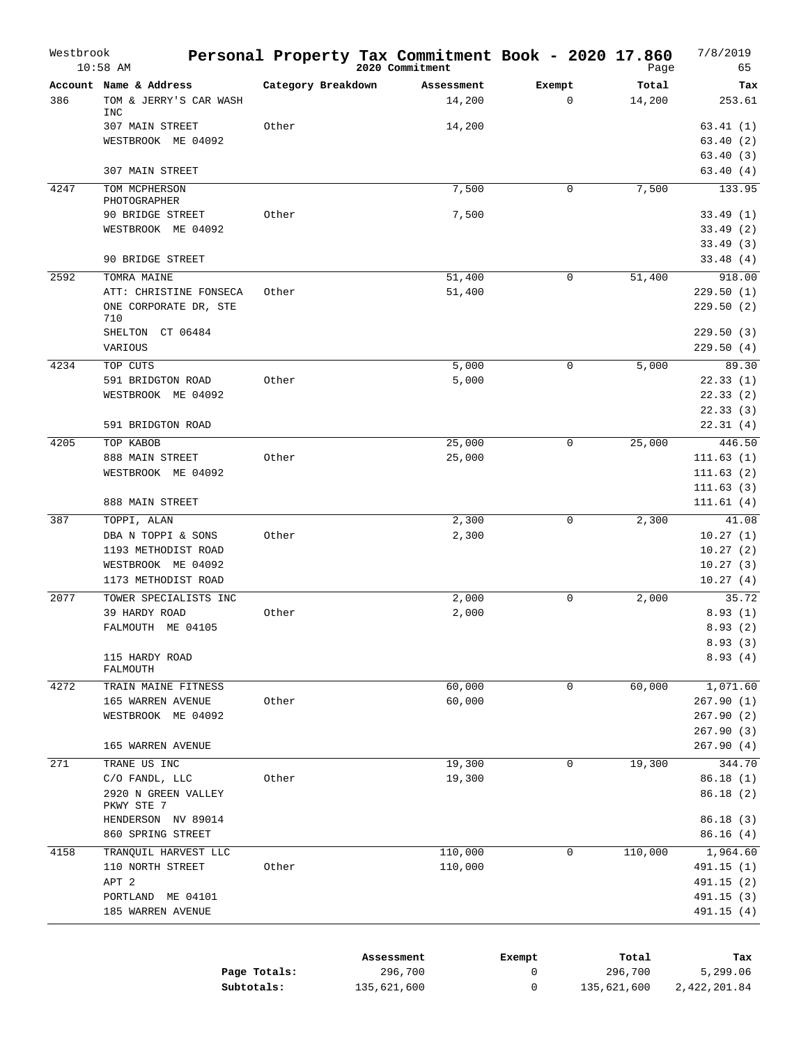| Westbrook | $10:58$ AM                           |                    | Personal Property Tax Commitment Book - 2020 17.860<br>2020 Commitment |        |              | Page    | 7/8/2019<br>65 |
|-----------|--------------------------------------|--------------------|------------------------------------------------------------------------|--------|--------------|---------|----------------|
|           | Account Name & Address               | Category Breakdown | Assessment                                                             | Exempt |              | Total   | Tax            |
| 386       | TOM & JERRY'S CAR WASH<br><b>INC</b> |                    | 14,200                                                                 |        | $\mathbf{0}$ | 14,200  | 253.61         |
|           | 307 MAIN STREET                      | Other              | 14,200                                                                 |        |              |         | 63.41(1)       |
|           | WESTBROOK ME 04092                   |                    |                                                                        |        |              |         | 63.40(2)       |
|           |                                      |                    |                                                                        |        |              |         | 63.40(3)       |
|           | 307 MAIN STREET                      |                    |                                                                        |        |              |         | 63.40(4)       |
| 4247      | TOM MCPHERSON<br>PHOTOGRAPHER        |                    | 7,500                                                                  |        | 0            | 7,500   | 133.95         |
|           | 90 BRIDGE STREET                     | Other              | 7,500                                                                  |        |              |         | 33.49(1)       |
|           | WESTBROOK ME 04092                   |                    |                                                                        |        |              |         | 33.49(2)       |
|           |                                      |                    |                                                                        |        |              |         | 33.49(3)       |
|           | 90 BRIDGE STREET                     |                    |                                                                        |        |              |         | 33.48(4)       |
| 2592      | TOMRA MAINE                          |                    | 51,400                                                                 |        | 0            | 51,400  | 918.00         |
|           | ATT: CHRISTINE FONSECA               | Other              | 51,400                                                                 |        |              |         | 229.50(1)      |
|           | ONE CORPORATE DR, STE<br>710         |                    |                                                                        |        |              |         | 229.50(2)      |
|           | SHELTON CT 06484                     |                    |                                                                        |        |              |         | 229.50(3)      |
|           | VARIOUS                              |                    |                                                                        |        |              |         | 229.50(4)      |
| 4234      | TOP CUTS                             |                    | 5,000                                                                  |        | $\mathbf{0}$ | 5,000   | 89.30          |
|           | 591 BRIDGTON ROAD                    | Other              | 5,000                                                                  |        |              |         | 22.33(1)       |
|           | WESTBROOK ME 04092                   |                    |                                                                        |        |              |         | 22.33(2)       |
|           |                                      |                    |                                                                        |        |              |         | 22.33(3)       |
|           | 591 BRIDGTON ROAD                    |                    |                                                                        |        |              |         | 22.31(4)       |
| 4205      | TOP KABOB                            |                    | 25,000                                                                 |        | 0            | 25,000  | 446.50         |
|           | 888 MAIN STREET                      | Other              | 25,000                                                                 |        |              |         | 111.63(1)      |
|           | WESTBROOK ME 04092                   |                    |                                                                        |        |              |         | 111.63(2)      |
|           |                                      |                    |                                                                        |        |              |         | 111.63(3)      |
|           | 888 MAIN STREET                      |                    |                                                                        |        |              |         | 111.61(4)      |
| 387       | TOPPI, ALAN                          |                    | 2,300                                                                  |        | 0            | 2,300   | 41.08          |
|           | DBA N TOPPI & SONS                   | Other              | 2,300                                                                  |        |              |         | 10.27(1)       |
|           | 1193 METHODIST ROAD                  |                    |                                                                        |        |              |         | 10.27(2)       |
|           | WESTBROOK ME 04092                   |                    |                                                                        |        |              |         | 10.27(3)       |
|           | 1173 METHODIST ROAD                  |                    |                                                                        |        |              |         | 10.27(4)       |
| 2077      | TOWER SPECIALISTS INC                |                    | 2,000                                                                  |        | 0            | 2,000   | 35.72          |
|           | 39 HARDY ROAD                        | Other              | 2,000                                                                  |        |              |         | 8.93(1)        |
|           | FALMOUTH ME 04105                    |                    |                                                                        |        |              |         | 8.93(2)        |
|           |                                      |                    |                                                                        |        |              |         | 8.93(3)        |
|           | 115 HARDY ROAD                       |                    |                                                                        |        |              |         | 8.93(4)        |
|           | FALMOUTH                             |                    |                                                                        |        |              |         |                |
| 4272      | TRAIN MAINE FITNESS                  |                    | 60,000                                                                 |        | 0            | 60,000  | 1,071.60       |
|           | 165 WARREN AVENUE                    | Other              | 60,000                                                                 |        |              |         | 267.90(1)      |
|           | WESTBROOK ME 04092                   |                    |                                                                        |        |              |         | 267.90(2)      |
|           |                                      |                    |                                                                        |        |              |         | 267.90 (3)     |
|           | 165 WARREN AVENUE                    |                    |                                                                        |        |              |         | 267.90 (4)     |
| 271       | TRANE US INC                         |                    | 19,300                                                                 |        | 0            | 19,300  | 344.70         |
|           | C/O FANDL, LLC                       | Other              | 19,300                                                                 |        |              |         | 86.18(1)       |
|           | 2920 N GREEN VALLEY<br>PKWY STE 7    |                    |                                                                        |        |              |         | 86.18(2)       |
|           | HENDERSON NV 89014                   |                    |                                                                        |        |              |         | 86.18 (3)      |
|           | 860 SPRING STREET                    |                    |                                                                        |        |              |         | 86.16(4)       |
| 4158      | TRANQUIL HARVEST LLC                 |                    | 110,000                                                                |        | 0            | 110,000 | 1,964.60       |
|           | 110 NORTH STREET                     | Other              | 110,000                                                                |        |              |         | 491.15 (1)     |
|           | APT <sub>2</sub>                     |                    |                                                                        |        |              |         | 491.15 (2)     |
|           | PORTLAND ME 04101                    |                    |                                                                        |        |              |         | 491.15 (3)     |
|           | 185 WARREN AVENUE                    |                    |                                                                        |        |              |         | 491.15(4)      |
|           |                                      |                    |                                                                        |        |              |         |                |
|           |                                      |                    |                                                                        |        |              |         |                |

|              | Assessment  | Exempt | Total       | Tax          |
|--------------|-------------|--------|-------------|--------------|
| Page Totals: | 296,700     |        | 296,700     | 5,299.06     |
| Subtotals:   | 135,621,600 |        | 135,621,600 | 2,422,201.84 |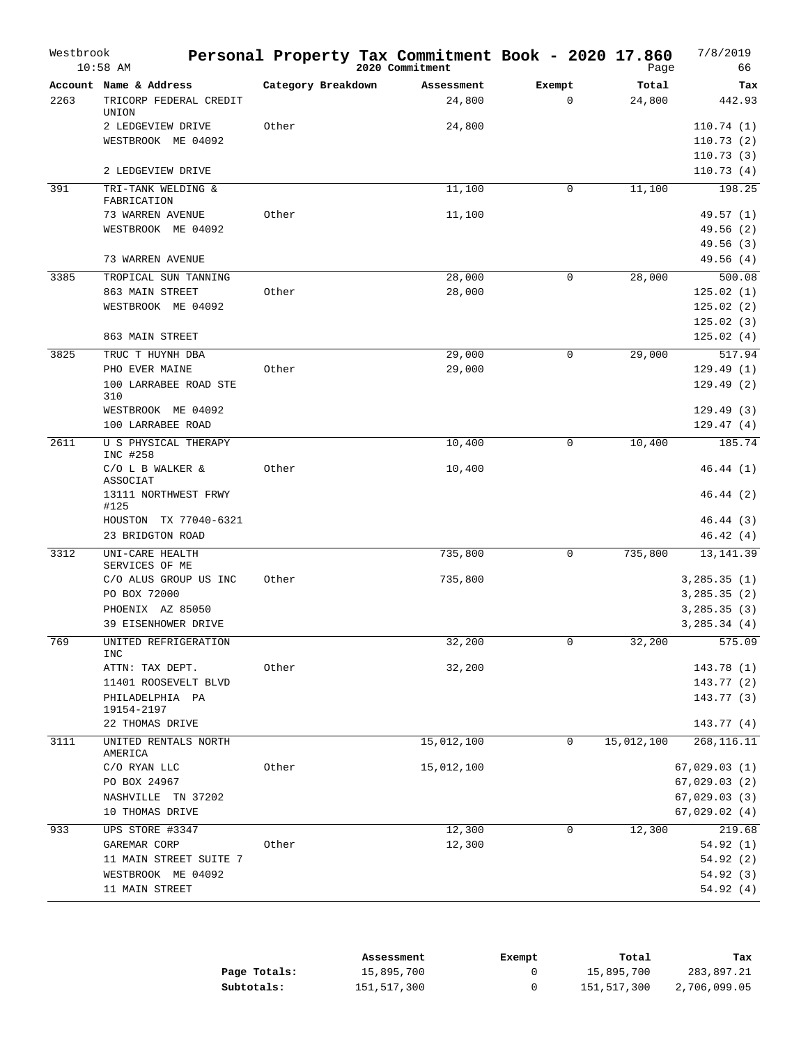| Westbrook | $10:58$ AM                                                                                  |                    | Personal Property Tax Commitment Book - 2020 17.860<br>2020 Commitment |                       | Page            | 7/8/2019<br>66                                               |
|-----------|---------------------------------------------------------------------------------------------|--------------------|------------------------------------------------------------------------|-----------------------|-----------------|--------------------------------------------------------------|
| 2263      | Account Name & Address<br>TRICORP FEDERAL CREDIT<br>UNION                                   | Category Breakdown | Assessment<br>24,800                                                   | Exempt<br>$\mathbf 0$ | Total<br>24,800 | Tax<br>442.93                                                |
|           | 2 LEDGEVIEW DRIVE<br>WESTBROOK ME 04092                                                     | Other              | 24,800                                                                 |                       |                 | 110.74(1)<br>110.73(2)<br>110.73(3)                          |
|           | 2 LEDGEVIEW DRIVE                                                                           |                    |                                                                        |                       |                 | 110.73(4)                                                    |
| 391       | TRI-TANK WELDING &<br>FABRICATION                                                           |                    | 11,100                                                                 | 0                     | 11,100          | 198.25                                                       |
|           | 73 WARREN AVENUE<br>WESTBROOK ME 04092                                                      | Other              | 11,100                                                                 |                       |                 | 49.57 (1)<br>49.56 (2)<br>49.56 (3)                          |
|           | 73 WARREN AVENUE                                                                            |                    |                                                                        |                       |                 | 49.56 (4)                                                    |
| 3385      | TROPICAL SUN TANNING<br>863 MAIN STREET<br>WESTBROOK ME 04092                               | Other              | 28,000<br>28,000                                                       | $\mathbf{0}$          | 28,000          | 500.08<br>125.02(1)<br>125.02(2)<br>125.02(3)                |
|           | 863 MAIN STREET                                                                             |                    |                                                                        |                       |                 | 125.02(4)                                                    |
| 3825      | TRUC T HUYNH DBA<br>PHO EVER MAINE<br>100 LARRABEE ROAD STE<br>310<br>WESTBROOK ME 04092    | Other              | 29,000<br>29,000                                                       | $\mathbf 0$           | 29,000          | 517.94<br>129.49(1)<br>129.49(2)                             |
|           | 100 LARRABEE ROAD                                                                           |                    |                                                                        |                       |                 | 129.49(3)<br>129.47(4)                                       |
| 2611      | U S PHYSICAL THERAPY<br>INC #258                                                            |                    | 10,400                                                                 | 0                     | 10,400          | 185.74                                                       |
|           | C/O L B WALKER &<br>ASSOCIAT<br>13111 NORTHWEST FRWY<br>#125                                | Other              | 10,400                                                                 |                       |                 | 46.44(1)<br>46.44(2)                                         |
|           | HOUSTON TX 77040-6321<br>23 BRIDGTON ROAD                                                   |                    |                                                                        |                       |                 | 46.44(3)<br>46.42(4)                                         |
| 3312      | UNI-CARE HEALTH<br>SERVICES OF ME                                                           |                    | 735,800                                                                | 0                     | 735,800         | 13, 141.39                                                   |
|           | C/O ALUS GROUP US INC<br>PO BOX 72000<br>PHOENIX AZ 85050<br>39 EISENHOWER DRIVE            | Other              | 735,800                                                                |                       |                 | 3,285.35(1)<br>3,285.35(2)<br>3,285.35(3)<br>3,285.34(4)     |
| 769       | UNITED REFRIGERATION<br>INC                                                                 |                    | 32,200                                                                 | 0                     | 32,200          | 575.09                                                       |
|           | ATTN: TAX DEPT.<br>11401 ROOSEVELT BLVD<br>PHILADELPHIA PA<br>19154-2197<br>22 THOMAS DRIVE | Other              | 32,200                                                                 |                       |                 | 143.78(1)<br>143.77 (2)<br>143.77 (3)<br>143.77 (4)          |
| 3111      | UNITED RENTALS NORTH                                                                        |                    | 15,012,100                                                             | 0                     | 15,012,100      | 268,116.11                                                   |
|           | AMERICA<br>C/O RYAN LLC<br>PO BOX 24967<br>NASHVILLE TN 37202<br>10 THOMAS DRIVE            | Other              | 15,012,100                                                             |                       |                 | 67,029.03(1)<br>67,029.03(2)<br>67,029.03(3)<br>67,029.02(4) |
| 933       | UPS STORE #3347                                                                             |                    | 12,300                                                                 | 0                     | 12,300          | 219.68                                                       |
|           | GAREMAR CORP<br>11 MAIN STREET SUITE 7<br>WESTBROOK ME 04092<br>11 MAIN STREET              | Other              | 12,300                                                                 |                       |                 | 54.92 (1)<br>54.92(2)<br>54.92 (3)<br>54.92(4)               |

|              | Assessment  | Exempt | Total       | Tax          |
|--------------|-------------|--------|-------------|--------------|
| Page Totals: | 15,895,700  |        | 15,895,700  | 283,897.21   |
| Subtotals:   | 151,517,300 |        | 151,517,300 | 2,706,099.05 |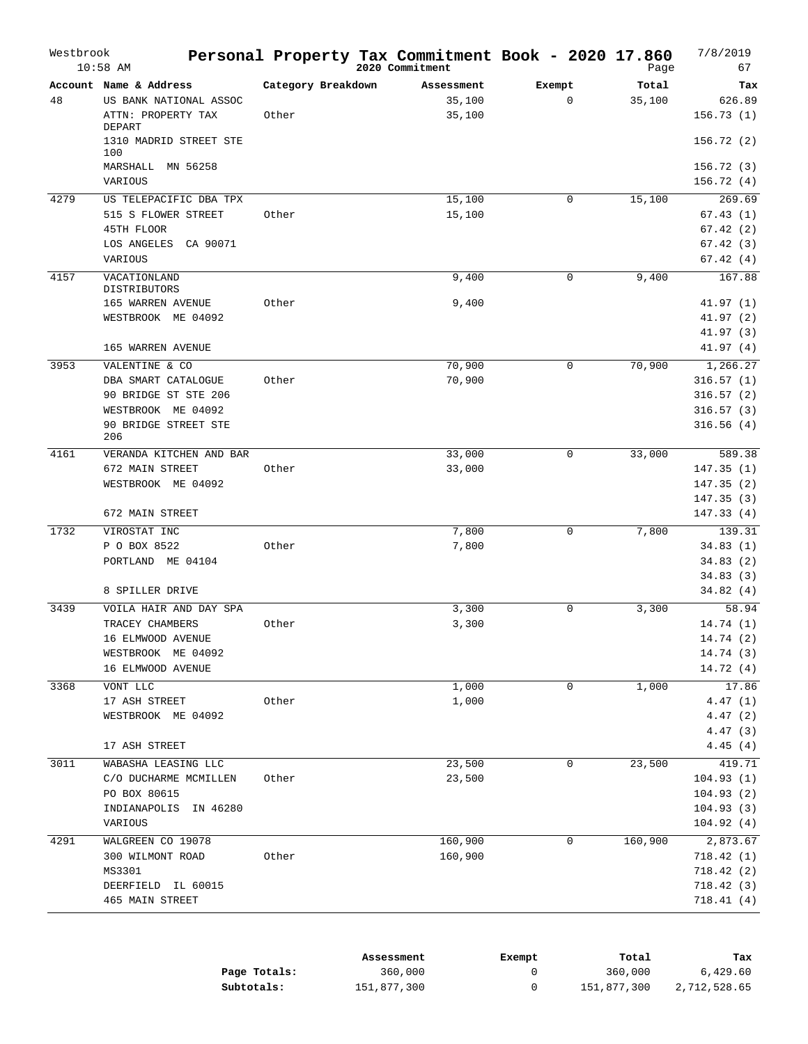| Account Name & Address<br>Category Breakdown<br>Total<br>Exempt<br>Tax<br>Assessment<br>$\mathbf 0$<br>48<br>US BANK NATIONAL ASSOC<br>35,100<br>35,100<br>626.89<br>ATTN: PROPERTY TAX<br>Other<br>35,100<br>156.73(1)<br>DEPART<br>1310 MADRID STREET STE<br>156.72(2)<br>100<br>MARSHALL<br>MN 56258<br>156.72(3)<br>156.72(4)<br>VARIOUS<br>269.69<br>4279<br>15,100<br>15,100<br>US TELEPACIFIC DBA TPX<br>0<br>15,100<br>515 S FLOWER STREET<br>Other<br>67.43 (1)<br>45TH FLOOR<br>67.42(2)<br>LOS ANGELES<br>67.42(3)<br>CA 90071<br>VARIOUS<br>67.42(4)<br>167.88<br>4157<br>9,400<br>9,400<br>VACATIONLAND<br>0<br>DISTRIBUTORS<br>Other<br>9,400<br>41.97 (1)<br>165 WARREN AVENUE<br>41.97 (2)<br>WESTBROOK ME 04092<br>41.97(3)<br>165 WARREN AVENUE<br>41.97(4)<br>3953<br>70,900<br>70,900<br>1,266.27<br>VALENTINE & CO<br>0<br>70,900<br>DBA SMART CATALOGUE<br>Other<br>316.57(1)<br>90 BRIDGE ST STE 206<br>316.57(2)<br>WESTBROOK ME 04092<br>316.57(3)<br>90 BRIDGE STREET STE<br>316.56(4)<br>206<br>33,000<br>4161<br>VERANDA KITCHEN AND BAR<br>33,000<br>0<br>589.38<br>672 MAIN STREET<br>Other<br>33,000<br>147.35(1)<br>WESTBROOK ME 04092<br>147.35(2)<br>147.35(3)<br>147.33(4)<br>672 MAIN STREET<br>139.31<br>1732<br>VIROSTAT INC<br>7,800<br>0<br>7,800<br>7,800<br>P O BOX 8522<br>Other<br>34.83(1)<br>PORTLAND ME 04104<br>34.83(2)<br>34.83(3)<br>34.82 (4)<br>8 SPILLER DRIVE<br>58.94<br>3,300<br>0<br>3,300<br>3439<br>VOILA HAIR AND DAY SPA<br>3,300<br>TRACEY CHAMBERS<br>Other<br>14.74(1)<br>16 ELMWOOD AVENUE<br>14.74 (2)<br>14.74 (3)<br>WESTBROOK ME 04092<br>16 ELMWOOD AVENUE<br>14.72(4)<br>3368<br>1,000<br>1,000<br>17.86<br>VONT LLC<br>0<br>Other<br>1,000<br>4.47(1)<br>17 ASH STREET<br>WESTBROOK ME 04092<br>4.47(2)<br>4.47 (3)<br>17 ASH STREET<br>4.45(4)<br>23,500<br>419.71<br>3011<br>WABASHA LEASING LLC<br>23,500<br>0<br>23,500<br>104.93(1)<br>C/O DUCHARME MCMILLEN<br>Other<br>PO BOX 80615<br>104.93(2)<br>INDIANAPOLIS<br>IN 46280<br>104.93(3)<br>104.92(4)<br>VARIOUS<br>4291<br>160,900<br>160,900<br>2,873.67<br>WALGREEN CO 19078<br>0<br>300 WILMONT ROAD<br>Other<br>160,900<br>718.42(1)<br>MS3301<br>718.42(2)<br>718.42 (3)<br>DEERFIELD IL 60015<br>465 MAIN STREET<br>718.41 (4) | Westbrook | $10:58$ AM | Personal Property Tax Commitment Book - 2020 17.860 | 2020 Commitment | Page | 7/8/2019<br>67 |
|------------------------------------------------------------------------------------------------------------------------------------------------------------------------------------------------------------------------------------------------------------------------------------------------------------------------------------------------------------------------------------------------------------------------------------------------------------------------------------------------------------------------------------------------------------------------------------------------------------------------------------------------------------------------------------------------------------------------------------------------------------------------------------------------------------------------------------------------------------------------------------------------------------------------------------------------------------------------------------------------------------------------------------------------------------------------------------------------------------------------------------------------------------------------------------------------------------------------------------------------------------------------------------------------------------------------------------------------------------------------------------------------------------------------------------------------------------------------------------------------------------------------------------------------------------------------------------------------------------------------------------------------------------------------------------------------------------------------------------------------------------------------------------------------------------------------------------------------------------------------------------------------------------------------------------------------------------------------------------------------------------------------------------------------------------------------------------------------------------------------------------------------------------------------------------------------------------------------------------------------------------------------|-----------|------------|-----------------------------------------------------|-----------------|------|----------------|
|                                                                                                                                                                                                                                                                                                                                                                                                                                                                                                                                                                                                                                                                                                                                                                                                                                                                                                                                                                                                                                                                                                                                                                                                                                                                                                                                                                                                                                                                                                                                                                                                                                                                                                                                                                                                                                                                                                                                                                                                                                                                                                                                                                                                                                                                        |           |            |                                                     |                 |      |                |
|                                                                                                                                                                                                                                                                                                                                                                                                                                                                                                                                                                                                                                                                                                                                                                                                                                                                                                                                                                                                                                                                                                                                                                                                                                                                                                                                                                                                                                                                                                                                                                                                                                                                                                                                                                                                                                                                                                                                                                                                                                                                                                                                                                                                                                                                        |           |            |                                                     |                 |      |                |
|                                                                                                                                                                                                                                                                                                                                                                                                                                                                                                                                                                                                                                                                                                                                                                                                                                                                                                                                                                                                                                                                                                                                                                                                                                                                                                                                                                                                                                                                                                                                                                                                                                                                                                                                                                                                                                                                                                                                                                                                                                                                                                                                                                                                                                                                        |           |            |                                                     |                 |      |                |
|                                                                                                                                                                                                                                                                                                                                                                                                                                                                                                                                                                                                                                                                                                                                                                                                                                                                                                                                                                                                                                                                                                                                                                                                                                                                                                                                                                                                                                                                                                                                                                                                                                                                                                                                                                                                                                                                                                                                                                                                                                                                                                                                                                                                                                                                        |           |            |                                                     |                 |      |                |
|                                                                                                                                                                                                                                                                                                                                                                                                                                                                                                                                                                                                                                                                                                                                                                                                                                                                                                                                                                                                                                                                                                                                                                                                                                                                                                                                                                                                                                                                                                                                                                                                                                                                                                                                                                                                                                                                                                                                                                                                                                                                                                                                                                                                                                                                        |           |            |                                                     |                 |      |                |
|                                                                                                                                                                                                                                                                                                                                                                                                                                                                                                                                                                                                                                                                                                                                                                                                                                                                                                                                                                                                                                                                                                                                                                                                                                                                                                                                                                                                                                                                                                                                                                                                                                                                                                                                                                                                                                                                                                                                                                                                                                                                                                                                                                                                                                                                        |           |            |                                                     |                 |      |                |
|                                                                                                                                                                                                                                                                                                                                                                                                                                                                                                                                                                                                                                                                                                                                                                                                                                                                                                                                                                                                                                                                                                                                                                                                                                                                                                                                                                                                                                                                                                                                                                                                                                                                                                                                                                                                                                                                                                                                                                                                                                                                                                                                                                                                                                                                        |           |            |                                                     |                 |      |                |
|                                                                                                                                                                                                                                                                                                                                                                                                                                                                                                                                                                                                                                                                                                                                                                                                                                                                                                                                                                                                                                                                                                                                                                                                                                                                                                                                                                                                                                                                                                                                                                                                                                                                                                                                                                                                                                                                                                                                                                                                                                                                                                                                                                                                                                                                        |           |            |                                                     |                 |      |                |
|                                                                                                                                                                                                                                                                                                                                                                                                                                                                                                                                                                                                                                                                                                                                                                                                                                                                                                                                                                                                                                                                                                                                                                                                                                                                                                                                                                                                                                                                                                                                                                                                                                                                                                                                                                                                                                                                                                                                                                                                                                                                                                                                                                                                                                                                        |           |            |                                                     |                 |      |                |
|                                                                                                                                                                                                                                                                                                                                                                                                                                                                                                                                                                                                                                                                                                                                                                                                                                                                                                                                                                                                                                                                                                                                                                                                                                                                                                                                                                                                                                                                                                                                                                                                                                                                                                                                                                                                                                                                                                                                                                                                                                                                                                                                                                                                                                                                        |           |            |                                                     |                 |      |                |
|                                                                                                                                                                                                                                                                                                                                                                                                                                                                                                                                                                                                                                                                                                                                                                                                                                                                                                                                                                                                                                                                                                                                                                                                                                                                                                                                                                                                                                                                                                                                                                                                                                                                                                                                                                                                                                                                                                                                                                                                                                                                                                                                                                                                                                                                        |           |            |                                                     |                 |      |                |
|                                                                                                                                                                                                                                                                                                                                                                                                                                                                                                                                                                                                                                                                                                                                                                                                                                                                                                                                                                                                                                                                                                                                                                                                                                                                                                                                                                                                                                                                                                                                                                                                                                                                                                                                                                                                                                                                                                                                                                                                                                                                                                                                                                                                                                                                        |           |            |                                                     |                 |      |                |
|                                                                                                                                                                                                                                                                                                                                                                                                                                                                                                                                                                                                                                                                                                                                                                                                                                                                                                                                                                                                                                                                                                                                                                                                                                                                                                                                                                                                                                                                                                                                                                                                                                                                                                                                                                                                                                                                                                                                                                                                                                                                                                                                                                                                                                                                        |           |            |                                                     |                 |      |                |
|                                                                                                                                                                                                                                                                                                                                                                                                                                                                                                                                                                                                                                                                                                                                                                                                                                                                                                                                                                                                                                                                                                                                                                                                                                                                                                                                                                                                                                                                                                                                                                                                                                                                                                                                                                                                                                                                                                                                                                                                                                                                                                                                                                                                                                                                        |           |            |                                                     |                 |      |                |
|                                                                                                                                                                                                                                                                                                                                                                                                                                                                                                                                                                                                                                                                                                                                                                                                                                                                                                                                                                                                                                                                                                                                                                                                                                                                                                                                                                                                                                                                                                                                                                                                                                                                                                                                                                                                                                                                                                                                                                                                                                                                                                                                                                                                                                                                        |           |            |                                                     |                 |      |                |
|                                                                                                                                                                                                                                                                                                                                                                                                                                                                                                                                                                                                                                                                                                                                                                                                                                                                                                                                                                                                                                                                                                                                                                                                                                                                                                                                                                                                                                                                                                                                                                                                                                                                                                                                                                                                                                                                                                                                                                                                                                                                                                                                                                                                                                                                        |           |            |                                                     |                 |      |                |
|                                                                                                                                                                                                                                                                                                                                                                                                                                                                                                                                                                                                                                                                                                                                                                                                                                                                                                                                                                                                                                                                                                                                                                                                                                                                                                                                                                                                                                                                                                                                                                                                                                                                                                                                                                                                                                                                                                                                                                                                                                                                                                                                                                                                                                                                        |           |            |                                                     |                 |      |                |
|                                                                                                                                                                                                                                                                                                                                                                                                                                                                                                                                                                                                                                                                                                                                                                                                                                                                                                                                                                                                                                                                                                                                                                                                                                                                                                                                                                                                                                                                                                                                                                                                                                                                                                                                                                                                                                                                                                                                                                                                                                                                                                                                                                                                                                                                        |           |            |                                                     |                 |      |                |
|                                                                                                                                                                                                                                                                                                                                                                                                                                                                                                                                                                                                                                                                                                                                                                                                                                                                                                                                                                                                                                                                                                                                                                                                                                                                                                                                                                                                                                                                                                                                                                                                                                                                                                                                                                                                                                                                                                                                                                                                                                                                                                                                                                                                                                                                        |           |            |                                                     |                 |      |                |
|                                                                                                                                                                                                                                                                                                                                                                                                                                                                                                                                                                                                                                                                                                                                                                                                                                                                                                                                                                                                                                                                                                                                                                                                                                                                                                                                                                                                                                                                                                                                                                                                                                                                                                                                                                                                                                                                                                                                                                                                                                                                                                                                                                                                                                                                        |           |            |                                                     |                 |      |                |
|                                                                                                                                                                                                                                                                                                                                                                                                                                                                                                                                                                                                                                                                                                                                                                                                                                                                                                                                                                                                                                                                                                                                                                                                                                                                                                                                                                                                                                                                                                                                                                                                                                                                                                                                                                                                                                                                                                                                                                                                                                                                                                                                                                                                                                                                        |           |            |                                                     |                 |      |                |
|                                                                                                                                                                                                                                                                                                                                                                                                                                                                                                                                                                                                                                                                                                                                                                                                                                                                                                                                                                                                                                                                                                                                                                                                                                                                                                                                                                                                                                                                                                                                                                                                                                                                                                                                                                                                                                                                                                                                                                                                                                                                                                                                                                                                                                                                        |           |            |                                                     |                 |      |                |
|                                                                                                                                                                                                                                                                                                                                                                                                                                                                                                                                                                                                                                                                                                                                                                                                                                                                                                                                                                                                                                                                                                                                                                                                                                                                                                                                                                                                                                                                                                                                                                                                                                                                                                                                                                                                                                                                                                                                                                                                                                                                                                                                                                                                                                                                        |           |            |                                                     |                 |      |                |
|                                                                                                                                                                                                                                                                                                                                                                                                                                                                                                                                                                                                                                                                                                                                                                                                                                                                                                                                                                                                                                                                                                                                                                                                                                                                                                                                                                                                                                                                                                                                                                                                                                                                                                                                                                                                                                                                                                                                                                                                                                                                                                                                                                                                                                                                        |           |            |                                                     |                 |      |                |
|                                                                                                                                                                                                                                                                                                                                                                                                                                                                                                                                                                                                                                                                                                                                                                                                                                                                                                                                                                                                                                                                                                                                                                                                                                                                                                                                                                                                                                                                                                                                                                                                                                                                                                                                                                                                                                                                                                                                                                                                                                                                                                                                                                                                                                                                        |           |            |                                                     |                 |      |                |
|                                                                                                                                                                                                                                                                                                                                                                                                                                                                                                                                                                                                                                                                                                                                                                                                                                                                                                                                                                                                                                                                                                                                                                                                                                                                                                                                                                                                                                                                                                                                                                                                                                                                                                                                                                                                                                                                                                                                                                                                                                                                                                                                                                                                                                                                        |           |            |                                                     |                 |      |                |
|                                                                                                                                                                                                                                                                                                                                                                                                                                                                                                                                                                                                                                                                                                                                                                                                                                                                                                                                                                                                                                                                                                                                                                                                                                                                                                                                                                                                                                                                                                                                                                                                                                                                                                                                                                                                                                                                                                                                                                                                                                                                                                                                                                                                                                                                        |           |            |                                                     |                 |      |                |
|                                                                                                                                                                                                                                                                                                                                                                                                                                                                                                                                                                                                                                                                                                                                                                                                                                                                                                                                                                                                                                                                                                                                                                                                                                                                                                                                                                                                                                                                                                                                                                                                                                                                                                                                                                                                                                                                                                                                                                                                                                                                                                                                                                                                                                                                        |           |            |                                                     |                 |      |                |
|                                                                                                                                                                                                                                                                                                                                                                                                                                                                                                                                                                                                                                                                                                                                                                                                                                                                                                                                                                                                                                                                                                                                                                                                                                                                                                                                                                                                                                                                                                                                                                                                                                                                                                                                                                                                                                                                                                                                                                                                                                                                                                                                                                                                                                                                        |           |            |                                                     |                 |      |                |
|                                                                                                                                                                                                                                                                                                                                                                                                                                                                                                                                                                                                                                                                                                                                                                                                                                                                                                                                                                                                                                                                                                                                                                                                                                                                                                                                                                                                                                                                                                                                                                                                                                                                                                                                                                                                                                                                                                                                                                                                                                                                                                                                                                                                                                                                        |           |            |                                                     |                 |      |                |
|                                                                                                                                                                                                                                                                                                                                                                                                                                                                                                                                                                                                                                                                                                                                                                                                                                                                                                                                                                                                                                                                                                                                                                                                                                                                                                                                                                                                                                                                                                                                                                                                                                                                                                                                                                                                                                                                                                                                                                                                                                                                                                                                                                                                                                                                        |           |            |                                                     |                 |      |                |
|                                                                                                                                                                                                                                                                                                                                                                                                                                                                                                                                                                                                                                                                                                                                                                                                                                                                                                                                                                                                                                                                                                                                                                                                                                                                                                                                                                                                                                                                                                                                                                                                                                                                                                                                                                                                                                                                                                                                                                                                                                                                                                                                                                                                                                                                        |           |            |                                                     |                 |      |                |
|                                                                                                                                                                                                                                                                                                                                                                                                                                                                                                                                                                                                                                                                                                                                                                                                                                                                                                                                                                                                                                                                                                                                                                                                                                                                                                                                                                                                                                                                                                                                                                                                                                                                                                                                                                                                                                                                                                                                                                                                                                                                                                                                                                                                                                                                        |           |            |                                                     |                 |      |                |
|                                                                                                                                                                                                                                                                                                                                                                                                                                                                                                                                                                                                                                                                                                                                                                                                                                                                                                                                                                                                                                                                                                                                                                                                                                                                                                                                                                                                                                                                                                                                                                                                                                                                                                                                                                                                                                                                                                                                                                                                                                                                                                                                                                                                                                                                        |           |            |                                                     |                 |      |                |
|                                                                                                                                                                                                                                                                                                                                                                                                                                                                                                                                                                                                                                                                                                                                                                                                                                                                                                                                                                                                                                                                                                                                                                                                                                                                                                                                                                                                                                                                                                                                                                                                                                                                                                                                                                                                                                                                                                                                                                                                                                                                                                                                                                                                                                                                        |           |            |                                                     |                 |      |                |
|                                                                                                                                                                                                                                                                                                                                                                                                                                                                                                                                                                                                                                                                                                                                                                                                                                                                                                                                                                                                                                                                                                                                                                                                                                                                                                                                                                                                                                                                                                                                                                                                                                                                                                                                                                                                                                                                                                                                                                                                                                                                                                                                                                                                                                                                        |           |            |                                                     |                 |      |                |
|                                                                                                                                                                                                                                                                                                                                                                                                                                                                                                                                                                                                                                                                                                                                                                                                                                                                                                                                                                                                                                                                                                                                                                                                                                                                                                                                                                                                                                                                                                                                                                                                                                                                                                                                                                                                                                                                                                                                                                                                                                                                                                                                                                                                                                                                        |           |            |                                                     |                 |      |                |
|                                                                                                                                                                                                                                                                                                                                                                                                                                                                                                                                                                                                                                                                                                                                                                                                                                                                                                                                                                                                                                                                                                                                                                                                                                                                                                                                                                                                                                                                                                                                                                                                                                                                                                                                                                                                                                                                                                                                                                                                                                                                                                                                                                                                                                                                        |           |            |                                                     |                 |      |                |
|                                                                                                                                                                                                                                                                                                                                                                                                                                                                                                                                                                                                                                                                                                                                                                                                                                                                                                                                                                                                                                                                                                                                                                                                                                                                                                                                                                                                                                                                                                                                                                                                                                                                                                                                                                                                                                                                                                                                                                                                                                                                                                                                                                                                                                                                        |           |            |                                                     |                 |      |                |
|                                                                                                                                                                                                                                                                                                                                                                                                                                                                                                                                                                                                                                                                                                                                                                                                                                                                                                                                                                                                                                                                                                                                                                                                                                                                                                                                                                                                                                                                                                                                                                                                                                                                                                                                                                                                                                                                                                                                                                                                                                                                                                                                                                                                                                                                        |           |            |                                                     |                 |      |                |
|                                                                                                                                                                                                                                                                                                                                                                                                                                                                                                                                                                                                                                                                                                                                                                                                                                                                                                                                                                                                                                                                                                                                                                                                                                                                                                                                                                                                                                                                                                                                                                                                                                                                                                                                                                                                                                                                                                                                                                                                                                                                                                                                                                                                                                                                        |           |            |                                                     |                 |      |                |
|                                                                                                                                                                                                                                                                                                                                                                                                                                                                                                                                                                                                                                                                                                                                                                                                                                                                                                                                                                                                                                                                                                                                                                                                                                                                                                                                                                                                                                                                                                                                                                                                                                                                                                                                                                                                                                                                                                                                                                                                                                                                                                                                                                                                                                                                        |           |            |                                                     |                 |      |                |
|                                                                                                                                                                                                                                                                                                                                                                                                                                                                                                                                                                                                                                                                                                                                                                                                                                                                                                                                                                                                                                                                                                                                                                                                                                                                                                                                                                                                                                                                                                                                                                                                                                                                                                                                                                                                                                                                                                                                                                                                                                                                                                                                                                                                                                                                        |           |            |                                                     |                 |      |                |
|                                                                                                                                                                                                                                                                                                                                                                                                                                                                                                                                                                                                                                                                                                                                                                                                                                                                                                                                                                                                                                                                                                                                                                                                                                                                                                                                                                                                                                                                                                                                                                                                                                                                                                                                                                                                                                                                                                                                                                                                                                                                                                                                                                                                                                                                        |           |            |                                                     |                 |      |                |
|                                                                                                                                                                                                                                                                                                                                                                                                                                                                                                                                                                                                                                                                                                                                                                                                                                                                                                                                                                                                                                                                                                                                                                                                                                                                                                                                                                                                                                                                                                                                                                                                                                                                                                                                                                                                                                                                                                                                                                                                                                                                                                                                                                                                                                                                        |           |            |                                                     |                 |      |                |
|                                                                                                                                                                                                                                                                                                                                                                                                                                                                                                                                                                                                                                                                                                                                                                                                                                                                                                                                                                                                                                                                                                                                                                                                                                                                                                                                                                                                                                                                                                                                                                                                                                                                                                                                                                                                                                                                                                                                                                                                                                                                                                                                                                                                                                                                        |           |            |                                                     |                 |      |                |
|                                                                                                                                                                                                                                                                                                                                                                                                                                                                                                                                                                                                                                                                                                                                                                                                                                                                                                                                                                                                                                                                                                                                                                                                                                                                                                                                                                                                                                                                                                                                                                                                                                                                                                                                                                                                                                                                                                                                                                                                                                                                                                                                                                                                                                                                        |           |            |                                                     |                 |      |                |
|                                                                                                                                                                                                                                                                                                                                                                                                                                                                                                                                                                                                                                                                                                                                                                                                                                                                                                                                                                                                                                                                                                                                                                                                                                                                                                                                                                                                                                                                                                                                                                                                                                                                                                                                                                                                                                                                                                                                                                                                                                                                                                                                                                                                                                                                        |           |            |                                                     |                 |      |                |
|                                                                                                                                                                                                                                                                                                                                                                                                                                                                                                                                                                                                                                                                                                                                                                                                                                                                                                                                                                                                                                                                                                                                                                                                                                                                                                                                                                                                                                                                                                                                                                                                                                                                                                                                                                                                                                                                                                                                                                                                                                                                                                                                                                                                                                                                        |           |            |                                                     |                 |      |                |
|                                                                                                                                                                                                                                                                                                                                                                                                                                                                                                                                                                                                                                                                                                                                                                                                                                                                                                                                                                                                                                                                                                                                                                                                                                                                                                                                                                                                                                                                                                                                                                                                                                                                                                                                                                                                                                                                                                                                                                                                                                                                                                                                                                                                                                                                        |           |            |                                                     |                 |      |                |
|                                                                                                                                                                                                                                                                                                                                                                                                                                                                                                                                                                                                                                                                                                                                                                                                                                                                                                                                                                                                                                                                                                                                                                                                                                                                                                                                                                                                                                                                                                                                                                                                                                                                                                                                                                                                                                                                                                                                                                                                                                                                                                                                                                                                                                                                        |           |            |                                                     |                 |      |                |

|              | Assessment  | Exempt | Total       | тах          |
|--------------|-------------|--------|-------------|--------------|
| Page Totals: | 360,000     |        | 360,000     | 6,429.60     |
| Subtotals:   | 151,877,300 |        | 151,877,300 | 2,712,528.65 |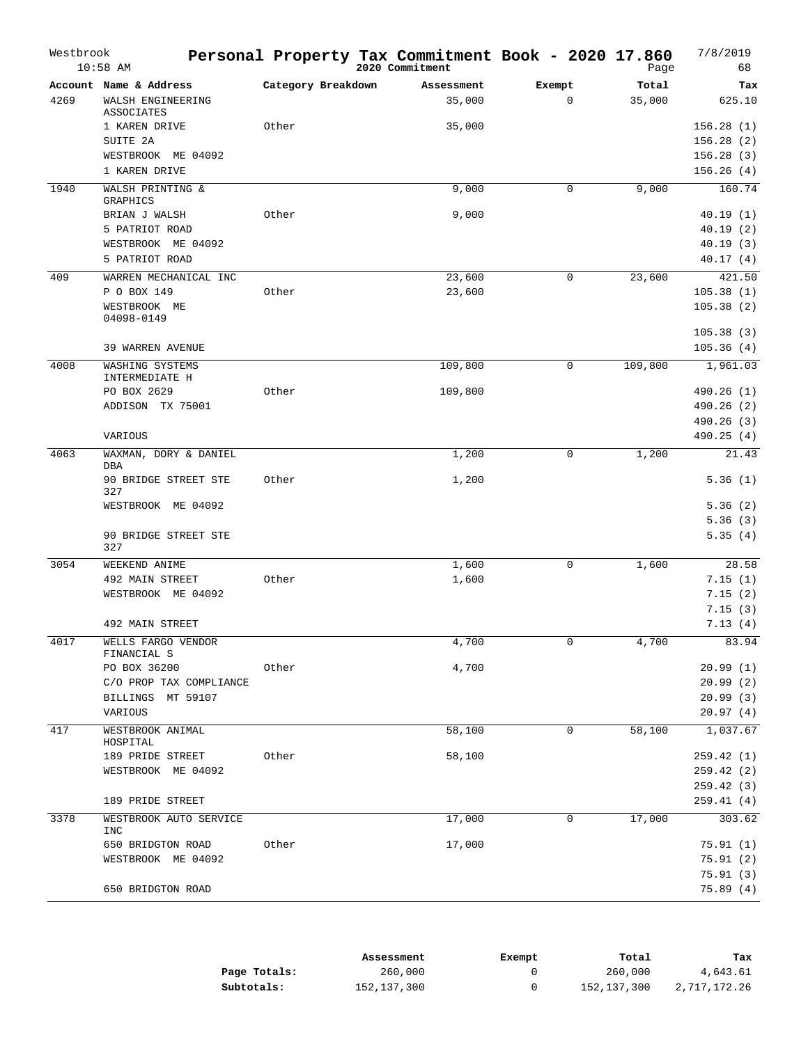| Westbrook | $10:58$ AM                                                                             |                    | Personal Property Tax Commitment Book - 2020 17.860<br>2020 Commitment |                       | Page            | 7/8/2019<br>68                                             |
|-----------|----------------------------------------------------------------------------------------|--------------------|------------------------------------------------------------------------|-----------------------|-----------------|------------------------------------------------------------|
| 4269      | Account Name & Address<br>WALSH ENGINEERING<br>ASSOCIATES                              | Category Breakdown | Assessment<br>35,000                                                   | Exempt<br>$\mathbf 0$ | Total<br>35,000 | Tax<br>625.10                                              |
|           | 1 KAREN DRIVE<br>SUITE 2A<br>WESTBROOK ME 04092<br>1 KAREN DRIVE                       | Other              | 35,000                                                                 |                       |                 | 156.28(1)<br>156.28(2)<br>156.28(3)<br>156.26(4)           |
| 1940      | WALSH PRINTING &<br>GRAPHICS                                                           |                    | 9,000                                                                  | 0                     | 9,000           | 160.74                                                     |
|           | BRIAN J WALSH<br>5 PATRIOT ROAD<br>WESTBROOK ME 04092<br>5 PATRIOT ROAD                | Other              | 9,000                                                                  |                       |                 | 40.19(1)<br>40.19(2)<br>40.19(3)<br>40.17(4)               |
| 409       | WARREN MECHANICAL INC<br>P O BOX 149<br>WESTBROOK ME<br>04098-0149<br>39 WARREN AVENUE | Other              | 23,600<br>23,600                                                       | 0                     | 23,600          | 421.50<br>105.38(1)<br>105.38(2)<br>105.38(3)<br>105.36(4) |
| 4008      | WASHING SYSTEMS<br>INTERMEDIATE H                                                      |                    | 109,800                                                                | 0                     | 109,800         | 1,961.03                                                   |
|           | PO BOX 2629<br>ADDISON TX 75001                                                        | Other              | 109,800                                                                |                       |                 | 490.26 (1)<br>490.26 (2)<br>490.26 (3)                     |
|           | VARIOUS                                                                                |                    |                                                                        |                       |                 | 490.25(4)                                                  |
| 4063      | WAXMAN, DORY & DANIEL<br>DBA<br>90 BRIDGE STREET STE<br>327                            | Other              | 1,200<br>1,200                                                         | 0                     | 1,200           | 21.43<br>5.36(1)                                           |
|           | WESTBROOK ME 04092<br>90 BRIDGE STREET STE<br>327                                      |                    |                                                                        |                       |                 | 5.36(2)<br>5.36(3)<br>5.35(4)                              |
| 3054      | WEEKEND ANIME<br>492 MAIN STREET<br>WESTBROOK ME 04092                                 | Other              | 1,600<br>1,600                                                         | 0                     | 1,600           | 28.58<br>7.15(1)<br>7.15(2)<br>7.15(3)                     |
| 4017      | 492 MAIN STREET<br>WELLS FARGO VENDOR                                                  |                    | 4,700                                                                  | 0                     | 4,700           | 7.13(4)<br>83.94                                           |
|           | FINANCIAL S<br>PO BOX 36200<br>C/O PROP TAX COMPLIANCE<br>BILLINGS MT 59107<br>VARIOUS | Other              | 4,700                                                                  |                       |                 | 20.99(1)<br>20.99(2)<br>20.99(3)<br>20.97(4)               |
| 417       | WESTBROOK ANIMAL<br>HOSPITAL                                                           |                    | 58,100                                                                 | 0                     | 58,100          | 1,037.67                                                   |
|           | 189 PRIDE STREET<br>WESTBROOK ME 04092                                                 | Other              | 58,100                                                                 |                       |                 | 259.42 (1)<br>259.42(2)<br>259.42(3)                       |
|           | 189 PRIDE STREET                                                                       |                    |                                                                        |                       |                 | 259.41(4)                                                  |
| 3378      | WESTBROOK AUTO SERVICE<br>INC                                                          |                    | 17,000                                                                 | $\mathbf 0$           | 17,000          | 303.62                                                     |
|           | 650 BRIDGTON ROAD<br>WESTBROOK ME 04092                                                | Other              | 17,000                                                                 |                       |                 | 75.91(1)<br>75.91 (2)<br>75.91(3)                          |
|           | 650 BRIDGTON ROAD                                                                      |                    |                                                                        |                       |                 | 75.89(4)                                                   |

|              | Assessment  | Exempt | Total       | Tax          |
|--------------|-------------|--------|-------------|--------------|
| Page Totals: | 260,000     |        | 260,000     | 4,643.61     |
| Subtotals:   | 152,137,300 |        | 152,137,300 | 2,717,172.26 |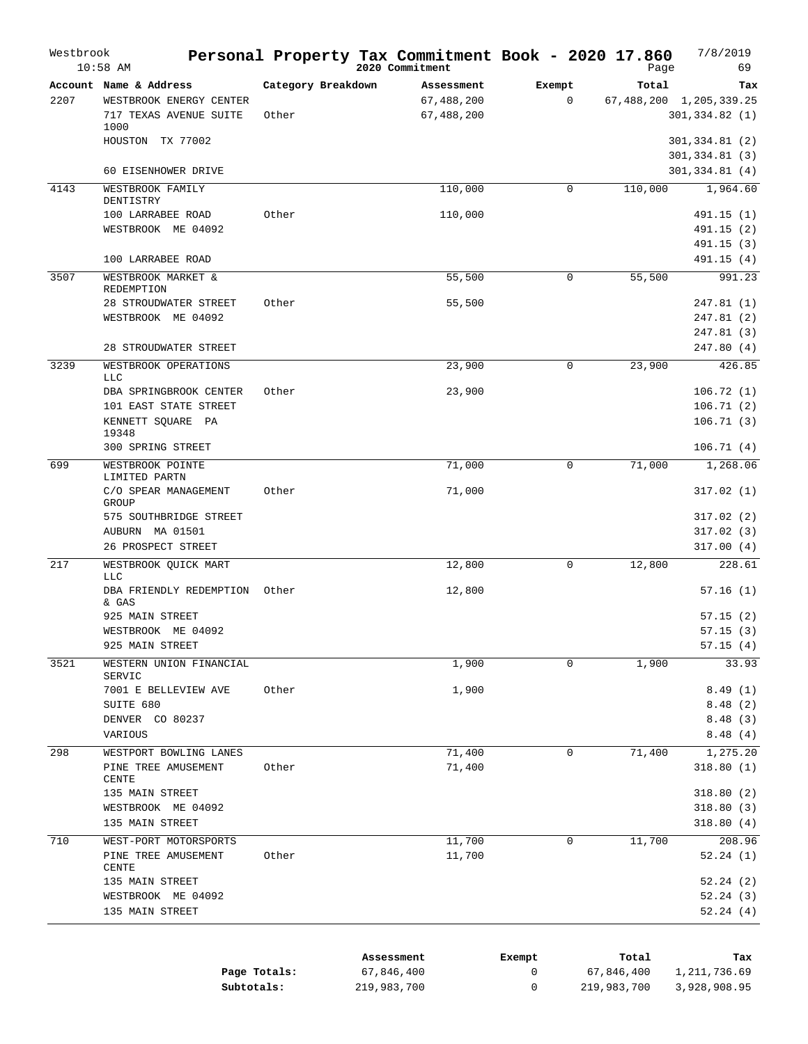| Westbrook | $10:58$ AM                         |                    | Personal Property Tax Commitment Book - 2020 17.860<br>2020 Commitment |             | Page    | 7/8/2019<br>69           |
|-----------|------------------------------------|--------------------|------------------------------------------------------------------------|-------------|---------|--------------------------|
|           | Account Name & Address             | Category Breakdown | Assessment                                                             | Exempt      | Total   | Tax                      |
| 2207      | WESTBROOK ENERGY CENTER            |                    | 67,488,200                                                             | $\mathbf 0$ |         | 67,488,200 1,205,339.25  |
|           | 717 TEXAS AVENUE SUITE             | Other              | 67,488,200                                                             |             |         | 301, 334.82(1)           |
|           | 1000<br>HOUSTON TX 77002           |                    |                                                                        |             |         | 301,334.81 (2)           |
|           |                                    |                    |                                                                        |             |         | 301, 334.81 (3)          |
|           | 60 EISENHOWER DRIVE                |                    |                                                                        |             |         | 301,334.81 (4)           |
| 4143      | WESTBROOK FAMILY                   |                    | 110,000                                                                | 0           | 110,000 | 1,964.60                 |
|           | DENTISTRY                          |                    |                                                                        |             |         |                          |
|           | 100 LARRABEE ROAD                  | Other              | 110,000                                                                |             |         | 491.15 (1)               |
|           | WESTBROOK ME 04092                 |                    |                                                                        |             |         | 491.15 (2)<br>491.15 (3) |
|           | 100 LARRABEE ROAD                  |                    |                                                                        |             |         | 491.15 (4)               |
| 3507      | WESTBROOK MARKET &                 |                    | 55,500                                                                 | $\mathbf 0$ | 55,500  | 991.23                   |
|           | REDEMPTION                         |                    |                                                                        |             |         |                          |
|           | 28 STROUDWATER STREET              | Other              | 55,500                                                                 |             |         | 247.81 (1)               |
|           | WESTBROOK ME 04092                 |                    |                                                                        |             |         | 247.81 (2)               |
|           | 28 STROUDWATER STREET              |                    |                                                                        |             |         | 247.81 (3)<br>247.80 (4) |
|           |                                    |                    |                                                                        |             |         | 426.85                   |
| 3239      | WESTBROOK OPERATIONS<br><b>LLC</b> |                    | 23,900                                                                 | $\mathbf 0$ | 23,900  |                          |
|           | DBA SPRINGBROOK CENTER             | Other              | 23,900                                                                 |             |         | 106.72(1)                |
|           | 101 EAST STATE STREET              |                    |                                                                        |             |         | 106.71(2)                |
|           | KENNETT SQUARE PA                  |                    |                                                                        |             |         | 106.71(3)                |
|           | 19348<br>300 SPRING STREET         |                    |                                                                        |             |         | 106.71(4)                |
| 699       | WESTBROOK POINTE                   |                    | 71,000                                                                 | $\mathbf 0$ | 71,000  | 1,268.06                 |
|           | LIMITED PARTN                      |                    |                                                                        |             |         |                          |
|           | C/O SPEAR MANAGEMENT               | Other              | 71,000                                                                 |             |         | 317.02(1)                |
|           | GROUP<br>575 SOUTHBRIDGE STREET    |                    |                                                                        |             |         | 317.02 (2)               |
|           | AUBURN MA 01501                    |                    |                                                                        |             |         | 317.02(3)                |
|           | 26 PROSPECT STREET                 |                    |                                                                        |             |         | 317.00(4)                |
| 217       | WESTBROOK QUICK MART               |                    | 12,800                                                                 | $\mathsf 0$ | 12,800  | 228.61                   |
|           | <b>LLC</b>                         |                    |                                                                        |             |         |                          |
|           | DBA FRIENDLY REDEMPTION            | Other              | 12,800                                                                 |             |         | 57.16(1)                 |
|           | & GAS<br>925 MAIN STREET           |                    |                                                                        |             |         | 57.15(2)                 |
|           | WESTBROOK ME 04092                 |                    |                                                                        |             |         | 57.15(3)                 |
|           | 925 MAIN STREET                    |                    |                                                                        |             |         | 57.15(4)                 |
| 3521      | WESTERN UNION FINANCIAL            |                    | 1,900                                                                  | $\Omega$    | 1,900   | 33.93                    |
|           | SERVIC                             |                    |                                                                        |             |         |                          |
|           | 7001 E BELLEVIEW AVE               | Other              | 1,900                                                                  |             |         | 8.49(1)                  |
|           | SUITE 680<br>DENVER CO 80237       |                    |                                                                        |             |         | 8.48(2)<br>8.48(3)       |
|           | VARIOUS                            |                    |                                                                        |             |         | 8.48(4)                  |
| 298       | WESTPORT BOWLING LANES             |                    | 71,400                                                                 | 0           | 71,400  | 1,275.20                 |
|           | PINE TREE AMUSEMENT                | Other              | 71,400                                                                 |             |         | 318.80(1)                |
|           | CENTE                              |                    |                                                                        |             |         |                          |
|           | 135 MAIN STREET                    |                    |                                                                        |             |         | 318.80(2)                |
|           | WESTBROOK ME 04092                 |                    |                                                                        |             |         | 318.80 (3)               |
|           | 135 MAIN STREET                    |                    |                                                                        |             |         | 318.80(4)                |
| 710       | WEST-PORT MOTORSPORTS              |                    | 11,700                                                                 | 0           | 11,700  | 208.96                   |
|           | PINE TREE AMUSEMENT<br>CENTE       | Other              | 11,700                                                                 |             |         | 52.24(1)                 |
|           | 135 MAIN STREET                    |                    |                                                                        |             |         | 52.24(2)                 |
|           |                                    |                    |                                                                        |             |         | 52.24(3)                 |
|           | WESTBROOK ME 04092                 |                    |                                                                        |             |         |                          |

|              | Assessment  | Exempt | Total       | Tax          |
|--------------|-------------|--------|-------------|--------------|
| Page Totals: | 67,846,400  |        | 67,846,400  | 1,211,736.69 |
| Subtotals:   | 219,983,700 |        | 219,983,700 | 3,928,908.95 |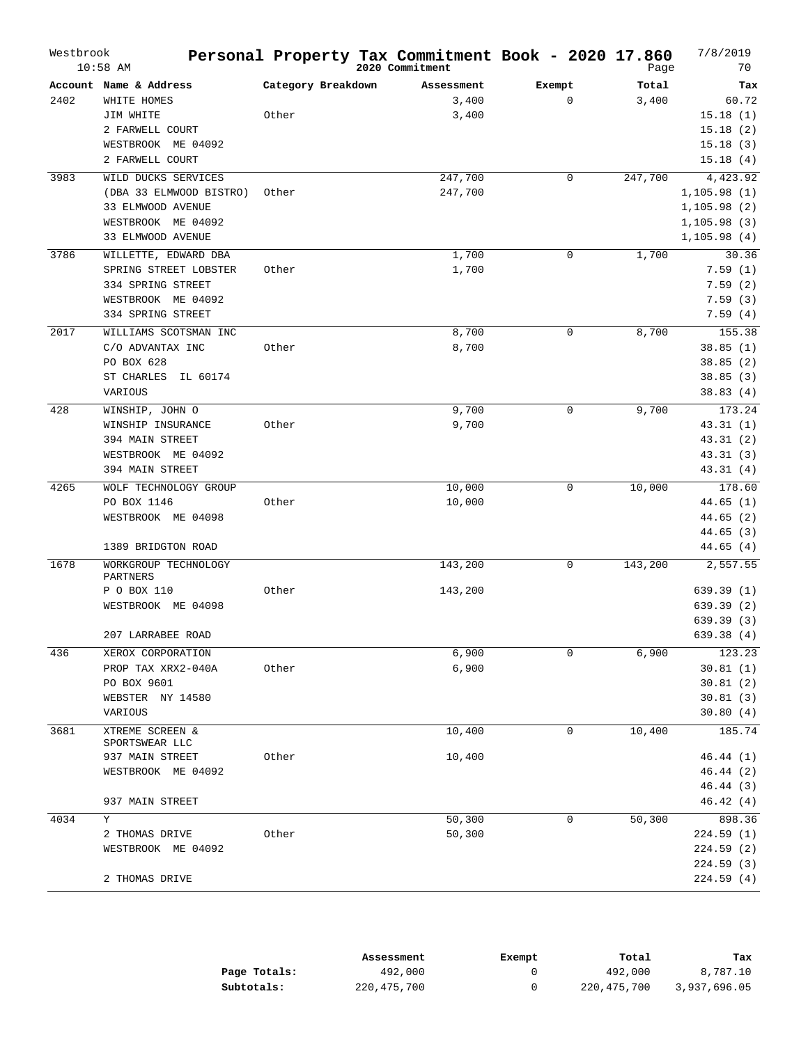| Westbrook | $10:58$ AM                           |                    | Personal Property Tax Commitment Book - 2020 17.860<br>2020 Commitment |             | Page    | 7/8/2019<br>70     |
|-----------|--------------------------------------|--------------------|------------------------------------------------------------------------|-------------|---------|--------------------|
|           | Account Name & Address               | Category Breakdown | Assessment                                                             | Exempt      | Total   | Tax                |
| 2402      | WHITE HOMES                          |                    | 3,400                                                                  | $\mathbf 0$ | 3,400   | 60.72              |
|           | JIM WHITE                            | Other              | 3,400                                                                  |             |         | 15.18(1)           |
|           | 2 FARWELL COURT                      |                    |                                                                        |             |         | 15.18(2)           |
|           | WESTBROOK ME 04092                   |                    |                                                                        |             |         | 15.18(3)           |
|           | 2 FARWELL COURT                      |                    |                                                                        |             |         | 15.18(4)           |
| 3983      | WILD DUCKS SERVICES                  |                    | 247,700                                                                | $\Omega$    | 247,700 | 4,423.92           |
|           | (DBA 33 ELMWOOD BISTRO)              | Other              | 247,700                                                                |             |         | 1,105.98(1)        |
|           | 33 ELMWOOD AVENUE                    |                    |                                                                        |             |         | 1,105.98(2)        |
|           | WESTBROOK ME 04092                   |                    |                                                                        |             |         | 1, 105.98(3)       |
|           | 33 ELMWOOD AVENUE                    |                    |                                                                        |             |         | 1,105.98(4)        |
| 3786      | WILLETTE, EDWARD DBA                 |                    | 1,700                                                                  | $\Omega$    | 1,700   | 30.36              |
|           | SPRING STREET LOBSTER                | Other              | 1,700                                                                  |             |         | 7.59(1)            |
|           | 334 SPRING STREET                    |                    |                                                                        |             |         | 7.59(2)            |
|           | WESTBROOK ME 04092                   |                    |                                                                        |             |         | 7.59(3)            |
|           | 334 SPRING STREET                    |                    |                                                                        |             |         | 7.59(4)            |
| 2017      | WILLIAMS SCOTSMAN INC                |                    | 8,700                                                                  | 0           | 8,700   | 155.38             |
|           | C/O ADVANTAX INC                     | Other              | 8,700                                                                  |             |         | 38.85(1)           |
|           | PO BOX 628                           |                    |                                                                        |             |         | 38.85(2)           |
|           | ST CHARLES<br>IL 60174               |                    |                                                                        |             |         | 38.85(3)           |
|           | VARIOUS                              |                    |                                                                        |             |         | 38.83(4)           |
| 428       | WINSHIP, JOHN O                      |                    |                                                                        | $\mathbf 0$ | 9,700   | 173.24             |
|           | WINSHIP INSURANCE                    | Other              | 9,700<br>9,700                                                         |             |         | 43.31(1)           |
|           | 394 MAIN STREET                      |                    |                                                                        |             |         | 43.31 (2)          |
|           | WESTBROOK ME 04092                   |                    |                                                                        |             |         | 43.31(3)           |
|           | 394 MAIN STREET                      |                    |                                                                        |             |         | 43.31 (4)          |
| 4265      |                                      |                    |                                                                        | $\mathbf 0$ |         |                    |
|           | WOLF TECHNOLOGY GROUP<br>PO BOX 1146 | Other              | 10,000<br>10,000                                                       |             | 10,000  | 178.60<br>44.65(1) |
|           | WESTBROOK ME 04098                   |                    |                                                                        |             |         | 44.65(2)           |
|           |                                      |                    |                                                                        |             |         | 44.65(3)           |
|           | 1389 BRIDGTON ROAD                   |                    |                                                                        |             |         | 44.65 (4)          |
|           |                                      |                    |                                                                        |             |         |                    |
| 1678      | WORKGROUP TECHNOLOGY<br>PARTNERS     |                    | 143,200                                                                | $\mathbf 0$ | 143,200 | 2,557.55           |
|           | P O BOX 110                          | Other              | 143,200                                                                |             |         | 639.39 (1)         |
|           | WESTBROOK ME 04098                   |                    |                                                                        |             |         | 639.39(2)          |
|           |                                      |                    |                                                                        |             |         | 639.39(3)          |
|           | 207 LARRABEE ROAD                    |                    |                                                                        |             |         | 639.38 (4)         |
| 436       | XEROX CORPORATION                    |                    | 6,900                                                                  | $\mathbf 0$ | 6,900   | 123.23             |
|           | PROP TAX XRX2-040A                   | Other              | 6,900                                                                  |             |         | 30.81(1)           |
|           | PO BOX 9601                          |                    |                                                                        |             |         | 30.81(2)           |
|           | WEBSTER NY 14580                     |                    |                                                                        |             |         | 30.81(3)           |
|           | VARIOUS                              |                    |                                                                        |             |         | 30.80(4)           |
| 3681      | XTREME SCREEN &<br>SPORTSWEAR LLC    |                    | 10,400                                                                 | 0           | 10,400  | 185.74             |
|           | 937 MAIN STREET                      | Other              | 10,400                                                                 |             |         | 46.44(1)           |
|           | WESTBROOK ME 04092                   |                    |                                                                        |             |         | 46.44 (2)          |
|           |                                      |                    |                                                                        |             |         | 46.44 (3)          |
|           | 937 MAIN STREET                      |                    |                                                                        |             |         | 46.42(4)           |
| 4034      | Y                                    |                    | 50,300                                                                 | 0           | 50,300  | 898.36             |
|           | 2 THOMAS DRIVE                       | Other              | 50,300                                                                 |             |         | 224.59 (1)         |
|           | WESTBROOK ME 04092                   |                    |                                                                        |             |         | 224.59 (2)         |
|           |                                      |                    |                                                                        |             |         | 224.59 (3)         |
|           | 2 THOMAS DRIVE                       |                    |                                                                        |             |         | 224.59 (4)         |

|              | Assessment    | Exempt | Total       | Tax          |
|--------------|---------------|--------|-------------|--------------|
| Page Totals: | 492,000       |        | 492,000     | 8,787.10     |
| Subtotals:   | 220, 475, 700 |        | 220,475,700 | 3,937,696.05 |